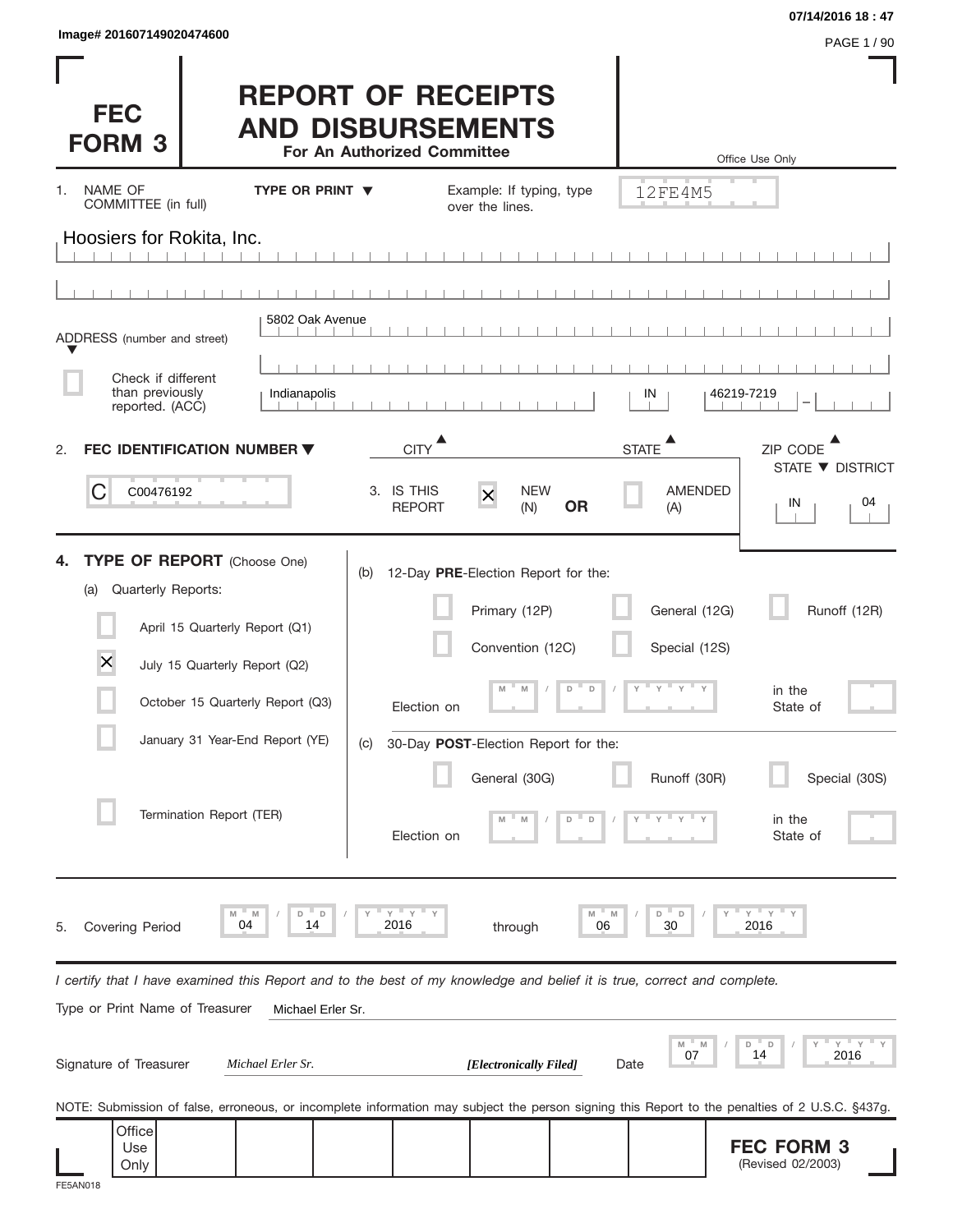| Image# 201607149020474600 |  |
|---------------------------|--|
|                           |  |

**FEC FORM 3** (Revised 02/2003)

| Image# 201607149020474600                                |                                                                                                                                                                                                          |                                                                                                                                                                                         |                         |                                                           | 07/14/2016 18:47                                                          |
|----------------------------------------------------------|----------------------------------------------------------------------------------------------------------------------------------------------------------------------------------------------------------|-----------------------------------------------------------------------------------------------------------------------------------------------------------------------------------------|-------------------------|-----------------------------------------------------------|---------------------------------------------------------------------------|
| <b>FEC</b><br><b>FORM 3</b>                              |                                                                                                                                                                                                          | <b>REPORT OF RECEIPTS</b><br><b>AND DISBURSEMENTS</b><br>For An Authorized Committee                                                                                                    |                         |                                                           | PAGE 1 / 90<br>Office Use Only                                            |
| NAME OF<br>1.<br>COMMITTEE (in full)                     | <b>TYPE OR PRINT ▼</b>                                                                                                                                                                                   | Example: If typing, type<br>over the lines.                                                                                                                                             |                         | 12FE4M5                                                   |                                                                           |
| Hoosiers for Rokita, Inc.                                |                                                                                                                                                                                                          |                                                                                                                                                                                         |                         |                                                           |                                                                           |
|                                                          |                                                                                                                                                                                                          |                                                                                                                                                                                         |                         |                                                           |                                                                           |
| ADDRESS (number and street)                              | 5802 Oak Avenue                                                                                                                                                                                          |                                                                                                                                                                                         |                         |                                                           |                                                                           |
| Check if different<br>than previously<br>reported. (ACC) | Indianapolis                                                                                                                                                                                             |                                                                                                                                                                                         | IN                      | 46219-7219                                                |                                                                           |
| 2.                                                       | <b>FEC IDENTIFICATION NUMBER ▼</b>                                                                                                                                                                       | <b>CITY</b>                                                                                                                                                                             | <b>STATE</b>            |                                                           | ZIP CODE                                                                  |
| C<br>C00476192                                           |                                                                                                                                                                                                          | 3. IS THIS<br>$\times$<br><b>REPORT</b><br>(N)                                                                                                                                          | <b>NEW</b><br><b>OR</b> | <b>AMENDED</b><br>(A)                                     | STATE ▼ DISTRICT<br>04<br>IN                                              |
| 4.<br>Quarterly Reports:<br>(a)<br>×                     | <b>TYPE OF REPORT</b> (Choose One)<br>April 15 Quarterly Report (Q1)<br>July 15 Quarterly Report (Q2)<br>October 15 Quarterly Report (Q3)<br>January 31 Year-End Report (YE)<br>Termination Report (TER) | 12-Day PRE-Election Report for the:<br>(b)<br>Primary (12P)<br>Convention (12C)<br>M<br>M<br>Election on<br>30-Day POST-Election Report for the:<br>(C)<br>General (30G)<br>Election on | $\Box$<br>D<br>D        | General (12G)<br>Special (12S)<br>$Y = Y$<br>Runoff (30R) | Runoff (12R)<br>in the<br>State of<br>Special (30S)<br>in the<br>State of |
| <b>Covering Period</b><br>5.                             | M<br>$\Box$<br>M<br>D<br>04<br>14                                                                                                                                                                        | $Y$ $Y$<br>2016<br>through                                                                                                                                                              | M<br>06                 | D<br>D<br>30                                              | " Y<br>Υ<br>2016                                                          |
| Type or Print Name of Treasurer                          | Michael Erler Sr.                                                                                                                                                                                        | I certify that I have examined this Report and to the best of my knowledge and belief it is true, correct and complete.                                                                 |                         |                                                           |                                                                           |
| Signature of Treasurer                                   | Michael Erler Sr.                                                                                                                                                                                        | [Electronically Filed]                                                                                                                                                                  | Date                    | M<br>- M<br>07                                            | Y<br>D<br>D<br>14<br>2016                                                 |
| Office                                                   |                                                                                                                                                                                                          | NOTE: Submission of false, erroneous, or incomplete information may subject the person signing this Report to the penalties of 2 U.S.C. §437g.                                          |                         |                                                           |                                                                           |

Use Only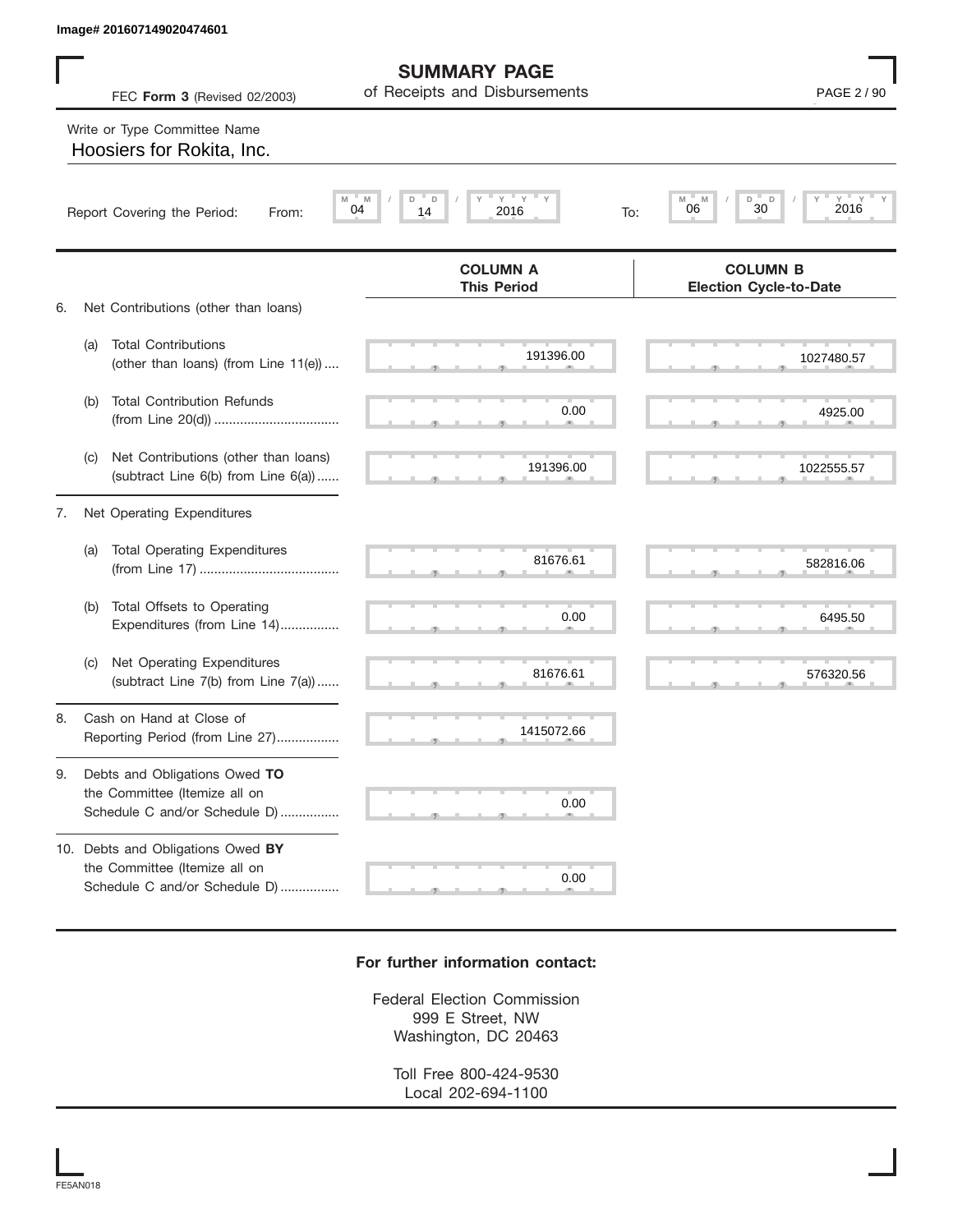|    | Image# 201607149020474601                                                                           |                                                           |                                                            |
|----|-----------------------------------------------------------------------------------------------------|-----------------------------------------------------------|------------------------------------------------------------|
|    | FEC Form 3 (Revised 02/2003)                                                                        | <b>SUMMARY PAGE</b><br>of Receipts and Disbursements      | PAGE 2 / 90                                                |
|    | Write or Type Committee Name<br>Hoosiers for Rokita, Inc.                                           |                                                           |                                                            |
|    | Report Covering the Period:<br>From:                                                                | $\mathsf{Y}$<br>Y<br>D<br>D<br>Υ<br>M<br>04<br>14<br>2016 | $Y = Y + Y$<br>M<br>D<br>D<br>M<br>30<br>06<br>2016<br>To: |
|    |                                                                                                     | <b>COLUMN A</b><br><b>This Period</b>                     | <b>COLUMN B</b><br><b>Election Cycle-to-Date</b>           |
| 6. | Net Contributions (other than loans)                                                                |                                                           |                                                            |
|    | <b>Total Contributions</b><br>(a)<br>(other than loans) (from Line 11(e))                           | 191396.00                                                 | 1027480.57                                                 |
|    | <b>Total Contribution Refunds</b><br>(b)                                                            | 0.00                                                      | 4925.00                                                    |
|    | Net Contributions (other than loans)<br>(C)<br>(subtract Line 6(b) from Line 6(a))                  | 191396.00                                                 | 1022555.57                                                 |
| 7. | Net Operating Expenditures                                                                          |                                                           |                                                            |
|    | <b>Total Operating Expenditures</b><br>(a)                                                          | 81676.61                                                  | 582816.06                                                  |
|    | Total Offsets to Operating<br>(b)<br>Expenditures (from Line 14)                                    | 0.00                                                      | 6495.50                                                    |
|    | Net Operating Expenditures<br>(C)<br>(subtract Line 7(b) from Line 7(a))                            | 81676.61                                                  | 576320.56                                                  |
| 8. | Cash on Hand at Close of<br>Reporting Period (from Line 27)                                         | 1415072.66                                                |                                                            |
| 9. | Debts and Obligations Owed TO<br>the Committee (Itemize all on<br>Schedule C and/or Schedule D)     | 0.00                                                      |                                                            |
|    | 10. Debts and Obligations Owed BY<br>the Committee (Itemize all on<br>Schedule C and/or Schedule D) | 0.00                                                      |                                                            |

## **For further information contact:**

Federal Election Commission 999 E Street, NW Washington, DC 20463

Toll Free 800-424-9530 Local 202-694-1100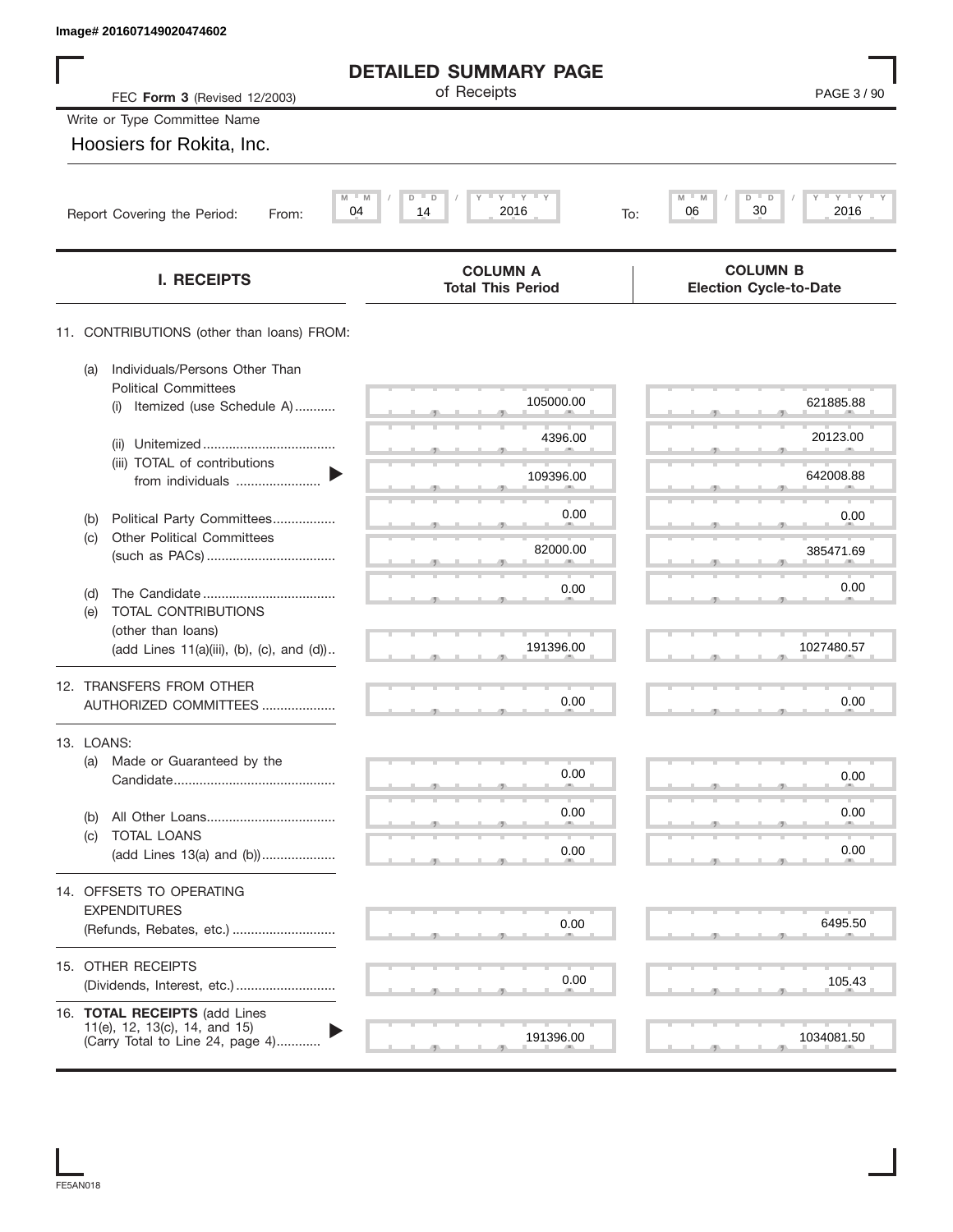|                   | Image# 201607149020474602                                       |                                             |                                                  |
|-------------------|-----------------------------------------------------------------|---------------------------------------------|--------------------------------------------------|
|                   |                                                                 | <b>DETAILED SUMMARY PAGE</b>                |                                                  |
|                   | FEC Form 3 (Revised 12/2003)                                    | of Receipts                                 | PAGE 3/90                                        |
|                   | Write or Type Committee Name                                    |                                             |                                                  |
|                   | Hoosiers for Rokita, Inc.                                       |                                             |                                                  |
|                   | M<br>M<br>04<br>Report Covering the Period:<br>From:            | $Y$ $Y$ $Y$<br>D<br>D<br>14<br>2016         | $Y = Y$<br>M<br>D<br>06<br>30<br>2016<br>To:     |
|                   | <b>I. RECEIPTS</b>                                              | <b>COLUMN A</b><br><b>Total This Period</b> | <b>COLUMN B</b><br><b>Election Cycle-to-Date</b> |
|                   | 11. CONTRIBUTIONS (other than loans) FROM:                      |                                             |                                                  |
| (a)               | Individuals/Persons Other Than<br><b>Political Committees</b>   |                                             |                                                  |
|                   | Itemized (use Schedule A)<br>(i)                                | 105000.00                                   | 621885.88                                        |
|                   | (ii)                                                            | 4396.00                                     | 20123.00                                         |
|                   | (iii) TOTAL of contributions<br>from individuals                | 109396.00                                   | 642008.88                                        |
| (b)               | Political Party Committees                                      | 0.00                                        | 0.00                                             |
| (C)               | <b>Other Political Committees</b>                               | 82000.00                                    | 385471.69                                        |
| (d)               |                                                                 | 0.00                                        | 0.00                                             |
| (e)               | TOTAL CONTRIBUTIONS                                             |                                             |                                                  |
|                   | (other than loans)<br>(add Lines 11(a)(iii), (b), (c), and (d)) | 191396.00                                   | 1027480.57                                       |
|                   | 12. TRANSFERS FROM OTHER                                        |                                             |                                                  |
|                   | AUTHORIZED COMMITTEES                                           | 0.00                                        | 0.00                                             |
| 13. LOANS:<br>(a) | Made or Guaranteed by the                                       |                                             |                                                  |
|                   |                                                                 | 0.00                                        | 0.00                                             |
| (b)               |                                                                 | 0.00                                        | 0.00                                             |
| (C)               | TOTAL LOANS<br>(add Lines 13(a) and (b))                        | 0.00                                        | 0.00                                             |
|                   | 14. OFFSETS TO OPERATING                                        |                                             |                                                  |
|                   | <b>EXPENDITURES</b>                                             |                                             |                                                  |
|                   | (Refunds, Rebates, etc.)                                        | 0.00                                        | 6495.50                                          |
|                   | 15. OTHER RECEIPTS                                              | 0.00                                        | 105.43                                           |
|                   |                                                                 |                                             |                                                  |
|                   | 16. TOTAL RECEIPTS (add Lines<br>11(e), 12, 13(c), 14, and 15)  |                                             |                                                  |
|                   | (Carry Total to Line 24, page 4)                                | 191396.00                                   | 1034081.50                                       |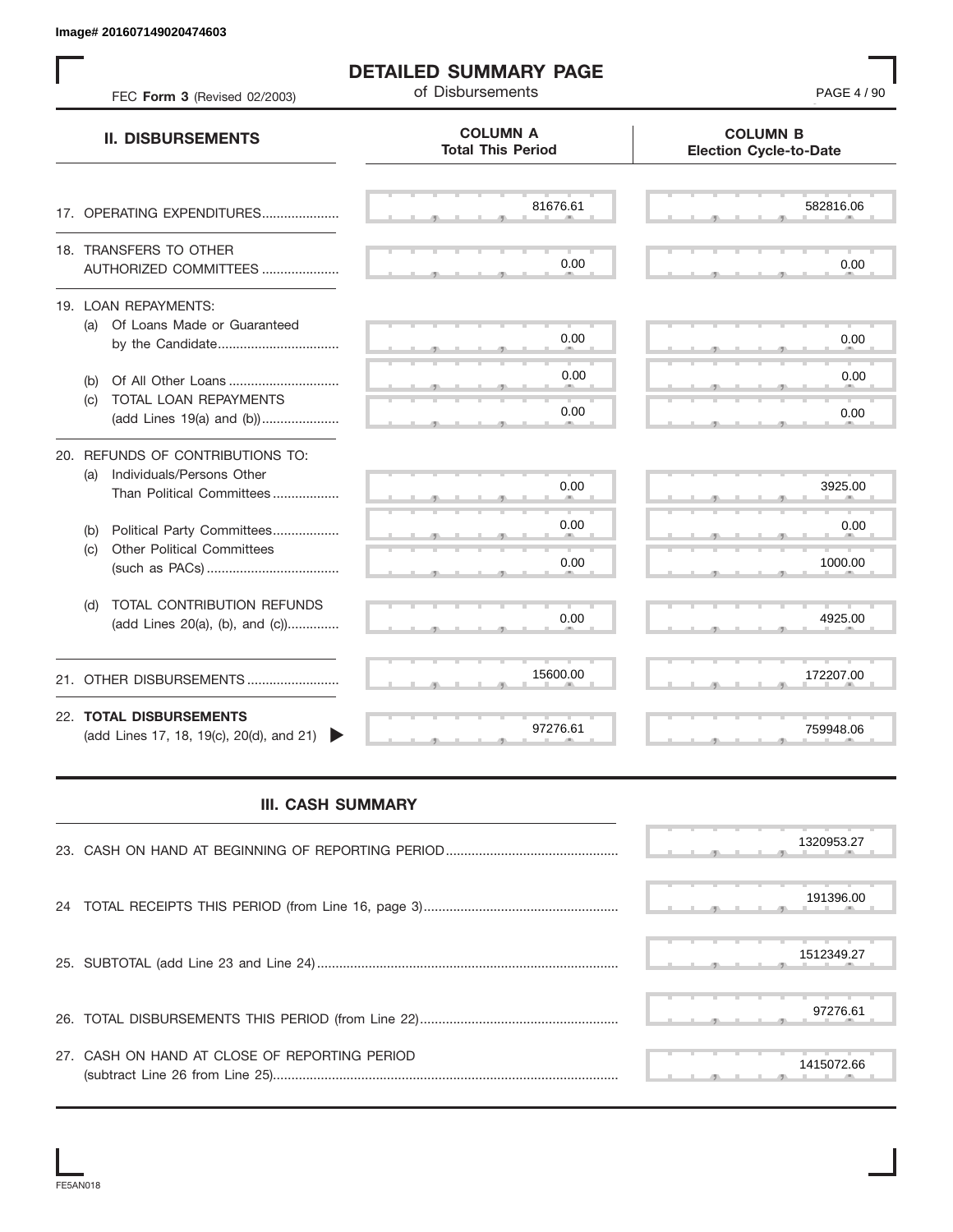| FEC Form 3 (Revised 02/2003)                                         | <b>DETAILED SUMMARY PAGE</b><br>of Disbursements | PAGE 4 / 90                                      |
|----------------------------------------------------------------------|--------------------------------------------------|--------------------------------------------------|
| <b>II. DISBURSEMENTS</b>                                             | <b>COLUMN A</b><br><b>Total This Period</b>      | <b>COLUMN B</b><br><b>Election Cycle-to-Date</b> |
| 17. OPERATING EXPENDITURES                                           | 81676.61                                         | 582816.06                                        |
| 18. TRANSFERS TO OTHER<br>AUTHORIZED COMMITTEES                      | 0.00                                             | 0.00                                             |
| 19. LOAN REPAYMENTS:<br>(a) Of Loans Made or Guaranteed              | 0.00                                             | 0.00                                             |
| Of All Other Loans<br>(b)                                            | 0.00                                             | 0.00                                             |
| TOTAL LOAN REPAYMENTS<br>(c)<br>(add Lines 19(a) and (b))            | 0.00                                             | 0.00                                             |
| 20. REFUNDS OF CONTRIBUTIONS TO:<br>Individuals/Persons Other<br>(a) |                                                  |                                                  |
| Than Political Committees                                            | 0.00                                             | 3925.00                                          |
| Political Party Committees<br>(b)                                    | 0.00                                             | 0.00                                             |
| <b>Other Political Committees</b><br>(c)                             | 0.00                                             | 1000.00                                          |
| TOTAL CONTRIBUTION REFUNDS<br>(d)<br>(add Lines 20(a), (b), and (c)) | 0.00                                             | 4925.00                                          |
| 21. OTHER DISBURSEMENTS                                              | 15600.00                                         | 172207.00                                        |
| 22. TOTAL DISBURSEMENTS<br>(add Lines 17, 18, 19(c), 20(d), and 21)  | 97276.61                                         | 759948.06                                        |
| <b>III. CASH SUMMARY</b>                                             |                                                  |                                                  |
|                                                                      |                                                  | 1320953.27                                       |
| 24                                                                   |                                                  | 191396.00                                        |
|                                                                      |                                                  | 1512349.27                                       |
|                                                                      |                                                  | 97276.61                                         |
| 27. CASH ON HAND AT CLOSE OF REPORTING PERIOD                        |                                                  | 1415072.66                                       |

## **III. CASH SUMMARY**

|                                               | 1320953.27 |
|-----------------------------------------------|------------|
|                                               | 191396.00  |
|                                               | 1512349.27 |
|                                               | 97276.61   |
| 27. CASH ON HAND AT CLOSE OF REPORTING PERIOD | 1415072.66 |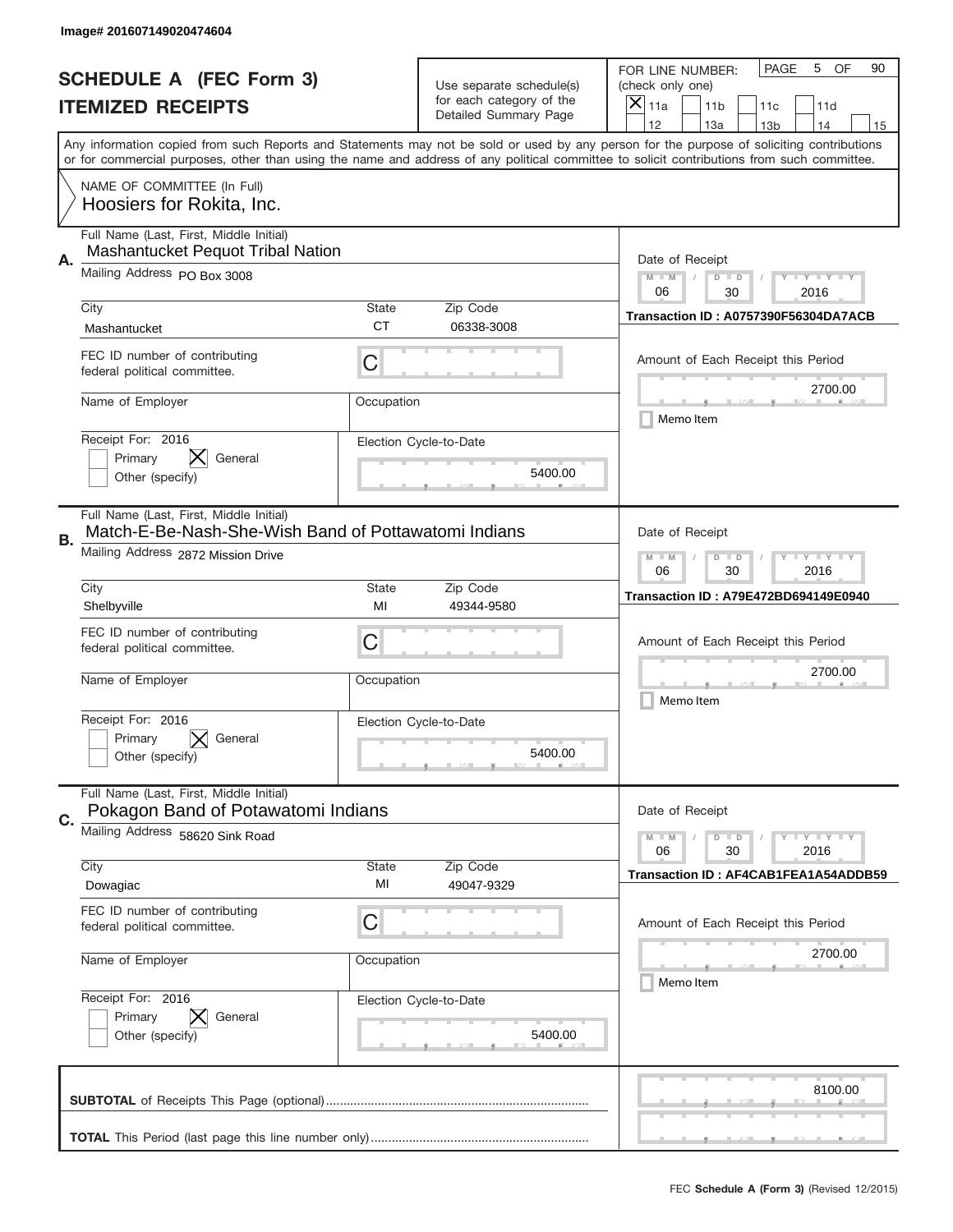|    | Image# 201607149020474604                                                                       |                    |                                                   |                                                                                                                                                                                                                                                                                                                                     |
|----|-------------------------------------------------------------------------------------------------|--------------------|---------------------------------------------------|-------------------------------------------------------------------------------------------------------------------------------------------------------------------------------------------------------------------------------------------------------------------------------------------------------------------------------------|
|    | <b>SCHEDULE A (FEC Form 3)</b>                                                                  |                    | Use separate schedule(s)                          | PAGE<br>OF<br>5<br>90<br>FOR LINE NUMBER:<br>(check only one)                                                                                                                                                                                                                                                                       |
|    | <b>ITEMIZED RECEIPTS</b>                                                                        |                    | for each category of the<br>Detailed Summary Page | $\times$<br>11a<br>11 <sub>b</sub><br>11c<br>11d                                                                                                                                                                                                                                                                                    |
|    |                                                                                                 |                    |                                                   | 12<br>13a<br>14<br>13 <sub>b</sub><br>15<br>Any information copied from such Reports and Statements may not be sold or used by any person for the purpose of soliciting contributions<br>or for commercial purposes, other than using the name and address of any political committee to solicit contributions from such committee. |
|    | NAME OF COMMITTEE (In Full)                                                                     |                    |                                                   |                                                                                                                                                                                                                                                                                                                                     |
|    | Hoosiers for Rokita, Inc.                                                                       |                    |                                                   |                                                                                                                                                                                                                                                                                                                                     |
| А. | Full Name (Last, First, Middle Initial)<br>Mashantucket Pequot Tribal Nation                    |                    |                                                   | Date of Receipt                                                                                                                                                                                                                                                                                                                     |
|    | Mailing Address PO Box 3008                                                                     |                    |                                                   | $M$ $M$<br><b>TEYTEY LIY</b><br>$D$ $D$<br>06<br>30<br>2016                                                                                                                                                                                                                                                                         |
|    | City<br>Mashantucket                                                                            | State<br><b>CT</b> | Zip Code<br>06338-3008                            | Transaction ID: A0757390F56304DA7ACB                                                                                                                                                                                                                                                                                                |
|    | FEC ID number of contributing<br>federal political committee.                                   | C                  |                                                   | Amount of Each Receipt this Period                                                                                                                                                                                                                                                                                                  |
|    | Name of Employer                                                                                | Occupation         |                                                   | 2700.00<br>Memo Item                                                                                                                                                                                                                                                                                                                |
|    | Receipt For: 2016<br>IХ.<br>Primary<br>General<br>Other (specify)                               |                    | Election Cycle-to-Date<br>5400.00                 |                                                                                                                                                                                                                                                                                                                                     |
| В. | Full Name (Last, First, Middle Initial)<br>Match-E-Be-Nash-She-Wish Band of Pottawatomi Indians |                    |                                                   | Date of Receipt                                                                                                                                                                                                                                                                                                                     |
|    | Mailing Address 2872 Mission Drive                                                              |                    |                                                   | $M - M$<br><b>LYLYLY</b><br>$D$ $D$<br>06<br>30<br>2016                                                                                                                                                                                                                                                                             |
|    | City<br>Shelbyville                                                                             | <b>State</b><br>MI | Zip Code<br>49344-9580                            | Transaction ID: A79E472BD694149E0940                                                                                                                                                                                                                                                                                                |
|    | FEC ID number of contributing<br>federal political committee.                                   | C                  |                                                   | Amount of Each Receipt this Period                                                                                                                                                                                                                                                                                                  |
|    | Name of Employer                                                                                | Occupation         |                                                   | 2700.00<br>Memo Item                                                                                                                                                                                                                                                                                                                |
|    | Receipt For: 2016<br>Primary<br>General<br>Other (specify)                                      |                    | Election Cycle-to-Date<br>5400.00                 |                                                                                                                                                                                                                                                                                                                                     |
| C. | Full Name (Last, First, Middle Initial)<br>Pokagon Band of Potawatomi Indians                   |                    |                                                   | Date of Receipt                                                                                                                                                                                                                                                                                                                     |
|    | Mailing Address 58620 Sink Road                                                                 |                    |                                                   | $I - Y - I - Y - I - Y$<br>$M - M$<br>$D$ $D$<br>06<br>30<br>2016                                                                                                                                                                                                                                                                   |
|    | City<br>Dowagiac                                                                                | <b>State</b><br>MI | Zip Code<br>49047-9329                            | Transaction ID: AF4CAB1FEA1A54ADDB59                                                                                                                                                                                                                                                                                                |
|    | FEC ID number of contributing<br>federal political committee.                                   | C                  |                                                   | Amount of Each Receipt this Period                                                                                                                                                                                                                                                                                                  |
|    | Name of Employer                                                                                | Occupation         |                                                   | 2700.00<br>Memo Item                                                                                                                                                                                                                                                                                                                |
|    | Receipt For: 2016<br>Primary<br>General<br>Other (specify)                                      |                    | Election Cycle-to-Date<br>5400.00                 |                                                                                                                                                                                                                                                                                                                                     |
|    |                                                                                                 |                    |                                                   | 8100.00                                                                                                                                                                                                                                                                                                                             |
|    |                                                                                                 |                    |                                                   | __                                                                                                                                                                                                                                                                                                                                  |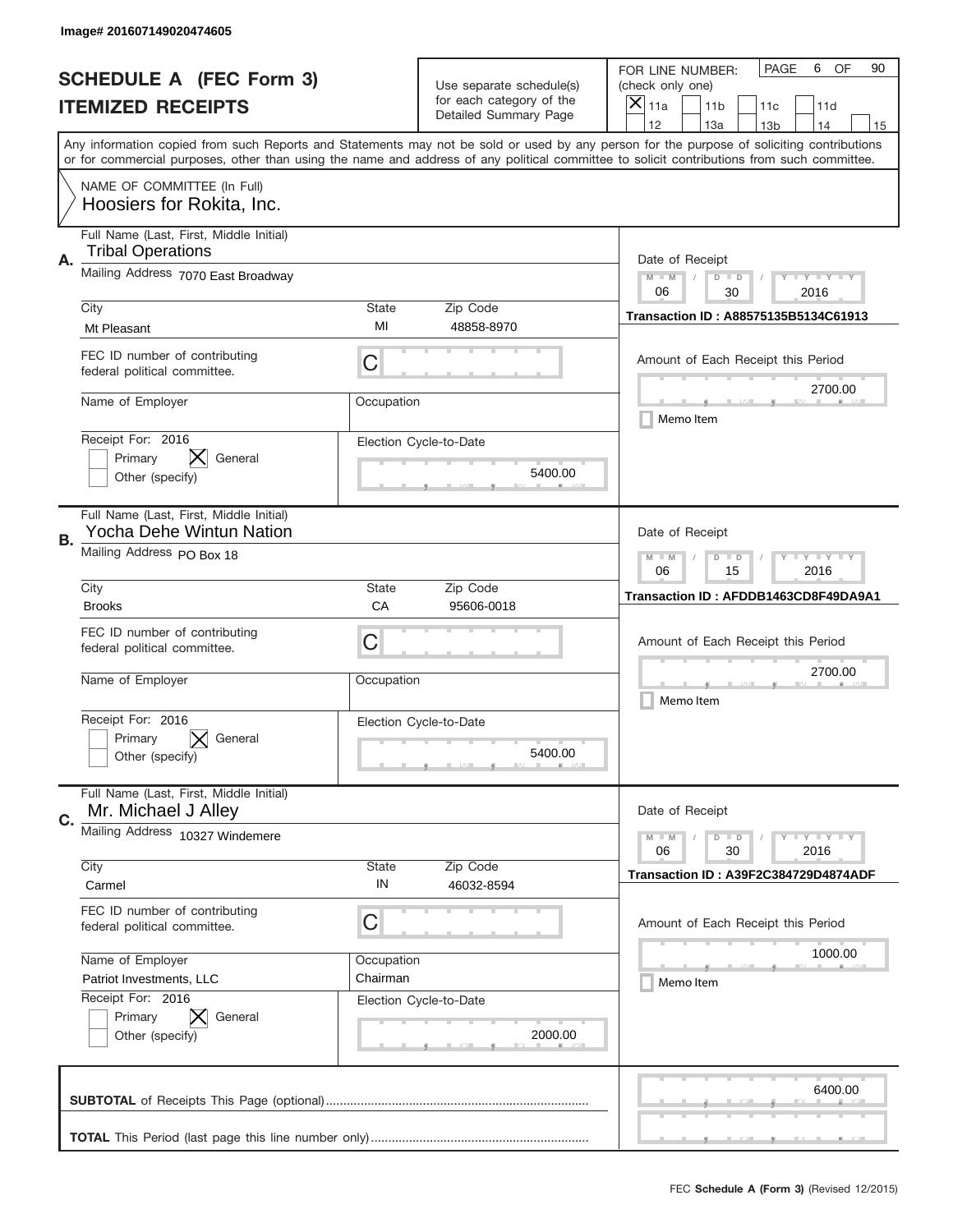|    | Image# 201607149020474605                                           |             |                                                   |                                                                                                                                                                                                                                                                                                                                     |
|----|---------------------------------------------------------------------|-------------|---------------------------------------------------|-------------------------------------------------------------------------------------------------------------------------------------------------------------------------------------------------------------------------------------------------------------------------------------------------------------------------------------|
|    | <b>SCHEDULE A (FEC Form 3)</b>                                      |             | Use separate schedule(s)                          | PAGE<br>OF<br>6<br>90<br>FOR LINE NUMBER:<br>(check only one)                                                                                                                                                                                                                                                                       |
|    | <b>ITEMIZED RECEIPTS</b>                                            |             | for each category of the<br>Detailed Summary Page | ×<br>11a<br>11 <sub>b</sub><br>11c<br>11d                                                                                                                                                                                                                                                                                           |
|    |                                                                     |             |                                                   | 12<br>13a<br>14<br>13 <sub>b</sub><br>15<br>Any information copied from such Reports and Statements may not be sold or used by any person for the purpose of soliciting contributions<br>or for commercial purposes, other than using the name and address of any political committee to solicit contributions from such committee. |
|    | NAME OF COMMITTEE (In Full)<br>Hoosiers for Rokita, Inc.            |             |                                                   |                                                                                                                                                                                                                                                                                                                                     |
| Α. | Full Name (Last, First, Middle Initial)<br><b>Tribal Operations</b> |             |                                                   | Date of Receipt                                                                                                                                                                                                                                                                                                                     |
|    | Mailing Address 7070 East Broadway                                  |             |                                                   | $M - M$<br><b>LYLYLY</b><br>$D$ $D$<br>06<br>30<br>2016                                                                                                                                                                                                                                                                             |
|    | City<br>Mt Pleasant                                                 | State<br>MI | Zip Code<br>48858-8970                            | Transaction ID: A88575135B5134C61913                                                                                                                                                                                                                                                                                                |
|    | FEC ID number of contributing<br>federal political committee.       | C           |                                                   | Amount of Each Receipt this Period<br>2700.00                                                                                                                                                                                                                                                                                       |
|    | Name of Employer                                                    | Occupation  |                                                   | Memo Item                                                                                                                                                                                                                                                                                                                           |
|    | Receipt For: 2016<br>X.<br>Primary<br>General<br>Other (specify)    |             | Election Cycle-to-Date<br>5400.00                 |                                                                                                                                                                                                                                                                                                                                     |
| В. | Full Name (Last, First, Middle Initial)<br>Yocha Dehe Wintun Nation |             |                                                   | Date of Receipt                                                                                                                                                                                                                                                                                                                     |
|    | Mailing Address PO Box 18                                           |             |                                                   | $M - M$<br><b>LYLYLY</b><br>$D$ $D$<br>06<br>15<br>2016                                                                                                                                                                                                                                                                             |
|    | City<br><b>Brooks</b>                                               | State<br>CA | Zip Code<br>95606-0018                            | Transaction ID: AFDDB1463CD8F49DA9A1                                                                                                                                                                                                                                                                                                |
|    | FEC ID number of contributing<br>federal political committee.       | C           |                                                   | Amount of Each Receipt this Period                                                                                                                                                                                                                                                                                                  |
|    | Name of Employer                                                    | Occupation  |                                                   | 2700.00<br>Memo Item                                                                                                                                                                                                                                                                                                                |
|    | Receipt For: 2016<br>Primary<br>General<br>Other (specify)          |             | Election Cycle-to-Date<br>5400.00                 |                                                                                                                                                                                                                                                                                                                                     |
| C. | Full Name (Last, First, Middle Initial)<br>Mr. Michael J Alley      |             |                                                   | Date of Receipt                                                                                                                                                                                                                                                                                                                     |
|    | Mailing Address 10327 Windemere                                     |             |                                                   | <b>LYLYLY</b><br>$M - M$<br>$D$ $D$<br>06<br>2016<br>30                                                                                                                                                                                                                                                                             |
|    | City<br>Carmel                                                      | State<br>IN | Zip Code<br>46032-8594                            | Transaction ID: A39F2C384729D4874ADF                                                                                                                                                                                                                                                                                                |
|    | FEC ID number of contributing<br>federal political committee.       | C           |                                                   | Amount of Each Receipt this Period                                                                                                                                                                                                                                                                                                  |
|    | Name of Employer                                                    | Occupation  |                                                   | 1000.00                                                                                                                                                                                                                                                                                                                             |
|    | Patriot Investments, LLC<br>Receipt For: 2016                       | Chairman    | Election Cycle-to-Date                            | Memo Item                                                                                                                                                                                                                                                                                                                           |
|    | Primary<br>General<br>Other (specify)                               |             | 2000.00                                           |                                                                                                                                                                                                                                                                                                                                     |
|    |                                                                     |             |                                                   | 6400.00                                                                                                                                                                                                                                                                                                                             |
|    |                                                                     |             |                                                   |                                                                                                                                                                                                                                                                                                                                     |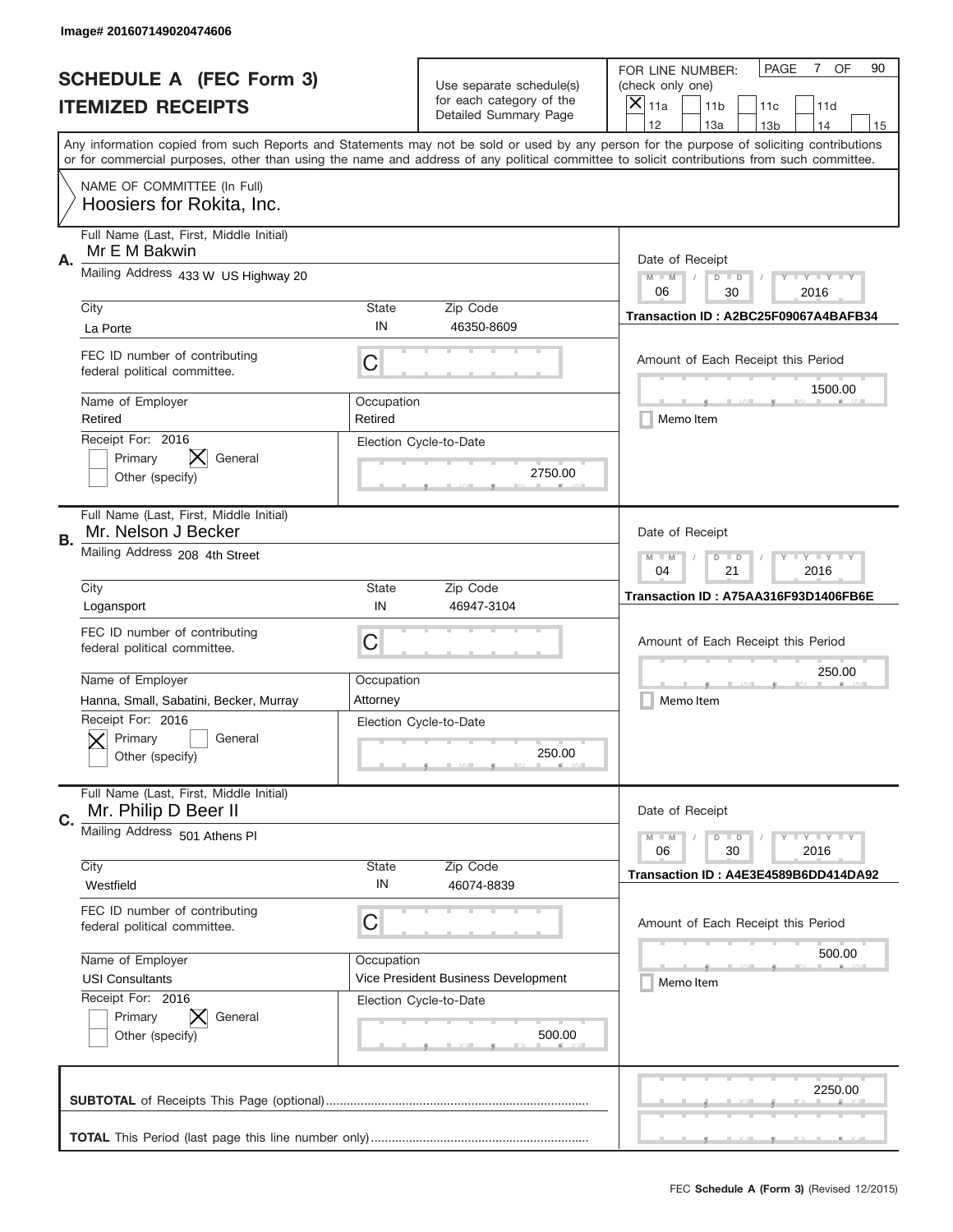|    | Image# 201607149020474606                                       |                       |                                                      |                                                                                                                                                                                                                                                                                         |
|----|-----------------------------------------------------------------|-----------------------|------------------------------------------------------|-----------------------------------------------------------------------------------------------------------------------------------------------------------------------------------------------------------------------------------------------------------------------------------------|
|    | <b>SCHEDULE A (FEC Form 3)</b>                                  |                       |                                                      | OF<br><b>PAGE</b><br>$7^{\circ}$<br>90<br>FOR LINE NUMBER:                                                                                                                                                                                                                              |
|    |                                                                 |                       | Use separate schedule(s)<br>for each category of the | (check only one)                                                                                                                                                                                                                                                                        |
|    | <b>ITEMIZED RECEIPTS</b>                                        |                       | Detailed Summary Page                                | $\times$<br>11a<br>11 <sub>b</sub><br>11c<br>11d                                                                                                                                                                                                                                        |
|    |                                                                 |                       |                                                      | 12<br>13a<br>14<br>13 <sub>b</sub><br>15                                                                                                                                                                                                                                                |
|    |                                                                 |                       |                                                      | Any information copied from such Reports and Statements may not be sold or used by any person for the purpose of soliciting contributions<br>or for commercial purposes, other than using the name and address of any political committee to solicit contributions from such committee. |
|    | NAME OF COMMITTEE (In Full)<br>Hoosiers for Rokita, Inc.        |                       |                                                      |                                                                                                                                                                                                                                                                                         |
|    | Full Name (Last, First, Middle Initial)<br>Mr E M Bakwin        |                       |                                                      |                                                                                                                                                                                                                                                                                         |
| Α. | Mailing Address 433 W US Highway 20                             |                       |                                                      | Date of Receipt<br>$M$ $M$<br><b>LY LY LY</b><br>$D$ $D$<br>06<br>30<br>2016                                                                                                                                                                                                            |
|    | City                                                            | State                 | Zip Code                                             | Transaction ID: A2BC25F09067A4BAFB34                                                                                                                                                                                                                                                    |
|    | La Porte                                                        | IN                    | 46350-8609                                           |                                                                                                                                                                                                                                                                                         |
|    | FEC ID number of contributing<br>federal political committee.   | C                     |                                                      | Amount of Each Receipt this Period                                                                                                                                                                                                                                                      |
|    | Name of Employer<br>Retired                                     | Occupation<br>Retired |                                                      | 1500.00<br>Memo Item                                                                                                                                                                                                                                                                    |
|    | Receipt For: 2016<br>Primary<br>General<br>Other (specify)      |                       | Election Cycle-to-Date<br>2750.00                    |                                                                                                                                                                                                                                                                                         |
| В. | Full Name (Last, First, Middle Initial)<br>Mr. Nelson J Becker  |                       |                                                      | Date of Receipt                                                                                                                                                                                                                                                                         |
|    | Mailing Address 208 4th Street                                  |                       |                                                      | <b>LY LY LY</b><br>$M - M$<br>$D$ $D$<br>04<br>21<br>2016                                                                                                                                                                                                                               |
|    | City                                                            | <b>State</b>          | Zip Code                                             | Transaction ID: A75AA316F93D1406FB6E                                                                                                                                                                                                                                                    |
|    | Logansport                                                      | IN                    | 46947-3104                                           |                                                                                                                                                                                                                                                                                         |
|    | FEC ID number of contributing<br>federal political committee.   | C                     |                                                      | Amount of Each Receipt this Period                                                                                                                                                                                                                                                      |
|    | Name of Employer                                                | Occupation            |                                                      | 250.00                                                                                                                                                                                                                                                                                  |
|    | Hanna, Small, Sabatini, Becker, Murray                          | Attornev              |                                                      | Memo Item                                                                                                                                                                                                                                                                               |
|    | Receipt For: 2016<br>General<br>Primary<br>Other (specify)      |                       | Election Cycle-to-Date<br>250.00                     |                                                                                                                                                                                                                                                                                         |
| C. | Full Name (Last, First, Middle Initial)<br>Mr. Philip D Beer II |                       |                                                      | Date of Receipt                                                                                                                                                                                                                                                                         |
|    | Mailing Address 501 Athens PI                                   |                       |                                                      | <b>LYLYLY</b><br>$M - M$<br>$D$ $D$<br>06<br>30<br>2016                                                                                                                                                                                                                                 |
|    | City<br>Westfield                                               | <b>State</b><br>IN    | Zip Code<br>46074-8839                               | Transaction ID: A4E3E4589B6DD414DA92                                                                                                                                                                                                                                                    |
|    | FEC ID number of contributing<br>federal political committee.   | C                     |                                                      | Amount of Each Receipt this Period                                                                                                                                                                                                                                                      |
|    | Name of Employer                                                | Occupation            |                                                      | 500.00                                                                                                                                                                                                                                                                                  |
|    | <b>USI Consultants</b>                                          |                       | Vice President Business Development                  | Memo Item                                                                                                                                                                                                                                                                               |
|    | Receipt For: 2016<br>Primary<br>General<br>Other (specify)      |                       | Election Cycle-to-Date<br>500.00                     |                                                                                                                                                                                                                                                                                         |
|    |                                                                 |                       |                                                      | 2250.00                                                                                                                                                                                                                                                                                 |
|    |                                                                 |                       |                                                      |                                                                                                                                                                                                                                                                                         |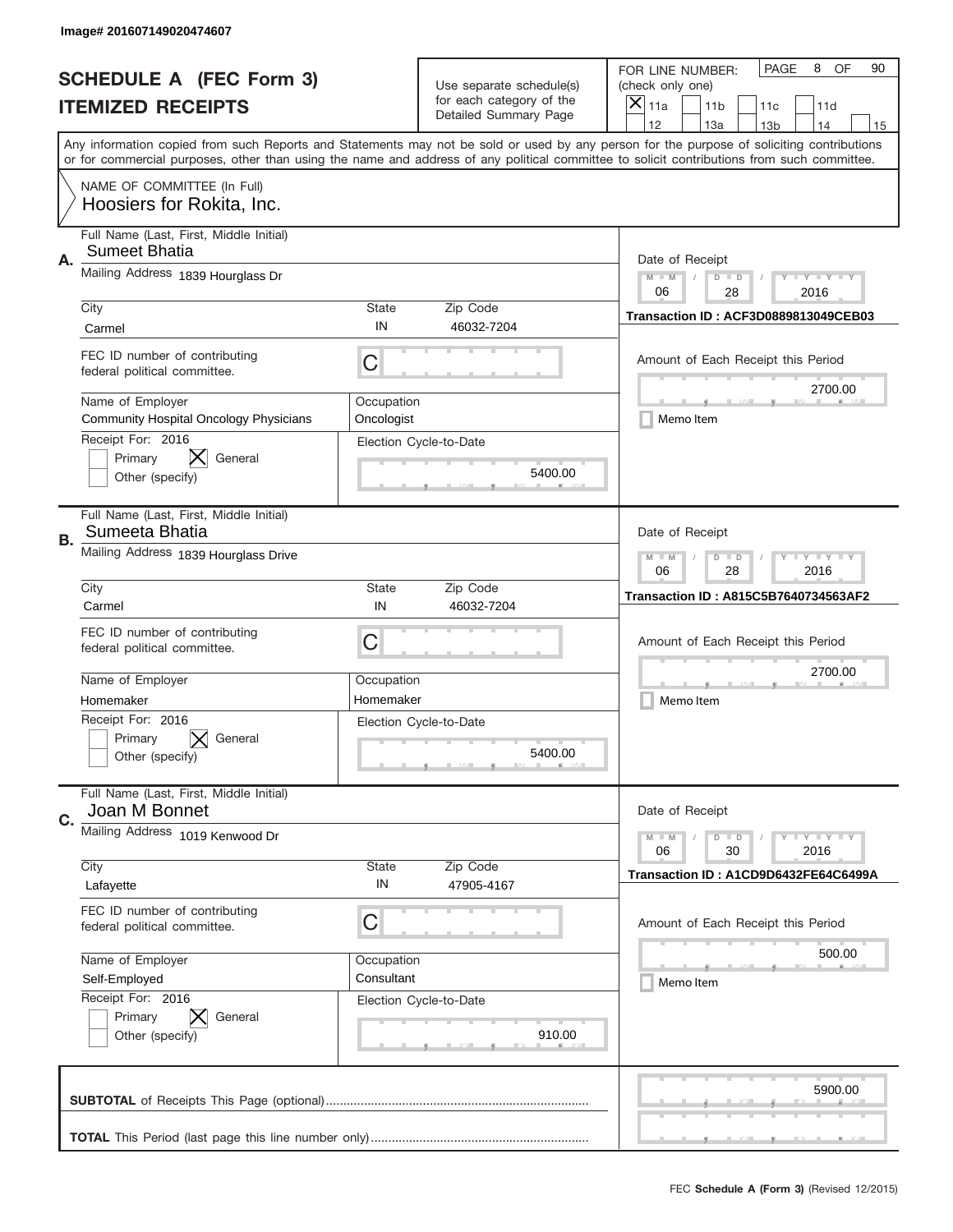|    | Image# 201607149020474607                                         |                          |                                                      |                                                                                                                                                                                       |
|----|-------------------------------------------------------------------|--------------------------|------------------------------------------------------|---------------------------------------------------------------------------------------------------------------------------------------------------------------------------------------|
|    | <b>SCHEDULE A (FEC Form 3)</b>                                    |                          |                                                      | PAGE<br>OF<br>8<br>90<br>FOR LINE NUMBER:                                                                                                                                             |
|    |                                                                   |                          | Use separate schedule(s)<br>for each category of the | (check only one)                                                                                                                                                                      |
|    | <b>ITEMIZED RECEIPTS</b>                                          |                          | Detailed Summary Page                                | $\times$<br>11a<br>11 <sub>b</sub><br>11c<br>11d                                                                                                                                      |
|    |                                                                   |                          |                                                      | 12<br>13a<br>14<br>13 <sub>b</sub><br>15<br>Any information copied from such Reports and Statements may not be sold or used by any person for the purpose of soliciting contributions |
|    |                                                                   |                          |                                                      | or for commercial purposes, other than using the name and address of any political committee to solicit contributions from such committee.                                            |
|    | NAME OF COMMITTEE (In Full)<br>Hoosiers for Rokita, Inc.          |                          |                                                      |                                                                                                                                                                                       |
|    | Full Name (Last, First, Middle Initial)<br><b>Sumeet Bhatia</b>   |                          |                                                      |                                                                                                                                                                                       |
| Α. | Mailing Address 1839 Hourglass Dr                                 |                          |                                                      | Date of Receipt<br>$M$ $M$<br><b>LY LY LY</b><br>$D$ $D$                                                                                                                              |
|    |                                                                   |                          |                                                      | 06<br>28<br>2016                                                                                                                                                                      |
|    | City                                                              | State                    | Zip Code                                             | Transaction ID: ACF3D0889813049CEB03                                                                                                                                                  |
|    | Carmel                                                            | IN                       | 46032-7204                                           |                                                                                                                                                                                       |
|    | FEC ID number of contributing<br>federal political committee.     | C                        |                                                      | Amount of Each Receipt this Period                                                                                                                                                    |
|    | Name of Employer<br><b>Community Hospital Oncology Physicians</b> | Occupation<br>Oncologist |                                                      | 2700.00<br>Memo Item                                                                                                                                                                  |
|    | Receipt For: 2016<br>Primary<br>General<br>Other (specify)        |                          | Election Cycle-to-Date<br>5400.00                    |                                                                                                                                                                                       |
| В. | Full Name (Last, First, Middle Initial)<br>Sumeeta Bhatia         |                          |                                                      | Date of Receipt                                                                                                                                                                       |
|    | Mailing Address 1839 Hourglass Drive                              |                          |                                                      | <b>LY LY LY</b><br>$M - M$<br>$D$ $D$<br>06<br>28<br>2016                                                                                                                             |
|    | City<br>Carmel                                                    | <b>State</b><br>IN       | Zip Code<br>46032-7204                               | Transaction ID: A815C5B7640734563AF2                                                                                                                                                  |
|    | FEC ID number of contributing<br>federal political committee.     | C                        |                                                      | Amount of Each Receipt this Period                                                                                                                                                    |
|    |                                                                   |                          |                                                      | 2700.00                                                                                                                                                                               |
|    | Name of Employer                                                  | Occupation<br>Homemaker  |                                                      | Memo Item                                                                                                                                                                             |
|    | Homemaker<br>Receipt For: 2016                                    |                          |                                                      |                                                                                                                                                                                       |
|    | Primary<br>General<br>Other (specify)                             |                          | Election Cycle-to-Date<br>5400.00                    |                                                                                                                                                                                       |
| C. | Full Name (Last, First, Middle Initial)<br>Joan M Bonnet          |                          |                                                      | Date of Receipt                                                                                                                                                                       |
|    | Mailing Address 1019 Kenwood Dr                                   |                          |                                                      | $D$ $D$<br><b>LYLYLY</b><br>$M - M$<br>06<br>30<br>2016                                                                                                                               |
|    | City                                                              | <b>State</b>             | Zip Code                                             | Transaction ID: A1CD9D6432FE64C6499A                                                                                                                                                  |
|    | Lafayette                                                         | IN                       | 47905-4167                                           |                                                                                                                                                                                       |
|    | FEC ID number of contributing<br>federal political committee.     | C                        |                                                      | Amount of Each Receipt this Period                                                                                                                                                    |
|    | Name of Employer                                                  | Occupation               |                                                      | 500.00                                                                                                                                                                                |
|    | Self-Employed                                                     | Consultant               |                                                      | Memo Item                                                                                                                                                                             |
|    | Receipt For: 2016<br>Primary<br>General<br>Other (specify)        |                          | Election Cycle-to-Date<br>910.00                     |                                                                                                                                                                                       |
|    |                                                                   |                          |                                                      | 5900.00                                                                                                                                                                               |
|    |                                                                   |                          |                                                      |                                                                                                                                                                                       |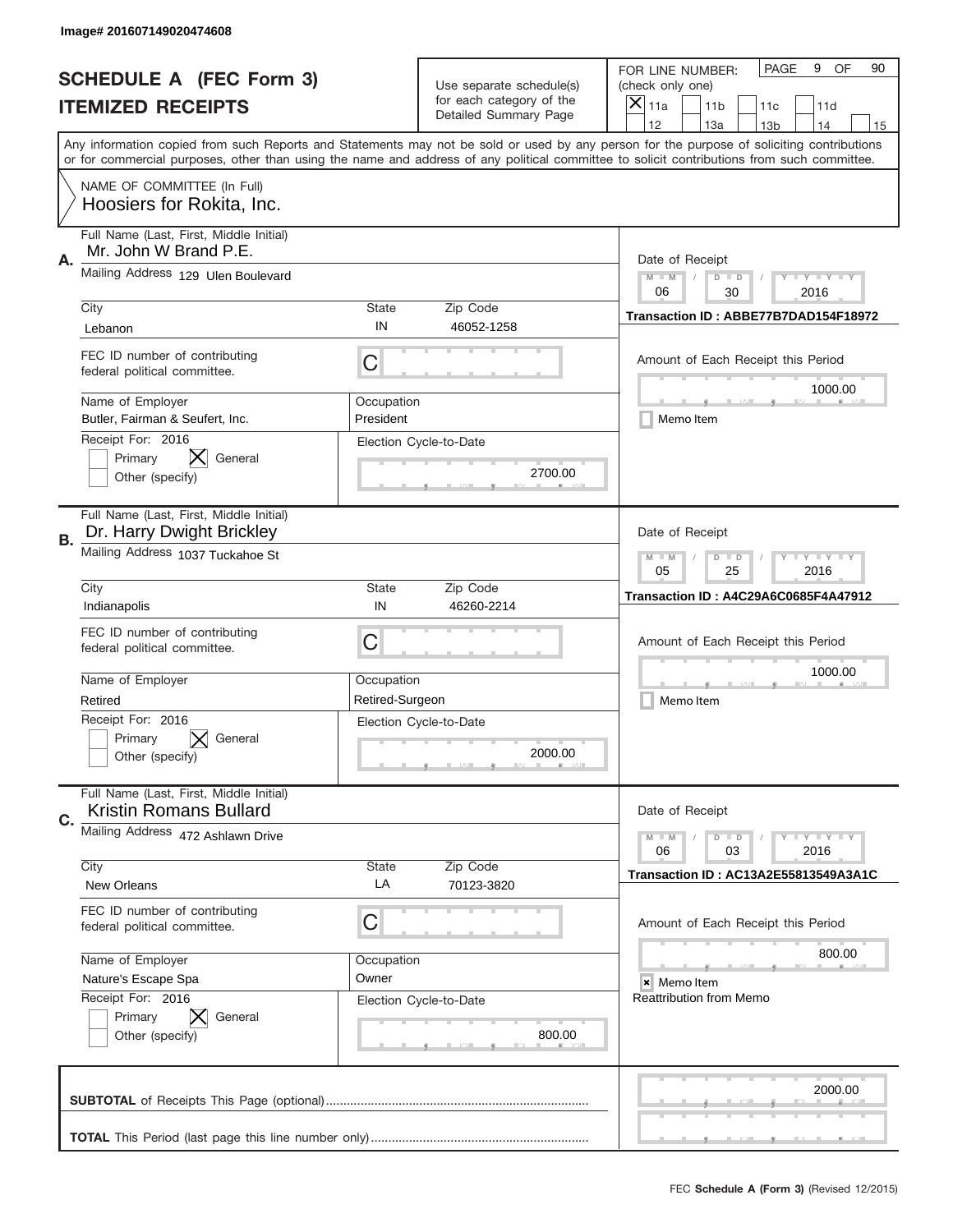|    | Image# 201607149020474608                                            |                               |                                                   |                                                                                                                                                                                                                                                                                                                                     |
|----|----------------------------------------------------------------------|-------------------------------|---------------------------------------------------|-------------------------------------------------------------------------------------------------------------------------------------------------------------------------------------------------------------------------------------------------------------------------------------------------------------------------------------|
|    | <b>SCHEDULE A (FEC Form 3)</b>                                       |                               | Use separate schedule(s)                          | PAGE<br>OF<br>9<br>90<br>FOR LINE NUMBER:<br>(check only one)                                                                                                                                                                                                                                                                       |
|    | <b>ITEMIZED RECEIPTS</b>                                             |                               | for each category of the<br>Detailed Summary Page | ×<br>11a<br>11 <sub>b</sub><br>11d<br>11c                                                                                                                                                                                                                                                                                           |
|    |                                                                      |                               |                                                   | 12<br>13a<br>14<br>13 <sub>b</sub><br>15<br>Any information copied from such Reports and Statements may not be sold or used by any person for the purpose of soliciting contributions<br>or for commercial purposes, other than using the name and address of any political committee to solicit contributions from such committee. |
|    | NAME OF COMMITTEE (In Full)<br>Hoosiers for Rokita, Inc.             |                               |                                                   |                                                                                                                                                                                                                                                                                                                                     |
| Α. | Full Name (Last, First, Middle Initial)<br>Mr. John W Brand P.E.     |                               |                                                   | Date of Receipt                                                                                                                                                                                                                                                                                                                     |
|    | Mailing Address 129 Ulen Boulevard                                   |                               |                                                   | $M - M$<br><b>LY LY LY</b><br>$D$ $D$<br>06<br>30<br>2016                                                                                                                                                                                                                                                                           |
|    | City<br>Lebanon                                                      | State<br>IN                   | Zip Code<br>46052-1258                            | Transaction ID: ABBE77B7DAD154F18972                                                                                                                                                                                                                                                                                                |
|    | FEC ID number of contributing<br>federal political committee.        | C                             |                                                   | Amount of Each Receipt this Period<br>1000.00                                                                                                                                                                                                                                                                                       |
|    | Name of Employer<br>Butler, Fairman & Seufert, Inc.                  | Occupation<br>President       |                                                   | Memo Item                                                                                                                                                                                                                                                                                                                           |
|    | Receipt For: 2016<br>Primary<br>General<br>Other (specify)           |                               | Election Cycle-to-Date<br>2700.00                 |                                                                                                                                                                                                                                                                                                                                     |
| В. | Full Name (Last, First, Middle Initial)<br>Dr. Harry Dwight Brickley |                               |                                                   | Date of Receipt                                                                                                                                                                                                                                                                                                                     |
|    | Mailing Address 1037 Tuckahoe St                                     |                               |                                                   | <b>LYLYLY</b><br>$M - M$<br>$D$ $D$<br>05<br>25<br>2016                                                                                                                                                                                                                                                                             |
|    | City<br>Indianapolis                                                 | <b>State</b><br>IN            | Zip Code<br>46260-2214                            | Transaction ID: A4C29A6C0685F4A47912                                                                                                                                                                                                                                                                                                |
|    | FEC ID number of contributing<br>federal political committee.        | C                             |                                                   | Amount of Each Receipt this Period                                                                                                                                                                                                                                                                                                  |
|    | Name of Employer<br>Retired                                          | Occupation<br>Retired-Surgeon |                                                   | 1000.00<br>Memo Item                                                                                                                                                                                                                                                                                                                |
|    | Receipt For: 2016<br>Primary<br>General<br>Other (specify)           |                               | Election Cycle-to-Date<br>2000.00                 |                                                                                                                                                                                                                                                                                                                                     |
| C. | Full Name (Last, First, Middle Initial)<br>Kristin Romans Bullard    |                               |                                                   | Date of Receipt                                                                                                                                                                                                                                                                                                                     |
|    | Mailing Address 472 Ashlawn Drive                                    |                               |                                                   | $D$ $D$<br><b>LY LY LY</b><br>$M - M$<br>06<br>2016<br>03                                                                                                                                                                                                                                                                           |
|    | City<br>New Orleans                                                  | <b>State</b><br>LA            | Zip Code<br>70123-3820                            | Transaction ID: AC13A2E55813549A3A1C                                                                                                                                                                                                                                                                                                |
|    | FEC ID number of contributing<br>federal political committee.        | C                             |                                                   | Amount of Each Receipt this Period                                                                                                                                                                                                                                                                                                  |
|    | Name of Employer<br>Nature's Escape Spa                              | Occupation<br>Owner           |                                                   | 800.00<br>× Memo Item                                                                                                                                                                                                                                                                                                               |
|    | Receipt For: 2016<br>Primary<br>General<br>Other (specify)           |                               | Election Cycle-to-Date<br>800.00                  | Reattribution from Memo                                                                                                                                                                                                                                                                                                             |
|    |                                                                      |                               |                                                   | 2000.00                                                                                                                                                                                                                                                                                                                             |
|    |                                                                      |                               |                                                   |                                                                                                                                                                                                                                                                                                                                     |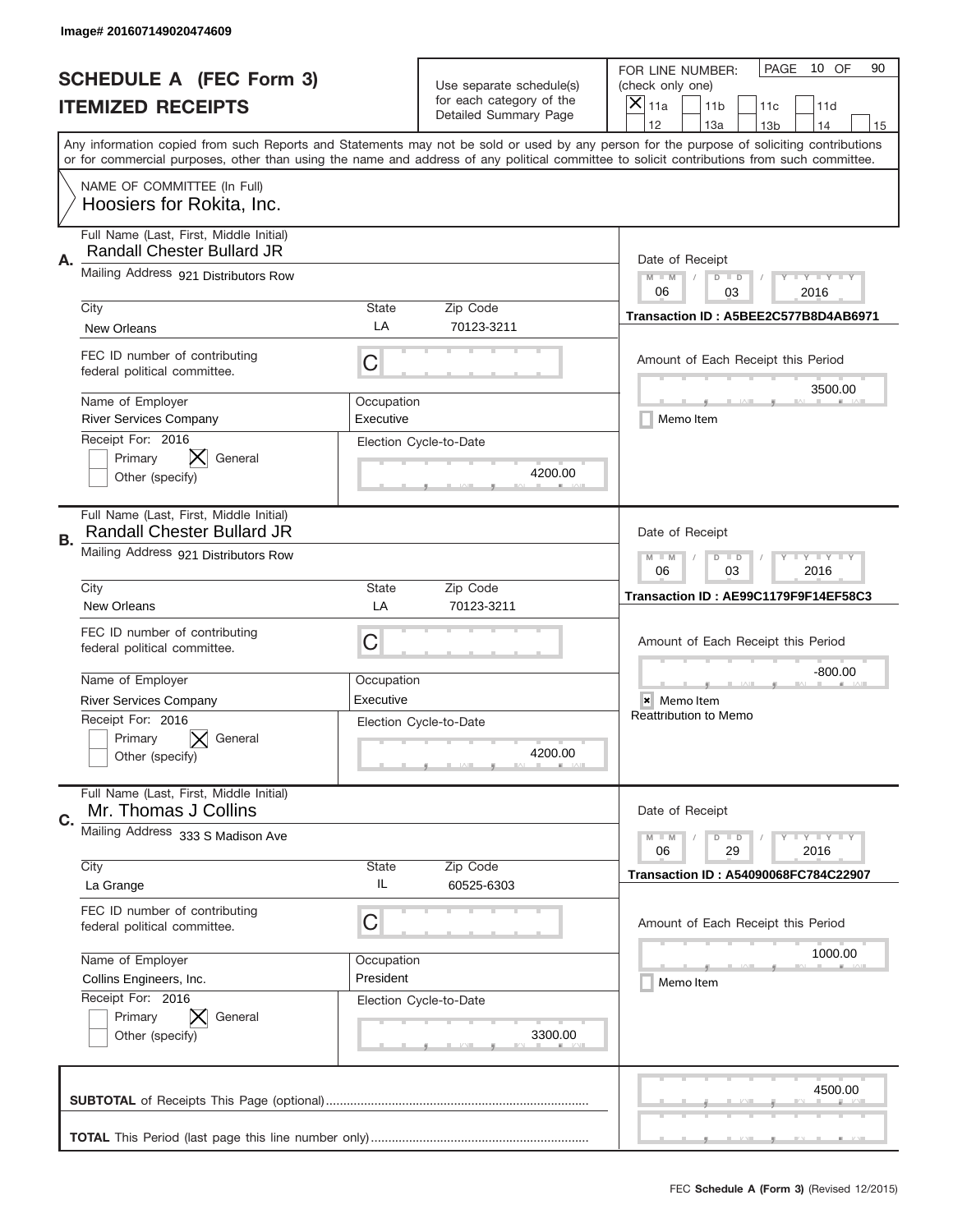|    | Image# 201607149020474609                                                    |                         |                                                   |                                                                                                                                                                                                                                                                                                                                     |
|----|------------------------------------------------------------------------------|-------------------------|---------------------------------------------------|-------------------------------------------------------------------------------------------------------------------------------------------------------------------------------------------------------------------------------------------------------------------------------------------------------------------------------------|
|    | <b>SCHEDULE A (FEC Form 3)</b>                                               |                         | Use separate schedule(s)                          | PAGE<br>10 OF<br>90<br>FOR LINE NUMBER:<br>(check only one)                                                                                                                                                                                                                                                                         |
|    | <b>ITEMIZED RECEIPTS</b>                                                     |                         | for each category of the<br>Detailed Summary Page | ×<br>11a<br>11 <sub>b</sub><br>11c<br>11d                                                                                                                                                                                                                                                                                           |
|    |                                                                              |                         |                                                   | 12<br>13a<br>14<br>13 <sub>b</sub><br>15<br>Any information copied from such Reports and Statements may not be sold or used by any person for the purpose of soliciting contributions<br>or for commercial purposes, other than using the name and address of any political committee to solicit contributions from such committee. |
|    | NAME OF COMMITTEE (In Full)<br>Hoosiers for Rokita, Inc.                     |                         |                                                   |                                                                                                                                                                                                                                                                                                                                     |
| Α. | Full Name (Last, First, Middle Initial)<br><b>Randall Chester Bullard JR</b> |                         |                                                   | Date of Receipt                                                                                                                                                                                                                                                                                                                     |
|    | Mailing Address 921 Distributors Row                                         |                         |                                                   | $M - M$<br><b>LY LY LY</b><br>$D$ $D$<br>06<br>03<br>2016                                                                                                                                                                                                                                                                           |
|    | City<br><b>New Orleans</b>                                                   | State<br>LA             | Zip Code<br>70123-3211                            | Transaction ID: A5BEE2C577B8D4AB6971                                                                                                                                                                                                                                                                                                |
|    | FEC ID number of contributing<br>federal political committee.                | C                       |                                                   | Amount of Each Receipt this Period<br>3500.00                                                                                                                                                                                                                                                                                       |
|    | Name of Employer<br><b>River Services Company</b>                            | Occupation<br>Executive |                                                   | Memo Item                                                                                                                                                                                                                                                                                                                           |
|    | Receipt For: 2016<br>Primary<br>General<br>Other (specify)                   |                         | Election Cycle-to-Date<br>4200.00                 |                                                                                                                                                                                                                                                                                                                                     |
| В. | Full Name (Last, First, Middle Initial)<br><b>Randall Chester Bullard JR</b> |                         |                                                   | Date of Receipt                                                                                                                                                                                                                                                                                                                     |
|    | Mailing Address 921 Distributors Row                                         |                         |                                                   | $M - M$<br>$\mathbf{I}$ $\mathbf{Y}$ $\mathbf{I}$ $\mathbf{Y}$ $\mathbf{I}$ $\mathbf{Y}$<br>$D$ $D$<br>06<br>03<br>2016                                                                                                                                                                                                             |
|    | City<br><b>New Orleans</b>                                                   | State<br>LA             | Zip Code<br>70123-3211                            | Transaction ID: AE99C1179F9F14EF58C3                                                                                                                                                                                                                                                                                                |
|    | FEC ID number of contributing<br>federal political committee.                | C                       |                                                   | Amount of Each Receipt this Period                                                                                                                                                                                                                                                                                                  |
|    | Name of Employer                                                             | Occupation              |                                                   | $-800.00$                                                                                                                                                                                                                                                                                                                           |
|    | <b>River Services Company</b>                                                | Executive               |                                                   | × Memo Item                                                                                                                                                                                                                                                                                                                         |
|    | Receipt For: 2016<br>Primary<br>General                                      |                         | Election Cycle-to-Date                            | <b>Reattribution to Memo</b>                                                                                                                                                                                                                                                                                                        |
|    | Other (specify)                                                              |                         | 4200.00                                           |                                                                                                                                                                                                                                                                                                                                     |
| C. | Full Name (Last, First, Middle Initial)<br>Mr. Thomas J Collins              |                         |                                                   | Date of Receipt                                                                                                                                                                                                                                                                                                                     |
|    | Mailing Address 333 S Madison Ave                                            |                         |                                                   | <b>LYLYLY</b><br>$M - M$<br>$D$ $D$<br>06<br>2016<br>29                                                                                                                                                                                                                                                                             |
|    | City<br>La Grange                                                            | State<br>IL             | Zip Code<br>60525-6303                            | <b>Transaction ID: A54090068FC784C22907</b>                                                                                                                                                                                                                                                                                         |
|    | FEC ID number of contributing<br>federal political committee.                | C                       |                                                   | Amount of Each Receipt this Period                                                                                                                                                                                                                                                                                                  |
|    | Name of Employer                                                             | Occupation              |                                                   | 1000.00                                                                                                                                                                                                                                                                                                                             |
|    | Collins Engineers, Inc.                                                      | President               |                                                   | Memo Item                                                                                                                                                                                                                                                                                                                           |
|    | Receipt For: 2016<br>Primary<br>General<br>Other (specify)                   |                         | Election Cycle-to-Date<br>3300.00                 |                                                                                                                                                                                                                                                                                                                                     |
|    |                                                                              |                         |                                                   | 4500.00                                                                                                                                                                                                                                                                                                                             |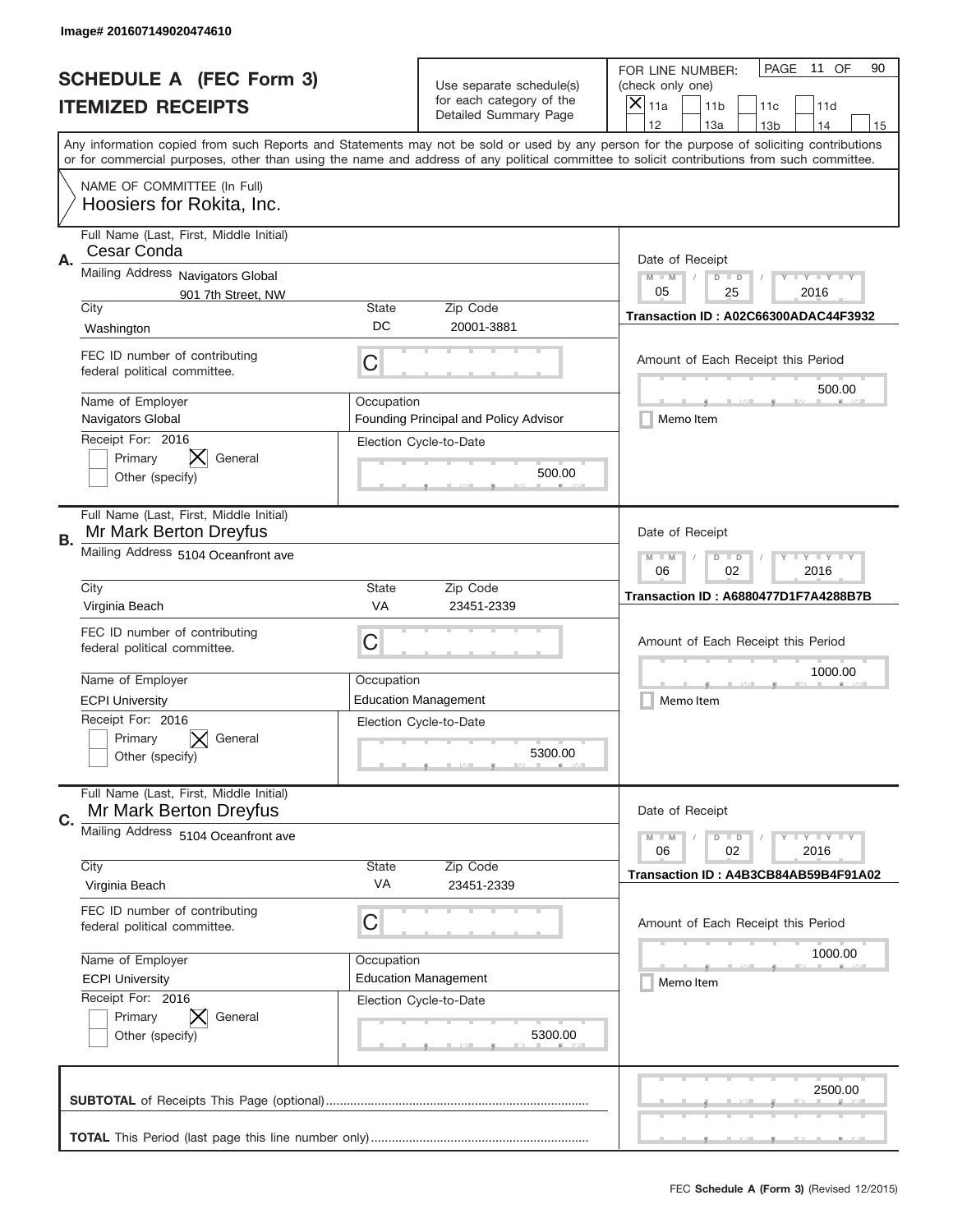|    | Image# 201607149020474610                                                            |                                                           |                                                                  |                                                                                                                                                                                                                                                                                                                                     |
|----|--------------------------------------------------------------------------------------|-----------------------------------------------------------|------------------------------------------------------------------|-------------------------------------------------------------------------------------------------------------------------------------------------------------------------------------------------------------------------------------------------------------------------------------------------------------------------------------|
|    | <b>SCHEDULE A (FEC Form 3)</b>                                                       |                                                           | Use separate schedule(s)                                         | PAGE<br>11 OF<br>90<br>FOR LINE NUMBER:<br>(check only one)                                                                                                                                                                                                                                                                         |
|    | <b>ITEMIZED RECEIPTS</b>                                                             |                                                           | for each category of the<br>Detailed Summary Page                | $\times$<br>11a<br>11 <sub>b</sub><br>11c<br>11d                                                                                                                                                                                                                                                                                    |
|    |                                                                                      |                                                           |                                                                  | 12<br>13a<br>14<br>13 <sub>b</sub><br>15<br>Any information copied from such Reports and Statements may not be sold or used by any person for the purpose of soliciting contributions<br>or for commercial purposes, other than using the name and address of any political committee to solicit contributions from such committee. |
|    | NAME OF COMMITTEE (In Full)<br>Hoosiers for Rokita, Inc.                             |                                                           |                                                                  |                                                                                                                                                                                                                                                                                                                                     |
| Α. | Full Name (Last, First, Middle Initial)<br>Cesar Conda                               |                                                           |                                                                  | Date of Receipt                                                                                                                                                                                                                                                                                                                     |
|    | Mailing Address Navigators Global<br>901 7th Street, NW                              | $M$ $M$<br><b>LY LY LY</b><br>$D$ $D$<br>05<br>25<br>2016 |                                                                  |                                                                                                                                                                                                                                                                                                                                     |
|    | City<br>Washington                                                                   | State<br>DC                                               | Zip Code<br>20001-3881                                           | Transaction ID: A02C66300ADAC44F3932                                                                                                                                                                                                                                                                                                |
|    | FEC ID number of contributing<br>federal political committee.                        | C                                                         |                                                                  | Amount of Each Receipt this Period<br>500.00                                                                                                                                                                                                                                                                                        |
|    | Name of Employer<br>Navigators Global                                                | Occupation                                                | Founding Principal and Policy Advisor                            | Memo Item                                                                                                                                                                                                                                                                                                                           |
|    | Receipt For: 2016<br>Primary<br>General<br>Other (specify)                           |                                                           | Election Cycle-to-Date<br>500.00                                 |                                                                                                                                                                                                                                                                                                                                     |
| В. | Full Name (Last, First, Middle Initial)<br>Mr Mark Berton Dreyfus                    |                                                           |                                                                  | Date of Receipt                                                                                                                                                                                                                                                                                                                     |
|    | Mailing Address 5104 Oceanfront ave                                                  | <b>LYLYLY</b><br>$M - M$<br>$D$ $D$<br>06<br>02<br>2016   |                                                                  |                                                                                                                                                                                                                                                                                                                                     |
|    | City<br>Virginia Beach                                                               | <b>State</b><br>VA                                        | Zip Code<br>23451-2339                                           | Transaction ID: A6880477D1F7A4288B7B                                                                                                                                                                                                                                                                                                |
|    | FEC ID number of contributing<br>federal political committee.                        | C                                                         |                                                                  | Amount of Each Receipt this Period                                                                                                                                                                                                                                                                                                  |
|    | Name of Employer                                                                     | Occupation                                                |                                                                  | 1000.00                                                                                                                                                                                                                                                                                                                             |
|    | <b>ECPI University</b><br>Receipt For: 2016<br>Primary<br>General<br>Other (specify) |                                                           | <b>Education Management</b><br>Election Cycle-to-Date<br>5300.00 | Memo Item                                                                                                                                                                                                                                                                                                                           |
| C. | Full Name (Last, First, Middle Initial)<br>Mr Mark Berton Dreyfus                    |                                                           |                                                                  | Date of Receipt                                                                                                                                                                                                                                                                                                                     |
|    | Mailing Address 5104 Oceanfront ave                                                  |                                                           |                                                                  | $D$ $D$<br><b>LYLYLY</b><br>$M - M$<br>06<br>02<br>2016                                                                                                                                                                                                                                                                             |
|    | City<br>Virginia Beach                                                               | <b>State</b><br>VA                                        | Zip Code<br>23451-2339                                           | Transaction ID: A4B3CB84AB59B4F91A02                                                                                                                                                                                                                                                                                                |
|    | FEC ID number of contributing<br>federal political committee.                        | C                                                         |                                                                  | Amount of Each Receipt this Period                                                                                                                                                                                                                                                                                                  |
|    | Name of Employer                                                                     | Occupation                                                |                                                                  | 1000.00                                                                                                                                                                                                                                                                                                                             |
|    | <b>ECPI University</b><br>Receipt For: 2016                                          |                                                           | <b>Education Management</b><br>Election Cycle-to-Date            | Memo Item                                                                                                                                                                                                                                                                                                                           |
|    | Primary<br>General<br>Other (specify)                                                |                                                           | 5300.00                                                          |                                                                                                                                                                                                                                                                                                                                     |
|    |                                                                                      |                                                           |                                                                  | 2500.00                                                                                                                                                                                                                                                                                                                             |
|    |                                                                                      |                                                           |                                                                  |                                                                                                                                                                                                                                                                                                                                     |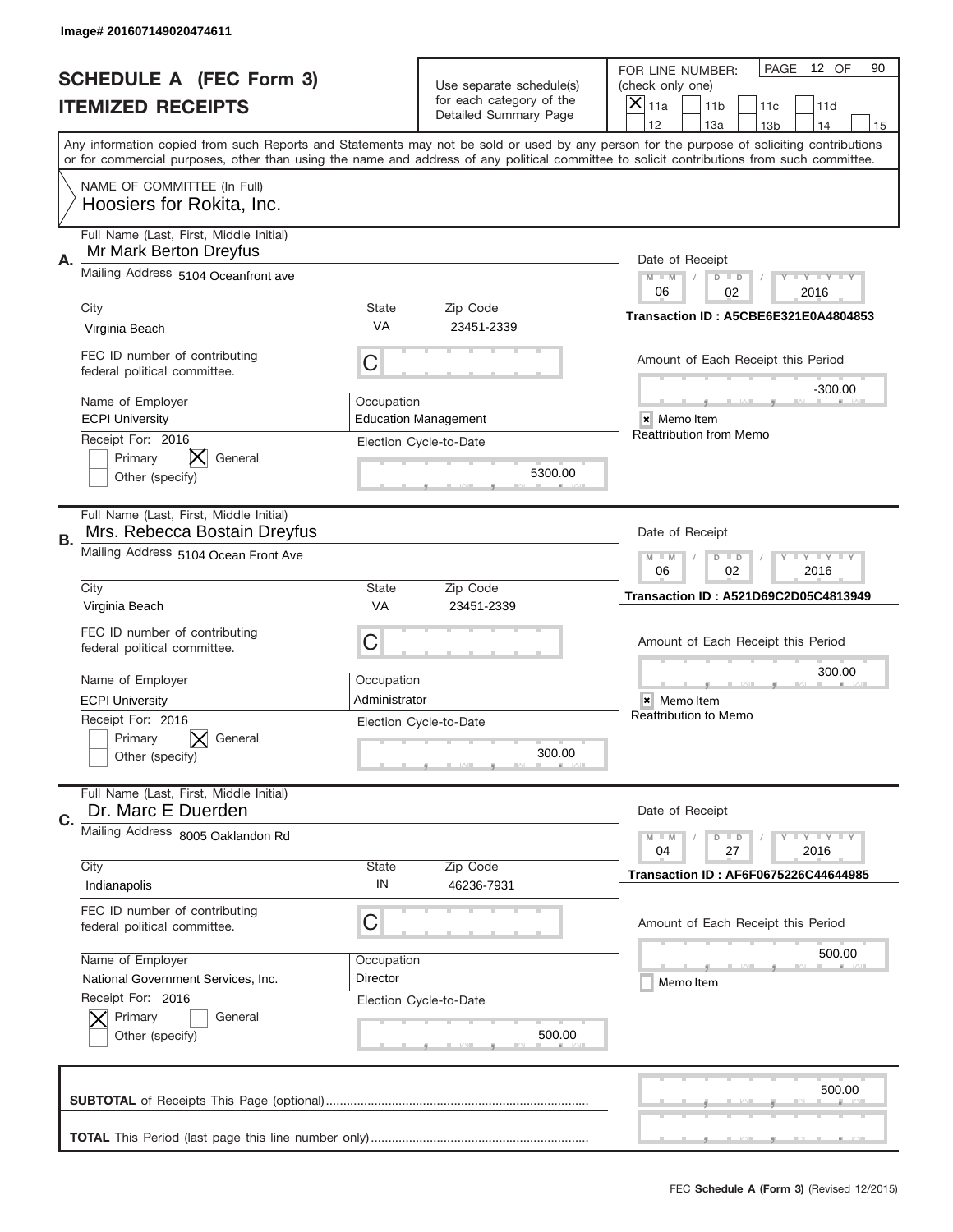|    | Image# 201607149020474611                                               |                                                                                                                         |                                                   |                                                                                                                                                                                                                                                                                         |
|----|-------------------------------------------------------------------------|-------------------------------------------------------------------------------------------------------------------------|---------------------------------------------------|-----------------------------------------------------------------------------------------------------------------------------------------------------------------------------------------------------------------------------------------------------------------------------------------|
|    | <b>SCHEDULE A (FEC Form 3)</b>                                          |                                                                                                                         | Use separate schedule(s)                          | 12 OF<br>PAGE<br>90<br>FOR LINE NUMBER:<br>(check only one)                                                                                                                                                                                                                             |
|    | <b>ITEMIZED RECEIPTS</b>                                                |                                                                                                                         | for each category of the<br>Detailed Summary Page | X<br>11a<br>11 <sub>b</sub><br>11c<br>11d                                                                                                                                                                                                                                               |
|    |                                                                         |                                                                                                                         |                                                   | 12<br>13a<br>14<br>13 <sub>b</sub><br>15                                                                                                                                                                                                                                                |
|    |                                                                         |                                                                                                                         |                                                   | Any information copied from such Reports and Statements may not be sold or used by any person for the purpose of soliciting contributions<br>or for commercial purposes, other than using the name and address of any political committee to solicit contributions from such committee. |
|    | NAME OF COMMITTEE (In Full)<br>Hoosiers for Rokita, Inc.                |                                                                                                                         |                                                   |                                                                                                                                                                                                                                                                                         |
| Α. | Full Name (Last, First, Middle Initial)<br>Mr Mark Berton Dreyfus       |                                                                                                                         |                                                   | Date of Receipt                                                                                                                                                                                                                                                                         |
|    | Mailing Address 5104 Oceanfront ave                                     |                                                                                                                         |                                                   | $M - M$<br><b>LY LY LY</b><br>$D$ $D$<br>06<br>02<br>2016                                                                                                                                                                                                                               |
|    | City                                                                    | <b>State</b>                                                                                                            | Zip Code                                          | Transaction ID: A5CBE6E321E0A4804853                                                                                                                                                                                                                                                    |
|    | Virginia Beach                                                          | VA                                                                                                                      | 23451-2339                                        |                                                                                                                                                                                                                                                                                         |
|    | FEC ID number of contributing<br>federal political committee.           | С                                                                                                                       |                                                   | Amount of Each Receipt this Period<br>$-300.00$                                                                                                                                                                                                                                         |
|    | Name of Employer<br><b>ECPI University</b>                              | Occupation                                                                                                              | <b>Education Management</b>                       | × Memo Item                                                                                                                                                                                                                                                                             |
|    | Receipt For: 2016<br>Primary<br>General<br>Other (specify)              |                                                                                                                         | Election Cycle-to-Date<br>5300.00                 | <b>Reattribution from Memo</b>                                                                                                                                                                                                                                                          |
| В. | Full Name (Last, First, Middle Initial)<br>Mrs. Rebecca Bostain Dreyfus |                                                                                                                         |                                                   | Date of Receipt                                                                                                                                                                                                                                                                         |
|    | Mailing Address 5104 Ocean Front Ave                                    | $\mathbf{I}$ $\mathbf{Y}$ $\mathbf{I}$ $\mathbf{Y}$ $\mathbf{I}$ $\mathbf{Y}$<br>$M - M$<br>$D$ $D$<br>06<br>02<br>2016 |                                                   |                                                                                                                                                                                                                                                                                         |
|    | City<br>Virginia Beach                                                  | <b>State</b><br>VA                                                                                                      | Zip Code<br>23451-2339                            | Transaction ID: A521D69C2D05C4813949                                                                                                                                                                                                                                                    |
|    | FEC ID number of contributing<br>federal political committee.           | C                                                                                                                       |                                                   | Amount of Each Receipt this Period                                                                                                                                                                                                                                                      |
|    | Name of Employer                                                        | Occupation                                                                                                              |                                                   | 300.00                                                                                                                                                                                                                                                                                  |
|    | <b>ECPI University</b>                                                  | Administrator                                                                                                           |                                                   | × Memo Item                                                                                                                                                                                                                                                                             |
|    | Receipt For: 2016<br>Primary<br>General<br>Other (specify)              |                                                                                                                         | Election Cycle-to-Date<br>300.00                  | <b>Reattribution to Memo</b>                                                                                                                                                                                                                                                            |
| C. | Full Name (Last, First, Middle Initial)<br>Dr. Marc E Duerden           |                                                                                                                         |                                                   | Date of Receipt                                                                                                                                                                                                                                                                         |
|    | Mailing Address 8005 Oaklandon Rd                                       |                                                                                                                         |                                                   | $I - Y - I - Y - I - Y$<br>$M - M$<br>$D$ $D$<br>2016<br>04<br>27                                                                                                                                                                                                                       |
|    | City<br>Indianapolis                                                    | <b>State</b><br>IN                                                                                                      | Zip Code<br>46236-7931                            | <b>Transaction ID: AF6F0675226C44644985</b>                                                                                                                                                                                                                                             |
|    | FEC ID number of contributing<br>federal political committee.           | C                                                                                                                       |                                                   | Amount of Each Receipt this Period                                                                                                                                                                                                                                                      |
|    | Name of Employer                                                        | Occupation                                                                                                              |                                                   | 500.00                                                                                                                                                                                                                                                                                  |
|    | National Government Services, Inc.                                      | Director                                                                                                                |                                                   | Memo Item                                                                                                                                                                                                                                                                               |
|    | Receipt For: 2016<br>Primary<br>General<br>Other (specify)              |                                                                                                                         | Election Cycle-to-Date<br>500.00                  |                                                                                                                                                                                                                                                                                         |
|    |                                                                         |                                                                                                                         |                                                   | 500.00                                                                                                                                                                                                                                                                                  |
|    |                                                                         |                                                                                                                         |                                                   | _                                                                                                                                                                                                                                                                                       |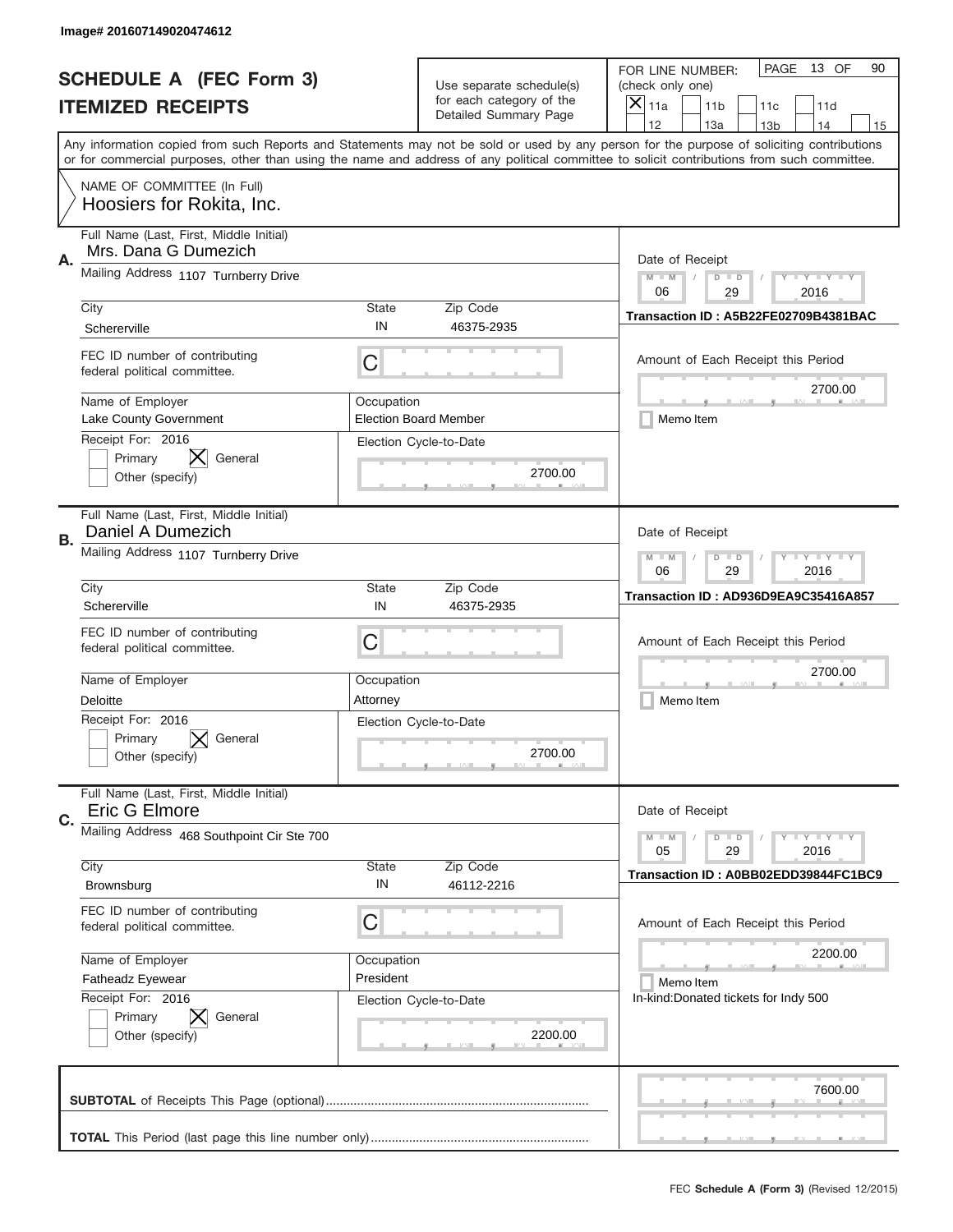|    | Image# 201607149020474612                                       |                                                         |                                                   |                                                                                                                                                                                                                                                                                                                                     |
|----|-----------------------------------------------------------------|---------------------------------------------------------|---------------------------------------------------|-------------------------------------------------------------------------------------------------------------------------------------------------------------------------------------------------------------------------------------------------------------------------------------------------------------------------------------|
|    | <b>SCHEDULE A (FEC Form 3)</b>                                  |                                                         | Use separate schedule(s)                          | PAGE<br>13 OF<br>90<br>FOR LINE NUMBER:<br>(check only one)                                                                                                                                                                                                                                                                         |
|    | <b>ITEMIZED RECEIPTS</b>                                        |                                                         | for each category of the<br>Detailed Summary Page | $\times$<br>11a<br>11 <sub>b</sub><br>11c<br>11d                                                                                                                                                                                                                                                                                    |
|    |                                                                 |                                                         |                                                   | 12<br>13a<br>14<br>13 <sub>b</sub><br>15<br>Any information copied from such Reports and Statements may not be sold or used by any person for the purpose of soliciting contributions<br>or for commercial purposes, other than using the name and address of any political committee to solicit contributions from such committee. |
|    | NAME OF COMMITTEE (In Full)<br>Hoosiers for Rokita, Inc.        |                                                         |                                                   |                                                                                                                                                                                                                                                                                                                                     |
| Α. | Full Name (Last, First, Middle Initial)<br>Mrs. Dana G Dumezich |                                                         |                                                   | Date of Receipt                                                                                                                                                                                                                                                                                                                     |
|    | Mailing Address 1107 Turnberry Drive                            |                                                         |                                                   | $M$ $M$<br><b>LY LY LY</b><br>$D$ $D$<br>06<br>29<br>2016                                                                                                                                                                                                                                                                           |
|    | City<br>Schererville                                            | State<br>IN                                             | Zip Code<br>46375-2935                            | Transaction ID: A5B22FE02709B4381BAC                                                                                                                                                                                                                                                                                                |
|    | FEC ID number of contributing<br>federal political committee.   | C                                                       |                                                   | Amount of Each Receipt this Period<br>2700.00                                                                                                                                                                                                                                                                                       |
|    | Name of Employer<br>Lake County Government                      | Occupation                                              | <b>Election Board Member</b>                      | Memo Item                                                                                                                                                                                                                                                                                                                           |
|    | Receipt For: 2016<br>Primary<br>General<br>Other (specify)      |                                                         | Election Cycle-to-Date<br>2700.00                 |                                                                                                                                                                                                                                                                                                                                     |
| В. | Full Name (Last, First, Middle Initial)<br>Daniel A Dumezich    |                                                         |                                                   | Date of Receipt                                                                                                                                                                                                                                                                                                                     |
|    | Mailing Address 1107 Turnberry Drive                            | $M - M$<br><b>LYLYLY</b><br>$D$ $D$<br>06<br>29<br>2016 |                                                   |                                                                                                                                                                                                                                                                                                                                     |
|    | City<br>Schererville                                            | <b>State</b><br>IN                                      | Zip Code<br>46375-2935                            | Transaction ID: AD936D9EA9C35416A857                                                                                                                                                                                                                                                                                                |
|    | FEC ID number of contributing<br>federal political committee.   | C                                                       |                                                   | Amount of Each Receipt this Period                                                                                                                                                                                                                                                                                                  |
|    | Name of Employer<br>Deloitte                                    | Occupation<br>Attorney                                  |                                                   | 2700.00<br>Memo Item                                                                                                                                                                                                                                                                                                                |
|    | Receipt For: 2016<br>Primary<br>General<br>Other (specify)      |                                                         | Election Cycle-to-Date<br>2700.00                 |                                                                                                                                                                                                                                                                                                                                     |
| C. | Full Name (Last, First, Middle Initial)<br>Eric G Elmore        |                                                         |                                                   | Date of Receipt                                                                                                                                                                                                                                                                                                                     |
|    | Mailing Address 468 Southpoint Cir Ste 700                      |                                                         |                                                   | <b>LYLYLY</b><br>$M - M$<br>$D$ $D$<br>05<br>29<br>2016                                                                                                                                                                                                                                                                             |
|    | City<br>Brownsburg                                              | State<br>IN                                             | Zip Code<br>46112-2216                            | Transaction ID: A0BB02EDD39844FC1BC9                                                                                                                                                                                                                                                                                                |
|    | FEC ID number of contributing<br>federal political committee.   | C                                                       |                                                   | Amount of Each Receipt this Period                                                                                                                                                                                                                                                                                                  |
|    | Name of Employer                                                | Occupation                                              |                                                   | 2200.00                                                                                                                                                                                                                                                                                                                             |
|    | Fatheadz Eyewear<br>Receipt For: 2016                           | President                                               |                                                   | Memo Item<br>In-kind:Donated tickets for Indy 500                                                                                                                                                                                                                                                                                   |
|    | Primary<br>General<br>Other (specify)                           |                                                         | Election Cycle-to-Date<br>2200.00                 |                                                                                                                                                                                                                                                                                                                                     |
|    |                                                                 |                                                         |                                                   | 7600.00                                                                                                                                                                                                                                                                                                                             |
|    |                                                                 |                                                         |                                                   |                                                                                                                                                                                                                                                                                                                                     |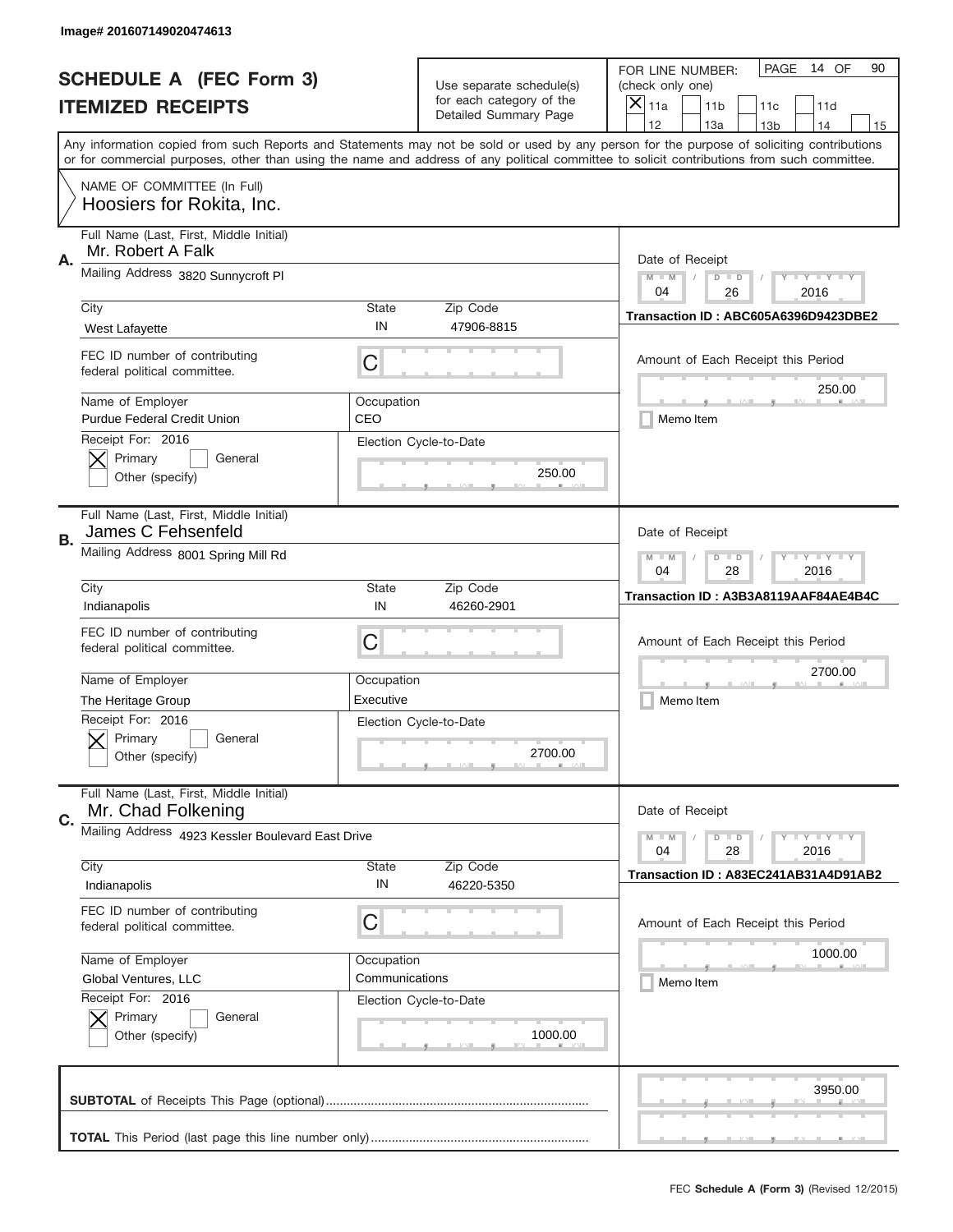|    | Image# 201607149020474613                                     |                                                                                                                         |                                                   |                                                                                                                                                                                       |
|----|---------------------------------------------------------------|-------------------------------------------------------------------------------------------------------------------------|---------------------------------------------------|---------------------------------------------------------------------------------------------------------------------------------------------------------------------------------------|
|    | <b>SCHEDULE A (FEC Form 3)</b>                                |                                                                                                                         | Use separate schedule(s)                          | PAGE<br>14 OF<br>90<br>FOR LINE NUMBER:<br>(check only one)                                                                                                                           |
|    | <b>ITEMIZED RECEIPTS</b>                                      |                                                                                                                         | for each category of the<br>Detailed Summary Page | ×<br>11a<br>11 <sub>b</sub><br>11c<br>11d                                                                                                                                             |
|    |                                                               |                                                                                                                         |                                                   | 12<br>13a<br>14<br>13 <sub>b</sub><br>15<br>Any information copied from such Reports and Statements may not be sold or used by any person for the purpose of soliciting contributions |
|    |                                                               |                                                                                                                         |                                                   | or for commercial purposes, other than using the name and address of any political committee to solicit contributions from such committee.                                            |
|    | NAME OF COMMITTEE (In Full)<br>Hoosiers for Rokita, Inc.      |                                                                                                                         |                                                   |                                                                                                                                                                                       |
| Α. | Full Name (Last, First, Middle Initial)<br>Mr. Robert A Falk  |                                                                                                                         |                                                   | Date of Receipt                                                                                                                                                                       |
|    | Mailing Address 3820 Sunnycroft Pl                            | $M - M$<br>$\mathbf{I}$ $\mathbf{Y}$ $\mathbf{I}$ $\mathbf{Y}$ $\mathbf{I}$ $\mathbf{Y}$<br>$D$ $D$<br>04<br>26<br>2016 |                                                   |                                                                                                                                                                                       |
|    | City                                                          | State                                                                                                                   | Zip Code                                          | Transaction ID: ABC605A6396D9423DBE2                                                                                                                                                  |
|    | West Lafayette                                                | IN                                                                                                                      | 47906-8815                                        |                                                                                                                                                                                       |
|    | FEC ID number of contributing<br>federal political committee. | C                                                                                                                       |                                                   | Amount of Each Receipt this Period<br>250.00                                                                                                                                          |
|    | Name of Employer<br><b>Purdue Federal Credit Union</b>        | Occupation<br>CEO                                                                                                       |                                                   | Memo Item                                                                                                                                                                             |
|    | Receipt For: 2016<br>Primary<br>General<br>Other (specify)    |                                                                                                                         | Election Cycle-to-Date<br>250.00                  |                                                                                                                                                                                       |
| В. | Full Name (Last, First, Middle Initial)<br>James C Fehsenfeld |                                                                                                                         |                                                   | Date of Receipt                                                                                                                                                                       |
|    | Mailing Address 8001 Spring Mill Rd                           | $M - M$<br>$\mathbf{I}$ $\mathbf{Y}$ $\mathbf{I}$ $\mathbf{Y}$ $\mathbf{I}$ $\mathbf{Y}$<br>$D$ $D$<br>04<br>28<br>2016 |                                                   |                                                                                                                                                                                       |
|    | City                                                          | State                                                                                                                   | Zip Code                                          | Transaction ID: A3B3A8119AAF84AE4B4C                                                                                                                                                  |
|    | Indianapolis                                                  | IN                                                                                                                      | 46260-2901                                        |                                                                                                                                                                                       |
|    | FEC ID number of contributing<br>federal political committee. | C                                                                                                                       |                                                   | Amount of Each Receipt this Period                                                                                                                                                    |
|    | Name of Employer                                              | Occupation                                                                                                              |                                                   | 2700.00                                                                                                                                                                               |
|    | The Heritage Group                                            | Executive                                                                                                               |                                                   | Memo Item                                                                                                                                                                             |
|    | Receipt For: 2016<br>General<br>Primary<br>Other (specify)    |                                                                                                                         | Election Cycle-to-Date<br>2700.00                 |                                                                                                                                                                                       |
| C. | Full Name (Last, First, Middle Initial)<br>Mr. Chad Folkening |                                                                                                                         |                                                   | Date of Receipt                                                                                                                                                                       |
|    | Mailing Address 4923 Kessler Boulevard East Drive             |                                                                                                                         |                                                   | $I - Y - I - Y - I - Y$<br>$M - M$<br>$D$ $D$<br>2016<br>04<br>28                                                                                                                     |
|    | City                                                          | State                                                                                                                   | Zip Code                                          | Transaction ID: A83EC241AB31A4D91AB2                                                                                                                                                  |
|    | Indianapolis                                                  | IN                                                                                                                      | 46220-5350                                        |                                                                                                                                                                                       |
|    | FEC ID number of contributing<br>federal political committee. | С                                                                                                                       |                                                   | Amount of Each Receipt this Period                                                                                                                                                    |
|    | Name of Employer                                              | Occupation                                                                                                              |                                                   | 1000.00                                                                                                                                                                               |
|    | Global Ventures, LLC                                          | Communications                                                                                                          |                                                   | Memo Item                                                                                                                                                                             |
|    | Receipt For: 2016<br>Primary<br>General<br>Other (specify)    |                                                                                                                         | Election Cycle-to-Date<br>1000.00                 |                                                                                                                                                                                       |
|    |                                                               |                                                                                                                         |                                                   | 3950.00                                                                                                                                                                               |
|    |                                                               |                                                                                                                         |                                                   |                                                                                                                                                                                       |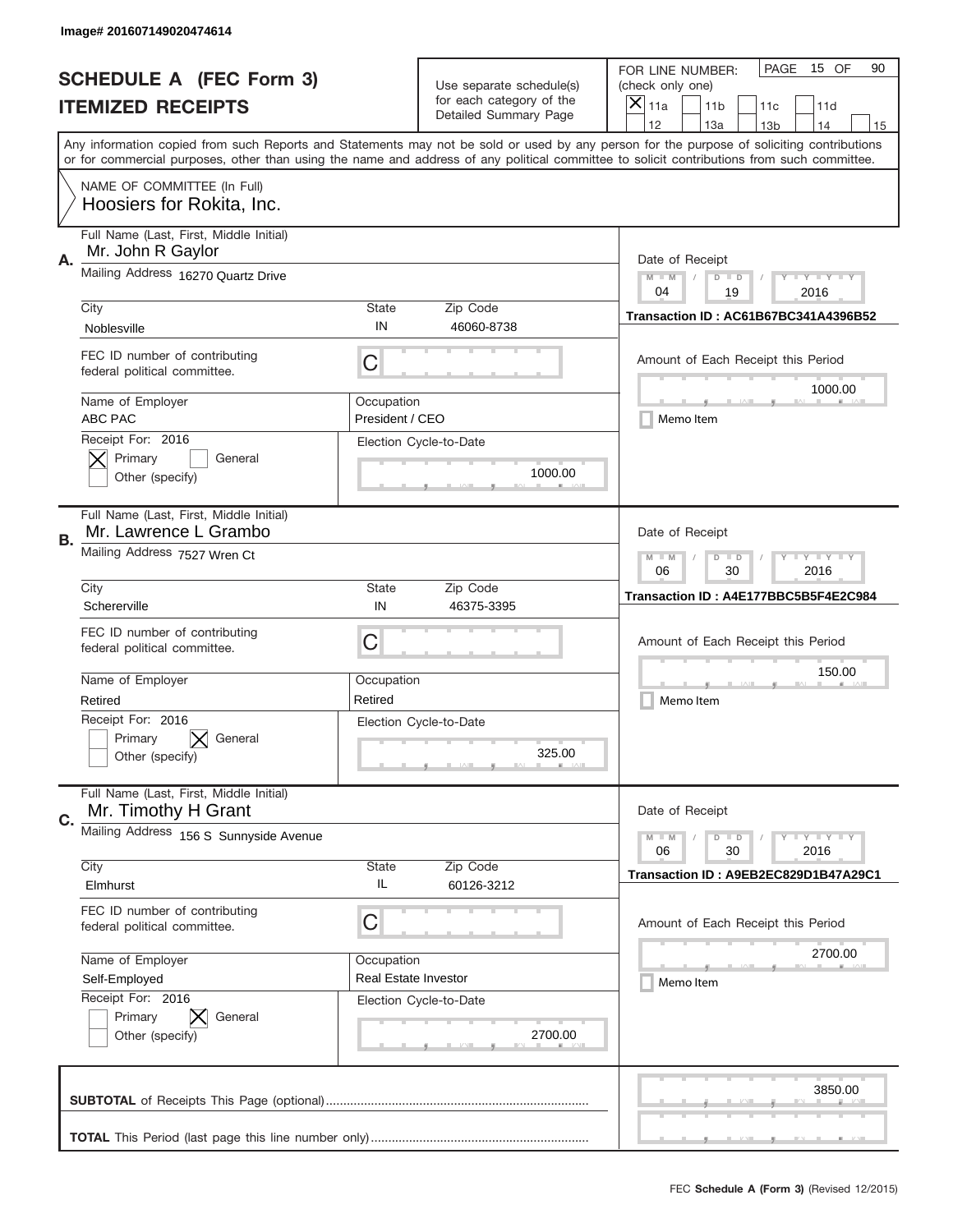|    | Image# 201607149020474614                                        |                                                                                                                         |                                                   |                                                                                                                                                                                                                                                                                                                                     |
|----|------------------------------------------------------------------|-------------------------------------------------------------------------------------------------------------------------|---------------------------------------------------|-------------------------------------------------------------------------------------------------------------------------------------------------------------------------------------------------------------------------------------------------------------------------------------------------------------------------------------|
|    | <b>SCHEDULE A (FEC Form 3)</b>                                   |                                                                                                                         | Use separate schedule(s)                          | PAGE<br>15 OF<br>90<br>FOR LINE NUMBER:<br>(check only one)                                                                                                                                                                                                                                                                         |
|    | <b>ITEMIZED RECEIPTS</b>                                         |                                                                                                                         | for each category of the<br>Detailed Summary Page | ×<br>11a<br>11 <sub>b</sub><br>11c<br>11d                                                                                                                                                                                                                                                                                           |
|    |                                                                  |                                                                                                                         |                                                   | 12<br>13a<br>14<br>13 <sub>b</sub><br>15<br>Any information copied from such Reports and Statements may not be sold or used by any person for the purpose of soliciting contributions<br>or for commercial purposes, other than using the name and address of any political committee to solicit contributions from such committee. |
|    | NAME OF COMMITTEE (In Full)<br>Hoosiers for Rokita, Inc.         |                                                                                                                         |                                                   |                                                                                                                                                                                                                                                                                                                                     |
| Α. | Full Name (Last, First, Middle Initial)<br>Mr. John R Gaylor     |                                                                                                                         |                                                   | Date of Receipt                                                                                                                                                                                                                                                                                                                     |
|    | Mailing Address 16270 Quartz Drive                               |                                                                                                                         |                                                   | $M - M$<br><b>LYLYLY</b><br>$D$ $D$<br>04<br>19<br>2016                                                                                                                                                                                                                                                                             |
|    | City<br>Noblesville                                              | State<br>IN                                                                                                             | Zip Code<br>46060-8738                            | Transaction ID: AC61B67BC341A4396B52                                                                                                                                                                                                                                                                                                |
|    | FEC ID number of contributing<br>federal political committee.    | C                                                                                                                       |                                                   | Amount of Each Receipt this Period<br>1000.00                                                                                                                                                                                                                                                                                       |
|    | Name of Employer<br>ABC PAC                                      | Occupation<br>President / CEO                                                                                           |                                                   | Memo Item                                                                                                                                                                                                                                                                                                                           |
|    | Receipt For: 2016<br>Primary<br>General<br>Other (specify)       |                                                                                                                         | Election Cycle-to-Date<br>1000.00                 |                                                                                                                                                                                                                                                                                                                                     |
| В. | Full Name (Last, First, Middle Initial)<br>Mr. Lawrence L Grambo |                                                                                                                         |                                                   | Date of Receipt                                                                                                                                                                                                                                                                                                                     |
|    | Mailing Address 7527 Wren Ct                                     | $M - M$<br>$\mathbf{I}$ $\mathbf{Y}$ $\mathbf{I}$ $\mathbf{Y}$ $\mathbf{I}$ $\mathbf{Y}$<br>$D$ $D$<br>06<br>30<br>2016 |                                                   |                                                                                                                                                                                                                                                                                                                                     |
|    | City<br>Schererville                                             | State<br>IN                                                                                                             | Zip Code<br>46375-3395                            | Transaction ID: A4E177BBC5B5F4E2C984                                                                                                                                                                                                                                                                                                |
|    | FEC ID number of contributing<br>federal political committee.    | C                                                                                                                       |                                                   | Amount of Each Receipt this Period                                                                                                                                                                                                                                                                                                  |
|    | Name of Employer<br>Retired                                      | Occupation<br>Retired                                                                                                   |                                                   | 150.00<br>Memo Item                                                                                                                                                                                                                                                                                                                 |
|    | Receipt For: 2016<br>Primary<br>General<br>Other (specify)       |                                                                                                                         | Election Cycle-to-Date<br>325.00                  |                                                                                                                                                                                                                                                                                                                                     |
| C. | Full Name (Last, First, Middle Initial)<br>Mr. Timothy H Grant   |                                                                                                                         |                                                   | Date of Receipt                                                                                                                                                                                                                                                                                                                     |
|    | Mailing Address 156 S Sunnyside Avenue                           |                                                                                                                         |                                                   | <b>LYLYLY</b><br>$M - M$<br>$D$ $D$<br>06<br>2016<br>30                                                                                                                                                                                                                                                                             |
|    | City<br>Elmhurst                                                 | State<br>IL                                                                                                             | Zip Code<br>60126-3212                            | Transaction ID: A9EB2EC829D1B47A29C1                                                                                                                                                                                                                                                                                                |
|    | FEC ID number of contributing<br>federal political committee.    | С                                                                                                                       |                                                   | Amount of Each Receipt this Period                                                                                                                                                                                                                                                                                                  |
|    | Name of Employer<br>Self-Employed                                | Occupation<br>Real Estate Investor                                                                                      |                                                   | 2700.00<br>Memo Item                                                                                                                                                                                                                                                                                                                |
|    | Receipt For: 2016<br>Primary<br>General<br>Other (specify)       |                                                                                                                         | Election Cycle-to-Date<br>2700.00                 |                                                                                                                                                                                                                                                                                                                                     |
|    |                                                                  |                                                                                                                         |                                                   | 3850.00                                                                                                                                                                                                                                                                                                                             |
|    |                                                                  |                                                                                                                         |                                                   | __                                                                                                                                                                                                                                                                                                                                  |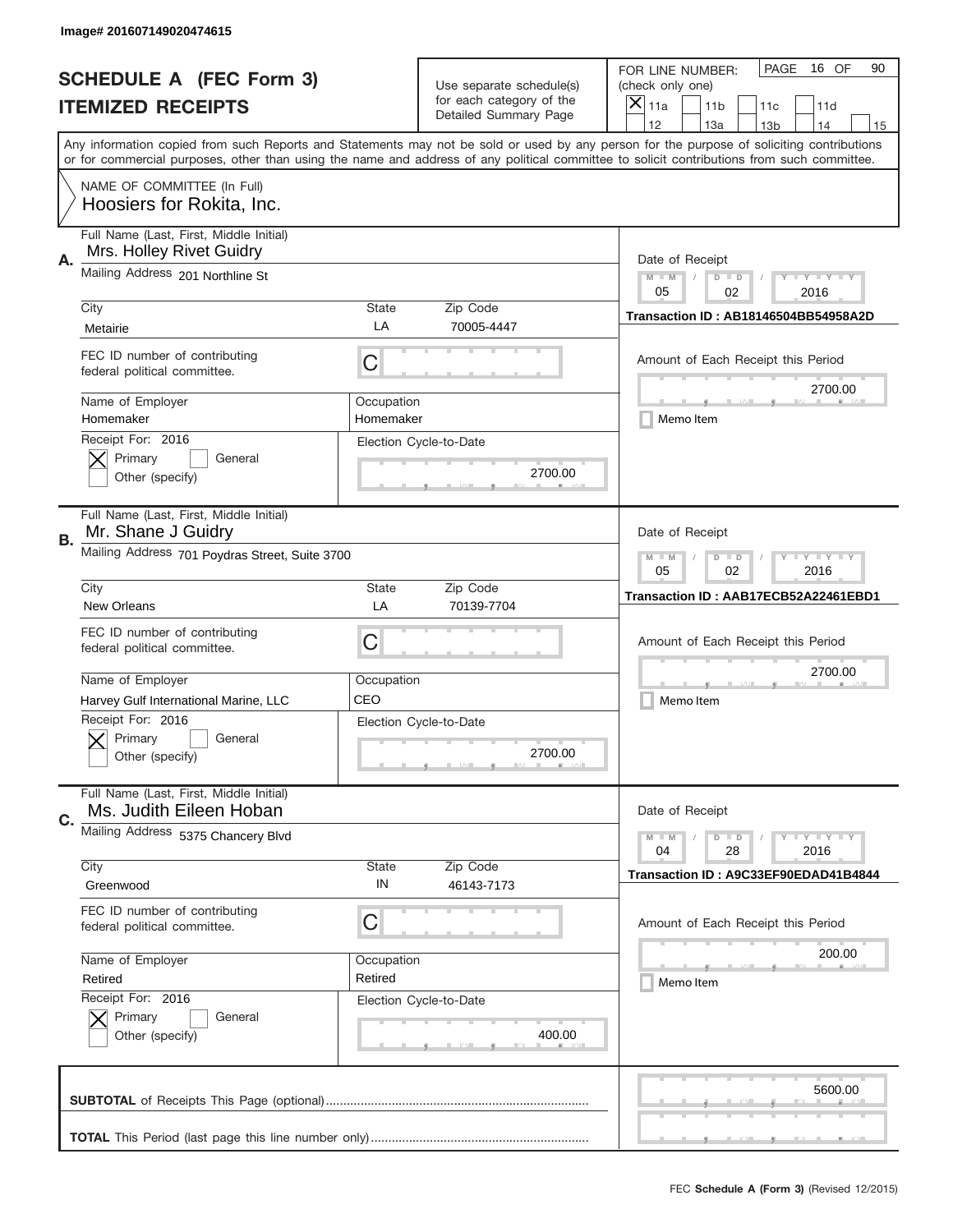|    | Image# 201607149020474615                                                                           |                                                                                                                         |                                                   |                                                                                                                                                                                                                                                                                                                                     |
|----|-----------------------------------------------------------------------------------------------------|-------------------------------------------------------------------------------------------------------------------------|---------------------------------------------------|-------------------------------------------------------------------------------------------------------------------------------------------------------------------------------------------------------------------------------------------------------------------------------------------------------------------------------------|
|    | <b>SCHEDULE A (FEC Form 3)</b>                                                                      |                                                                                                                         | Use separate schedule(s)                          | PAGE<br>16 OF<br>90<br>FOR LINE NUMBER:<br>(check only one)                                                                                                                                                                                                                                                                         |
|    | <b>ITEMIZED RECEIPTS</b>                                                                            |                                                                                                                         | for each category of the<br>Detailed Summary Page | ×<br>11a<br>11 <sub>b</sub><br>11c<br>11d                                                                                                                                                                                                                                                                                           |
|    |                                                                                                     |                                                                                                                         |                                                   | 12<br>13a<br>14<br>13 <sub>b</sub><br>15<br>Any information copied from such Reports and Statements may not be sold or used by any person for the purpose of soliciting contributions<br>or for commercial purposes, other than using the name and address of any political committee to solicit contributions from such committee. |
|    | NAME OF COMMITTEE (In Full)<br>Hoosiers for Rokita, Inc.                                            |                                                                                                                         |                                                   |                                                                                                                                                                                                                                                                                                                                     |
| А. | Full Name (Last, First, Middle Initial)<br>Mrs. Holley Rivet Guidry                                 |                                                                                                                         |                                                   | Date of Receipt                                                                                                                                                                                                                                                                                                                     |
|    | Mailing Address 201 Northline St                                                                    |                                                                                                                         |                                                   | $M - M$<br>$\mathbf{I}$ $\mathbf{Y}$ $\mathbf{I}$ $\mathbf{Y}$ $\mathbf{I}$ $\mathbf{Y}$<br>$D$ $D$<br>05<br>02<br>2016                                                                                                                                                                                                             |
|    | City<br>Metairie                                                                                    | State<br>LA                                                                                                             | Zip Code<br>70005-4447                            | Transaction ID: AB18146504BB54958A2D                                                                                                                                                                                                                                                                                                |
|    | FEC ID number of contributing<br>federal political committee.                                       | C                                                                                                                       |                                                   | Amount of Each Receipt this Period<br>2700.00                                                                                                                                                                                                                                                                                       |
|    | Name of Employer<br>Homemaker                                                                       | Occupation<br>Homemaker                                                                                                 |                                                   | Memo Item                                                                                                                                                                                                                                                                                                                           |
|    | Receipt For: 2016<br>Primary<br>General<br>Other (specify)                                          |                                                                                                                         | Election Cycle-to-Date<br>2700.00                 |                                                                                                                                                                                                                                                                                                                                     |
| В. | Full Name (Last, First, Middle Initial)<br>Mr. Shane J Guidry                                       |                                                                                                                         |                                                   | Date of Receipt                                                                                                                                                                                                                                                                                                                     |
|    | Mailing Address 701 Poydras Street, Suite 3700                                                      | $\mathbf{I}$ $\mathbf{Y}$ $\mathbf{I}$ $\mathbf{Y}$ $\mathbf{I}$ $\mathbf{Y}$<br>$M - M$<br>$D$ $D$<br>05<br>02<br>2016 |                                                   |                                                                                                                                                                                                                                                                                                                                     |
|    | City<br><b>New Orleans</b>                                                                          | State<br>LA                                                                                                             | Zip Code<br>70139-7704                            | Transaction ID: AAB17ECB52A22461EBD1                                                                                                                                                                                                                                                                                                |
|    | FEC ID number of contributing<br>federal political committee.                                       | C                                                                                                                       |                                                   | Amount of Each Receipt this Period                                                                                                                                                                                                                                                                                                  |
|    |                                                                                                     |                                                                                                                         |                                                   | 2700.00                                                                                                                                                                                                                                                                                                                             |
|    | Name of Employer                                                                                    | Occupation<br>CEO                                                                                                       |                                                   |                                                                                                                                                                                                                                                                                                                                     |
|    | Harvey Gulf International Marine, LLC<br>Receipt For: 2016<br>General<br>Primary<br>Other (specify) |                                                                                                                         | Election Cycle-to-Date<br>2700.00                 | Memo Item                                                                                                                                                                                                                                                                                                                           |
| C. | Full Name (Last, First, Middle Initial)<br>Ms. Judith Eileen Hoban                                  |                                                                                                                         |                                                   | Date of Receipt                                                                                                                                                                                                                                                                                                                     |
|    | Mailing Address 5375 Chancery Blvd                                                                  |                                                                                                                         |                                                   | $I - Y - I - Y - I - Y$<br>$M - M$<br>$D$ $D$<br>2016<br>04<br>28                                                                                                                                                                                                                                                                   |
|    | City<br>Greenwood                                                                                   | State<br>IN                                                                                                             | Zip Code<br>46143-7173                            | Transaction ID: A9C33EF90EDAD41B4844                                                                                                                                                                                                                                                                                                |
|    | FEC ID number of contributing<br>federal political committee.                                       | С                                                                                                                       |                                                   | Amount of Each Receipt this Period                                                                                                                                                                                                                                                                                                  |
|    | Name of Employer<br>Retired                                                                         | Occupation<br>Retired                                                                                                   |                                                   | 200.00<br>Memo Item                                                                                                                                                                                                                                                                                                                 |
|    | Receipt For: 2016<br>Primary<br>General<br>Other (specify)                                          |                                                                                                                         | Election Cycle-to-Date<br>400.00                  |                                                                                                                                                                                                                                                                                                                                     |
|    |                                                                                                     |                                                                                                                         |                                                   | 5600.00                                                                                                                                                                                                                                                                                                                             |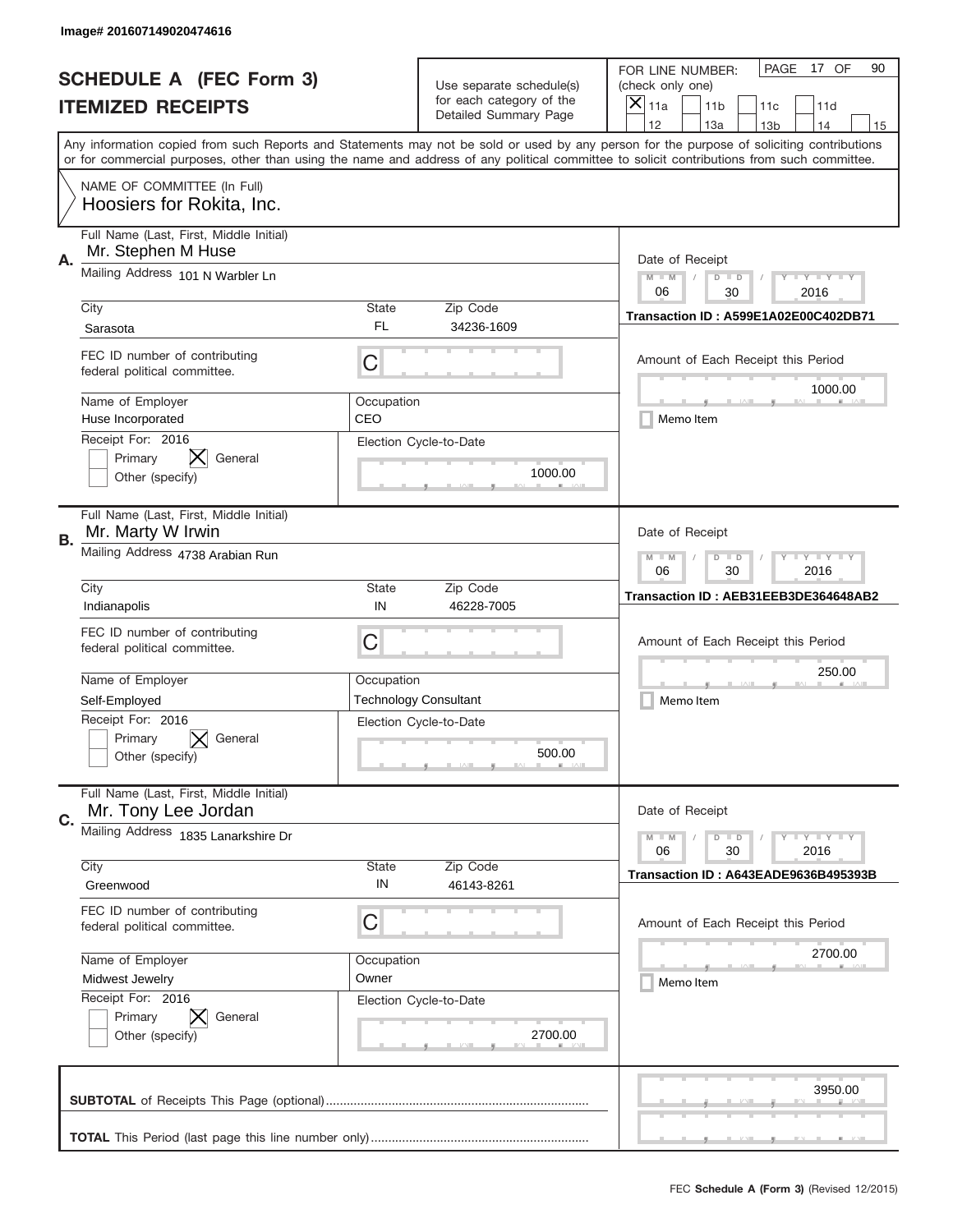|    | Image# 201607149020474616                                      |                                                                                                                         |                                                   |                                                                                                                                                                                                                                                                                                                                     |
|----|----------------------------------------------------------------|-------------------------------------------------------------------------------------------------------------------------|---------------------------------------------------|-------------------------------------------------------------------------------------------------------------------------------------------------------------------------------------------------------------------------------------------------------------------------------------------------------------------------------------|
|    | <b>SCHEDULE A (FEC Form 3)</b>                                 |                                                                                                                         | Use separate schedule(s)                          | PAGE<br>17 OF<br>90<br>FOR LINE NUMBER:<br>(check only one)                                                                                                                                                                                                                                                                         |
|    | <b>ITEMIZED RECEIPTS</b>                                       |                                                                                                                         | for each category of the<br>Detailed Summary Page | ×<br>11a<br>11 <sub>b</sub><br>11c<br>11d                                                                                                                                                                                                                                                                                           |
|    |                                                                |                                                                                                                         |                                                   | 12<br>13a<br>14<br>13 <sub>b</sub><br>15<br>Any information copied from such Reports and Statements may not be sold or used by any person for the purpose of soliciting contributions<br>or for commercial purposes, other than using the name and address of any political committee to solicit contributions from such committee. |
|    | NAME OF COMMITTEE (In Full)<br>Hoosiers for Rokita, Inc.       |                                                                                                                         |                                                   |                                                                                                                                                                                                                                                                                                                                     |
| А. | Full Name (Last, First, Middle Initial)<br>Mr. Stephen M Huse  |                                                                                                                         |                                                   | Date of Receipt                                                                                                                                                                                                                                                                                                                     |
|    | Mailing Address 101 N Warbler Ln                               |                                                                                                                         |                                                   | $M - M$<br>$-1$ $-1$ $-1$ $-1$ $-1$<br>$D$ $D$<br>06<br>30<br>2016                                                                                                                                                                                                                                                                  |
|    | City<br>Sarasota                                               | State<br>FL                                                                                                             | Zip Code<br>34236-1609                            | Transaction ID: A599E1A02E00C402DB71                                                                                                                                                                                                                                                                                                |
|    | FEC ID number of contributing<br>federal political committee.  | C                                                                                                                       |                                                   | Amount of Each Receipt this Period<br>1000.00                                                                                                                                                                                                                                                                                       |
|    | Name of Employer<br>Huse Incorporated                          | Occupation<br>CEO                                                                                                       |                                                   | Memo Item                                                                                                                                                                                                                                                                                                                           |
|    | Receipt For: 2016<br>Primary<br>General<br>Other (specify)     |                                                                                                                         | Election Cycle-to-Date<br>1000.00                 |                                                                                                                                                                                                                                                                                                                                     |
| В. | Full Name (Last, First, Middle Initial)<br>Mr. Marty W Irwin   |                                                                                                                         |                                                   | Date of Receipt                                                                                                                                                                                                                                                                                                                     |
|    | Mailing Address 4738 Arabian Run                               | $M - M$<br>$\mathbf{I}$ $\mathbf{Y}$ $\mathbf{I}$ $\mathbf{Y}$ $\mathbf{I}$ $\mathbf{Y}$<br>$D$ $D$<br>06<br>30<br>2016 |                                                   |                                                                                                                                                                                                                                                                                                                                     |
|    | City<br>Indianapolis                                           | State<br>IN                                                                                                             | Zip Code<br>46228-7005                            | Transaction ID: AEB31EEB3DE364648AB2                                                                                                                                                                                                                                                                                                |
|    | FEC ID number of contributing<br>federal political committee.  | C                                                                                                                       |                                                   | Amount of Each Receipt this Period                                                                                                                                                                                                                                                                                                  |
|    | Name of Employer                                               | Occupation                                                                                                              |                                                   | 250.00                                                                                                                                                                                                                                                                                                                              |
|    | Self-Employed                                                  |                                                                                                                         | <b>Technology Consultant</b>                      | Memo Item                                                                                                                                                                                                                                                                                                                           |
|    | Receipt For: 2016<br>Primary<br>General<br>Other (specify)     |                                                                                                                         | Election Cycle-to-Date<br>500.00                  |                                                                                                                                                                                                                                                                                                                                     |
|    |                                                                |                                                                                                                         |                                                   |                                                                                                                                                                                                                                                                                                                                     |
| C. | Full Name (Last, First, Middle Initial)<br>Mr. Tony Lee Jordan |                                                                                                                         |                                                   | Date of Receipt                                                                                                                                                                                                                                                                                                                     |
|    | Mailing Address 1835 Lanarkshire Dr                            |                                                                                                                         |                                                   | <b>LYLYLY</b><br>$M - M$<br>$D$ $D$<br>06<br>2016<br>30                                                                                                                                                                                                                                                                             |
|    | City<br>Greenwood                                              | State<br>IN                                                                                                             | Zip Code<br>46143-8261                            | Transaction ID: A643EADE9636B495393B                                                                                                                                                                                                                                                                                                |
|    | FEC ID number of contributing<br>federal political committee.  | C                                                                                                                       |                                                   | Amount of Each Receipt this Period                                                                                                                                                                                                                                                                                                  |
|    | Name of Employer                                               | Occupation                                                                                                              |                                                   | 2700.00                                                                                                                                                                                                                                                                                                                             |
|    | Midwest Jewelry                                                | Owner                                                                                                                   |                                                   | Memo Item                                                                                                                                                                                                                                                                                                                           |
|    | Receipt For: 2016<br>Primary<br>General<br>Other (specify)     |                                                                                                                         | Election Cycle-to-Date<br>2700.00                 |                                                                                                                                                                                                                                                                                                                                     |
|    |                                                                |                                                                                                                         |                                                   | 3950.00                                                                                                                                                                                                                                                                                                                             |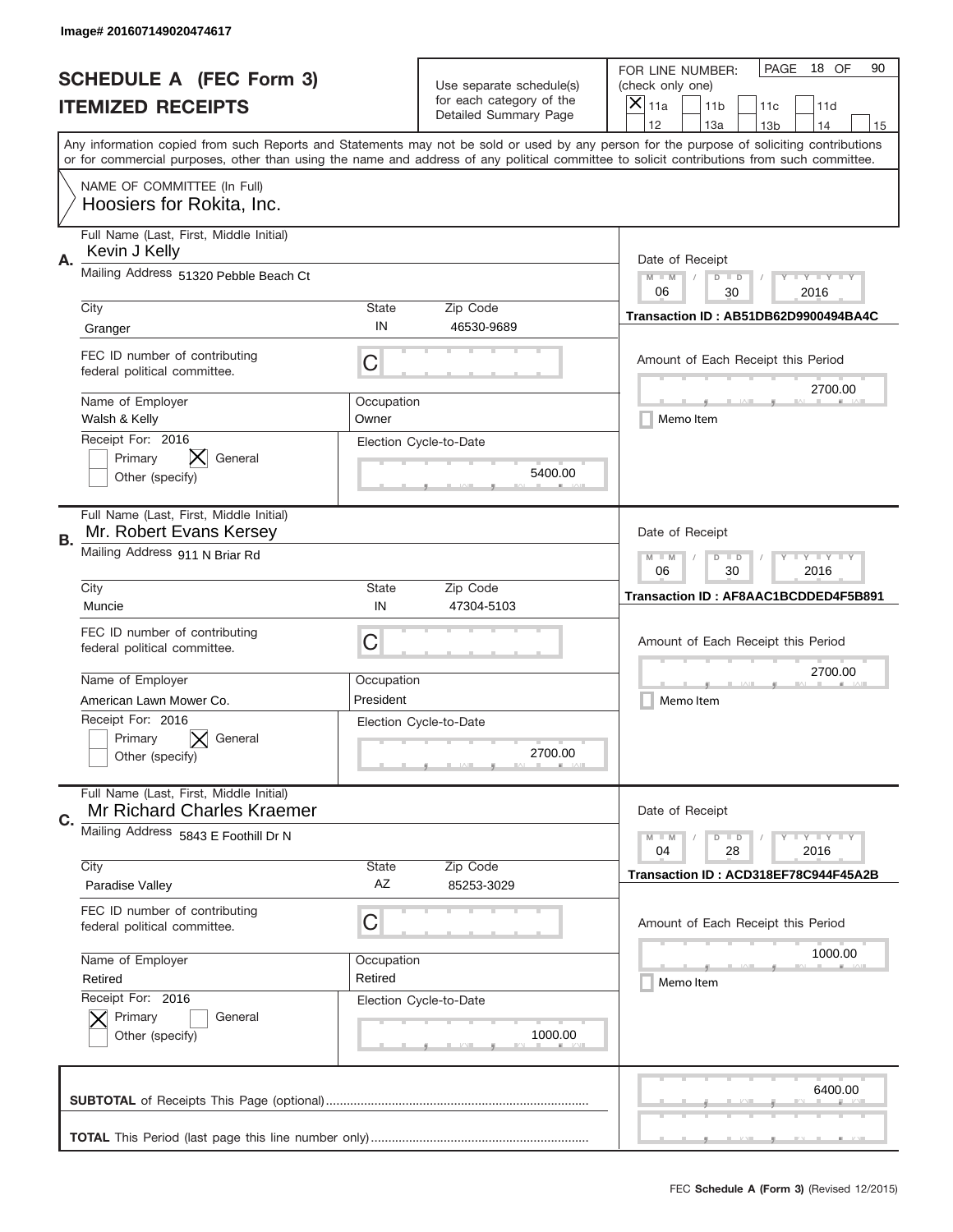|    | Image# 201607149020474617                                             |                                                                                                                         |                                                   |                                                                                                                                                                                       |
|----|-----------------------------------------------------------------------|-------------------------------------------------------------------------------------------------------------------------|---------------------------------------------------|---------------------------------------------------------------------------------------------------------------------------------------------------------------------------------------|
|    | <b>SCHEDULE A (FEC Form 3)</b>                                        |                                                                                                                         | Use separate schedule(s)                          | PAGE<br>18 OF<br>90<br>FOR LINE NUMBER:<br>(check only one)                                                                                                                           |
|    | <b>ITEMIZED RECEIPTS</b>                                              |                                                                                                                         | for each category of the<br>Detailed Summary Page | ×<br>11a<br>11 <sub>b</sub><br>11c<br>11d                                                                                                                                             |
|    |                                                                       |                                                                                                                         |                                                   | 12<br>13a<br>14<br>13 <sub>b</sub><br>15<br>Any information copied from such Reports and Statements may not be sold or used by any person for the purpose of soliciting contributions |
|    |                                                                       |                                                                                                                         |                                                   | or for commercial purposes, other than using the name and address of any political committee to solicit contributions from such committee.                                            |
|    | NAME OF COMMITTEE (In Full)<br>Hoosiers for Rokita, Inc.              |                                                                                                                         |                                                   |                                                                                                                                                                                       |
| Α. | Full Name (Last, First, Middle Initial)<br>Kevin J Kelly              |                                                                                                                         |                                                   | Date of Receipt                                                                                                                                                                       |
|    | Mailing Address 51320 Pebble Beach Ct                                 |                                                                                                                         |                                                   | $M - M$<br>$-1$ $-1$ $-1$ $-1$ $-1$<br>$D$ $D$<br>06<br>30<br>2016                                                                                                                    |
|    | City                                                                  | State                                                                                                                   | Zip Code                                          | Transaction ID: AB51DB62D9900494BA4C                                                                                                                                                  |
|    | Granger                                                               | IN                                                                                                                      | 46530-9689                                        |                                                                                                                                                                                       |
|    | FEC ID number of contributing<br>federal political committee.         | C                                                                                                                       |                                                   | Amount of Each Receipt this Period<br>2700.00                                                                                                                                         |
|    | Name of Employer<br>Walsh & Kelly                                     | Occupation<br>Owner                                                                                                     |                                                   | Memo Item                                                                                                                                                                             |
|    | Receipt For: 2016<br>Primary<br>General<br>Other (specify)            |                                                                                                                         | Election Cycle-to-Date<br>5400.00                 |                                                                                                                                                                                       |
| В. | Full Name (Last, First, Middle Initial)<br>Mr. Robert Evans Kersey    |                                                                                                                         |                                                   | Date of Receipt                                                                                                                                                                       |
|    | Mailing Address 911 N Briar Rd                                        | $M - M$<br>$\mathbf{I}$ $\mathbf{Y}$ $\mathbf{I}$ $\mathbf{Y}$ $\mathbf{I}$ $\mathbf{Y}$<br>$D$ $D$<br>06<br>30<br>2016 |                                                   |                                                                                                                                                                                       |
|    | City<br>Muncie                                                        | State<br>IN                                                                                                             | Zip Code<br>47304-5103                            | Transaction ID: AF8AAC1BCDDED4F5B891                                                                                                                                                  |
|    | FEC ID number of contributing<br>federal political committee.         | C                                                                                                                       |                                                   | Amount of Each Receipt this Period                                                                                                                                                    |
|    | Name of Employer                                                      | Occupation                                                                                                              |                                                   | 2700.00                                                                                                                                                                               |
|    | American Lawn Mower Co.                                               | President                                                                                                               |                                                   | Memo Item                                                                                                                                                                             |
|    | Receipt For: 2016<br>General<br>Primary<br>Other (specify)            |                                                                                                                         | Election Cycle-to-Date<br>2700.00                 |                                                                                                                                                                                       |
| C. | Full Name (Last, First, Middle Initial)<br>Mr Richard Charles Kraemer |                                                                                                                         |                                                   | Date of Receipt                                                                                                                                                                       |
|    | Mailing Address 5843 E Foothill Dr N                                  |                                                                                                                         |                                                   | $\mathbf{I}$ $\mathbf{Y}$ $\mathbf{I}$ $\mathbf{Y}$ $\mathbf{I}$ $\mathbf{Y}$<br>$M - M$<br>$D$ $D$<br>2016<br>04<br>28                                                               |
|    | City<br>Paradise Valley                                               | State<br>AZ                                                                                                             | Zip Code<br>85253-3029                            | Transaction ID: ACD318EF78C944F45A2B                                                                                                                                                  |
|    | FEC ID number of contributing<br>federal political committee.         | C                                                                                                                       |                                                   | Amount of Each Receipt this Period                                                                                                                                                    |
|    | Name of Employer                                                      | Occupation                                                                                                              |                                                   | 1000.00                                                                                                                                                                               |
|    | Retired                                                               | Retired                                                                                                                 |                                                   | Memo Item                                                                                                                                                                             |
|    | Receipt For: 2016<br>Primary<br>General<br>Other (specify)            |                                                                                                                         | Election Cycle-to-Date<br>1000.00                 |                                                                                                                                                                                       |
|    |                                                                       |                                                                                                                         |                                                   | 6400.00                                                                                                                                                                               |
|    |                                                                       |                                                                                                                         |                                                   | _                                                                                                                                                                                     |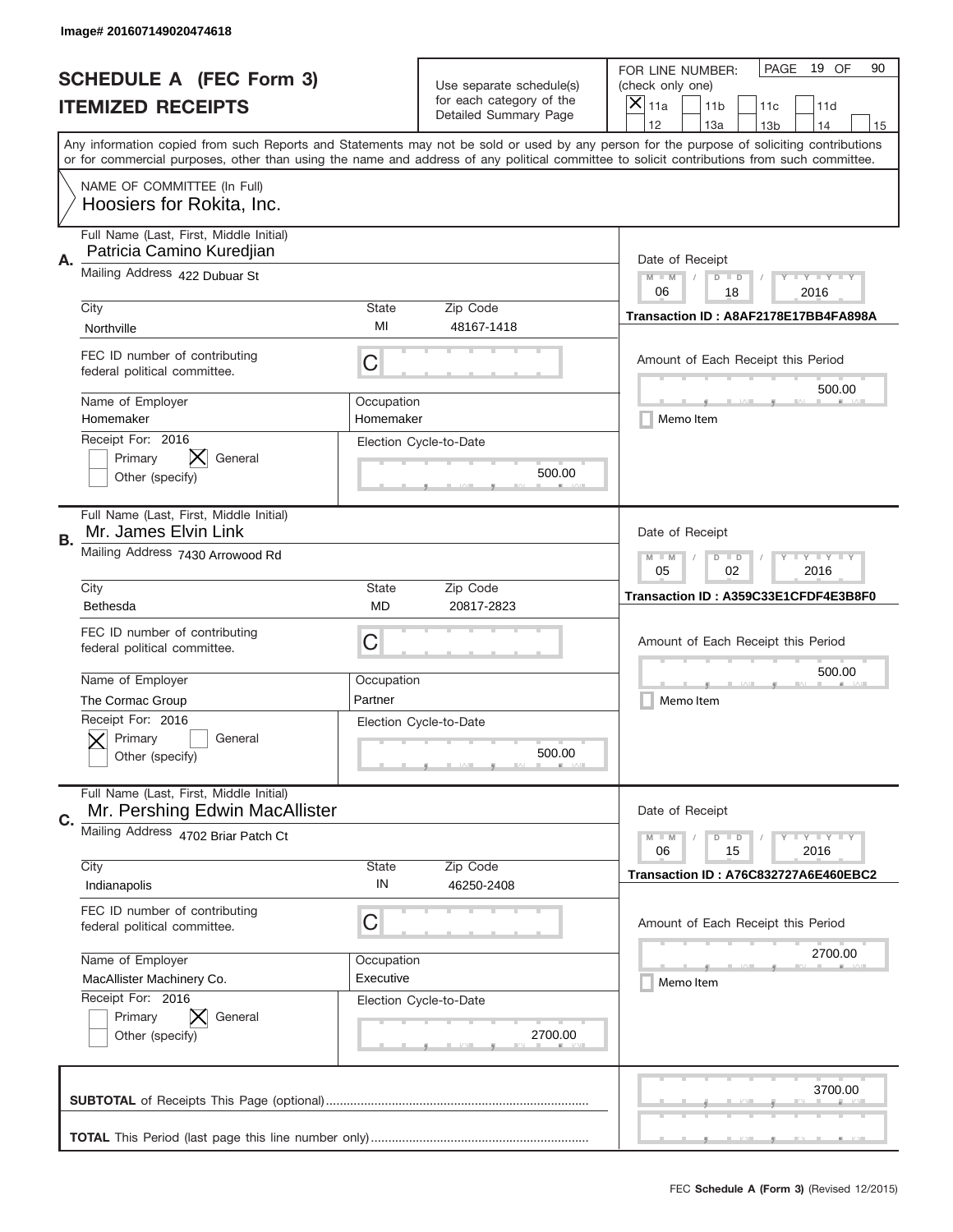|    | Image# 201607149020474618                                                 |                                                                                                                         |                                                      |                                                                                                                                                                                       |
|----|---------------------------------------------------------------------------|-------------------------------------------------------------------------------------------------------------------------|------------------------------------------------------|---------------------------------------------------------------------------------------------------------------------------------------------------------------------------------------|
|    | <b>SCHEDULE A (FEC Form 3)</b>                                            |                                                                                                                         | Use separate schedule(s)<br>for each category of the | PAGE<br>19 OF<br>90<br>FOR LINE NUMBER:<br>(check only one)                                                                                                                           |
|    | <b>ITEMIZED RECEIPTS</b>                                                  |                                                                                                                         | Detailed Summary Page                                | ×<br>11a<br>11 <sub>b</sub><br>11c<br>11d                                                                                                                                             |
|    |                                                                           |                                                                                                                         |                                                      | 12<br>13a<br>14<br>13 <sub>b</sub><br>15<br>Any information copied from such Reports and Statements may not be sold or used by any person for the purpose of soliciting contributions |
|    |                                                                           |                                                                                                                         |                                                      | or for commercial purposes, other than using the name and address of any political committee to solicit contributions from such committee.                                            |
|    | NAME OF COMMITTEE (In Full)<br>Hoosiers for Rokita, Inc.                  |                                                                                                                         |                                                      |                                                                                                                                                                                       |
| Α. | Full Name (Last, First, Middle Initial)<br>Patricia Camino Kuredjian      |                                                                                                                         |                                                      | Date of Receipt                                                                                                                                                                       |
|    | Mailing Address 422 Dubuar St                                             |                                                                                                                         |                                                      | $M - M$<br>$\mathbf{I}$ $\mathbf{Y}$ $\mathbf{I}$ $\mathbf{Y}$ $\mathbf{I}$ $\mathbf{Y}$<br>$D$ $D$<br>06<br>18<br>2016                                                               |
|    | City                                                                      | State                                                                                                                   | Zip Code                                             | Transaction ID: A8AF2178E17BB4FA898A                                                                                                                                                  |
|    | Northville                                                                | MI                                                                                                                      | 48167-1418                                           |                                                                                                                                                                                       |
|    | FEC ID number of contributing<br>federal political committee.             | C                                                                                                                       |                                                      | Amount of Each Receipt this Period<br>500.00                                                                                                                                          |
|    | Name of Employer<br>Homemaker                                             | Occupation<br>Homemaker                                                                                                 |                                                      | Memo Item                                                                                                                                                                             |
|    | Receipt For: 2016<br>General<br>Primary<br>Other (specify)                |                                                                                                                         | Election Cycle-to-Date<br>500.00                     |                                                                                                                                                                                       |
| В. | Full Name (Last, First, Middle Initial)<br>Mr. James Elvin Link           |                                                                                                                         |                                                      | Date of Receipt                                                                                                                                                                       |
|    | Mailing Address 7430 Arrowood Rd                                          | $M$ M<br>$\mathbf{I}$ $\mathbf{Y}$ $\mathbf{I}$ $\mathbf{Y}$ $\mathbf{I}$ $\mathbf{Y}$<br>$D$ $D$<br>05<br>02<br>2016   |                                                      |                                                                                                                                                                                       |
|    | City                                                                      | State                                                                                                                   | Zip Code                                             | Transaction ID: A359C33E1CFDF4E3B8F0                                                                                                                                                  |
|    | Bethesda                                                                  | MD                                                                                                                      | 20817-2823                                           |                                                                                                                                                                                       |
|    | FEC ID number of contributing<br>federal political committee.             | C                                                                                                                       |                                                      | Amount of Each Receipt this Period                                                                                                                                                    |
|    | Name of Employer                                                          | Occupation                                                                                                              |                                                      | 500.00                                                                                                                                                                                |
|    | The Cormac Group                                                          | Partner                                                                                                                 |                                                      | Memo Item                                                                                                                                                                             |
|    | Receipt For: 2016<br>General<br>Primary<br>Other (specify)                |                                                                                                                         | Election Cycle-to-Date<br>500.00                     |                                                                                                                                                                                       |
| C. | Full Name (Last, First, Middle Initial)<br>Mr. Pershing Edwin MacAllister |                                                                                                                         |                                                      | Date of Receipt                                                                                                                                                                       |
|    | Mailing Address 4702 Briar Patch Ct                                       | $\mathbf{I}$ $\mathbf{Y}$ $\mathbf{I}$ $\mathbf{Y}$ $\mathbf{I}$ $\mathbf{Y}$<br>$M - M$<br>$D$ $D$<br>06<br>2016<br>15 |                                                      |                                                                                                                                                                                       |
|    | City                                                                      | State<br>IN                                                                                                             | Zip Code                                             | Transaction ID: A76C832727A6E460EBC2                                                                                                                                                  |
|    | Indianapolis                                                              |                                                                                                                         | 46250-2408                                           |                                                                                                                                                                                       |
|    | FEC ID number of contributing<br>federal political committee.             | C                                                                                                                       |                                                      | Amount of Each Receipt this Period                                                                                                                                                    |
|    | Name of Employer                                                          | Occupation                                                                                                              |                                                      | 2700.00                                                                                                                                                                               |
|    | MacAllister Machinery Co.                                                 | Executive                                                                                                               |                                                      | Memo Item                                                                                                                                                                             |
|    | Receipt For: 2016<br>Primary<br>General<br>Other (specify)                |                                                                                                                         | Election Cycle-to-Date<br>2700.00                    |                                                                                                                                                                                       |
|    |                                                                           |                                                                                                                         |                                                      | 3700.00                                                                                                                                                                               |
|    |                                                                           |                                                                                                                         |                                                      |                                                                                                                                                                                       |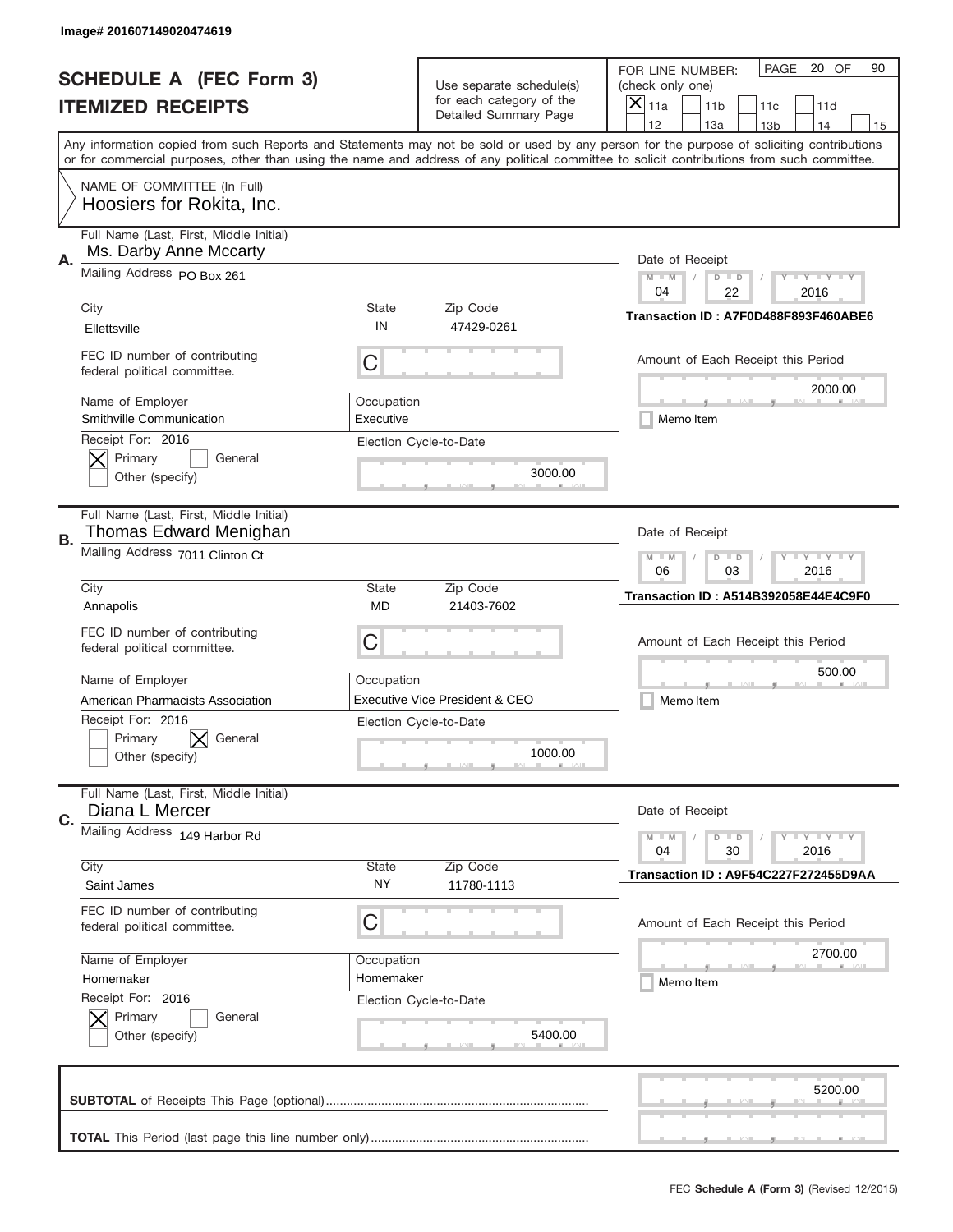|           | Image# 201607149020474619                                         |                                                                                                                         |                                                   |                                                                                                                                                                                                                                                                                                                                     |
|-----------|-------------------------------------------------------------------|-------------------------------------------------------------------------------------------------------------------------|---------------------------------------------------|-------------------------------------------------------------------------------------------------------------------------------------------------------------------------------------------------------------------------------------------------------------------------------------------------------------------------------------|
|           | <b>SCHEDULE A (FEC Form 3)</b>                                    |                                                                                                                         | Use separate schedule(s)                          | PAGE<br>20 OF<br>90<br>FOR LINE NUMBER:<br>(check only one)                                                                                                                                                                                                                                                                         |
|           | <b>ITEMIZED RECEIPTS</b>                                          |                                                                                                                         | for each category of the<br>Detailed Summary Page | ×<br>11a<br>11 <sub>b</sub><br>11c<br>11d                                                                                                                                                                                                                                                                                           |
|           |                                                                   |                                                                                                                         |                                                   | 12<br>13a<br>14<br>13 <sub>b</sub><br>15<br>Any information copied from such Reports and Statements may not be sold or used by any person for the purpose of soliciting contributions<br>or for commercial purposes, other than using the name and address of any political committee to solicit contributions from such committee. |
|           | NAME OF COMMITTEE (In Full)<br>Hoosiers for Rokita, Inc.          |                                                                                                                         |                                                   |                                                                                                                                                                                                                                                                                                                                     |
| А.        | Full Name (Last, First, Middle Initial)<br>Ms. Darby Anne Mccarty |                                                                                                                         |                                                   | Date of Receipt                                                                                                                                                                                                                                                                                                                     |
|           | Mailing Address PO Box 261                                        |                                                                                                                         |                                                   | $M - M$<br>$\mathbf{I}$ $\mathbf{Y}$ $\mathbf{I}$ $\mathbf{Y}$ $\mathbf{I}$ $\mathbf{Y}$<br>$D$ $D$<br>04<br>22<br>2016                                                                                                                                                                                                             |
|           | City<br>Ellettsville                                              | State<br>IN                                                                                                             | Zip Code<br>47429-0261                            | Transaction ID: A7F0D488F893F460ABE6                                                                                                                                                                                                                                                                                                |
|           | FEC ID number of contributing<br>federal political committee.     | C                                                                                                                       |                                                   | Amount of Each Receipt this Period<br>2000.00                                                                                                                                                                                                                                                                                       |
|           | Name of Employer<br>Smithville Communication                      | Occupation<br>Executive                                                                                                 |                                                   | Memo Item                                                                                                                                                                                                                                                                                                                           |
|           | Receipt For: 2016<br>Primary<br>General<br>Other (specify)        |                                                                                                                         | Election Cycle-to-Date<br>3000.00                 |                                                                                                                                                                                                                                                                                                                                     |
| <b>B.</b> | Full Name (Last, First, Middle Initial)<br>Thomas Edward Menighan |                                                                                                                         |                                                   | Date of Receipt                                                                                                                                                                                                                                                                                                                     |
|           | Mailing Address 7011 Clinton Ct                                   | $M - M$<br>$\mathbf{I}$ $\mathbf{Y}$ $\mathbf{I}$ $\mathbf{Y}$ $\mathbf{I}$ $\mathbf{Y}$<br>$D$ $D$<br>06<br>03<br>2016 |                                                   |                                                                                                                                                                                                                                                                                                                                     |
|           | City<br>Annapolis                                                 | State<br>MD                                                                                                             | Zip Code<br>21403-7602                            | <b>Transaction ID: A514B392058E44E4C9F0</b>                                                                                                                                                                                                                                                                                         |
|           | FEC ID number of contributing<br>federal political committee.     | C                                                                                                                       |                                                   | Amount of Each Receipt this Period                                                                                                                                                                                                                                                                                                  |
|           | Name of Employer                                                  | Occupation                                                                                                              | Executive Vice President & CEO                    | 500.00                                                                                                                                                                                                                                                                                                                              |
|           | American Pharmacists Association                                  |                                                                                                                         |                                                   | Memo Item                                                                                                                                                                                                                                                                                                                           |
|           | Receipt For: 2016<br>Primary<br>General<br>Other (specify)        |                                                                                                                         | Election Cycle-to-Date<br>1000.00                 |                                                                                                                                                                                                                                                                                                                                     |
| C.        | Full Name (Last, First, Middle Initial)<br>Diana L Mercer         |                                                                                                                         |                                                   | Date of Receipt                                                                                                                                                                                                                                                                                                                     |
|           | Mailing Address 149 Harbor Rd                                     |                                                                                                                         |                                                   | $\mathbf{I}$ $\mathbf{Y}$ $\mathbf{I}$ $\mathbf{Y}$ $\mathbf{I}$ $\mathbf{Y}$<br>$M - M$<br>$D$ $D$<br>2016<br>04<br>30                                                                                                                                                                                                             |
|           | City<br>Saint James                                               | State<br>ΝY                                                                                                             | Zip Code<br>11780-1113                            | Transaction ID: A9F54C227F272455D9AA                                                                                                                                                                                                                                                                                                |
|           | FEC ID number of contributing<br>federal political committee.     | С                                                                                                                       |                                                   | Amount of Each Receipt this Period                                                                                                                                                                                                                                                                                                  |
|           | Name of Employer                                                  | Occupation                                                                                                              |                                                   | 2700.00                                                                                                                                                                                                                                                                                                                             |
|           | Homemaker                                                         | Homemaker                                                                                                               |                                                   | Memo Item                                                                                                                                                                                                                                                                                                                           |
|           | Receipt For: 2016<br>Primary<br>General<br>Other (specify)        |                                                                                                                         | Election Cycle-to-Date<br>5400.00                 |                                                                                                                                                                                                                                                                                                                                     |
|           |                                                                   |                                                                                                                         |                                                   | 5200.00                                                                                                                                                                                                                                                                                                                             |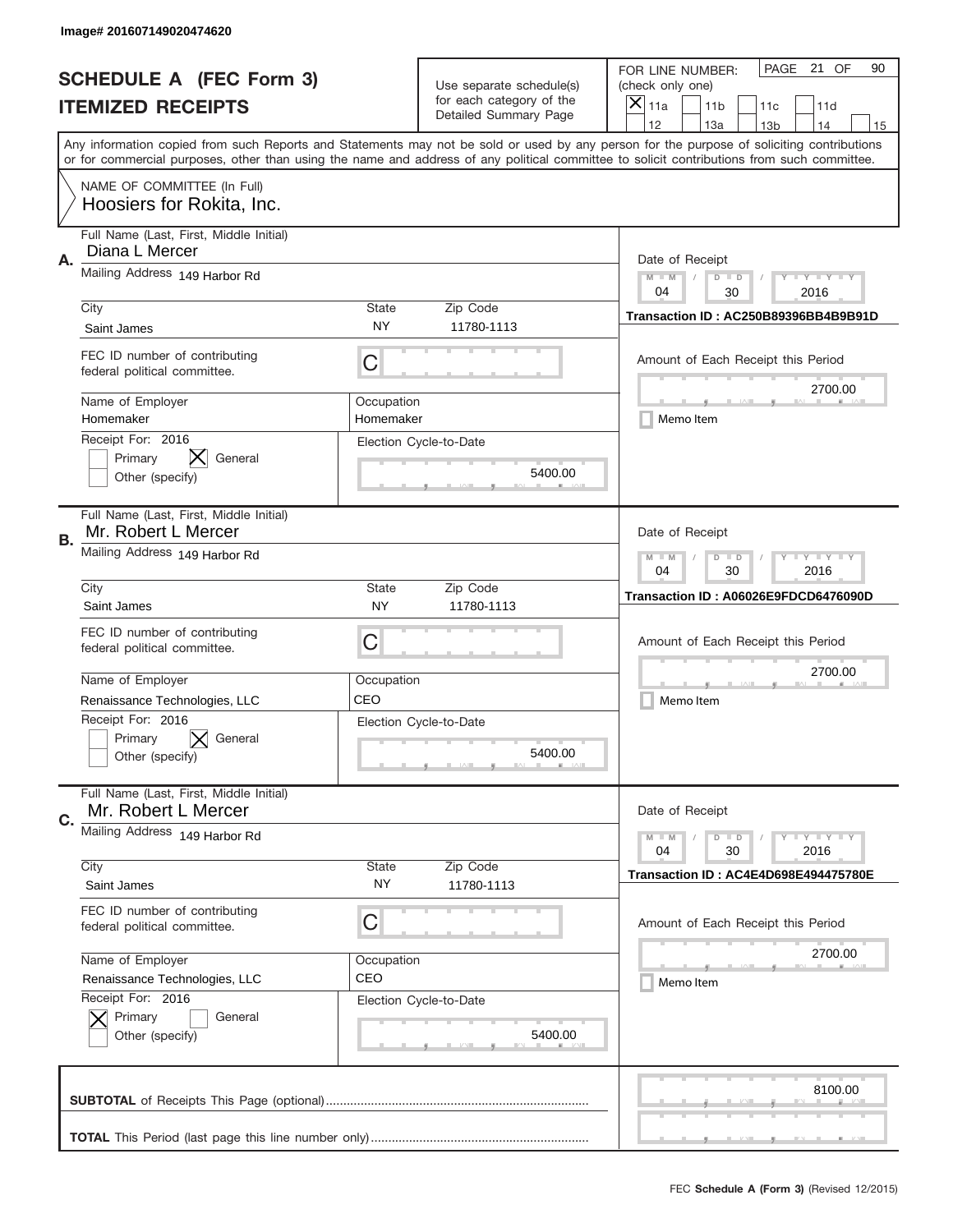|    | Image# 201607149020474620                                      |                                                                                                                       |                                                   |                                                                                                                                                                                                                                                                                                                                     |
|----|----------------------------------------------------------------|-----------------------------------------------------------------------------------------------------------------------|---------------------------------------------------|-------------------------------------------------------------------------------------------------------------------------------------------------------------------------------------------------------------------------------------------------------------------------------------------------------------------------------------|
|    | <b>SCHEDULE A (FEC Form 3)</b>                                 |                                                                                                                       | Use separate schedule(s)                          | PAGE 21 OF<br>90<br>FOR LINE NUMBER:<br>(check only one)                                                                                                                                                                                                                                                                            |
|    | <b>ITEMIZED RECEIPTS</b>                                       |                                                                                                                       | for each category of the<br>Detailed Summary Page | $\times$<br>11a<br>11 <sub>b</sub><br>11c<br>11d                                                                                                                                                                                                                                                                                    |
|    |                                                                |                                                                                                                       |                                                   | 12<br>13a<br>14<br>13 <sub>b</sub><br>15<br>Any information copied from such Reports and Statements may not be sold or used by any person for the purpose of soliciting contributions<br>or for commercial purposes, other than using the name and address of any political committee to solicit contributions from such committee. |
|    | NAME OF COMMITTEE (In Full)<br>Hoosiers for Rokita, Inc.       |                                                                                                                       |                                                   |                                                                                                                                                                                                                                                                                                                                     |
| Α. | Full Name (Last, First, Middle Initial)<br>Diana L Mercer      |                                                                                                                       |                                                   | Date of Receipt                                                                                                                                                                                                                                                                                                                     |
|    | Mailing Address 149 Harbor Rd                                  |                                                                                                                       |                                                   | <b>LY LY LY</b><br>$M - M$<br>$D$ $D$<br>04<br>30<br>2016                                                                                                                                                                                                                                                                           |
|    | City<br>Saint James                                            | State<br><b>NY</b>                                                                                                    | Zip Code<br>11780-1113                            | Transaction ID: AC250B89396BB4B9B91D                                                                                                                                                                                                                                                                                                |
|    | FEC ID number of contributing<br>federal political committee.  | C                                                                                                                     |                                                   | Amount of Each Receipt this Period<br>2700.00                                                                                                                                                                                                                                                                                       |
|    | Name of Employer<br>Homemaker                                  | Occupation<br>Homemaker                                                                                               |                                                   | Memo Item                                                                                                                                                                                                                                                                                                                           |
|    | Receipt For: 2016<br>General<br>Primary<br>Other (specify)     |                                                                                                                       | Election Cycle-to-Date<br>5400.00                 |                                                                                                                                                                                                                                                                                                                                     |
| В. | Full Name (Last, First, Middle Initial)<br>Mr. Robert L Mercer |                                                                                                                       |                                                   | Date of Receipt                                                                                                                                                                                                                                                                                                                     |
|    | Mailing Address 149 Harbor Rd                                  | $\mathbf{I}$ $\mathbf{Y}$ $\mathbf{I}$ $\mathbf{Y}$ $\mathbf{I}$ $\mathbf{Y}$<br>$M$ M<br>$D$ $D$<br>04<br>30<br>2016 |                                                   |                                                                                                                                                                                                                                                                                                                                     |
|    | City<br>Saint James                                            | State<br><b>NY</b>                                                                                                    | Zip Code<br>11780-1113                            | Transaction ID: A06026E9FDCD6476090D                                                                                                                                                                                                                                                                                                |
|    | FEC ID number of contributing<br>federal political committee.  | C                                                                                                                     |                                                   | Amount of Each Receipt this Period                                                                                                                                                                                                                                                                                                  |
|    | Name of Employer<br>Renaissance Technologies, LLC              | Occupation<br>CEO                                                                                                     |                                                   | 2700.00<br>Memo Item                                                                                                                                                                                                                                                                                                                |
|    | Receipt For: 2016<br>General<br>Primary<br>Other (specify)     |                                                                                                                       | Election Cycle-to-Date<br>5400.00                 |                                                                                                                                                                                                                                                                                                                                     |
| C. | Full Name (Last, First, Middle Initial)<br>Mr. Robert L Mercer |                                                                                                                       |                                                   | Date of Receipt                                                                                                                                                                                                                                                                                                                     |
|    | Mailing Address 149 Harbor Rd<br>City                          |                                                                                                                       |                                                   | $\mathbf{I}$ $\mathbf{Y}$ $\mathbf{I}$ $\mathbf{Y}$ $\mathbf{I}$ $\mathbf{Y}$<br>$M - M$<br>$D$ $D$<br>2016<br>04<br>30                                                                                                                                                                                                             |
|    |                                                                | State                                                                                                                 | Zip Code                                          | Transaction ID: AC4E4D698E494475780E                                                                                                                                                                                                                                                                                                |
|    | Saint James                                                    | NY.                                                                                                                   | 11780-1113                                        |                                                                                                                                                                                                                                                                                                                                     |
|    | FEC ID number of contributing<br>federal political committee.  | C                                                                                                                     |                                                   | Amount of Each Receipt this Period                                                                                                                                                                                                                                                                                                  |
|    | Name of Employer<br>Renaissance Technologies, LLC              | Occupation<br>CEO                                                                                                     |                                                   | 2700.00<br>Memo Item                                                                                                                                                                                                                                                                                                                |
|    | Receipt For: 2016<br>Primary<br>General<br>Other (specify)     |                                                                                                                       | Election Cycle-to-Date<br>5400.00                 |                                                                                                                                                                                                                                                                                                                                     |
|    |                                                                |                                                                                                                       |                                                   | 8100.00                                                                                                                                                                                                                                                                                                                             |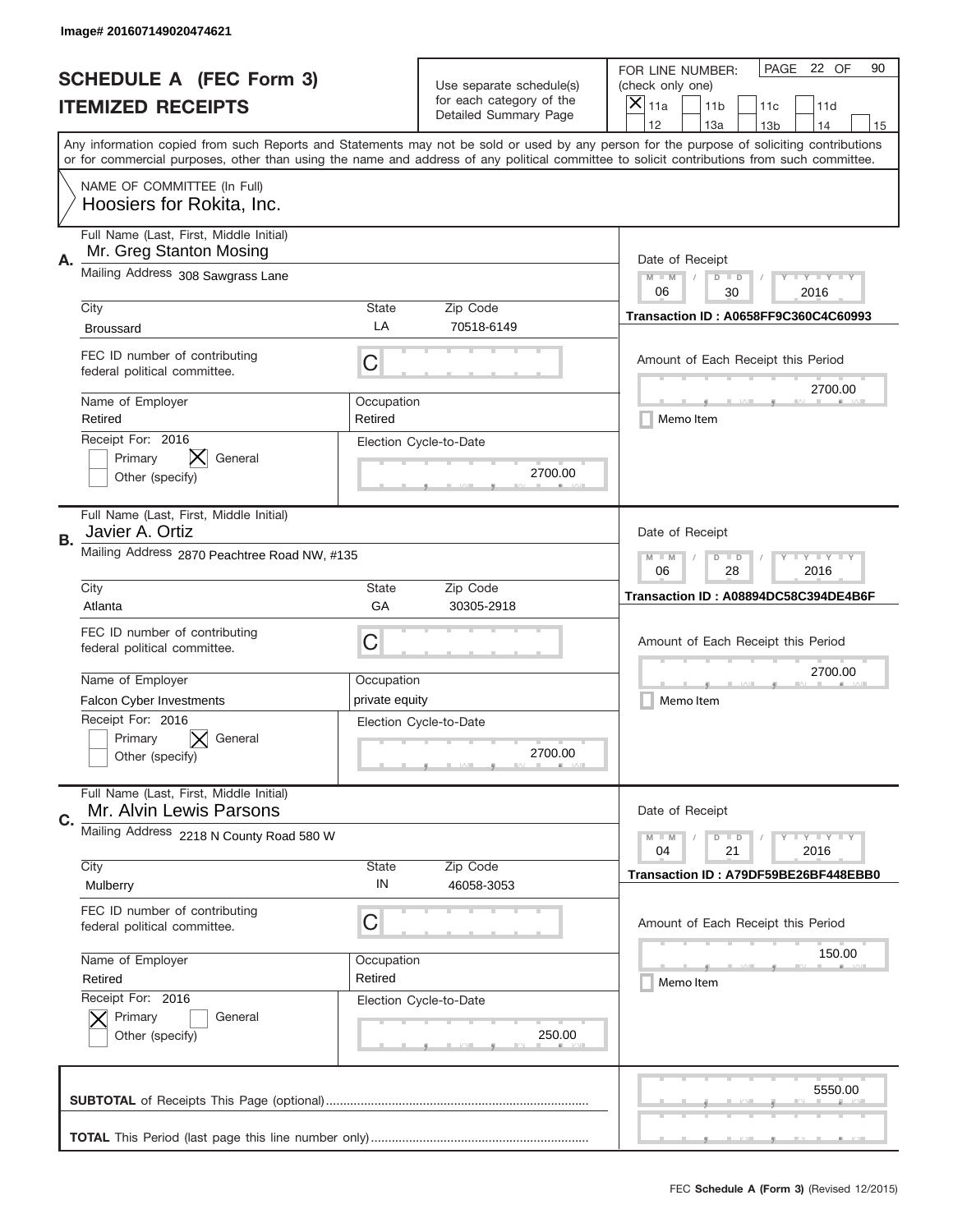|    | Image# 201607149020474621                                          |                                                         |                                                   |                                                                                                                                                                                                                                                                                                                                     |
|----|--------------------------------------------------------------------|---------------------------------------------------------|---------------------------------------------------|-------------------------------------------------------------------------------------------------------------------------------------------------------------------------------------------------------------------------------------------------------------------------------------------------------------------------------------|
|    | <b>SCHEDULE A (FEC Form 3)</b>                                     |                                                         | Use separate schedule(s)                          | PAGE 22 OF<br>90<br>FOR LINE NUMBER:<br>(check only one)                                                                                                                                                                                                                                                                            |
|    | <b>ITEMIZED RECEIPTS</b>                                           |                                                         | for each category of the<br>Detailed Summary Page | $\times$<br>11a<br>11 <sub>b</sub><br>11c<br>11d                                                                                                                                                                                                                                                                                    |
|    |                                                                    |                                                         |                                                   | 12<br>13a<br>14<br>13 <sub>b</sub><br>15<br>Any information copied from such Reports and Statements may not be sold or used by any person for the purpose of soliciting contributions<br>or for commercial purposes, other than using the name and address of any political committee to solicit contributions from such committee. |
|    | NAME OF COMMITTEE (In Full)<br>Hoosiers for Rokita, Inc.           |                                                         |                                                   |                                                                                                                                                                                                                                                                                                                                     |
| Α. | Full Name (Last, First, Middle Initial)<br>Mr. Greg Stanton Mosing |                                                         |                                                   | Date of Receipt                                                                                                                                                                                                                                                                                                                     |
|    | Mailing Address 308 Sawgrass Lane                                  |                                                         |                                                   | $M$ $M$<br><b>TEYTEY LIY</b><br>$D$ $D$<br>06<br>30<br>2016                                                                                                                                                                                                                                                                         |
|    | City<br><b>Broussard</b>                                           | State<br>LA                                             | Zip Code<br>70518-6149                            | <b>Transaction ID: A0658FF9C360C4C60993</b>                                                                                                                                                                                                                                                                                         |
|    | FEC ID number of contributing<br>federal political committee.      | C                                                       |                                                   | Amount of Each Receipt this Period<br>2700.00                                                                                                                                                                                                                                                                                       |
|    | Name of Employer<br>Retired                                        | Occupation<br>Retired                                   |                                                   | Memo Item                                                                                                                                                                                                                                                                                                                           |
|    | Receipt For: 2016<br>Primary<br>General<br>Other (specify)         |                                                         | Election Cycle-to-Date<br>2700.00                 |                                                                                                                                                                                                                                                                                                                                     |
| В. | Full Name (Last, First, Middle Initial)<br>Javier A. Ortiz         |                                                         |                                                   | Date of Receipt                                                                                                                                                                                                                                                                                                                     |
|    | Mailing Address 2870 Peachtree Road NW, #135                       | <b>LYLYLY</b><br>$M - M$<br>$D$ $D$<br>06<br>28<br>2016 |                                                   |                                                                                                                                                                                                                                                                                                                                     |
|    | City<br>Atlanta                                                    | <b>State</b><br>GA                                      | Zip Code<br>30305-2918                            | Transaction ID: A08894DC58C394DE4B6F                                                                                                                                                                                                                                                                                                |
|    | FEC ID number of contributing<br>federal political committee.      | C                                                       |                                                   | Amount of Each Receipt this Period                                                                                                                                                                                                                                                                                                  |
|    | Name of Employer                                                   | Occupation                                              |                                                   | 2700.00                                                                                                                                                                                                                                                                                                                             |
|    | <b>Falcon Cyber Investments</b>                                    | private equity                                          |                                                   | Memo Item                                                                                                                                                                                                                                                                                                                           |
|    | Receipt For: 2016<br>Primary<br>General<br>Other (specify)         |                                                         | Election Cycle-to-Date<br>2700.00                 |                                                                                                                                                                                                                                                                                                                                     |
| C. | Full Name (Last, First, Middle Initial)<br>Mr. Alvin Lewis Parsons |                                                         |                                                   | Date of Receipt                                                                                                                                                                                                                                                                                                                     |
|    | Mailing Address 2218 N County Road 580 W                           | <b>LYLYLY</b><br>$M - M$<br>$D$ $D$<br>04<br>2016<br>21 |                                                   |                                                                                                                                                                                                                                                                                                                                     |
|    | City<br>Mulberry                                                   | State<br>IN                                             | Zip Code<br>46058-3053                            | Transaction ID: A79DF59BE26BF448EBB0                                                                                                                                                                                                                                                                                                |
|    | FEC ID number of contributing<br>federal political committee.      | C                                                       |                                                   | Amount of Each Receipt this Period                                                                                                                                                                                                                                                                                                  |
|    | Name of Employer                                                   | Occupation                                              |                                                   | 150.00                                                                                                                                                                                                                                                                                                                              |
|    | Retired                                                            | Retired                                                 |                                                   | Memo Item                                                                                                                                                                                                                                                                                                                           |
|    | Receipt For: 2016<br>Primary<br>General<br>Other (specify)         |                                                         | Election Cycle-to-Date<br>250.00                  |                                                                                                                                                                                                                                                                                                                                     |
|    |                                                                    |                                                         |                                                   | 5550.00                                                                                                                                                                                                                                                                                                                             |
|    |                                                                    |                                                         |                                                   | __                                                                                                                                                                                                                                                                                                                                  |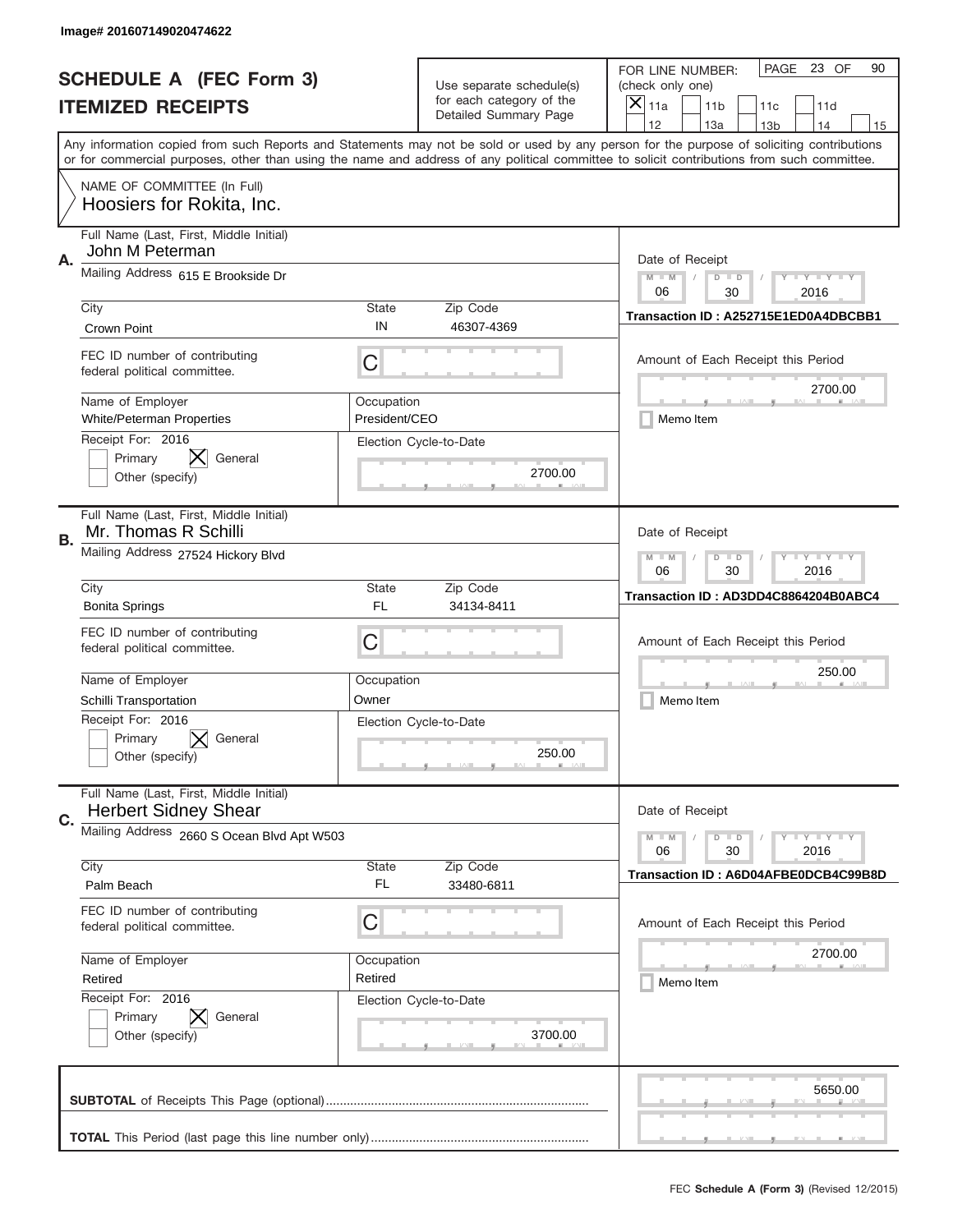|           | Image# 201607149020474622                                              |                                                           |                                                   |                                                                                                                                                                                                                                                                                         |
|-----------|------------------------------------------------------------------------|-----------------------------------------------------------|---------------------------------------------------|-----------------------------------------------------------------------------------------------------------------------------------------------------------------------------------------------------------------------------------------------------------------------------------------|
|           | <b>SCHEDULE A (FEC Form 3)</b>                                         |                                                           | Use separate schedule(s)                          | PAGE 23 OF<br>90<br>FOR LINE NUMBER:<br>(check only one)                                                                                                                                                                                                                                |
|           | <b>ITEMIZED RECEIPTS</b>                                               |                                                           | for each category of the<br>Detailed Summary Page | $\times$<br>11a<br>11 <sub>b</sub><br>11c<br>11d                                                                                                                                                                                                                                        |
|           |                                                                        |                                                           |                                                   | 12<br>13a<br>14<br>13 <sub>b</sub><br>15                                                                                                                                                                                                                                                |
|           |                                                                        |                                                           |                                                   | Any information copied from such Reports and Statements may not be sold or used by any person for the purpose of soliciting contributions<br>or for commercial purposes, other than using the name and address of any political committee to solicit contributions from such committee. |
|           | NAME OF COMMITTEE (In Full)<br>Hoosiers for Rokita, Inc.               |                                                           |                                                   |                                                                                                                                                                                                                                                                                         |
| Α.        | Full Name (Last, First, Middle Initial)<br>John M Peterman             |                                                           |                                                   | Date of Receipt                                                                                                                                                                                                                                                                         |
|           | Mailing Address 615 E Brookside Dr                                     | $M$ $M$<br><b>LY LY LY</b><br>$D$ $D$<br>06<br>30<br>2016 |                                                   |                                                                                                                                                                                                                                                                                         |
|           | City<br>Crown Point                                                    | State<br>IN                                               | Zip Code<br>46307-4369                            | Transaction ID: A252715E1ED0A4DBCBB1                                                                                                                                                                                                                                                    |
|           | FEC ID number of contributing<br>federal political committee.          | C                                                         |                                                   | Amount of Each Receipt this Period<br>2700.00                                                                                                                                                                                                                                           |
|           | Name of Employer<br><b>White/Peterman Properties</b>                   | Occupation<br>President/CEO                               |                                                   | Memo Item                                                                                                                                                                                                                                                                               |
|           | Receipt For: 2016<br>Primary<br>General<br>Other (specify)             |                                                           | Election Cycle-to-Date<br>2700.00                 |                                                                                                                                                                                                                                                                                         |
| <b>B.</b> | Full Name (Last, First, Middle Initial)<br>Mr. Thomas R Schilli        |                                                           |                                                   | Date of Receipt                                                                                                                                                                                                                                                                         |
|           | Mailing Address 27524 Hickory Blvd                                     | $M - M$<br><b>LYLYLY</b><br>$D$ $D$<br>06<br>30<br>2016   |                                                   |                                                                                                                                                                                                                                                                                         |
|           | City<br><b>Bonita Springs</b>                                          | State<br><b>FL</b>                                        | Zip Code<br>34134-8411                            | Transaction ID: AD3DD4C8864204B0ABC4                                                                                                                                                                                                                                                    |
|           | FEC ID number of contributing<br>federal political committee.          | C                                                         |                                                   | Amount of Each Receipt this Period                                                                                                                                                                                                                                                      |
|           | Name of Employer                                                       | Occupation                                                |                                                   | 250.00                                                                                                                                                                                                                                                                                  |
|           | Schilli Transportation                                                 | Owner                                                     |                                                   | Memo Item                                                                                                                                                                                                                                                                               |
|           | Receipt For: 2016<br>Primary<br>General<br>Other (specify)             |                                                           | Election Cycle-to-Date<br>250.00                  |                                                                                                                                                                                                                                                                                         |
| C.        | Full Name (Last, First, Middle Initial)<br><b>Herbert Sidney Shear</b> |                                                           |                                                   | Date of Receipt                                                                                                                                                                                                                                                                         |
|           | Mailing Address 2660 S Ocean Blvd Apt W503                             |                                                           |                                                   | <b>LYLYLY</b><br>$M - M$<br>$D$ $D$<br>06<br>30<br>2016                                                                                                                                                                                                                                 |
|           | City<br>Palm Beach                                                     | <b>State</b><br>FL                                        | Zip Code<br>33480-6811                            | Transaction ID: A6D04AFBE0DCB4C99B8D                                                                                                                                                                                                                                                    |
|           | FEC ID number of contributing<br>federal political committee.          | C                                                         |                                                   | Amount of Each Receipt this Period                                                                                                                                                                                                                                                      |
|           | Name of Employer                                                       | Occupation                                                |                                                   | 2700.00                                                                                                                                                                                                                                                                                 |
|           | Retired                                                                | Retired                                                   |                                                   | Memo Item                                                                                                                                                                                                                                                                               |
|           | Receipt For: 2016<br>Primary<br>General<br>Other (specify)             |                                                           | Election Cycle-to-Date<br>3700.00                 |                                                                                                                                                                                                                                                                                         |
|           |                                                                        |                                                           |                                                   | 5650.00                                                                                                                                                                                                                                                                                 |
|           |                                                                        |                                                           |                                                   |                                                                                                                                                                                                                                                                                         |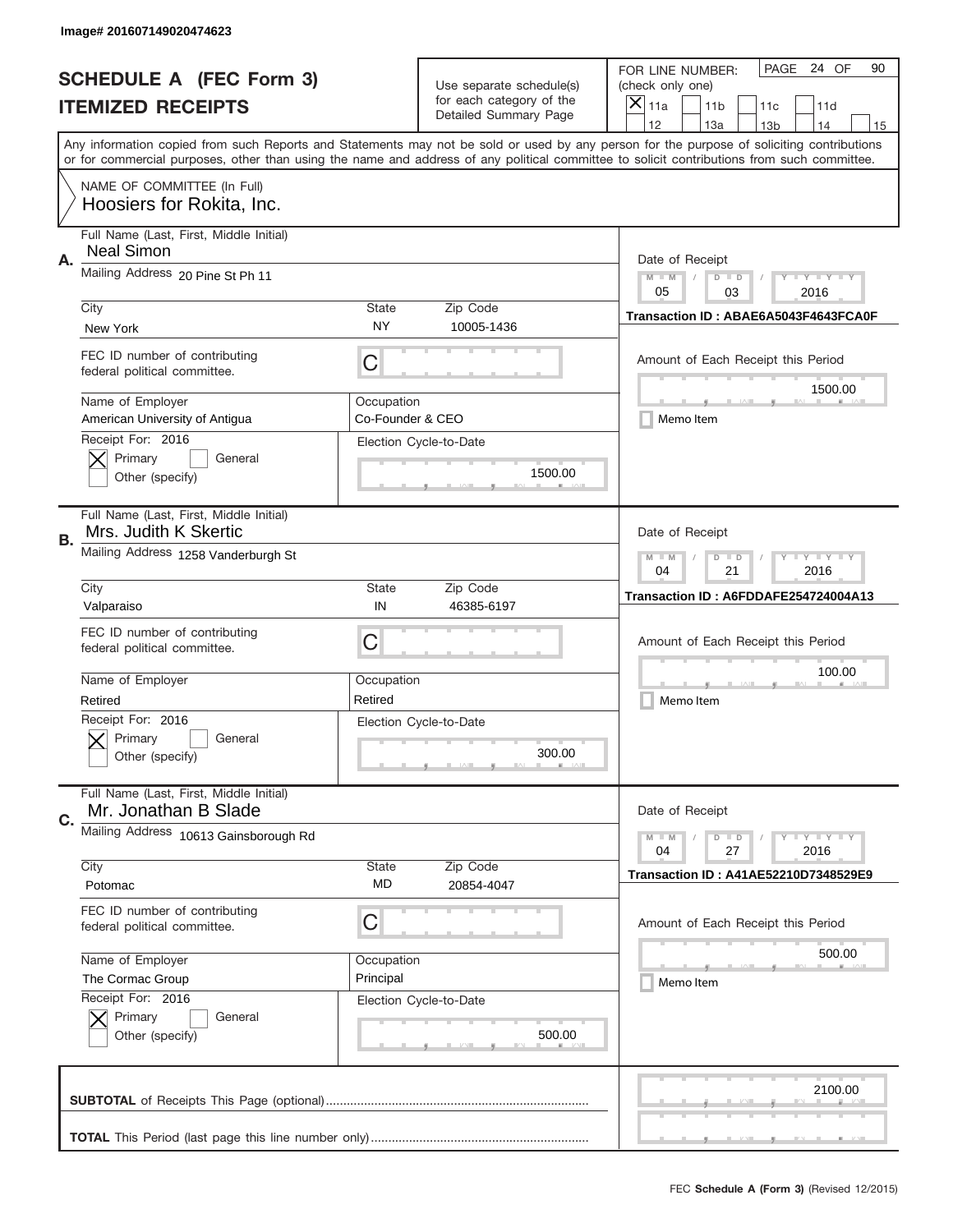|                          | Image# 201607149020474623                                        |                                                                                                                         |                                                   |                                                                                                                                                                                                                                                                                                                                     |
|--------------------------|------------------------------------------------------------------|-------------------------------------------------------------------------------------------------------------------------|---------------------------------------------------|-------------------------------------------------------------------------------------------------------------------------------------------------------------------------------------------------------------------------------------------------------------------------------------------------------------------------------------|
|                          | <b>SCHEDULE A (FEC Form 3)</b>                                   |                                                                                                                         | Use separate schedule(s)                          | PAGE 24 OF<br>90<br>FOR LINE NUMBER:<br>(check only one)                                                                                                                                                                                                                                                                            |
| <b>ITEMIZED RECEIPTS</b> |                                                                  |                                                                                                                         | for each category of the<br>Detailed Summary Page | ×<br>11a<br>11 <sub>b</sub><br>11c<br>11d                                                                                                                                                                                                                                                                                           |
|                          |                                                                  |                                                                                                                         |                                                   | 12<br>13a<br>14<br>13 <sub>b</sub><br>15<br>Any information copied from such Reports and Statements may not be sold or used by any person for the purpose of soliciting contributions<br>or for commercial purposes, other than using the name and address of any political committee to solicit contributions from such committee. |
|                          | NAME OF COMMITTEE (In Full)<br>Hoosiers for Rokita, Inc.         |                                                                                                                         |                                                   |                                                                                                                                                                                                                                                                                                                                     |
| Α.                       | Full Name (Last, First, Middle Initial)<br><b>Neal Simon</b>     |                                                                                                                         |                                                   | Date of Receipt                                                                                                                                                                                                                                                                                                                     |
|                          | Mailing Address 20 Pine St Ph 11                                 | $M - M$<br>$\mathbf{I}$ $\mathbf{Y}$ $\mathbf{I}$ $\mathbf{Y}$ $\mathbf{I}$ $\mathbf{Y}$<br>$D$ $D$<br>05<br>03<br>2016 |                                                   |                                                                                                                                                                                                                                                                                                                                     |
|                          | City<br>New York                                                 | State<br>NY                                                                                                             | Zip Code<br>10005-1436                            | Transaction ID: ABAE6A5043F4643FCA0F                                                                                                                                                                                                                                                                                                |
|                          | FEC ID number of contributing<br>federal political committee.    | C                                                                                                                       |                                                   | Amount of Each Receipt this Period<br>1500.00                                                                                                                                                                                                                                                                                       |
|                          | Name of Employer<br>American University of Antigua               | Occupation<br>Co-Founder & CEO                                                                                          |                                                   | Memo Item                                                                                                                                                                                                                                                                                                                           |
|                          | Receipt For: 2016<br>Primary<br>General<br>Other (specify)       |                                                                                                                         | Election Cycle-to-Date<br>1500.00                 |                                                                                                                                                                                                                                                                                                                                     |
| <b>B.</b>                | Full Name (Last, First, Middle Initial)<br>Mrs. Judith K Skertic |                                                                                                                         |                                                   | Date of Receipt                                                                                                                                                                                                                                                                                                                     |
|                          | Mailing Address 1258 Vanderburgh St                              | $\mathbf{I}$ $\mathbf{Y}$ $\mathbf{I}$ $\mathbf{Y}$ $\mathbf{I}$ $\mathbf{Y}$<br>$M - M$<br>$D$ $D$<br>04<br>21<br>2016 |                                                   |                                                                                                                                                                                                                                                                                                                                     |
|                          | City<br>Valparaiso                                               | State<br>IN                                                                                                             | Zip Code<br>46385-6197                            | Transaction ID: A6FDDAFE254724004A13                                                                                                                                                                                                                                                                                                |
|                          | FEC ID number of contributing<br>federal political committee.    | C                                                                                                                       |                                                   | Amount of Each Receipt this Period                                                                                                                                                                                                                                                                                                  |
|                          | Name of Employer<br>Retired                                      | Occupation<br>Retired                                                                                                   |                                                   | 100.00<br>Memo Item                                                                                                                                                                                                                                                                                                                 |
|                          | Receipt For: 2016<br>General<br>Primary<br>Other (specify)       |                                                                                                                         | Election Cycle-to-Date<br>300.00                  |                                                                                                                                                                                                                                                                                                                                     |
| C.                       | Full Name (Last, First, Middle Initial)<br>Mr. Jonathan B Slade  |                                                                                                                         |                                                   | Date of Receipt                                                                                                                                                                                                                                                                                                                     |
|                          | Mailing Address 10613 Gainsborough Rd                            |                                                                                                                         |                                                   | $I - Y - I - Y - I - Y$<br>$M - M$<br>$D$ $D$<br>2016<br>04<br>27                                                                                                                                                                                                                                                                   |
|                          | City<br>Potomac                                                  | State<br>MD                                                                                                             | Zip Code<br>20854-4047                            | <b>Transaction ID: A41AE52210D7348529E9</b>                                                                                                                                                                                                                                                                                         |
|                          | FEC ID number of contributing<br>federal political committee.    | С                                                                                                                       |                                                   | Amount of Each Receipt this Period                                                                                                                                                                                                                                                                                                  |
|                          | Name of Employer<br>The Cormac Group                             | Occupation<br>Principal                                                                                                 |                                                   | 500.00<br>Memo Item                                                                                                                                                                                                                                                                                                                 |
|                          | Receipt For: 2016<br>Primary<br>General<br>Other (specify)       |                                                                                                                         | Election Cycle-to-Date<br>500.00                  |                                                                                                                                                                                                                                                                                                                                     |
|                          |                                                                  |                                                                                                                         |                                                   | 2100.00                                                                                                                                                                                                                                                                                                                             |
|                          |                                                                  |                                                                                                                         |                                                   |                                                                                                                                                                                                                                                                                                                                     |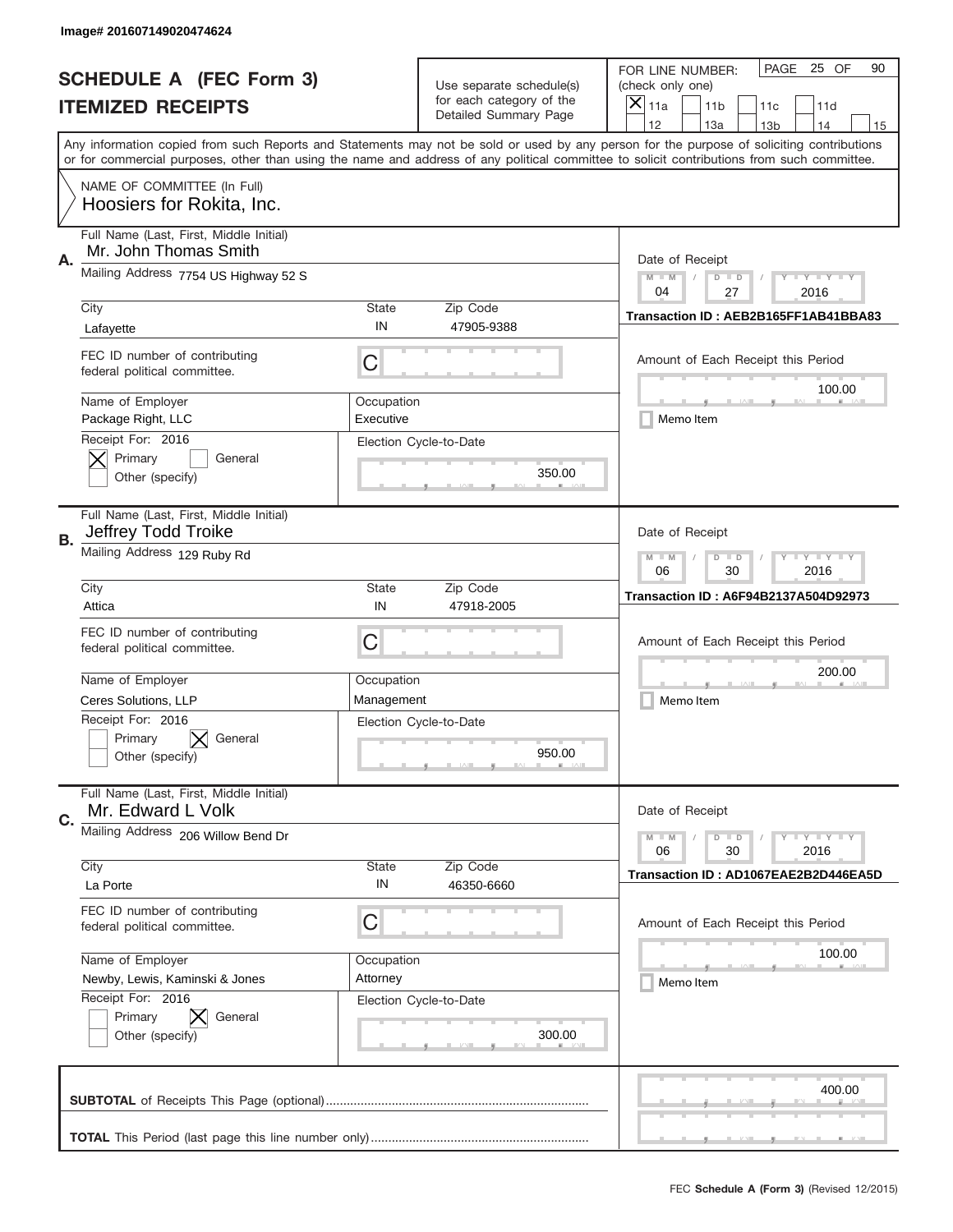|                          | Image# 201607149020474624                                        |                                                             |                                  |                                                                                                                                                                                                                                                                                         |  |
|--------------------------|------------------------------------------------------------------|-------------------------------------------------------------|----------------------------------|-----------------------------------------------------------------------------------------------------------------------------------------------------------------------------------------------------------------------------------------------------------------------------------------|--|
|                          | <b>SCHEDULE A (FEC Form 3)</b>                                   |                                                             | Use separate schedule(s)         | PAGE<br>25 OF<br>90<br>FOR LINE NUMBER:<br>(check only one)                                                                                                                                                                                                                             |  |
| <b>ITEMIZED RECEIPTS</b> |                                                                  |                                                             | for each category of the         | $\times$<br>11a<br>11 <sub>b</sub><br>11c<br>11d                                                                                                                                                                                                                                        |  |
|                          |                                                                  |                                                             | Detailed Summary Page            | 12<br>13a<br>14<br>13 <sub>b</sub><br>15                                                                                                                                                                                                                                                |  |
|                          |                                                                  |                                                             |                                  | Any information copied from such Reports and Statements may not be sold or used by any person for the purpose of soliciting contributions<br>or for commercial purposes, other than using the name and address of any political committee to solicit contributions from such committee. |  |
|                          | NAME OF COMMITTEE (In Full)<br>Hoosiers for Rokita, Inc.         |                                                             |                                  |                                                                                                                                                                                                                                                                                         |  |
| Α.                       | Full Name (Last, First, Middle Initial)<br>Mr. John Thomas Smith |                                                             |                                  | Date of Receipt                                                                                                                                                                                                                                                                         |  |
|                          | Mailing Address 7754 US Highway 52 S                             | $M$ $M$<br>$D$ $D$<br><b>TEYTEY LIY</b><br>27<br>04<br>2016 |                                  |                                                                                                                                                                                                                                                                                         |  |
|                          | City<br>Lafayette                                                | State<br>IN                                                 | Zip Code<br>47905-9388           | Transaction ID: AEB2B165FF1AB41BBA83                                                                                                                                                                                                                                                    |  |
|                          | FEC ID number of contributing<br>federal political committee.    | C                                                           |                                  | Amount of Each Receipt this Period<br>100.00                                                                                                                                                                                                                                            |  |
|                          | Name of Employer<br>Package Right, LLC                           | Occupation<br>Executive                                     |                                  | Memo Item                                                                                                                                                                                                                                                                               |  |
|                          | Receipt For: 2016<br>Primary<br>General<br>Other (specify)       |                                                             | Election Cycle-to-Date<br>350.00 |                                                                                                                                                                                                                                                                                         |  |
| <b>B.</b>                | Full Name (Last, First, Middle Initial)<br>Jeffrey Todd Troike   |                                                             |                                  | Date of Receipt                                                                                                                                                                                                                                                                         |  |
|                          | Mailing Address 129 Ruby Rd                                      | $M - M$<br><b>LY LY LY</b><br>$D$ $D$<br>06<br>30<br>2016   |                                  |                                                                                                                                                                                                                                                                                         |  |
|                          | City<br>Attica                                                   | <b>State</b><br>IN                                          | Zip Code<br>47918-2005           | Transaction ID: A6F94B2137A504D92973                                                                                                                                                                                                                                                    |  |
|                          | FEC ID number of contributing<br>federal political committee.    | C                                                           |                                  | Amount of Each Receipt this Period                                                                                                                                                                                                                                                      |  |
|                          | Name of Employer                                                 | Occupation                                                  |                                  | 200.00                                                                                                                                                                                                                                                                                  |  |
|                          | Ceres Solutions, LLP                                             | Management                                                  |                                  | Memo Item                                                                                                                                                                                                                                                                               |  |
|                          | Receipt For: 2016<br>Primary<br>General<br>Other (specify)       |                                                             | Election Cycle-to-Date<br>950.00 |                                                                                                                                                                                                                                                                                         |  |
| C.                       | Full Name (Last, First, Middle Initial)<br>Mr. Edward L Volk     |                                                             |                                  | Date of Receipt                                                                                                                                                                                                                                                                         |  |
|                          | Mailing Address 206 Willow Bend Dr                               |                                                             |                                  | $D$ $D$<br><b>LYLYLY</b><br>$M - M$<br>06<br>30<br>2016                                                                                                                                                                                                                                 |  |
|                          | City<br>La Porte                                                 | <b>State</b><br>IN                                          | Zip Code<br>46350-6660           | Transaction ID: AD1067EAE2B2D446EA5D                                                                                                                                                                                                                                                    |  |
|                          | FEC ID number of contributing<br>federal political committee.    | C                                                           |                                  | Amount of Each Receipt this Period                                                                                                                                                                                                                                                      |  |
|                          | Name of Employer                                                 | Occupation                                                  |                                  | 100.00                                                                                                                                                                                                                                                                                  |  |
|                          | Newby, Lewis, Kaminski & Jones                                   | Attorney                                                    |                                  | Memo Item                                                                                                                                                                                                                                                                               |  |
|                          | Receipt For: 2016<br>Primary<br>General<br>Other (specify)       |                                                             | Election Cycle-to-Date<br>300.00 |                                                                                                                                                                                                                                                                                         |  |
|                          |                                                                  |                                                             |                                  | 400.00                                                                                                                                                                                                                                                                                  |  |
|                          |                                                                  |                                                             |                                  |                                                                                                                                                                                                                                                                                         |  |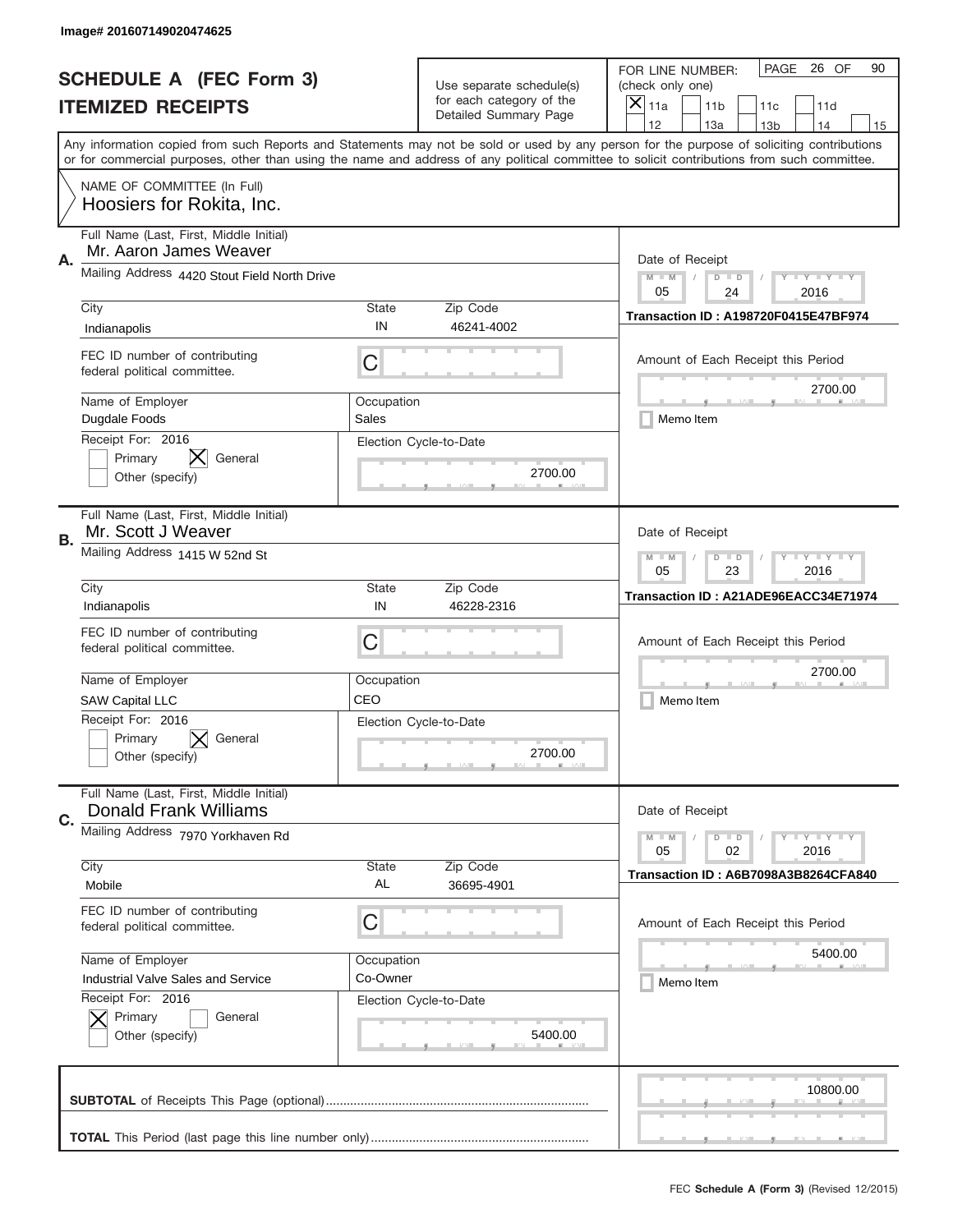|           | Image# 201607149020474625                                               |                                                                                                                         |                                                   |                                                                                                                                                                                                                                                                                                                                     |
|-----------|-------------------------------------------------------------------------|-------------------------------------------------------------------------------------------------------------------------|---------------------------------------------------|-------------------------------------------------------------------------------------------------------------------------------------------------------------------------------------------------------------------------------------------------------------------------------------------------------------------------------------|
|           | <b>SCHEDULE A (FEC Form 3)</b>                                          |                                                                                                                         | Use separate schedule(s)                          | PAGE 26 OF<br>90<br>FOR LINE NUMBER:<br>(check only one)                                                                                                                                                                                                                                                                            |
|           | <b>ITEMIZED RECEIPTS</b>                                                |                                                                                                                         | for each category of the<br>Detailed Summary Page | ×<br>11a<br>11 <sub>b</sub><br>11c<br>11d                                                                                                                                                                                                                                                                                           |
|           |                                                                         |                                                                                                                         |                                                   | 12<br>13a<br>14<br>13 <sub>b</sub><br>15<br>Any information copied from such Reports and Statements may not be sold or used by any person for the purpose of soliciting contributions<br>or for commercial purposes, other than using the name and address of any political committee to solicit contributions from such committee. |
|           | NAME OF COMMITTEE (In Full)<br>Hoosiers for Rokita, Inc.                |                                                                                                                         |                                                   |                                                                                                                                                                                                                                                                                                                                     |
| Α.        | Full Name (Last, First, Middle Initial)<br>Mr. Aaron James Weaver       |                                                                                                                         |                                                   | Date of Receipt                                                                                                                                                                                                                                                                                                                     |
|           | Mailing Address 4420 Stout Field North Drive                            | $M - M$<br>$\mathbf{I}$ $\mathbf{Y}$ $\mathbf{I}$ $\mathbf{Y}$ $\mathbf{I}$ $\mathbf{Y}$<br>$D$ $D$<br>05<br>24<br>2016 |                                                   |                                                                                                                                                                                                                                                                                                                                     |
|           | City<br>Indianapolis                                                    | State<br>IN                                                                                                             | Zip Code<br>46241-4002                            | <b>Transaction ID: A198720F0415E47BF974</b>                                                                                                                                                                                                                                                                                         |
|           | FEC ID number of contributing<br>federal political committee.           | C                                                                                                                       |                                                   | Amount of Each Receipt this Period<br>2700.00                                                                                                                                                                                                                                                                                       |
|           | Name of Employer<br>Dugdale Foods                                       | Occupation<br>Sales                                                                                                     |                                                   | Memo Item                                                                                                                                                                                                                                                                                                                           |
|           | Receipt For: 2016<br>Primary<br>General<br>Other (specify)              |                                                                                                                         | Election Cycle-to-Date<br>2700.00                 |                                                                                                                                                                                                                                                                                                                                     |
| <b>B.</b> | Full Name (Last, First, Middle Initial)<br>Mr. Scott J Weaver           |                                                                                                                         |                                                   | Date of Receipt                                                                                                                                                                                                                                                                                                                     |
|           | Mailing Address 1415 W 52nd St                                          | $M - M$<br>$\mathbf{I}$ $\mathbf{Y}$ $\mathbf{I}$ $\mathbf{Y}$ $\mathbf{I}$ $\mathbf{Y}$<br>$D$ $D$<br>05<br>23<br>2016 |                                                   |                                                                                                                                                                                                                                                                                                                                     |
|           | City<br>Indianapolis                                                    | State<br>IN                                                                                                             | Zip Code<br>46228-2316                            | Transaction ID: A21ADE96EACC34E71974                                                                                                                                                                                                                                                                                                |
|           | FEC ID number of contributing<br>federal political committee.           | C                                                                                                                       |                                                   | Amount of Each Receipt this Period                                                                                                                                                                                                                                                                                                  |
|           | Name of Employer<br><b>SAW Capital LLC</b>                              | Occupation<br>CEO                                                                                                       |                                                   | 2700.00<br>Memo Item                                                                                                                                                                                                                                                                                                                |
|           | Receipt For: 2016<br>Primary<br>General<br>Other (specify)              |                                                                                                                         | Election Cycle-to-Date<br>2700.00                 |                                                                                                                                                                                                                                                                                                                                     |
| C.        | Full Name (Last, First, Middle Initial)<br><b>Donald Frank Williams</b> |                                                                                                                         |                                                   | Date of Receipt                                                                                                                                                                                                                                                                                                                     |
|           | Mailing Address 7970 Yorkhaven Rd                                       |                                                                                                                         |                                                   | $\mathbf{I}$ $\mathbf{Y}$ $\mathbf{I}$ $\mathbf{Y}$ $\mathbf{I}$ $\mathbf{Y}$<br>$M - M$<br>$D$ $D$<br>2016<br>05<br>02                                                                                                                                                                                                             |
|           | City<br>Mobile                                                          | State<br>AL                                                                                                             | Zip Code<br>36695-4901                            | Transaction ID: A6B7098A3B8264CFA840                                                                                                                                                                                                                                                                                                |
|           | FEC ID number of contributing<br>federal political committee.           | С                                                                                                                       |                                                   | Amount of Each Receipt this Period                                                                                                                                                                                                                                                                                                  |
|           | Name of Employer<br>Industrial Valve Sales and Service                  | Occupation<br>Co-Owner                                                                                                  |                                                   | 5400.00<br>Memo Item                                                                                                                                                                                                                                                                                                                |
|           | Receipt For: 2016<br>Primary<br>General<br>Other (specify)              |                                                                                                                         | Election Cycle-to-Date<br>5400.00                 |                                                                                                                                                                                                                                                                                                                                     |
|           |                                                                         |                                                                                                                         |                                                   | 10800.00                                                                                                                                                                                                                                                                                                                            |
|           |                                                                         |                                                                                                                         |                                                   |                                                                                                                                                                                                                                                                                                                                     |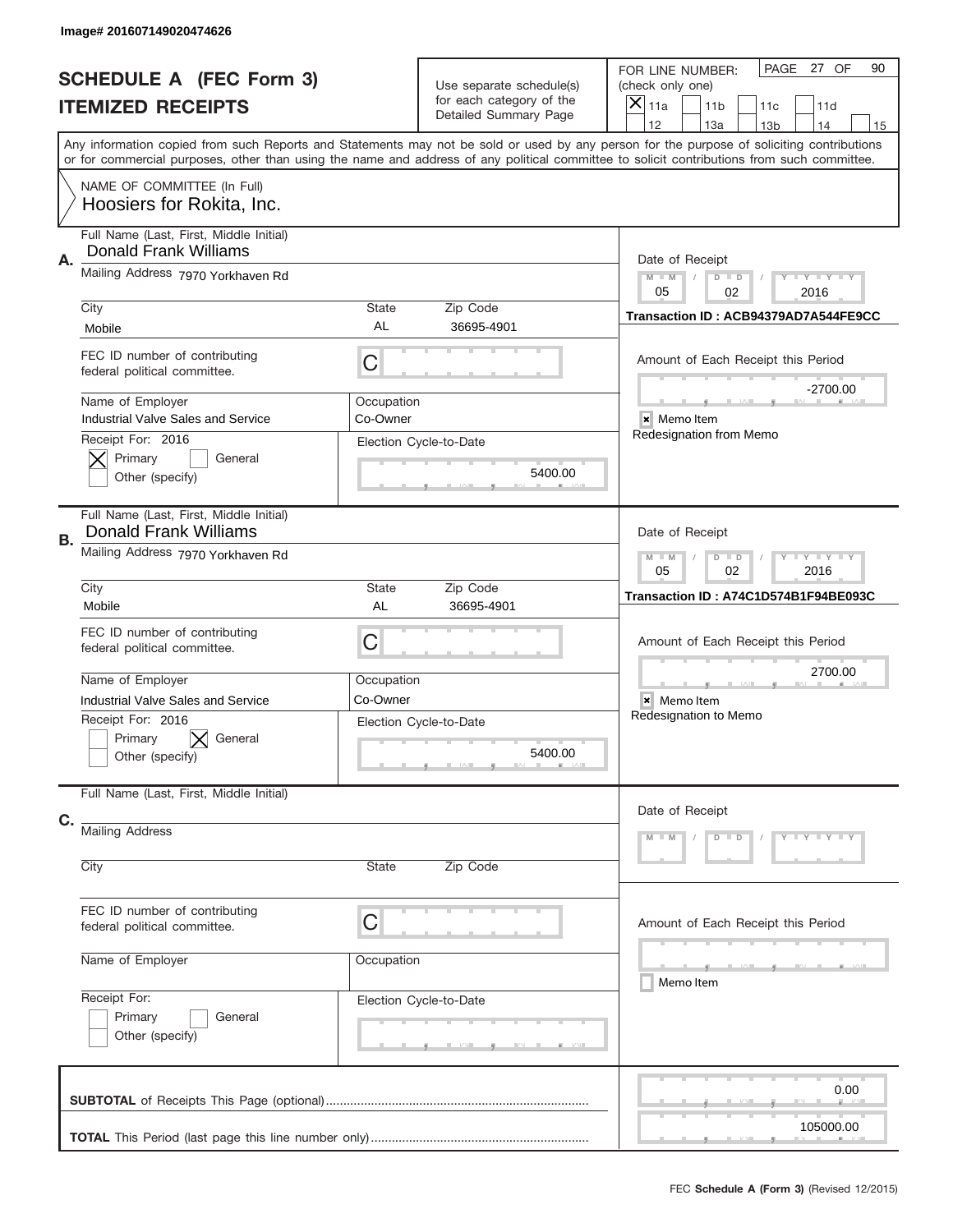|    | Image# 201607149020474626                                                                        |                                                                                |                                                      |                                                                                                                                                                                                                                                                                                                                     |  |  |
|----|--------------------------------------------------------------------------------------------------|--------------------------------------------------------------------------------|------------------------------------------------------|-------------------------------------------------------------------------------------------------------------------------------------------------------------------------------------------------------------------------------------------------------------------------------------------------------------------------------------|--|--|
|    | <b>SCHEDULE A (FEC Form 3)</b>                                                                   |                                                                                | Use separate schedule(s)<br>for each category of the | PAGE<br>27 OF<br>90<br>FOR LINE NUMBER:<br>(check only one)                                                                                                                                                                                                                                                                         |  |  |
|    | <b>ITEMIZED RECEIPTS</b>                                                                         |                                                                                | Detailed Summary Page                                | ×<br>11a<br>11 <sub>b</sub><br>11c<br>11d                                                                                                                                                                                                                                                                                           |  |  |
|    | NAME OF COMMITTEE (In Full)                                                                      |                                                                                |                                                      | 12<br>13a<br>14<br>13 <sub>b</sub><br>15<br>Any information copied from such Reports and Statements may not be sold or used by any person for the purpose of soliciting contributions<br>or for commercial purposes, other than using the name and address of any political committee to solicit contributions from such committee. |  |  |
|    | Hoosiers for Rokita, Inc.                                                                        |                                                                                |                                                      |                                                                                                                                                                                                                                                                                                                                     |  |  |
|    | Full Name (Last, First, Middle Initial)<br>Donald Frank Williams                                 |                                                                                |                                                      |                                                                                                                                                                                                                                                                                                                                     |  |  |
| Α. | Mailing Address 7970 Yorkhaven Rd                                                                | Date of Receipt<br>$M - M$<br><b>TEYTEY LIY</b><br>$D$ $D$<br>05<br>02<br>2016 |                                                      |                                                                                                                                                                                                                                                                                                                                     |  |  |
|    | City                                                                                             | State<br>AL                                                                    | Zip Code                                             | Transaction ID: ACB94379AD7A544FE9CC                                                                                                                                                                                                                                                                                                |  |  |
|    | Mobile<br>FEC ID number of contributing<br>federal political committee.                          | C                                                                              | 36695-4901                                           | Amount of Each Receipt this Period                                                                                                                                                                                                                                                                                                  |  |  |
|    | Name of Employer<br><b>Industrial Valve Sales and Service</b>                                    | Occupation<br>Co-Owner                                                         |                                                      | $-2700.00$<br>× Memo Item                                                                                                                                                                                                                                                                                                           |  |  |
|    | Receipt For: 2016<br>Primary<br>General<br>Other (specify)                                       |                                                                                | Election Cycle-to-Date<br>5400.00                    | Redesignation from Memo                                                                                                                                                                                                                                                                                                             |  |  |
| В. | Full Name (Last, First, Middle Initial)<br><b>Donald Frank Williams</b>                          |                                                                                |                                                      | Date of Receipt                                                                                                                                                                                                                                                                                                                     |  |  |
|    | Mailing Address 7970 Yorkhaven Rd                                                                | <b>LY LY LY</b><br>$M - M$<br>$D$ $D$<br>05<br>02<br>2016                      |                                                      |                                                                                                                                                                                                                                                                                                                                     |  |  |
|    | City<br>Mobile                                                                                   | <b>State</b><br>AL                                                             | Zip Code<br>36695-4901                               | Transaction ID: A74C1D574B1F94BE093C                                                                                                                                                                                                                                                                                                |  |  |
|    | FEC ID number of contributing<br>federal political committee.                                    | C                                                                              |                                                      | Amount of Each Receipt this Period                                                                                                                                                                                                                                                                                                  |  |  |
|    | Name of Employer                                                                                 | Occupation                                                                     |                                                      | 2700.00                                                                                                                                                                                                                                                                                                                             |  |  |
|    | Industrial Valve Sales and Service<br>Receipt For: 2016<br>Primary<br>General<br>Other (specify) | Co-Owner                                                                       | Election Cycle-to-Date<br>5400.00                    | × Memo Item<br>Redesignation to Memo                                                                                                                                                                                                                                                                                                |  |  |
| C. | Full Name (Last, First, Middle Initial)                                                          |                                                                                |                                                      | Date of Receipt                                                                                                                                                                                                                                                                                                                     |  |  |
|    | <b>Mailing Address</b>                                                                           |                                                                                |                                                      | $D$ $D$<br>$Y - Y - Y - Y$<br>$M - M$                                                                                                                                                                                                                                                                                               |  |  |
|    | City                                                                                             | State                                                                          | Zip Code                                             |                                                                                                                                                                                                                                                                                                                                     |  |  |
|    | FEC ID number of contributing<br>federal political committee.                                    | C                                                                              |                                                      | Amount of Each Receipt this Period                                                                                                                                                                                                                                                                                                  |  |  |
|    | Name of Employer                                                                                 | Occupation                                                                     |                                                      | ____<br>Memo Item                                                                                                                                                                                                                                                                                                                   |  |  |
|    | Receipt For:<br>Primary<br>General<br>Other (specify)                                            |                                                                                | Election Cycle-to-Date                               |                                                                                                                                                                                                                                                                                                                                     |  |  |
|    |                                                                                                  |                                                                                |                                                      | 0.00                                                                                                                                                                                                                                                                                                                                |  |  |
|    |                                                                                                  |                                                                                |                                                      | 105000.00                                                                                                                                                                                                                                                                                                                           |  |  |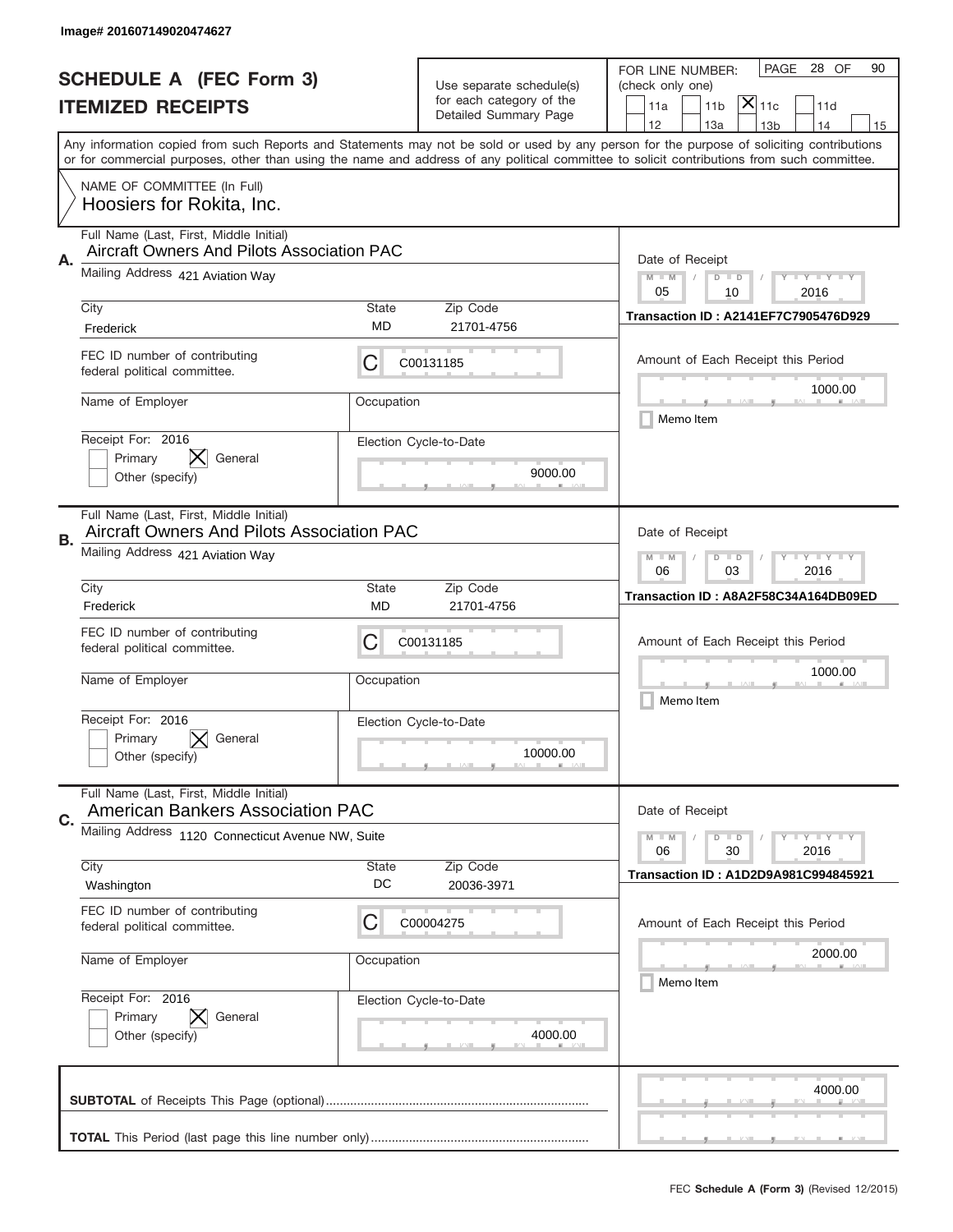|                          | Image# 201607149020474627                                                                    |                                                         |                                                   |                                                                                                                                                                                       |
|--------------------------|----------------------------------------------------------------------------------------------|---------------------------------------------------------|---------------------------------------------------|---------------------------------------------------------------------------------------------------------------------------------------------------------------------------------------|
|                          | <b>SCHEDULE A (FEC Form 3)</b>                                                               |                                                         | Use separate schedule(s)                          | PAGE 28 OF<br>90<br>FOR LINE NUMBER:<br>(check only one)                                                                                                                              |
| <b>ITEMIZED RECEIPTS</b> |                                                                                              |                                                         | for each category of the<br>Detailed Summary Page | $\mathsf{X} _{\mathsf{11c}}$<br>11a<br>11 <sub>b</sub><br>11d                                                                                                                         |
|                          |                                                                                              |                                                         |                                                   | 12<br>13a<br>14<br>13 <sub>b</sub><br>15<br>Any information copied from such Reports and Statements may not be sold or used by any person for the purpose of soliciting contributions |
|                          |                                                                                              |                                                         |                                                   | or for commercial purposes, other than using the name and address of any political committee to solicit contributions from such committee.                                            |
|                          | NAME OF COMMITTEE (In Full)<br>Hoosiers for Rokita, Inc.                                     |                                                         |                                                   |                                                                                                                                                                                       |
| Α.                       | Full Name (Last, First, Middle Initial)<br><b>Aircraft Owners And Pilots Association PAC</b> |                                                         |                                                   | Date of Receipt                                                                                                                                                                       |
|                          | Mailing Address 421 Aviation Way                                                             |                                                         |                                                   | $M - M$<br>$\mathbf{I}$ $\mathbf{Y}$ $\mathbf{I}$ $\mathbf{Y}$ $\mathbf{I}$ $\mathbf{Y}$<br>$D$ $D$<br>05<br>10<br>2016                                                               |
|                          | City<br>Frederick                                                                            | State<br>MD                                             | Zip Code<br>21701-4756                            | <b>Transaction ID: A2141EF7C7905476D929</b>                                                                                                                                           |
|                          | FEC ID number of contributing<br>federal political committee.                                | С                                                       | C00131185                                         | Amount of Each Receipt this Period<br>1000.00                                                                                                                                         |
|                          | Name of Employer                                                                             | Occupation                                              |                                                   | Memo Item                                                                                                                                                                             |
|                          | Receipt For: 2016<br>IХ.<br>Primary<br>General<br>Other (specify)                            |                                                         | Election Cycle-to-Date<br>9000.00                 |                                                                                                                                                                                       |
| В.                       | Full Name (Last, First, Middle Initial)<br><b>Aircraft Owners And Pilots Association PAC</b> |                                                         |                                                   | Date of Receipt                                                                                                                                                                       |
|                          | Mailing Address 421 Aviation Way                                                             | <b>LYLYLY</b><br>$M - M$<br>$D$ $D$<br>06<br>03<br>2016 |                                                   |                                                                                                                                                                                       |
|                          | City<br>Frederick                                                                            | State<br>MD                                             | Zip Code<br>21701-4756                            | Transaction ID: A8A2F58C34A164DB09ED                                                                                                                                                  |
|                          | FEC ID number of contributing<br>federal political committee.                                | С                                                       | C00131185                                         | Amount of Each Receipt this Period                                                                                                                                                    |
|                          | Name of Employer                                                                             | Occupation                                              |                                                   | 1000.00<br>Memo Item                                                                                                                                                                  |
|                          | Receipt For: 2016<br>Primary<br>General<br>Other (specify)                                   |                                                         | Election Cycle-to-Date<br>10000.00                |                                                                                                                                                                                       |
| C.                       | Full Name (Last, First, Middle Initial)<br><b>American Bankers Association PAC</b>           |                                                         |                                                   | Date of Receipt                                                                                                                                                                       |
|                          | Mailing Address 1120 Connecticut Avenue NW, Suite                                            |                                                         |                                                   | $I - Y - I - Y - I - Y$<br>$M - M$<br>$D$ $D$<br>06<br>2016<br>30                                                                                                                     |
|                          | City<br>Washington                                                                           | <b>State</b><br>DC                                      | Zip Code<br>20036-3971                            | <b>Transaction ID: A1D2D9A981C994845921</b>                                                                                                                                           |
|                          | FEC ID number of contributing<br>federal political committee.                                | C                                                       | C00004275                                         | Amount of Each Receipt this Period                                                                                                                                                    |
|                          | Name of Employer                                                                             | Occupation                                              |                                                   | 2000.00<br>Memo Item                                                                                                                                                                  |
|                          | Receipt For: 2016<br>Primary<br>General<br>Other (specify)                                   |                                                         | Election Cycle-to-Date<br>4000.00                 |                                                                                                                                                                                       |
|                          |                                                                                              |                                                         |                                                   | 4000.00                                                                                                                                                                               |
|                          |                                                                                              |                                                         |                                                   | _                                                                                                                                                                                     |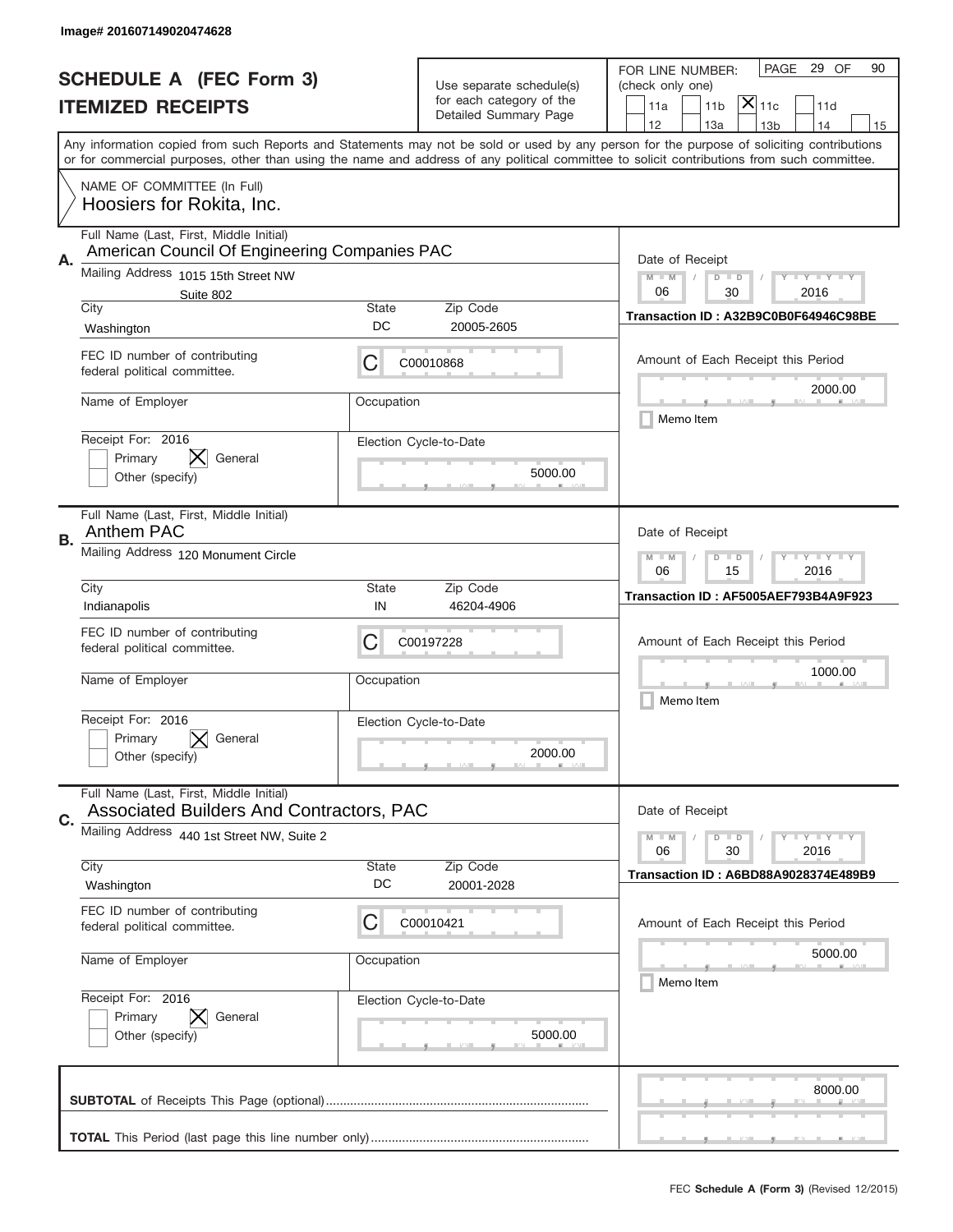|                          | Image# 201607149020474628                                                                |                                       |                          |                                                                                                                                                                                                                                                                                         |
|--------------------------|------------------------------------------------------------------------------------------|---------------------------------------|--------------------------|-----------------------------------------------------------------------------------------------------------------------------------------------------------------------------------------------------------------------------------------------------------------------------------------|
|                          | <b>SCHEDULE A (FEC Form 3)</b>                                                           |                                       | Use separate schedule(s) | PAGE<br>29 OF<br>90<br>FOR LINE NUMBER:<br>(check only one)                                                                                                                                                                                                                             |
| <b>ITEMIZED RECEIPTS</b> |                                                                                          |                                       | for each category of the | $ \mathsf{\overline{X}} _{\mathsf{11c}}$<br>11 <sub>b</sub><br>11a<br>11d                                                                                                                                                                                                               |
|                          |                                                                                          |                                       | Detailed Summary Page    | 12<br>13a<br>14<br>13 <sub>b</sub><br>15                                                                                                                                                                                                                                                |
|                          |                                                                                          |                                       |                          | Any information copied from such Reports and Statements may not be sold or used by any person for the purpose of soliciting contributions<br>or for commercial purposes, other than using the name and address of any political committee to solicit contributions from such committee. |
|                          | NAME OF COMMITTEE (In Full)<br>Hoosiers for Rokita, Inc.                                 |                                       |                          |                                                                                                                                                                                                                                                                                         |
| Α.                       | Full Name (Last, First, Middle Initial)<br>American Council Of Engineering Companies PAC |                                       |                          | Date of Receipt                                                                                                                                                                                                                                                                         |
|                          | Mailing Address 1015 15th Street NW<br>Suite 802                                         |                                       |                          | $M - M$<br><b>LY LY LY</b><br>$D$ $D$<br>06<br>30<br>2016                                                                                                                                                                                                                               |
|                          | City                                                                                     | State                                 | Zip Code                 | Transaction ID: A32B9C0B0F64946C98BE                                                                                                                                                                                                                                                    |
|                          | Washington                                                                               | DC                                    | 20005-2605               |                                                                                                                                                                                                                                                                                         |
|                          | FEC ID number of contributing<br>federal political committee.                            | C                                     | C00010868                | Amount of Each Receipt this Period<br>2000.00                                                                                                                                                                                                                                           |
|                          | Name of Employer                                                                         | Occupation                            |                          | Memo Item                                                                                                                                                                                                                                                                               |
|                          | Receipt For: 2016                                                                        |                                       | Election Cycle-to-Date   |                                                                                                                                                                                                                                                                                         |
|                          | General<br>Primary                                                                       |                                       | 5000.00                  |                                                                                                                                                                                                                                                                                         |
|                          | Other (specify)                                                                          |                                       |                          |                                                                                                                                                                                                                                                                                         |
| В.                       | Full Name (Last, First, Middle Initial)<br>Anthem PAC                                    |                                       |                          | Date of Receipt                                                                                                                                                                                                                                                                         |
|                          | Mailing Address 120 Monument Circle                                                      | <b>LY LY LY</b><br>$M$ $M$<br>$D$ $D$ |                          |                                                                                                                                                                                                                                                                                         |
|                          | City                                                                                     | 06<br>15<br>2016                      |                          |                                                                                                                                                                                                                                                                                         |
|                          | Indianapolis                                                                             | State<br>IN                           | Zip Code<br>46204-4906   | Transaction ID: AF5005AEF793B4A9F923                                                                                                                                                                                                                                                    |
|                          | FEC ID number of contributing                                                            |                                       |                          |                                                                                                                                                                                                                                                                                         |
|                          | federal political committee.                                                             | C                                     | C00197228                | Amount of Each Receipt this Period                                                                                                                                                                                                                                                      |
|                          | Name of Employer                                                                         | Occupation                            |                          | 1000.00                                                                                                                                                                                                                                                                                 |
|                          |                                                                                          |                                       |                          | Memo Item                                                                                                                                                                                                                                                                               |
|                          | Receipt For: 2016                                                                        |                                       | Election Cycle-to-Date   |                                                                                                                                                                                                                                                                                         |
|                          | General<br>Primary                                                                       |                                       |                          |                                                                                                                                                                                                                                                                                         |
|                          | Other (specify)                                                                          |                                       | 2000.00                  |                                                                                                                                                                                                                                                                                         |
|                          | Full Name (Last, First, Middle Initial)<br>Associated Builders And Contractors, PAC      |                                       |                          | Date of Receipt                                                                                                                                                                                                                                                                         |
| C.                       | Mailing Address 440 1st Street NW, Suite 2                                               |                                       |                          | <b>LY LY LY</b><br>$M - M$<br>$D$ $D$                                                                                                                                                                                                                                                   |
|                          |                                                                                          |                                       |                          | 30<br>2016<br>06                                                                                                                                                                                                                                                                        |
|                          | City<br>Washington                                                                       | State<br>DC                           | Zip Code<br>20001-2028   | <b>Transaction ID: A6BD88A9028374E489B9</b>                                                                                                                                                                                                                                             |
|                          | FEC ID number of contributing                                                            |                                       |                          |                                                                                                                                                                                                                                                                                         |
|                          | federal political committee.                                                             | C                                     | C00010421                | Amount of Each Receipt this Period                                                                                                                                                                                                                                                      |
|                          |                                                                                          |                                       |                          | 5000.00                                                                                                                                                                                                                                                                                 |
|                          | Name of Employer                                                                         | Occupation                            |                          | Memo Item                                                                                                                                                                                                                                                                               |
|                          | Receipt For: 2016                                                                        |                                       | Election Cycle-to-Date   |                                                                                                                                                                                                                                                                                         |
|                          | Primary<br>General                                                                       |                                       |                          |                                                                                                                                                                                                                                                                                         |
|                          | Other (specify)                                                                          |                                       | 5000.00                  |                                                                                                                                                                                                                                                                                         |
|                          |                                                                                          |                                       |                          |                                                                                                                                                                                                                                                                                         |
|                          |                                                                                          |                                       |                          | 8000.00                                                                                                                                                                                                                                                                                 |
|                          |                                                                                          |                                       |                          |                                                                                                                                                                                                                                                                                         |
|                          |                                                                                          |                                       |                          | __                                                                                                                                                                                                                                                                                      |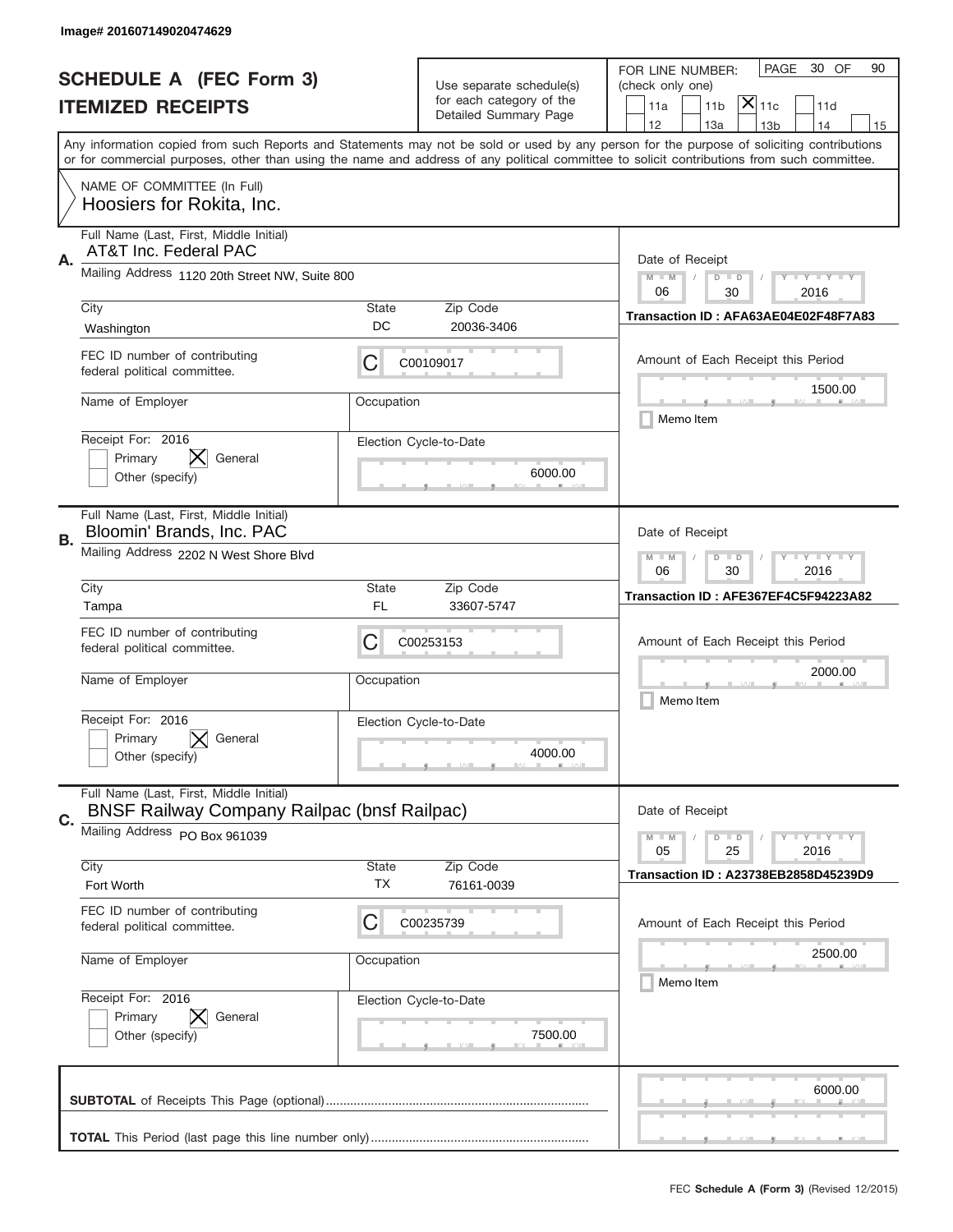|                          | Image# 201607149020474629                                                                     |                                                                                                                         |                                                   |                                                                                                                                                                                                                                                                                                                                     |  |
|--------------------------|-----------------------------------------------------------------------------------------------|-------------------------------------------------------------------------------------------------------------------------|---------------------------------------------------|-------------------------------------------------------------------------------------------------------------------------------------------------------------------------------------------------------------------------------------------------------------------------------------------------------------------------------------|--|
|                          | <b>SCHEDULE A (FEC Form 3)</b>                                                                |                                                                                                                         | Use separate schedule(s)                          | 30 OF<br>PAGE<br>90<br>FOR LINE NUMBER:<br>(check only one)                                                                                                                                                                                                                                                                         |  |
| <b>ITEMIZED RECEIPTS</b> |                                                                                               |                                                                                                                         | for each category of the<br>Detailed Summary Page | $\overline{ {\mathsf X} }_{\text{11c}}$<br>11a<br>11 <sub>b</sub><br>11d                                                                                                                                                                                                                                                            |  |
|                          |                                                                                               |                                                                                                                         |                                                   | 12<br>13a<br>14<br>13 <sub>b</sub><br>15<br>Any information copied from such Reports and Statements may not be sold or used by any person for the purpose of soliciting contributions<br>or for commercial purposes, other than using the name and address of any political committee to solicit contributions from such committee. |  |
|                          | NAME OF COMMITTEE (In Full)<br>Hoosiers for Rokita, Inc.                                      |                                                                                                                         |                                                   |                                                                                                                                                                                                                                                                                                                                     |  |
| Α.                       | Full Name (Last, First, Middle Initial)<br>AT&T Inc. Federal PAC                              |                                                                                                                         |                                                   | Date of Receipt                                                                                                                                                                                                                                                                                                                     |  |
|                          | Mailing Address 1120 20th Street NW, Suite 800                                                |                                                                                                                         |                                                   | $M - M$<br>$\mathbf{I}$ $\mathbf{Y}$ $\mathbf{I}$ $\mathbf{Y}$ $\mathbf{I}$ $\mathbf{Y}$<br>$D$ $D$<br>06<br>30<br>2016                                                                                                                                                                                                             |  |
|                          | City<br>Washington                                                                            | State<br>DC                                                                                                             | Zip Code<br>20036-3406                            | Transaction ID: AFA63AE04E02F48F7A83                                                                                                                                                                                                                                                                                                |  |
|                          | FEC ID number of contributing<br>federal political committee.                                 | C                                                                                                                       | C00109017                                         | Amount of Each Receipt this Period<br>1500.00                                                                                                                                                                                                                                                                                       |  |
|                          | Name of Employer                                                                              | Occupation                                                                                                              |                                                   | Memo Item                                                                                                                                                                                                                                                                                                                           |  |
|                          | Receipt For: 2016<br>Primary<br>General<br>Other (specify)                                    |                                                                                                                         | Election Cycle-to-Date<br>6000.00                 |                                                                                                                                                                                                                                                                                                                                     |  |
| В.                       | Full Name (Last, First, Middle Initial)<br>Bloomin' Brands, Inc. PAC                          |                                                                                                                         |                                                   | Date of Receipt                                                                                                                                                                                                                                                                                                                     |  |
|                          | Mailing Address 2202 N West Shore Blvd                                                        | $M - M$<br>$\mathbf{I}$ $\mathbf{Y}$ $\mathbf{I}$ $\mathbf{Y}$ $\mathbf{I}$ $\mathbf{Y}$<br>$D$ $D$<br>06<br>30<br>2016 |                                                   |                                                                                                                                                                                                                                                                                                                                     |  |
|                          | City<br>Tampa                                                                                 | State<br>FL                                                                                                             | Zip Code<br>33607-5747                            | Transaction ID: AFE367EF4C5F94223A82                                                                                                                                                                                                                                                                                                |  |
|                          | FEC ID number of contributing<br>federal political committee.                                 | C                                                                                                                       | C00253153                                         | Amount of Each Receipt this Period                                                                                                                                                                                                                                                                                                  |  |
|                          | Name of Employer                                                                              | Occupation                                                                                                              |                                                   | 2000.00<br>Memo Item                                                                                                                                                                                                                                                                                                                |  |
|                          | Receipt For: 2016<br>General<br>Primary<br>Other (specify)                                    |                                                                                                                         | Election Cycle-to-Date<br>4000.00                 |                                                                                                                                                                                                                                                                                                                                     |  |
| C.                       | Full Name (Last, First, Middle Initial)<br><b>BNSF Railway Company Railpac (bnsf Railpac)</b> |                                                                                                                         |                                                   | Date of Receipt                                                                                                                                                                                                                                                                                                                     |  |
|                          | Mailing Address PO Box 961039                                                                 |                                                                                                                         |                                                   | $\mathbf{I}$ $\mathbf{Y}$ $\mathbf{I}$ $\mathbf{Y}$ $\mathbf{I}$ $\mathbf{Y}$<br>$M - M$<br>$D$ $D$<br>2016<br>05<br>25                                                                                                                                                                                                             |  |
|                          | City<br>Fort Worth                                                                            | <b>State</b><br>TX                                                                                                      | Zip Code<br>76161-0039                            | Transaction ID: A23738EB2858D45239D9                                                                                                                                                                                                                                                                                                |  |
|                          | FEC ID number of contributing<br>federal political committee.                                 | C                                                                                                                       | C00235739                                         | Amount of Each Receipt this Period                                                                                                                                                                                                                                                                                                  |  |
|                          | Name of Employer                                                                              | Occupation                                                                                                              |                                                   | 2500.00<br>Memo Item                                                                                                                                                                                                                                                                                                                |  |
|                          | Receipt For: 2016<br>Primary<br>General<br>Other (specify)                                    |                                                                                                                         | Election Cycle-to-Date<br>7500.00                 |                                                                                                                                                                                                                                                                                                                                     |  |
|                          |                                                                                               |                                                                                                                         |                                                   | 6000.00                                                                                                                                                                                                                                                                                                                             |  |
|                          |                                                                                               |                                                                                                                         |                                                   | __                                                                                                                                                                                                                                                                                                                                  |  |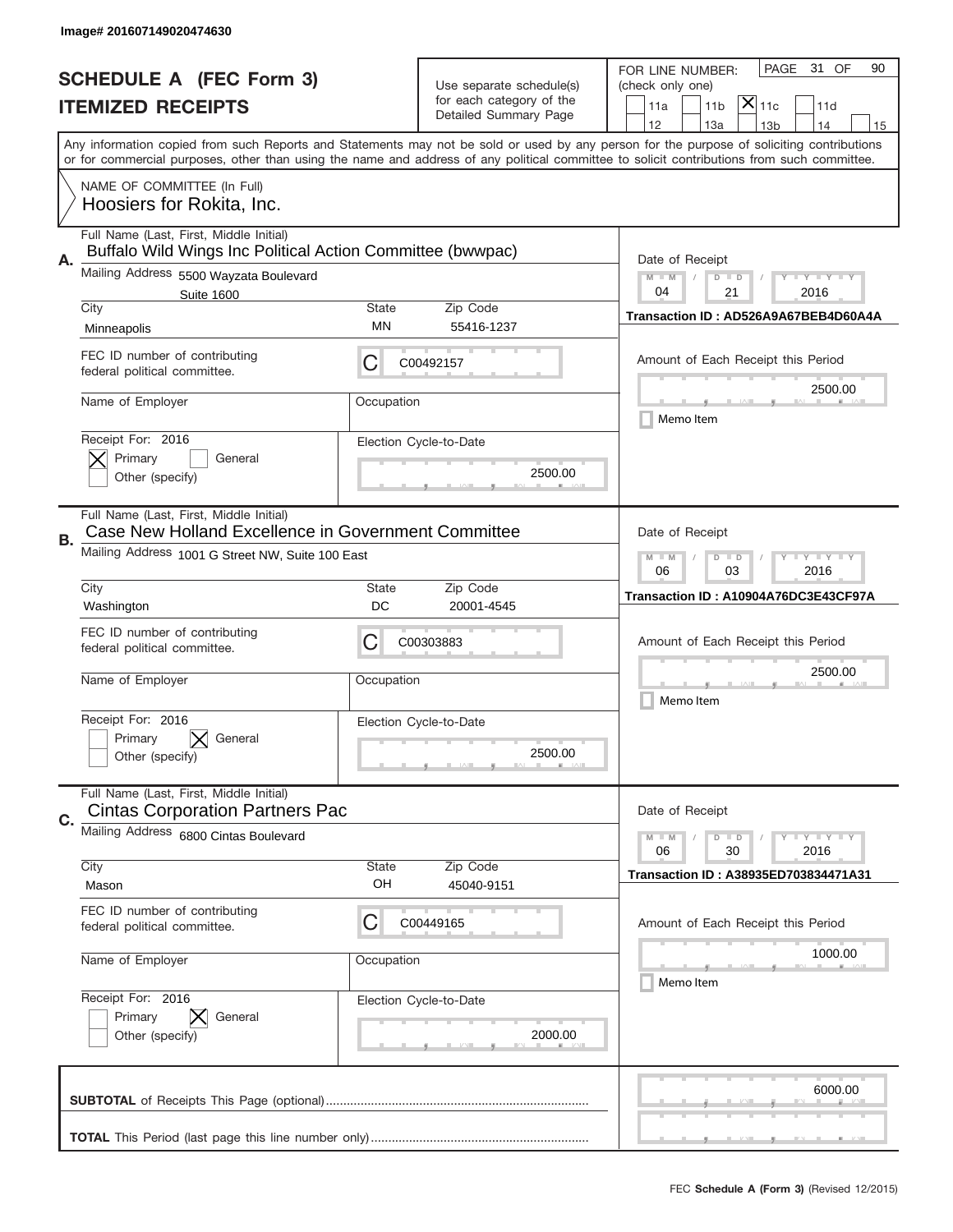|                          | Image# 201607149020474630                                                                             |                                                         |                                                   |                                                                                                                                                                                                                                                                                         |
|--------------------------|-------------------------------------------------------------------------------------------------------|---------------------------------------------------------|---------------------------------------------------|-----------------------------------------------------------------------------------------------------------------------------------------------------------------------------------------------------------------------------------------------------------------------------------------|
|                          | <b>SCHEDULE A (FEC Form 3)</b>                                                                        |                                                         | Use separate schedule(s)                          | PAGE<br>31 OF<br>90<br>FOR LINE NUMBER:<br>(check only one)                                                                                                                                                                                                                             |
| <b>ITEMIZED RECEIPTS</b> |                                                                                                       |                                                         | for each category of the<br>Detailed Summary Page | $\mathsf{X} _{\mathsf{11c}}$<br>11a<br>11 <sub>b</sub><br>11d                                                                                                                                                                                                                           |
|                          |                                                                                                       |                                                         |                                                   | 12<br>14<br>13a<br>13 <sub>b</sub><br>15                                                                                                                                                                                                                                                |
|                          |                                                                                                       |                                                         |                                                   | Any information copied from such Reports and Statements may not be sold or used by any person for the purpose of soliciting contributions<br>or for commercial purposes, other than using the name and address of any political committee to solicit contributions from such committee. |
|                          | NAME OF COMMITTEE (In Full)<br>Hoosiers for Rokita, Inc.                                              |                                                         |                                                   |                                                                                                                                                                                                                                                                                         |
| Α.                       | Full Name (Last, First, Middle Initial)<br>Buffalo Wild Wings Inc Political Action Committee (bwwpac) | Date of Receipt                                         |                                                   |                                                                                                                                                                                                                                                                                         |
|                          | Mailing Address 5500 Wayzata Boulevard<br><b>Suite 1600</b>                                           |                                                         |                                                   | $M - M$<br><b>LYLYLY</b><br>$D$ $D$<br>04<br>21<br>2016                                                                                                                                                                                                                                 |
|                          | City                                                                                                  | State                                                   | Zip Code                                          | Transaction ID: AD526A9A67BEB4D60A4A                                                                                                                                                                                                                                                    |
|                          | Minneapolis                                                                                           | MN                                                      | 55416-1237                                        |                                                                                                                                                                                                                                                                                         |
|                          | FEC ID number of contributing<br>federal political committee.                                         | C                                                       | C00492157                                         | Amount of Each Receipt this Period<br>2500.00                                                                                                                                                                                                                                           |
|                          | Name of Employer                                                                                      | Occupation                                              |                                                   | Memo Item                                                                                                                                                                                                                                                                               |
|                          | Receipt For: 2016<br>Primary<br>General                                                               |                                                         | Election Cycle-to-Date                            |                                                                                                                                                                                                                                                                                         |
|                          | Other (specify)                                                                                       |                                                         | 2500.00                                           |                                                                                                                                                                                                                                                                                         |
| В.                       | Full Name (Last, First, Middle Initial)<br>Case New Holland Excellence in Government Committee        | Date of Receipt                                         |                                                   |                                                                                                                                                                                                                                                                                         |
|                          | Mailing Address 1001 G Street NW, Suite 100 East                                                      | <b>LYLYLY</b><br>$M$ $M$<br>$D$ $D$<br>06<br>03<br>2016 |                                                   |                                                                                                                                                                                                                                                                                         |
|                          | City<br>Washington                                                                                    | <b>State</b><br>DC                                      | Zip Code<br>20001-4545                            | Transaction ID: A10904A76DC3E43CF97A                                                                                                                                                                                                                                                    |
|                          | FEC ID number of contributing<br>federal political committee.                                         | С                                                       | C00303883                                         | Amount of Each Receipt this Period                                                                                                                                                                                                                                                      |
|                          | Name of Employer                                                                                      | Occupation                                              |                                                   | 2500.00<br>Memo Item                                                                                                                                                                                                                                                                    |
|                          | Receipt For: 2016                                                                                     |                                                         | Election Cycle-to-Date                            |                                                                                                                                                                                                                                                                                         |
|                          | Primary<br>General<br>Other (specify)                                                                 |                                                         | 2500.00                                           |                                                                                                                                                                                                                                                                                         |
| C.                       | Full Name (Last, First, Middle Initial)<br><b>Cintas Corporation Partners Pac</b>                     |                                                         |                                                   | Date of Receipt                                                                                                                                                                                                                                                                         |
|                          | Mailing Address 6800 Cintas Boulevard                                                                 |                                                         |                                                   | $I - Y - I - Y - I - Y$<br>$M - M$<br>$D$ $D$<br>06<br>2016<br>30                                                                                                                                                                                                                       |
|                          | City                                                                                                  | State<br>OH                                             | Zip Code                                          | Transaction ID: A38935ED703834471A31                                                                                                                                                                                                                                                    |
|                          | Mason                                                                                                 |                                                         | 45040-9151                                        |                                                                                                                                                                                                                                                                                         |
|                          | FEC ID number of contributing<br>federal political committee.                                         | С                                                       | C00449165                                         | Amount of Each Receipt this Period                                                                                                                                                                                                                                                      |
|                          | Name of Employer                                                                                      | Occupation                                              |                                                   | 1000.00<br>Memo Item                                                                                                                                                                                                                                                                    |
|                          | Receipt For: 2016                                                                                     |                                                         | Election Cycle-to-Date                            |                                                                                                                                                                                                                                                                                         |
|                          | Primary<br>General<br>Other (specify)                                                                 |                                                         | 2000.00                                           |                                                                                                                                                                                                                                                                                         |
|                          |                                                                                                       |                                                         |                                                   | 6000.00                                                                                                                                                                                                                                                                                 |
|                          |                                                                                                       |                                                         |                                                   |                                                                                                                                                                                                                                                                                         |
|                          |                                                                                                       |                                                         |                                                   | _                                                                                                                                                                                                                                                                                       |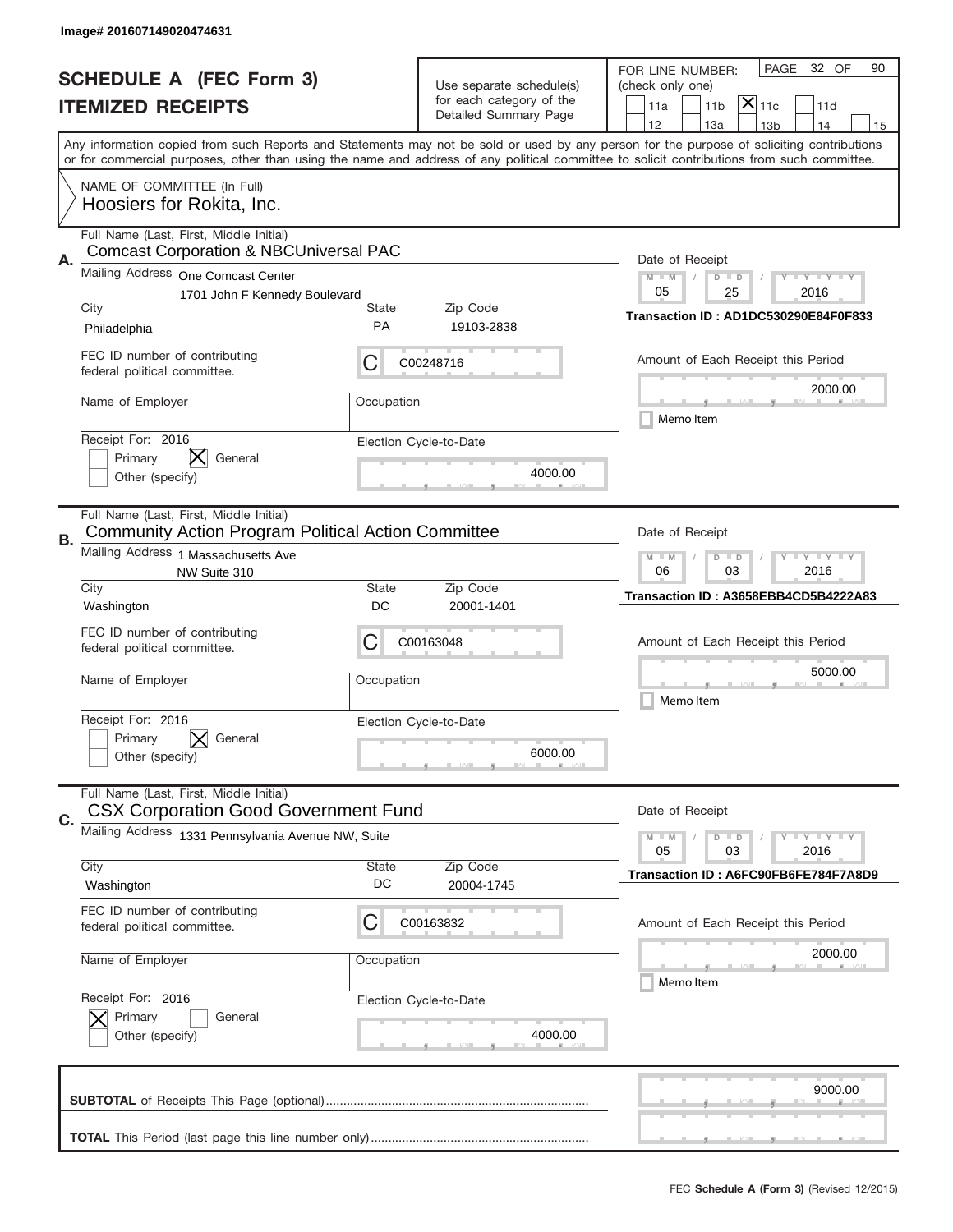|    | Image# 201607149020474631                                                                      |                                                         |                                   |                                                                                                                                                                                                                                                                                         |  |  |
|----|------------------------------------------------------------------------------------------------|---------------------------------------------------------|-----------------------------------|-----------------------------------------------------------------------------------------------------------------------------------------------------------------------------------------------------------------------------------------------------------------------------------------|--|--|
|    | <b>SCHEDULE A (FEC Form 3)</b>                                                                 |                                                         | Use separate schedule(s)          | PAGE<br>32 OF<br>90<br>FOR LINE NUMBER:<br>(check only one)                                                                                                                                                                                                                             |  |  |
|    | <b>ITEMIZED RECEIPTS</b>                                                                       |                                                         | for each category of the          | $ \mathsf{X} _{\mathsf{11c}}$<br>11a<br>11 <sub>b</sub><br>11d                                                                                                                                                                                                                          |  |  |
|    |                                                                                                |                                                         | Detailed Summary Page             | 12<br>13a<br>14<br>13 <sub>b</sub><br>15                                                                                                                                                                                                                                                |  |  |
|    |                                                                                                |                                                         |                                   | Any information copied from such Reports and Statements may not be sold or used by any person for the purpose of soliciting contributions<br>or for commercial purposes, other than using the name and address of any political committee to solicit contributions from such committee. |  |  |
|    | NAME OF COMMITTEE (In Full)<br>Hoosiers for Rokita, Inc.                                       |                                                         |                                   |                                                                                                                                                                                                                                                                                         |  |  |
| Α. | Full Name (Last, First, Middle Initial)<br><b>Comcast Corporation &amp; NBCUniversal PAC</b>   |                                                         |                                   | Date of Receipt                                                                                                                                                                                                                                                                         |  |  |
|    | Mailing Address One Comcast Center                                                             |                                                         |                                   | $M$ $M$<br><b>LY LY LY</b><br>$D$ $D$                                                                                                                                                                                                                                                   |  |  |
|    | 1701 John F Kennedy Boulevard<br>City                                                          | <b>State</b>                                            | Zip Code                          | 25<br>05<br>2016                                                                                                                                                                                                                                                                        |  |  |
|    | Philadelphia                                                                                   | PA                                                      | 19103-2838                        | Transaction ID: AD1DC530290E84F0F833                                                                                                                                                                                                                                                    |  |  |
|    | FEC ID number of contributing<br>federal political committee.                                  | С                                                       | C00248716                         | Amount of Each Receipt this Period                                                                                                                                                                                                                                                      |  |  |
|    | Name of Employer                                                                               | Occupation                                              |                                   | 2000.00<br>Memo Item                                                                                                                                                                                                                                                                    |  |  |
|    | Receipt For: 2016<br>Primary<br>General<br>Other (specify)                                     |                                                         | Election Cycle-to-Date<br>4000.00 |                                                                                                                                                                                                                                                                                         |  |  |
| В. | Full Name (Last, First, Middle Initial)<br>Community Action Program Political Action Committee |                                                         |                                   | Date of Receipt                                                                                                                                                                                                                                                                         |  |  |
|    | Mailing Address 1 Massachusetts Ave<br>NW Suite 310<br>City                                    | <b>LYLYLY</b><br>$M - M$<br>$D$ $D$<br>06<br>03<br>2016 |                                   |                                                                                                                                                                                                                                                                                         |  |  |
|    | Washington                                                                                     | <b>State</b><br>DC                                      | Zip Code<br>20001-1401            | Transaction ID: A3658EBB4CD5B4222A83                                                                                                                                                                                                                                                    |  |  |
|    | FEC ID number of contributing<br>federal political committee.                                  | C                                                       | C00163048                         | Amount of Each Receipt this Period                                                                                                                                                                                                                                                      |  |  |
|    | Name of Employer                                                                               | Occupation                                              |                                   | 5000.00<br>Memo Item                                                                                                                                                                                                                                                                    |  |  |
|    | Receipt For: 2016<br>Primary<br>General<br>Other (specify)                                     |                                                         | Election Cycle-to-Date<br>6000.00 |                                                                                                                                                                                                                                                                                         |  |  |
| C. | Full Name (Last, First, Middle Initial)<br><b>CSX Corporation Good Government Fund</b>         |                                                         |                                   | Date of Receipt                                                                                                                                                                                                                                                                         |  |  |
|    | Mailing Address 1331 Pennsylvania Avenue NW, Suite                                             |                                                         |                                   | <b>LYLYLY</b><br>$M - M$<br>$D$ $D$<br>05<br>2016<br>03                                                                                                                                                                                                                                 |  |  |
|    | City<br>Washington                                                                             | <b>State</b><br>DC                                      | Zip Code<br>20004-1745            | Transaction ID: A6FC90FB6FE784F7A8D9                                                                                                                                                                                                                                                    |  |  |
|    | FEC ID number of contributing<br>federal political committee.                                  | С                                                       | C00163832                         | Amount of Each Receipt this Period                                                                                                                                                                                                                                                      |  |  |
|    | Name of Employer                                                                               | Occupation                                              |                                   | 2000.00<br>Memo Item                                                                                                                                                                                                                                                                    |  |  |
|    | Receipt For: 2016<br>Primary<br>General<br>Other (specify)                                     |                                                         | Election Cycle-to-Date<br>4000.00 |                                                                                                                                                                                                                                                                                         |  |  |
|    |                                                                                                |                                                         |                                   | 9000.00                                                                                                                                                                                                                                                                                 |  |  |
|    |                                                                                                |                                                         |                                   |                                                                                                                                                                                                                                                                                         |  |  |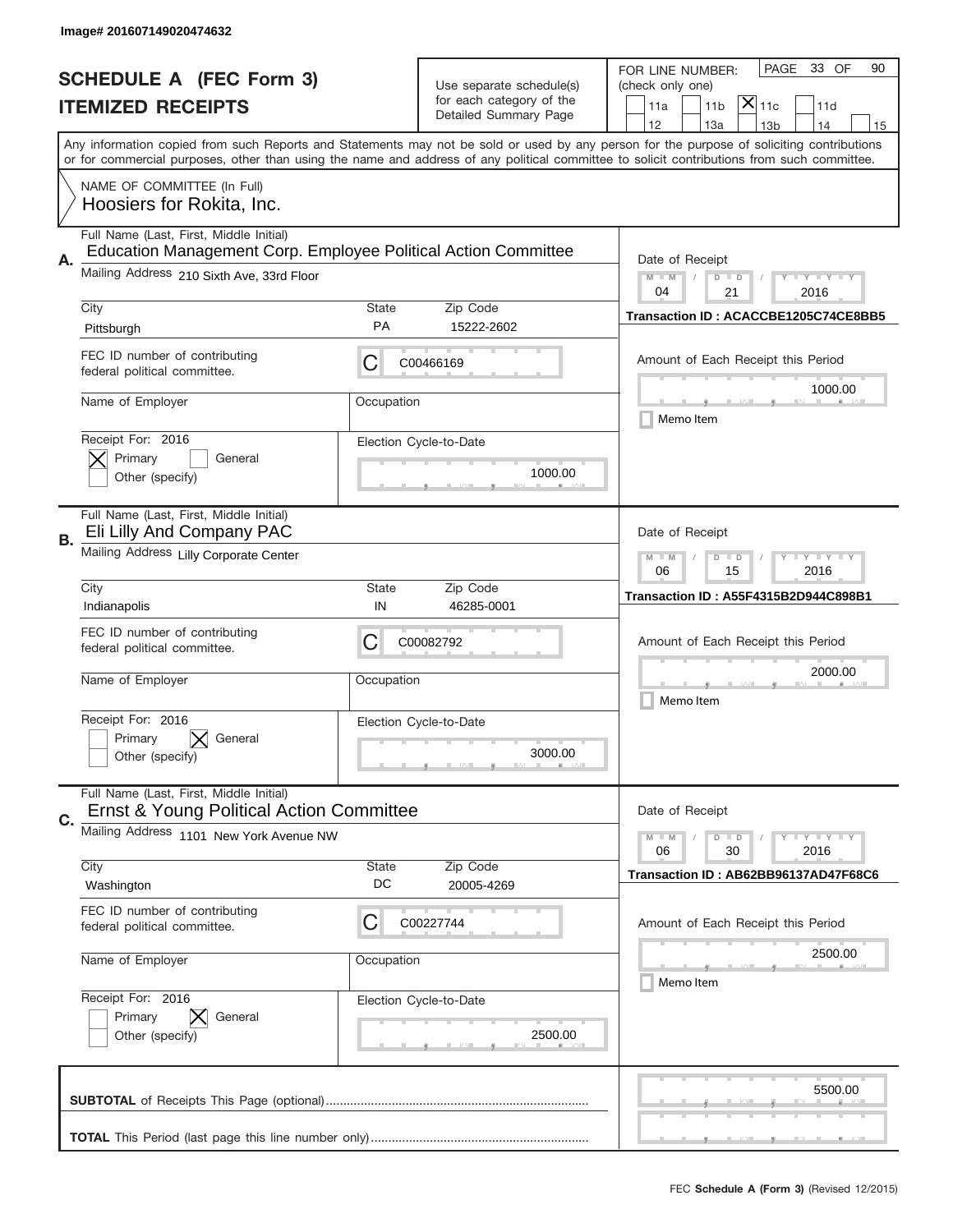|    | Image# 201607149020474632                                                                                   |                                                         |                                                   |                                                                                                                                                                                                                                                                                         |
|----|-------------------------------------------------------------------------------------------------------------|---------------------------------------------------------|---------------------------------------------------|-----------------------------------------------------------------------------------------------------------------------------------------------------------------------------------------------------------------------------------------------------------------------------------------|
|    | <b>SCHEDULE A (FEC Form 3)</b>                                                                              |                                                         | Use separate schedule(s)                          | 33 OF<br>PAGE<br>90<br>FOR LINE NUMBER:<br>(check only one)                                                                                                                                                                                                                             |
|    | <b>ITEMIZED RECEIPTS</b>                                                                                    |                                                         | for each category of the<br>Detailed Summary Page | $ \mathsf{X} _{\mathsf{11c}}$<br>11 <sub>b</sub><br>11d<br>11a<br>12<br>13a<br>13 <sub>b</sub><br>14<br>15                                                                                                                                                                              |
|    |                                                                                                             |                                                         |                                                   | Any information copied from such Reports and Statements may not be sold or used by any person for the purpose of soliciting contributions<br>or for commercial purposes, other than using the name and address of any political committee to solicit contributions from such committee. |
|    | NAME OF COMMITTEE (In Full)<br>Hoosiers for Rokita, Inc.                                                    |                                                         |                                                   |                                                                                                                                                                                                                                                                                         |
|    | Full Name (Last, First, Middle Initial)                                                                     |                                                         |                                                   |                                                                                                                                                                                                                                                                                         |
| Α. | Education Management Corp. Employee Political Action Committee<br>Mailing Address 210 Sixth Ave, 33rd Floor |                                                         |                                                   | Date of Receipt<br>$M$ M<br><b>LY LY LY</b><br>$D$ $D$<br>04<br>21<br>2016                                                                                                                                                                                                              |
|    | City<br>Pittsburgh                                                                                          | <b>State</b><br><b>PA</b>                               | Zip Code<br>15222-2602                            | Transaction ID: ACACCBE1205C74CE8BB5                                                                                                                                                                                                                                                    |
|    | FEC ID number of contributing<br>federal political committee.                                               | С                                                       | C00466169                                         | Amount of Each Receipt this Period                                                                                                                                                                                                                                                      |
|    | Name of Employer                                                                                            | Occupation                                              |                                                   | 1000.00<br>Memo Item                                                                                                                                                                                                                                                                    |
|    | Receipt For: 2016<br>Primary<br>General<br>Other (specify)                                                  |                                                         | Election Cycle-to-Date<br>1000.00                 |                                                                                                                                                                                                                                                                                         |
| В. | Full Name (Last, First, Middle Initial)<br>Eli Lilly And Company PAC                                        |                                                         |                                                   | Date of Receipt                                                                                                                                                                                                                                                                         |
|    | Mailing Address Lilly Corporate Center                                                                      | <b>LYLYLY</b><br>$M - M$<br>$D$ $D$<br>15<br>2016<br>06 |                                                   |                                                                                                                                                                                                                                                                                         |
|    | City<br>Indianapolis                                                                                        | <b>State</b><br>IN                                      | Zip Code<br>46285-0001                            | <b>Transaction ID: A55F4315B2D944C898B1</b>                                                                                                                                                                                                                                             |
|    | FEC ID number of contributing<br>federal political committee.                                               | С                                                       | C00082792                                         | Amount of Each Receipt this Period                                                                                                                                                                                                                                                      |
|    | Name of Employer                                                                                            | Occupation                                              |                                                   | 2000.00<br>Memo Item                                                                                                                                                                                                                                                                    |
|    | Receipt For: 2016<br>General<br>Primary<br>Other (specify)                                                  |                                                         | Election Cycle-to-Date<br>3000.00                 |                                                                                                                                                                                                                                                                                         |
| C. | Full Name (Last, First, Middle Initial)<br>Ernst & Young Political Action Committee                         |                                                         |                                                   | Date of Receipt                                                                                                                                                                                                                                                                         |
|    | Mailing Address 1101 New York Avenue NW                                                                     |                                                         |                                                   | $I - Y - I - Y - I - Y$<br>$M - M$<br>$D$ $D$<br>2016<br>06<br>30                                                                                                                                                                                                                       |
|    | City<br>Washington                                                                                          | <b>State</b><br>DC                                      | Zip Code<br>20005-4269                            | Transaction ID: AB62BB96137AD47F68C6                                                                                                                                                                                                                                                    |
|    | FEC ID number of contributing<br>federal political committee.                                               | C                                                       | C00227744                                         | Amount of Each Receipt this Period                                                                                                                                                                                                                                                      |
|    | Name of Employer                                                                                            | Occupation                                              |                                                   | 2500.00<br>Memo Item                                                                                                                                                                                                                                                                    |
|    | Receipt For: 2016<br>Primary<br>General<br>Other (specify)                                                  |                                                         | Election Cycle-to-Date<br>2500.00                 |                                                                                                                                                                                                                                                                                         |
|    |                                                                                                             |                                                         |                                                   | 5500.00                                                                                                                                                                                                                                                                                 |
|    |                                                                                                             |                                                         |                                                   | __                                                                                                                                                                                                                                                                                      |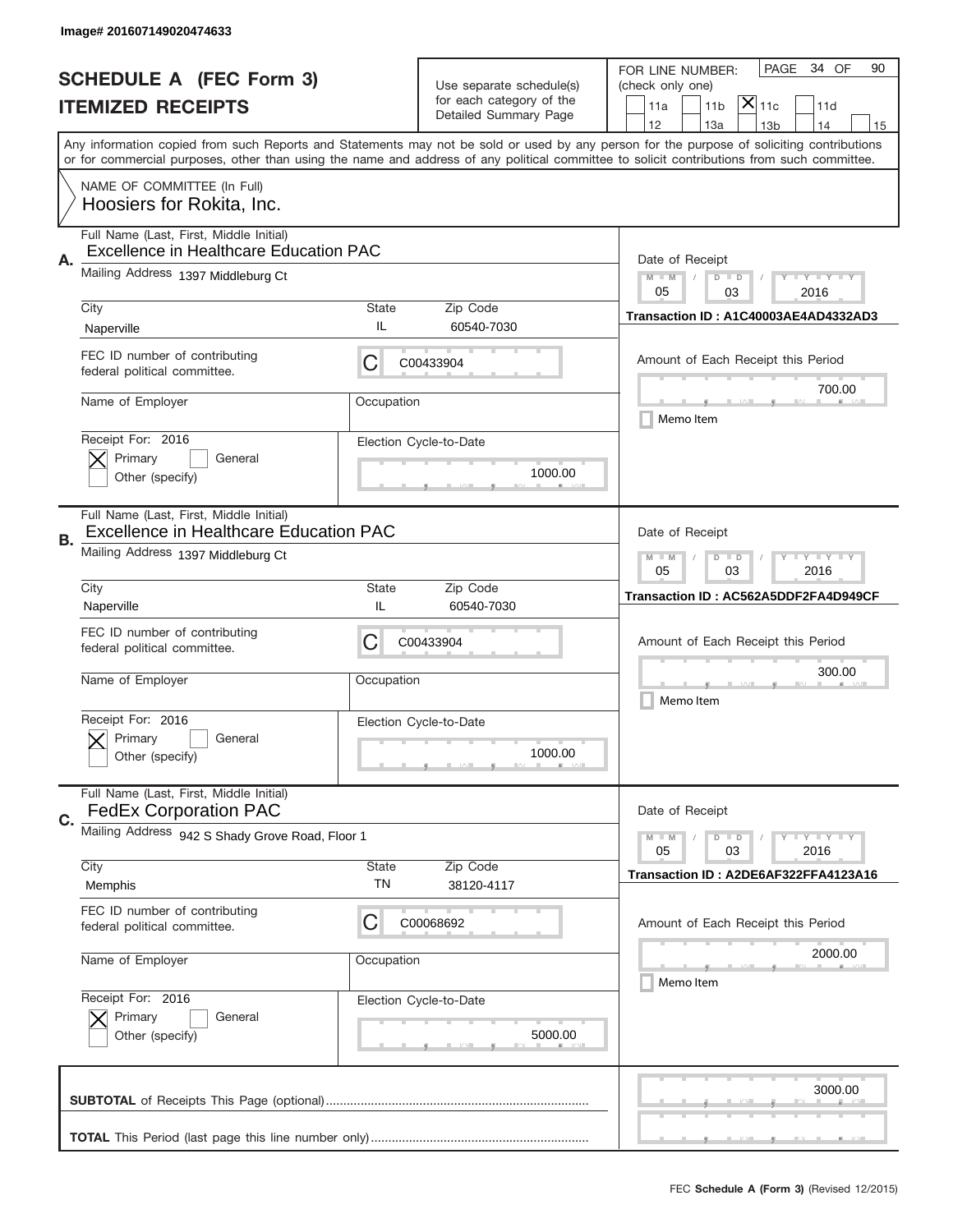|                          | Image# 201607149020474633                                                                |                                                         |                                                   |                                                                                                                                                                                       |  |  |
|--------------------------|------------------------------------------------------------------------------------------|---------------------------------------------------------|---------------------------------------------------|---------------------------------------------------------------------------------------------------------------------------------------------------------------------------------------|--|--|
|                          | <b>SCHEDULE A (FEC Form 3)</b>                                                           |                                                         | Use separate schedule(s)                          | PAGE<br>34 OF<br>90<br>FOR LINE NUMBER:<br>(check only one)                                                                                                                           |  |  |
| <b>ITEMIZED RECEIPTS</b> |                                                                                          |                                                         | for each category of the<br>Detailed Summary Page | $ \mathsf{X} _{\mathsf{11c}}$<br>11 <sub>b</sub><br>11d<br>11a                                                                                                                        |  |  |
|                          |                                                                                          |                                                         |                                                   | 12<br>13a<br>14<br>13 <sub>b</sub><br>15<br>Any information copied from such Reports and Statements may not be sold or used by any person for the purpose of soliciting contributions |  |  |
|                          |                                                                                          |                                                         |                                                   | or for commercial purposes, other than using the name and address of any political committee to solicit contributions from such committee.                                            |  |  |
|                          | NAME OF COMMITTEE (In Full)<br>Hoosiers for Rokita, Inc.                                 |                                                         |                                                   |                                                                                                                                                                                       |  |  |
| Α.                       | Full Name (Last, First, Middle Initial)<br><b>Excellence in Healthcare Education PAC</b> |                                                         |                                                   | Date of Receipt                                                                                                                                                                       |  |  |
|                          | Mailing Address 1397 Middleburg Ct                                                       |                                                         |                                                   | $M$ $M$<br><b>LY LY LY</b><br>$D$ $D$<br>05<br>03<br>2016                                                                                                                             |  |  |
|                          | City                                                                                     | State                                                   | Zip Code                                          | Transaction ID: A1C40003AE4AD4332AD3                                                                                                                                                  |  |  |
|                          | Naperville                                                                               | IL                                                      | 60540-7030                                        |                                                                                                                                                                                       |  |  |
|                          | FEC ID number of contributing<br>federal political committee.                            | C                                                       | C00433904                                         | Amount of Each Receipt this Period<br>700.00                                                                                                                                          |  |  |
|                          | Name of Employer                                                                         | Occupation                                              |                                                   | Memo Item                                                                                                                                                                             |  |  |
|                          | Receipt For: 2016                                                                        |                                                         | Election Cycle-to-Date                            |                                                                                                                                                                                       |  |  |
|                          | Primary<br>General<br>Other (specify)                                                    | 1000.00                                                 |                                                   |                                                                                                                                                                                       |  |  |
| <b>B.</b>                | Full Name (Last, First, Middle Initial)<br><b>Excellence in Healthcare Education PAC</b> | Date of Receipt                                         |                                                   |                                                                                                                                                                                       |  |  |
|                          | Mailing Address 1397 Middleburg Ct                                                       | <b>LYLYLY</b><br>$M - M$<br>$D$ $D$<br>05<br>03<br>2016 |                                                   |                                                                                                                                                                                       |  |  |
|                          | City<br>Naperville                                                                       | <b>State</b><br>IL                                      | Zip Code<br>60540-7030                            | Transaction ID: AC562A5DDF2FA4D949CF                                                                                                                                                  |  |  |
|                          | FEC ID number of contributing<br>federal political committee.                            | C                                                       | C00433904                                         | Amount of Each Receipt this Period                                                                                                                                                    |  |  |
|                          | Name of Employer                                                                         | Occupation                                              |                                                   | 300.00<br>Memo Item                                                                                                                                                                   |  |  |
|                          | Receipt For: 2016                                                                        |                                                         | Election Cycle-to-Date                            |                                                                                                                                                                                       |  |  |
|                          | General<br>Primary<br>Other (specify)                                                    |                                                         | 1000.00                                           |                                                                                                                                                                                       |  |  |
| C.                       | Full Name (Last, First, Middle Initial)<br><b>FedEx Corporation PAC</b>                  |                                                         |                                                   | Date of Receipt                                                                                                                                                                       |  |  |
|                          | Mailing Address 942 S Shady Grove Road, Floor 1                                          |                                                         |                                                   | $I - Y - I - Y - I - Y$<br>$M - M$<br>$D$ $D$                                                                                                                                         |  |  |
|                          | City                                                                                     | <b>State</b>                                            | Zip Code                                          | 05<br>2016<br>03<br>Transaction ID: A2DE6AF322FFA4123A16                                                                                                                              |  |  |
|                          | Memphis                                                                                  | TN                                                      | 38120-4117                                        |                                                                                                                                                                                       |  |  |
|                          | FEC ID number of contributing<br>federal political committee.                            | C                                                       | C00068692                                         | Amount of Each Receipt this Period                                                                                                                                                    |  |  |
|                          | Name of Employer                                                                         | Occupation                                              |                                                   | 2000.00<br>Memo Item                                                                                                                                                                  |  |  |
|                          | Receipt For: 2016                                                                        |                                                         | Election Cycle-to-Date                            |                                                                                                                                                                                       |  |  |
|                          | Primary<br>General<br>Other (specify)                                                    |                                                         | 5000.00                                           |                                                                                                                                                                                       |  |  |
|                          |                                                                                          |                                                         |                                                   | 3000.00                                                                                                                                                                               |  |  |
|                          |                                                                                          |                                                         |                                                   |                                                                                                                                                                                       |  |  |
|                          |                                                                                          |                                                         |                                                   |                                                                                                                                                                                       |  |  |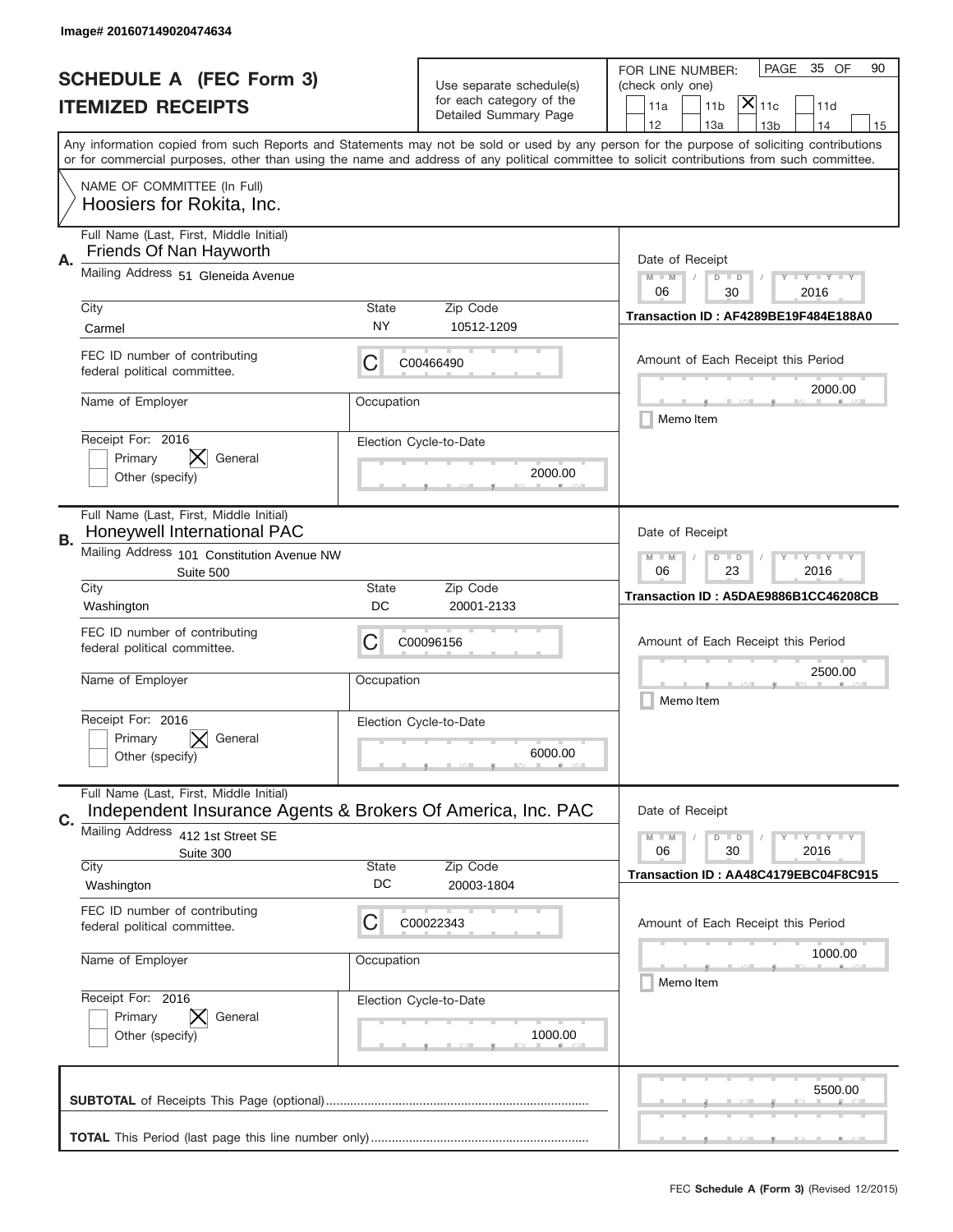|                                | Image# 201607149020474634                                                                              |                                                           |                                                   |                                                                                                                                                                                                                                                                                               |
|--------------------------------|--------------------------------------------------------------------------------------------------------|-----------------------------------------------------------|---------------------------------------------------|-----------------------------------------------------------------------------------------------------------------------------------------------------------------------------------------------------------------------------------------------------------------------------------------------|
| <b>SCHEDULE A (FEC Form 3)</b> |                                                                                                        |                                                           | Use separate schedule(s)                          | PAGE<br>35 OF<br>90<br>FOR LINE NUMBER:<br>(check only one)                                                                                                                                                                                                                                   |
|                                | <b>ITEMIZED RECEIPTS</b>                                                                               |                                                           | for each category of the<br>Detailed Summary Page | $ \mathsf{X} _{\mathsf{11c}}$<br>11a<br>11 <sub>b</sub><br>11d<br>12<br>13a<br>13 <sub>b</sub><br>14                                                                                                                                                                                          |
|                                |                                                                                                        |                                                           |                                                   | 15<br>Any information copied from such Reports and Statements may not be sold or used by any person for the purpose of soliciting contributions<br>or for commercial purposes, other than using the name and address of any political committee to solicit contributions from such committee. |
|                                | NAME OF COMMITTEE (In Full)<br>Hoosiers for Rokita, Inc.                                               |                                                           |                                                   |                                                                                                                                                                                                                                                                                               |
| Α.                             | Full Name (Last, First, Middle Initial)<br>Friends Of Nan Hayworth                                     | Date of Receipt                                           |                                                   |                                                                                                                                                                                                                                                                                               |
|                                | Mailing Address 51 Gleneida Avenue                                                                     | $M - M$<br><b>LY LY LY</b><br>$D$ $D$<br>06<br>30<br>2016 |                                                   |                                                                                                                                                                                                                                                                                               |
|                                | City<br>Carmel                                                                                         | State<br>NY                                               | Zip Code<br>10512-1209                            | Transaction ID: AF4289BE19F484E188A0                                                                                                                                                                                                                                                          |
|                                | FEC ID number of contributing<br>federal political committee.                                          | С                                                         | C00466490                                         | Amount of Each Receipt this Period<br>2000.00                                                                                                                                                                                                                                                 |
|                                | Name of Employer                                                                                       | Occupation                                                |                                                   | Memo Item                                                                                                                                                                                                                                                                                     |
|                                | Receipt For: 2016<br>Primary<br>General<br>Other (specify)                                             |                                                           | Election Cycle-to-Date<br>2000.00                 |                                                                                                                                                                                                                                                                                               |
| В.                             | Full Name (Last, First, Middle Initial)<br>Honeywell International PAC                                 |                                                           |                                                   | Date of Receipt                                                                                                                                                                                                                                                                               |
|                                | Mailing Address 101 Constitution Avenue NW<br>Suite 500                                                | <b>LY LY LY</b><br>$M$ M<br>$D$ $D$<br>06<br>23<br>2016   |                                                   |                                                                                                                                                                                                                                                                                               |
|                                | City<br>Washington                                                                                     | State<br>DC                                               | Zip Code<br>20001-2133                            | Transaction ID: A5DAE9886B1CC46208CB                                                                                                                                                                                                                                                          |
|                                | FEC ID number of contributing<br>federal political committee.                                          | С                                                         | C00096156                                         | Amount of Each Receipt this Period                                                                                                                                                                                                                                                            |
|                                | Name of Employer                                                                                       | Occupation                                                |                                                   | 2500.00<br>Memo Item                                                                                                                                                                                                                                                                          |
|                                | Receipt For: 2016<br>General<br>Primary<br>Other (specify)                                             |                                                           | Election Cycle-to-Date<br>6000.00                 |                                                                                                                                                                                                                                                                                               |
| C.                             | Full Name (Last, First, Middle Initial)<br>Independent Insurance Agents & Brokers Of America, Inc. PAC | Date of Receipt                                           |                                                   |                                                                                                                                                                                                                                                                                               |
|                                | Mailing Address<br>412 1st Street SE<br>Suite 300                                                      | <b>LYLYLY</b><br>$M - M$<br>$D$ $D$<br>06<br>2016<br>30   |                                                   |                                                                                                                                                                                                                                                                                               |
|                                | City<br>Washington                                                                                     | <b>State</b><br>DC                                        | Zip Code<br>20003-1804                            | Transaction ID: AA48C4179EBC04F8C915                                                                                                                                                                                                                                                          |
|                                | FEC ID number of contributing<br>federal political committee.                                          | С                                                         | C00022343                                         | Amount of Each Receipt this Period                                                                                                                                                                                                                                                            |
|                                | Name of Employer                                                                                       | Occupation                                                |                                                   | 1000.00<br>Memo Item                                                                                                                                                                                                                                                                          |
|                                | Receipt For: 2016<br>Primary<br>General<br>Other (specify)                                             |                                                           | Election Cycle-to-Date<br>1000.00                 |                                                                                                                                                                                                                                                                                               |
|                                |                                                                                                        | 5500.00                                                   |                                                   |                                                                                                                                                                                                                                                                                               |
|                                |                                                                                                        |                                                           |                                                   |                                                                                                                                                                                                                                                                                               |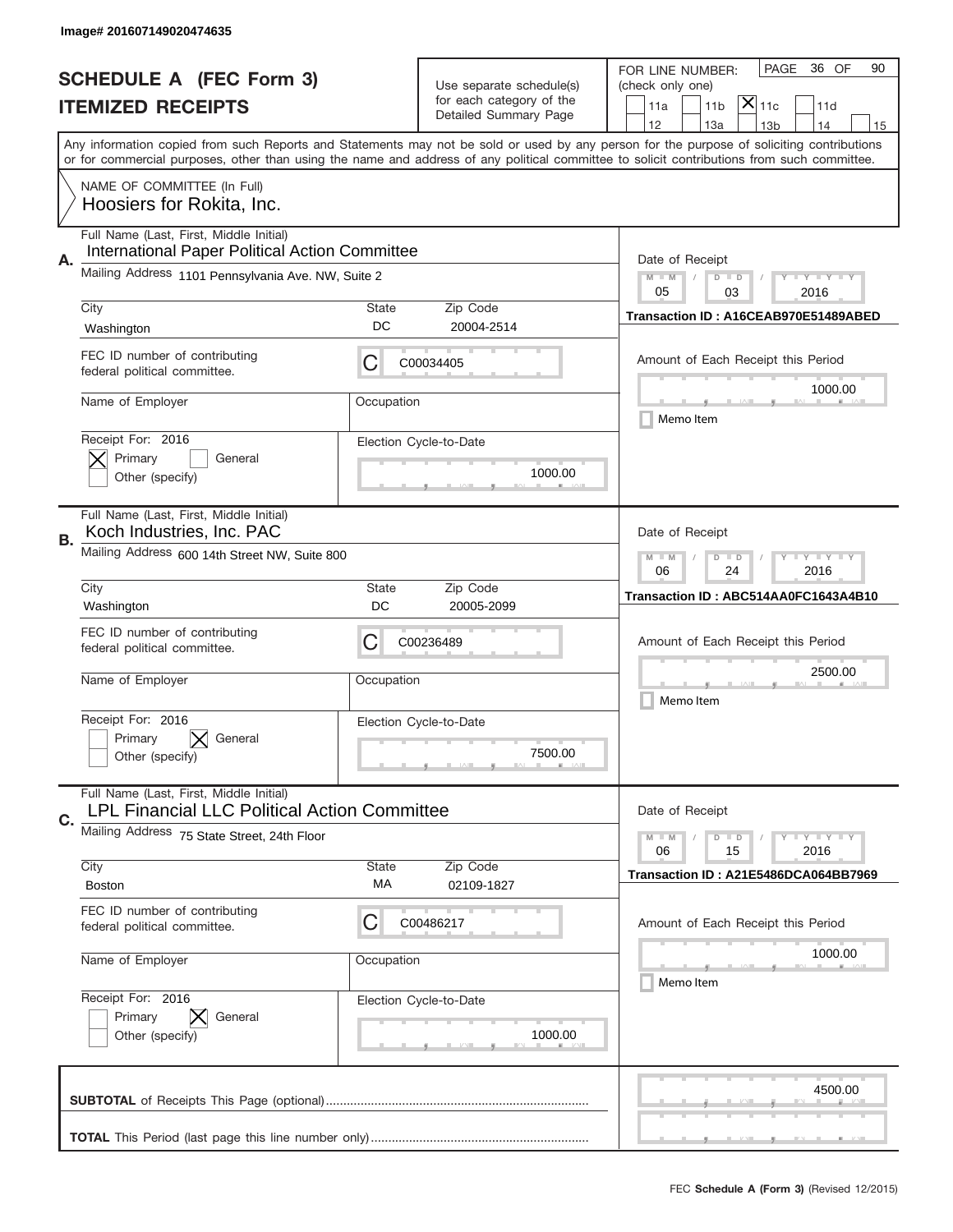|                                                          | Image# 201607149020474635                                                                 |                                                               |                                                   |                                                                                                                                                                                                                                                                                                                                     |  |  |
|----------------------------------------------------------|-------------------------------------------------------------------------------------------|---------------------------------------------------------------|---------------------------------------------------|-------------------------------------------------------------------------------------------------------------------------------------------------------------------------------------------------------------------------------------------------------------------------------------------------------------------------------------|--|--|
| <b>SCHEDULE A (FEC Form 3)</b>                           |                                                                                           |                                                               | Use separate schedule(s)                          | PAGE<br>36 OF<br>90<br>FOR LINE NUMBER:<br>(check only one)                                                                                                                                                                                                                                                                         |  |  |
|                                                          | <b>ITEMIZED RECEIPTS</b>                                                                  |                                                               | for each category of the<br>Detailed Summary Page | $ \mathsf{\overline{X}} _{\mathsf{11c}}$<br>11a<br>11 <sub>b</sub><br>11d                                                                                                                                                                                                                                                           |  |  |
|                                                          |                                                                                           |                                                               |                                                   | 12<br>13a<br>14<br>13 <sub>b</sub><br>15<br>Any information copied from such Reports and Statements may not be sold or used by any person for the purpose of soliciting contributions<br>or for commercial purposes, other than using the name and address of any political committee to solicit contributions from such committee. |  |  |
| NAME OF COMMITTEE (In Full)<br>Hoosiers for Rokita, Inc. |                                                                                           |                                                               |                                                   |                                                                                                                                                                                                                                                                                                                                     |  |  |
| А.                                                       | Full Name (Last, First, Middle Initial)<br>International Paper Political Action Committee |                                                               |                                                   | Date of Receipt                                                                                                                                                                                                                                                                                                                     |  |  |
|                                                          | Mailing Address 1101 Pennsylvania Ave. NW, Suite 2                                        | <b>LY LY LY</b><br>$M - M$<br>D<br>$\Box$<br>05<br>03<br>2016 |                                                   |                                                                                                                                                                                                                                                                                                                                     |  |  |
|                                                          | City<br>Washington                                                                        | State<br>DC                                                   | Zip Code<br>20004-2514                            | Transaction ID: A16CEAB970E51489ABED                                                                                                                                                                                                                                                                                                |  |  |
|                                                          | FEC ID number of contributing<br>federal political committee.                             | С                                                             | C00034405                                         | Amount of Each Receipt this Period                                                                                                                                                                                                                                                                                                  |  |  |
|                                                          | Name of Employer                                                                          | Occupation                                                    |                                                   | 1000.00<br>Memo Item                                                                                                                                                                                                                                                                                                                |  |  |
|                                                          | Receipt For: 2016<br>Primary<br>General<br>Other (specify)                                |                                                               | Election Cycle-to-Date<br>1000.00                 |                                                                                                                                                                                                                                                                                                                                     |  |  |
| В.                                                       | Full Name (Last, First, Middle Initial)<br>Koch Industries, Inc. PAC                      |                                                               |                                                   | Date of Receipt                                                                                                                                                                                                                                                                                                                     |  |  |
|                                                          | Mailing Address 600 14th Street NW, Suite 800                                             |                                                               |                                                   | $\mathbf{I}$ $\mathbf{Y}$ $\mathbf{I}$ $\mathbf{Y}$ $\mathbf{I}$ $\mathbf{Y}$<br>$M - M$<br>$D$ $D$<br>06<br>24<br>2016                                                                                                                                                                                                             |  |  |
|                                                          | City<br>Washington                                                                        | State<br>DC                                                   | Zip Code<br>20005-2099                            | Transaction ID: ABC514AA0FC1643A4B10                                                                                                                                                                                                                                                                                                |  |  |
|                                                          | FEC ID number of contributing<br>federal political committee.                             | C                                                             | C00236489                                         | Amount of Each Receipt this Period                                                                                                                                                                                                                                                                                                  |  |  |
|                                                          | Name of Employer                                                                          | Occupation                                                    |                                                   | 2500.00<br>Memo Item                                                                                                                                                                                                                                                                                                                |  |  |
|                                                          | Receipt For: 2016<br>General<br>Primary<br>Other (specify)                                |                                                               | Election Cycle-to-Date<br>7500.00                 |                                                                                                                                                                                                                                                                                                                                     |  |  |
| C.                                                       | Full Name (Last, First, Middle Initial)<br>LPL Financial LLC Political Action Committee   |                                                               |                                                   | Date of Receipt                                                                                                                                                                                                                                                                                                                     |  |  |
|                                                          | Mailing Address 75 State Street, 24th Floor                                               |                                                               |                                                   | $\mathbf{I}$ $\mathbf{Y}$ $\mathbf{I}$ $\mathbf{Y}$ $\mathbf{I}$ $\mathbf{Y}$<br>$M - M$<br>$D$ $D$<br>06<br>15<br>2016                                                                                                                                                                                                             |  |  |
|                                                          | City<br><b>Boston</b>                                                                     | State<br>МA                                                   | Zip Code<br>02109-1827                            | Transaction ID: A21E5486DCA064BB7969                                                                                                                                                                                                                                                                                                |  |  |
|                                                          | FEC ID number of contributing<br>federal political committee.                             | С                                                             | C00486217                                         | Amount of Each Receipt this Period                                                                                                                                                                                                                                                                                                  |  |  |
|                                                          | Name of Employer                                                                          | Occupation                                                    |                                                   | 1000.00<br>Memo Item                                                                                                                                                                                                                                                                                                                |  |  |
|                                                          | Receipt For: 2016<br>Primary<br>General<br>Other (specify)                                |                                                               | Election Cycle-to-Date<br>1000.00                 |                                                                                                                                                                                                                                                                                                                                     |  |  |
|                                                          |                                                                                           | 4500.00                                                       |                                                   |                                                                                                                                                                                                                                                                                                                                     |  |  |
|                                                          |                                                                                           |                                                               |                                                   |                                                                                                                                                                                                                                                                                                                                     |  |  |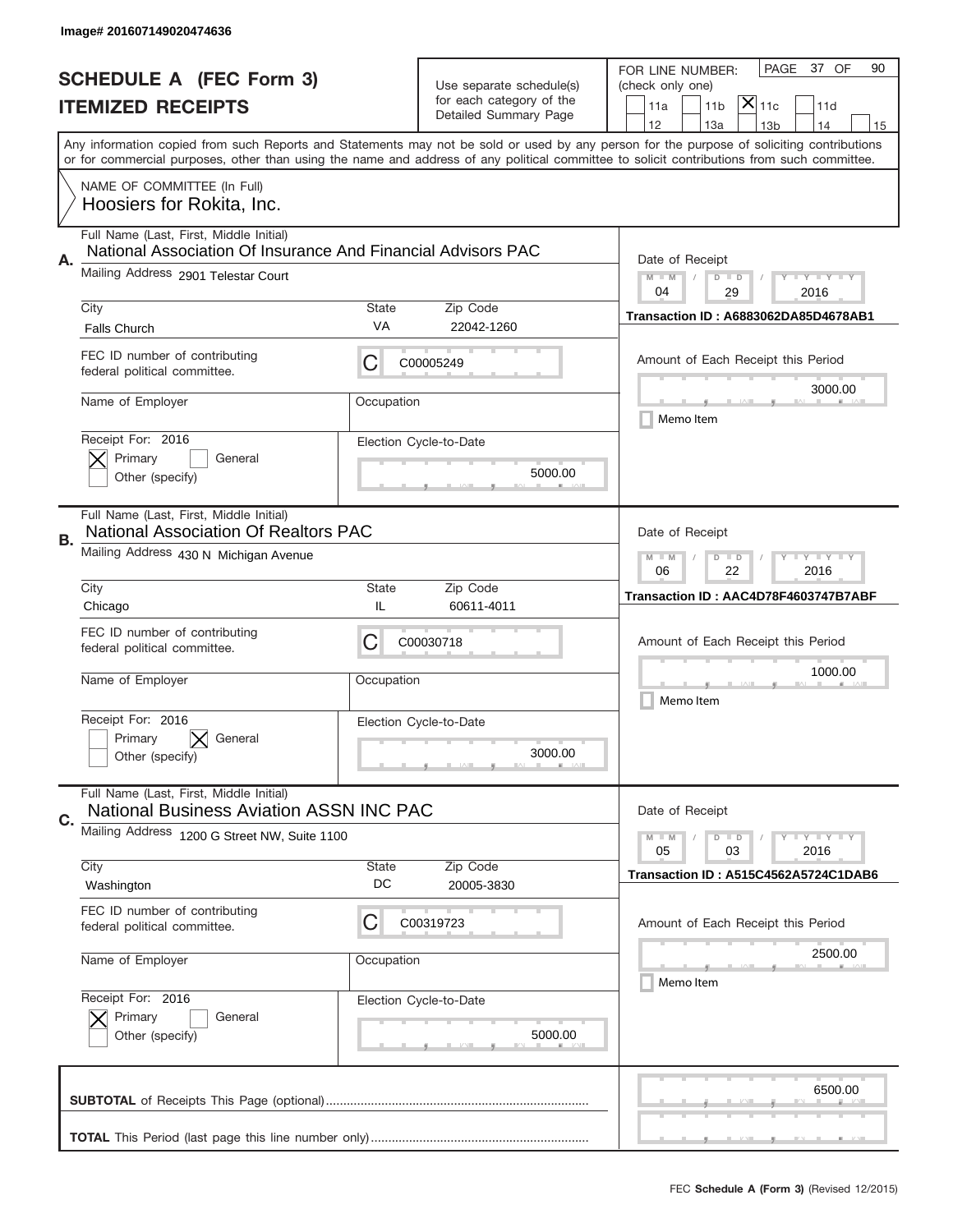|                          | Image# 201607149020474636                                                                               |                                                                                                                         |                                                   |                                                                                                                                                                                                                                                                                                                               |  |  |
|--------------------------|---------------------------------------------------------------------------------------------------------|-------------------------------------------------------------------------------------------------------------------------|---------------------------------------------------|-------------------------------------------------------------------------------------------------------------------------------------------------------------------------------------------------------------------------------------------------------------------------------------------------------------------------------|--|--|
|                          | <b>SCHEDULE A (FEC Form 3)</b>                                                                          |                                                                                                                         | Use separate schedule(s)                          | PAGE<br>37 OF<br>90<br>FOR LINE NUMBER:<br>(check only one)                                                                                                                                                                                                                                                                   |  |  |
| <b>ITEMIZED RECEIPTS</b> |                                                                                                         |                                                                                                                         | for each category of the<br>Detailed Summary Page | $ \overline{\mathsf{X}} _{\mathsf{11c}}$<br>11a<br>11 <sub>b</sub><br>11d<br>14                                                                                                                                                                                                                                               |  |  |
|                          |                                                                                                         |                                                                                                                         |                                                   | 12<br>13a<br>13 <sub>b</sub><br>15<br>Any information copied from such Reports and Statements may not be sold or used by any person for the purpose of soliciting contributions<br>or for commercial purposes, other than using the name and address of any political committee to solicit contributions from such committee. |  |  |
|                          | NAME OF COMMITTEE (In Full)<br>Hoosiers for Rokita, Inc.                                                |                                                                                                                         |                                                   |                                                                                                                                                                                                                                                                                                                               |  |  |
| Α.                       | Full Name (Last, First, Middle Initial)<br>National Association Of Insurance And Financial Advisors PAC |                                                                                                                         |                                                   | Date of Receipt                                                                                                                                                                                                                                                                                                               |  |  |
|                          | Mailing Address 2901 Telestar Court                                                                     | $M - M$<br>$I - Y - I - Y - I - Y$<br>$D$ $D$<br>04<br>29<br>2016                                                       |                                                   |                                                                                                                                                                                                                                                                                                                               |  |  |
|                          | City<br><b>Falls Church</b>                                                                             | State<br>VA                                                                                                             | Zip Code<br>22042-1260                            | Transaction ID: A6883062DA85D4678AB1                                                                                                                                                                                                                                                                                          |  |  |
|                          | FEC ID number of contributing<br>federal political committee.                                           | C                                                                                                                       | C00005249                                         | Amount of Each Receipt this Period                                                                                                                                                                                                                                                                                            |  |  |
|                          | Name of Employer                                                                                        | Occupation                                                                                                              |                                                   | 3000.00<br>Memo Item                                                                                                                                                                                                                                                                                                          |  |  |
|                          | Receipt For: 2016<br>Primary<br>General<br>Other (specify)                                              |                                                                                                                         | Election Cycle-to-Date<br>5000.00                 |                                                                                                                                                                                                                                                                                                                               |  |  |
| В.                       | Full Name (Last, First, Middle Initial)<br><b>National Association Of Realtors PAC</b>                  | Date of Receipt                                                                                                         |                                                   |                                                                                                                                                                                                                                                                                                                               |  |  |
|                          | Mailing Address 430 N Michigan Avenue                                                                   | $\mathbf{I}$ $\mathbf{Y}$ $\mathbf{I}$ $\mathbf{Y}$ $\mathbf{I}$ $\mathbf{Y}$<br>$M - M$<br>$D$ $D$<br>06<br>22<br>2016 |                                                   |                                                                                                                                                                                                                                                                                                                               |  |  |
|                          | City<br>Chicago                                                                                         | State<br>IL                                                                                                             | Zip Code<br>60611-4011                            | Transaction ID: AAC4D78F4603747B7ABF                                                                                                                                                                                                                                                                                          |  |  |
|                          | FEC ID number of contributing<br>federal political committee.                                           | C                                                                                                                       | C00030718                                         | Amount of Each Receipt this Period                                                                                                                                                                                                                                                                                            |  |  |
|                          | Name of Employer                                                                                        | Occupation                                                                                                              |                                                   | 1000.00<br>Memo Item                                                                                                                                                                                                                                                                                                          |  |  |
|                          | Receipt For: 2016<br>General<br>Primary<br>Other (specify)                                              |                                                                                                                         | Election Cycle-to-Date<br>3000.00                 |                                                                                                                                                                                                                                                                                                                               |  |  |
| C.                       | Full Name (Last, First, Middle Initial)<br><b>National Business Aviation ASSN INC PAC</b>               |                                                                                                                         |                                                   | Date of Receipt                                                                                                                                                                                                                                                                                                               |  |  |
|                          | Mailing Address 1200 G Street NW, Suite 1100                                                            |                                                                                                                         |                                                   | $I - Y - I - Y - I - Y$<br>$M - M$<br>$D$ $D$<br>2016<br>05<br>03                                                                                                                                                                                                                                                             |  |  |
|                          | City<br>Washington                                                                                      | State<br>DC                                                                                                             | Zip Code<br>20005-3830                            | Transaction ID: A515C4562A5724C1DAB6                                                                                                                                                                                                                                                                                          |  |  |
|                          | FEC ID number of contributing<br>federal political committee.                                           | C                                                                                                                       | C00319723                                         | Amount of Each Receipt this Period                                                                                                                                                                                                                                                                                            |  |  |
|                          | Name of Employer                                                                                        | Occupation                                                                                                              |                                                   | 2500.00<br>Memo Item                                                                                                                                                                                                                                                                                                          |  |  |
|                          | Receipt For: 2016<br>Primary<br>General<br>Other (specify)                                              |                                                                                                                         | Election Cycle-to-Date<br>5000.00                 |                                                                                                                                                                                                                                                                                                                               |  |  |
|                          |                                                                                                         |                                                                                                                         |                                                   | 6500.00                                                                                                                                                                                                                                                                                                                       |  |  |
|                          |                                                                                                         |                                                                                                                         |                                                   | _                                                                                                                                                                                                                                                                                                                             |  |  |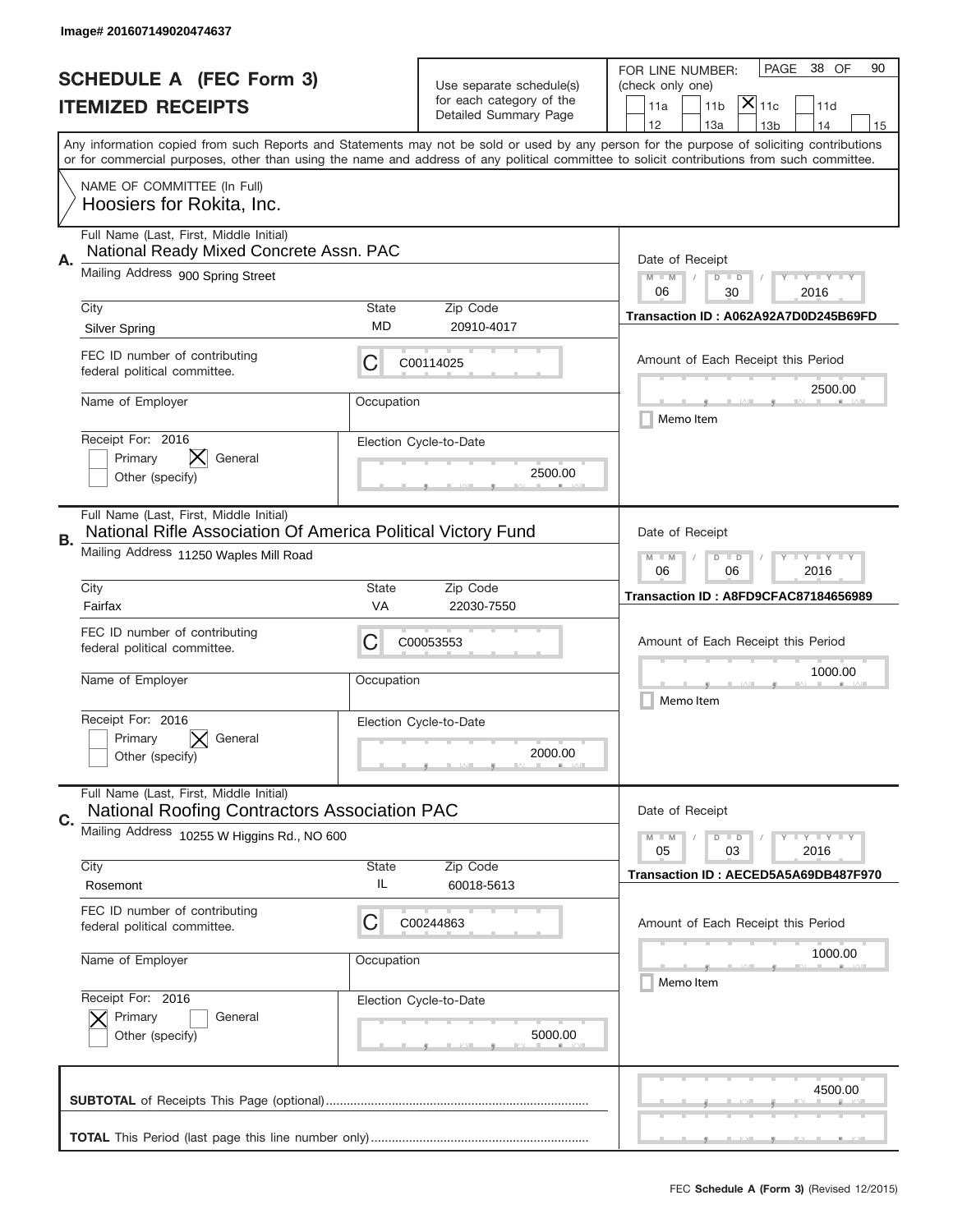|                          | Image# 201607149020474637                                                                      |                                                                                                                         |                                                      |                                                                                                                                                                                                                                                                                         |  |  |  |  |
|--------------------------|------------------------------------------------------------------------------------------------|-------------------------------------------------------------------------------------------------------------------------|------------------------------------------------------|-----------------------------------------------------------------------------------------------------------------------------------------------------------------------------------------------------------------------------------------------------------------------------------------|--|--|--|--|
|                          | <b>SCHEDULE A (FEC Form 3)</b>                                                                 |                                                                                                                         |                                                      | 38 OF<br>PAGE<br>90<br>FOR LINE NUMBER:                                                                                                                                                                                                                                                 |  |  |  |  |
| <b>ITEMIZED RECEIPTS</b> |                                                                                                |                                                                                                                         | Use separate schedule(s)<br>for each category of the | (check only one)<br>$ \mathsf{X} _{\mathsf{11c}}$<br>11 <sub>b</sub><br>11d<br>11a                                                                                                                                                                                                      |  |  |  |  |
|                          |                                                                                                |                                                                                                                         | Detailed Summary Page                                | 12<br>13a<br>13 <sub>b</sub><br>14<br>15                                                                                                                                                                                                                                                |  |  |  |  |
|                          |                                                                                                |                                                                                                                         |                                                      | Any information copied from such Reports and Statements may not be sold or used by any person for the purpose of soliciting contributions<br>or for commercial purposes, other than using the name and address of any political committee to solicit contributions from such committee. |  |  |  |  |
|                          | NAME OF COMMITTEE (In Full)                                                                    |                                                                                                                         |                                                      |                                                                                                                                                                                                                                                                                         |  |  |  |  |
|                          | Hoosiers for Rokita, Inc.                                                                      |                                                                                                                         |                                                      |                                                                                                                                                                                                                                                                                         |  |  |  |  |
|                          |                                                                                                | Full Name (Last, First, Middle Initial)<br>National Ready Mixed Concrete Assn. PAC                                      |                                                      |                                                                                                                                                                                                                                                                                         |  |  |  |  |
| Α.                       | Mailing Address 900 Spring Street                                                              | Date of Receipt<br>$M - M$<br><b>LY LY LY</b><br>$D$ $D$                                                                |                                                      |                                                                                                                                                                                                                                                                                         |  |  |  |  |
|                          | City                                                                                           | <b>State</b>                                                                                                            | Zip Code                                             | 06<br>30<br>2016                                                                                                                                                                                                                                                                        |  |  |  |  |
|                          | <b>Silver Spring</b>                                                                           | MD                                                                                                                      | 20910-4017                                           | Transaction ID: A062A92A7D0D245B69FD                                                                                                                                                                                                                                                    |  |  |  |  |
|                          | FEC ID number of contributing<br>federal political committee.                                  | С                                                                                                                       | C00114025                                            | Amount of Each Receipt this Period                                                                                                                                                                                                                                                      |  |  |  |  |
|                          | Name of Employer                                                                               | Occupation                                                                                                              |                                                      | 2500.00<br>Memo Item                                                                                                                                                                                                                                                                    |  |  |  |  |
|                          | Receipt For: 2016<br>General                                                                   |                                                                                                                         | Election Cycle-to-Date                               |                                                                                                                                                                                                                                                                                         |  |  |  |  |
|                          | Primary<br>Other (specify)                                                                     |                                                                                                                         | 2500.00                                              |                                                                                                                                                                                                                                                                                         |  |  |  |  |
|                          | Full Name (Last, First, Middle Initial)                                                        |                                                                                                                         |                                                      |                                                                                                                                                                                                                                                                                         |  |  |  |  |
| В.                       | National Rifle Association Of America Political Victory Fund                                   |                                                                                                                         |                                                      | Date of Receipt                                                                                                                                                                                                                                                                         |  |  |  |  |
|                          | Mailing Address 11250 Waples Mill Road                                                         | $\mathbf{I}$ $\mathbf{Y}$ $\mathbf{I}$ $\mathbf{Y}$ $\mathbf{I}$ $\mathbf{Y}$<br>$M - M$<br>$D$ $D$<br>06<br>06<br>2016 |                                                      |                                                                                                                                                                                                                                                                                         |  |  |  |  |
|                          | City<br>Fairfax                                                                                | <b>State</b><br>VA                                                                                                      | Zip Code<br>22030-7550                               | Transaction ID: A8FD9CFAC87184656989                                                                                                                                                                                                                                                    |  |  |  |  |
|                          | FEC ID number of contributing                                                                  |                                                                                                                         |                                                      |                                                                                                                                                                                                                                                                                         |  |  |  |  |
|                          | federal political committee.                                                                   | С                                                                                                                       | C00053553                                            | Amount of Each Receipt this Period                                                                                                                                                                                                                                                      |  |  |  |  |
|                          | Name of Employer                                                                               | Occupation                                                                                                              |                                                      | 1000.00                                                                                                                                                                                                                                                                                 |  |  |  |  |
|                          | Receipt For: 2016                                                                              |                                                                                                                         |                                                      | Memo Item                                                                                                                                                                                                                                                                               |  |  |  |  |
|                          | General<br>Primary                                                                             |                                                                                                                         | Election Cycle-to-Date                               |                                                                                                                                                                                                                                                                                         |  |  |  |  |
|                          | Other (specify)                                                                                |                                                                                                                         | 2000.00                                              |                                                                                                                                                                                                                                                                                         |  |  |  |  |
| C.                       | Full Name (Last, First, Middle Initial)<br><b>National Roofing Contractors Association PAC</b> |                                                                                                                         |                                                      | Date of Receipt                                                                                                                                                                                                                                                                         |  |  |  |  |
|                          | Mailing Address 10255 W Higgins Rd., NO 600                                                    |                                                                                                                         |                                                      | <b>LYLYLY</b><br>$M - M$<br>$D$ $D$<br>2016                                                                                                                                                                                                                                             |  |  |  |  |
|                          | City                                                                                           | <b>State</b>                                                                                                            | Zip Code                                             | 05<br>03<br>Transaction ID: AECED5A5A69DB487F970                                                                                                                                                                                                                                        |  |  |  |  |
|                          | Rosemont                                                                                       | IL                                                                                                                      | 60018-5613                                           |                                                                                                                                                                                                                                                                                         |  |  |  |  |
|                          | FEC ID number of contributing<br>federal political committee.                                  | C                                                                                                                       | C00244863                                            | Amount of Each Receipt this Period                                                                                                                                                                                                                                                      |  |  |  |  |
|                          | Name of Employer                                                                               | Occupation                                                                                                              |                                                      | 1000.00                                                                                                                                                                                                                                                                                 |  |  |  |  |
|                          | Receipt For: 2016                                                                              |                                                                                                                         | Election Cycle-to-Date                               | Memo Item                                                                                                                                                                                                                                                                               |  |  |  |  |
|                          | Primary<br>General                                                                             |                                                                                                                         |                                                      |                                                                                                                                                                                                                                                                                         |  |  |  |  |
|                          | Other (specify)                                                                                |                                                                                                                         | 5000.00                                              |                                                                                                                                                                                                                                                                                         |  |  |  |  |
|                          |                                                                                                |                                                                                                                         |                                                      | 4500.00                                                                                                                                                                                                                                                                                 |  |  |  |  |
|                          |                                                                                                |                                                                                                                         |                                                      |                                                                                                                                                                                                                                                                                         |  |  |  |  |
|                          |                                                                                                |                                                                                                                         |                                                      |                                                                                                                                                                                                                                                                                         |  |  |  |  |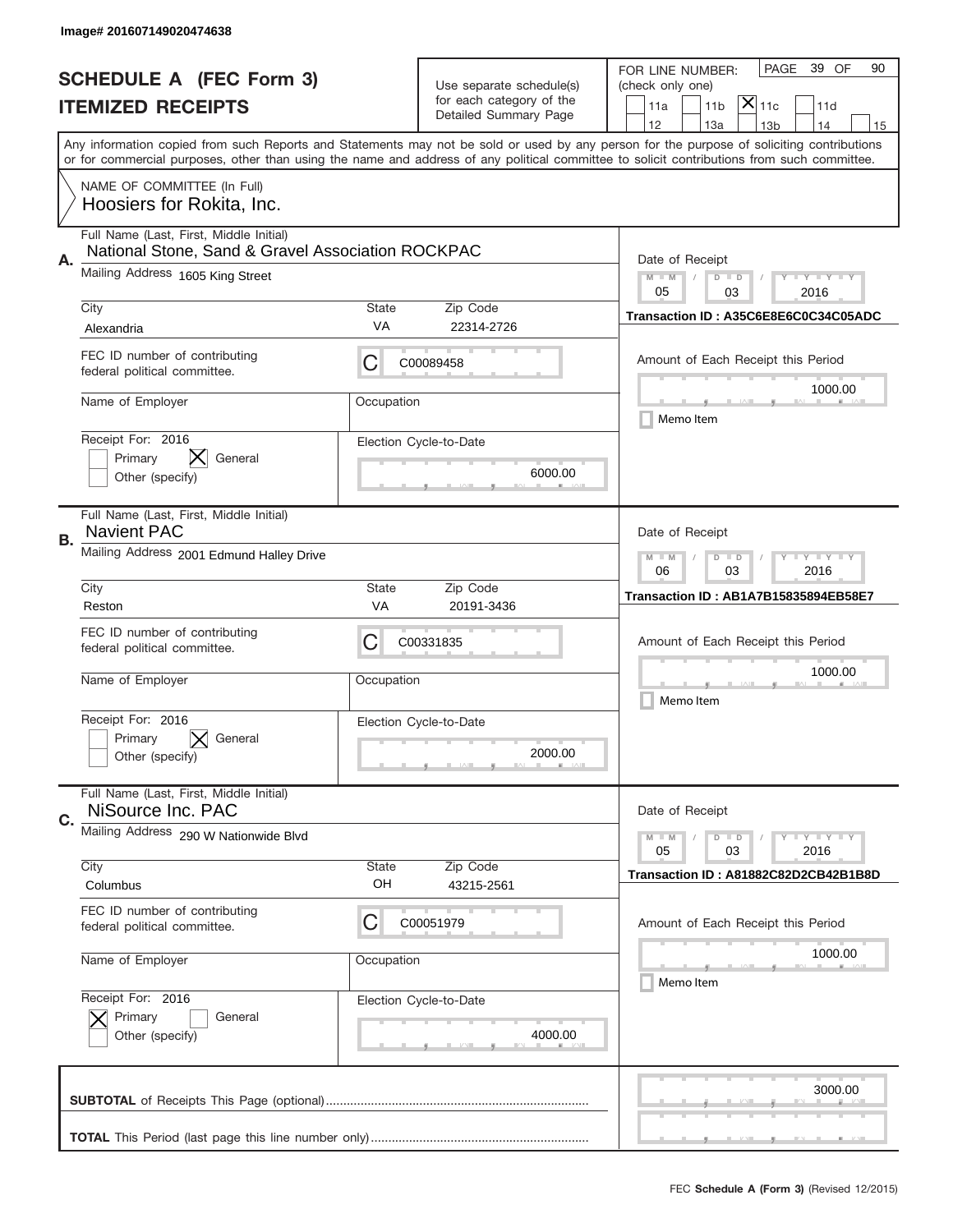|                          | Image# 201607149020474638                                                                    |                                                         |                                                      |                                                                                                                                                                                                                                                                                         |  |  |
|--------------------------|----------------------------------------------------------------------------------------------|---------------------------------------------------------|------------------------------------------------------|-----------------------------------------------------------------------------------------------------------------------------------------------------------------------------------------------------------------------------------------------------------------------------------------|--|--|
|                          | <b>SCHEDULE A (FEC Form 3)</b>                                                               |                                                         |                                                      | 39 OF<br>PAGE<br>90<br>FOR LINE NUMBER:                                                                                                                                                                                                                                                 |  |  |
| <b>ITEMIZED RECEIPTS</b> |                                                                                              |                                                         | Use separate schedule(s)<br>for each category of the | (check only one)<br>$ \mathsf{X} _{\mathsf{11c}}$<br>11 <sub>b</sub><br>11a<br>11d                                                                                                                                                                                                      |  |  |
|                          |                                                                                              |                                                         | Detailed Summary Page                                | 12<br>13a<br>13 <sub>b</sub><br>14<br>15                                                                                                                                                                                                                                                |  |  |
|                          |                                                                                              |                                                         |                                                      | Any information copied from such Reports and Statements may not be sold or used by any person for the purpose of soliciting contributions<br>or for commercial purposes, other than using the name and address of any political committee to solicit contributions from such committee. |  |  |
|                          | NAME OF COMMITTEE (In Full)<br>Hoosiers for Rokita, Inc.                                     |                                                         |                                                      |                                                                                                                                                                                                                                                                                         |  |  |
|                          | Full Name (Last, First, Middle Initial)<br>National Stone, Sand & Gravel Association ROCKPAC |                                                         |                                                      |                                                                                                                                                                                                                                                                                         |  |  |
| Α.                       | Mailing Address 1605 King Street                                                             |                                                         |                                                      | Date of Receipt<br>$M$ M<br><b>LY LY LY</b><br>$D$ $D$<br>05<br>03<br>2016                                                                                                                                                                                                              |  |  |
|                          | City<br>Alexandria                                                                           | <b>State</b><br>VA                                      | Zip Code<br>22314-2726                               | Transaction ID: A35C6E8E6C0C34C05ADC                                                                                                                                                                                                                                                    |  |  |
|                          | FEC ID number of contributing<br>federal political committee.                                | С                                                       | C00089458                                            | Amount of Each Receipt this Period                                                                                                                                                                                                                                                      |  |  |
|                          | Name of Employer                                                                             | Occupation                                              |                                                      | 1000.00<br>Memo Item                                                                                                                                                                                                                                                                    |  |  |
|                          | Receipt For: 2016<br>General<br>Primary<br>Other (specify)                                   |                                                         | Election Cycle-to-Date<br>6000.00                    |                                                                                                                                                                                                                                                                                         |  |  |
| В.                       | Full Name (Last, First, Middle Initial)<br><b>Navient PAC</b>                                | Date of Receipt                                         |                                                      |                                                                                                                                                                                                                                                                                         |  |  |
|                          | Mailing Address 2001 Edmund Halley Drive                                                     | <b>LYLYLY</b><br>$M - M$<br>$D$ $D$<br>03<br>2016<br>06 |                                                      |                                                                                                                                                                                                                                                                                         |  |  |
|                          | City<br>Reston                                                                               | <b>State</b><br>VA                                      | Zip Code<br>20191-3436                               | Transaction ID: AB1A7B15835894EB58E7                                                                                                                                                                                                                                                    |  |  |
|                          | FEC ID number of contributing<br>federal political committee.                                | С                                                       | C00331835                                            | Amount of Each Receipt this Period                                                                                                                                                                                                                                                      |  |  |
|                          | Name of Employer                                                                             | Occupation                                              |                                                      | 1000.00<br>Memo Item                                                                                                                                                                                                                                                                    |  |  |
|                          | Receipt For: 2016<br>General<br>Primary<br>Other (specify)                                   |                                                         | Election Cycle-to-Date<br>2000.00                    |                                                                                                                                                                                                                                                                                         |  |  |
| C.                       | Full Name (Last, First, Middle Initial)<br>NiSource Inc. PAC                                 |                                                         |                                                      | Date of Receipt                                                                                                                                                                                                                                                                         |  |  |
|                          | Mailing Address 290 W Nationwide Blvd                                                        |                                                         |                                                      | $\mathbf{I}$ $\mathbf{Y}$ $\mathbf{I}$ $\mathbf{Y}$ $\mathbf{I}$ $\mathbf{Y}$<br>$M - M$<br>$D$ $D$<br>2016<br>05<br>03                                                                                                                                                                 |  |  |
|                          | City<br>Columbus                                                                             | <b>State</b><br>OH                                      | Zip Code<br>43215-2561                               | Transaction ID: A81882C82D2CB42B1B8D                                                                                                                                                                                                                                                    |  |  |
|                          | FEC ID number of contributing<br>federal political committee.                                | С                                                       | C00051979                                            | Amount of Each Receipt this Period                                                                                                                                                                                                                                                      |  |  |
|                          | Name of Employer                                                                             | Occupation                                              |                                                      | 1000.00<br>Memo Item                                                                                                                                                                                                                                                                    |  |  |
|                          | Receipt For: 2016<br>Primary<br>General<br>Other (specify)                                   |                                                         | Election Cycle-to-Date<br>4000.00                    |                                                                                                                                                                                                                                                                                         |  |  |
|                          |                                                                                              |                                                         |                                                      | 3000.00                                                                                                                                                                                                                                                                                 |  |  |
|                          |                                                                                              |                                                         |                                                      |                                                                                                                                                                                                                                                                                         |  |  |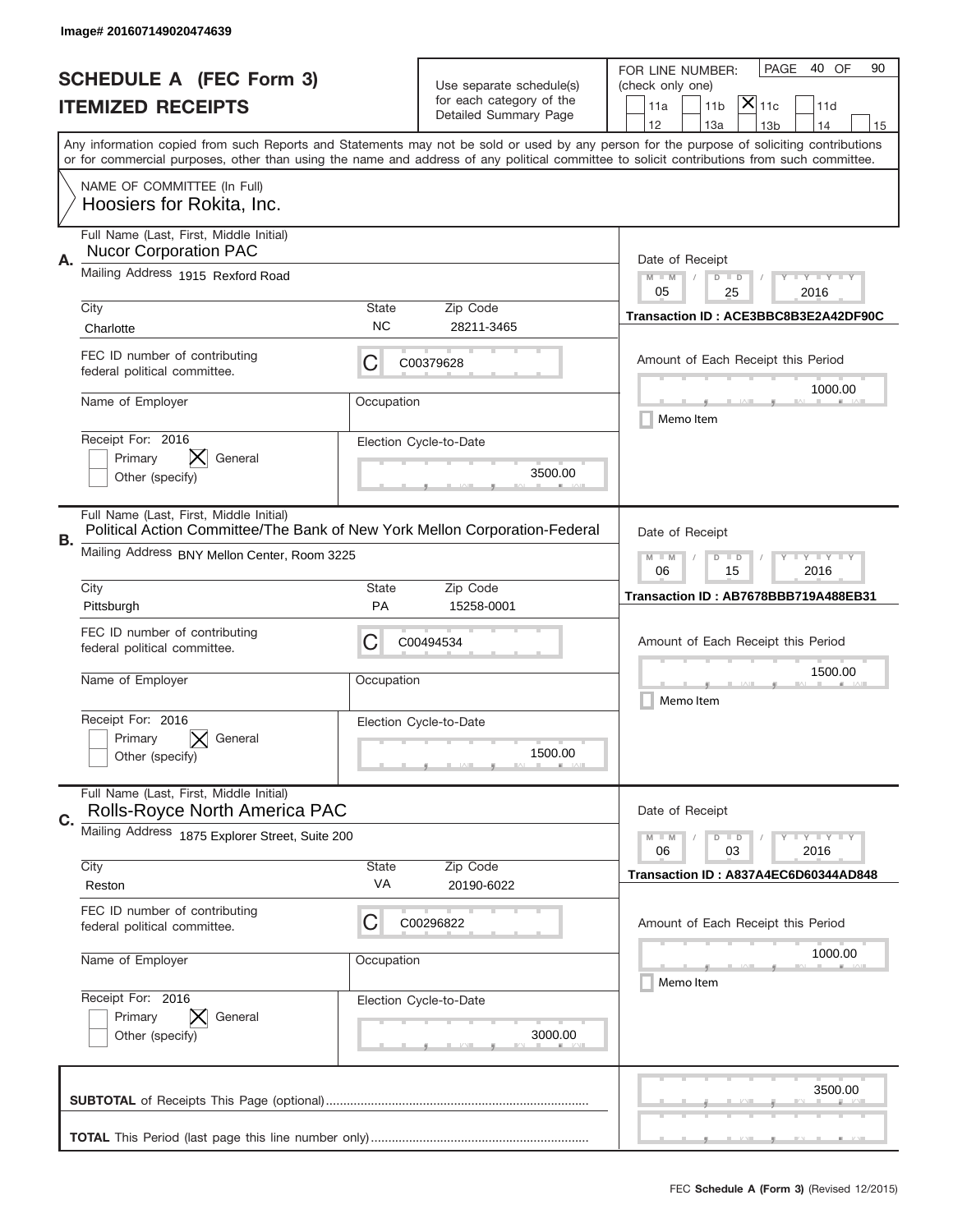|                          | Image# 201607149020474639                                                                                             |                                                                                                                         |                                                   |                                                                                                                                                                                       |  |  |
|--------------------------|-----------------------------------------------------------------------------------------------------------------------|-------------------------------------------------------------------------------------------------------------------------|---------------------------------------------------|---------------------------------------------------------------------------------------------------------------------------------------------------------------------------------------|--|--|
|                          | <b>SCHEDULE A (FEC Form 3)</b>                                                                                        |                                                                                                                         | Use separate schedule(s)                          | PAGE<br>40 OF<br>90<br>FOR LINE NUMBER:<br>(check only one)                                                                                                                           |  |  |
| <b>ITEMIZED RECEIPTS</b> |                                                                                                                       |                                                                                                                         | for each category of the<br>Detailed Summary Page | $\mathsf{X} _{\mathsf{11c}}$<br>11a<br>11 <sub>b</sub><br>11d                                                                                                                         |  |  |
|                          |                                                                                                                       |                                                                                                                         |                                                   | 12<br>13a<br>13 <sub>b</sub><br>14<br>15<br>Any information copied from such Reports and Statements may not be sold or used by any person for the purpose of soliciting contributions |  |  |
|                          |                                                                                                                       |                                                                                                                         |                                                   | or for commercial purposes, other than using the name and address of any political committee to solicit contributions from such committee.                                            |  |  |
|                          | NAME OF COMMITTEE (In Full)<br>Hoosiers for Rokita, Inc.                                                              |                                                                                                                         |                                                   |                                                                                                                                                                                       |  |  |
| А.                       | Full Name (Last, First, Middle Initial)<br><b>Nucor Corporation PAC</b>                                               | Date of Receipt                                                                                                         |                                                   |                                                                                                                                                                                       |  |  |
|                          | Mailing Address 1915 Rexford Road                                                                                     |                                                                                                                         |                                                   | $M - M$<br><b>LY LY LY</b><br>$D$ $D$<br>05<br>25<br>2016                                                                                                                             |  |  |
|                          | City<br>Charlotte                                                                                                     | State<br><b>NC</b>                                                                                                      | Zip Code<br>28211-3465                            | Transaction ID: ACE3BBC8B3E2A42DF90C                                                                                                                                                  |  |  |
|                          | FEC ID number of contributing<br>federal political committee.                                                         | С                                                                                                                       | C00379628                                         | Amount of Each Receipt this Period                                                                                                                                                    |  |  |
|                          | Name of Employer                                                                                                      | Occupation                                                                                                              |                                                   | 1000.00<br>Memo Item                                                                                                                                                                  |  |  |
|                          | Receipt For: 2016<br>IХ.<br>Primary<br>General<br>Other (specify)                                                     |                                                                                                                         | Election Cycle-to-Date<br>3500.00                 |                                                                                                                                                                                       |  |  |
| В.                       | Full Name (Last, First, Middle Initial)<br>Political Action Committee/The Bank of New York Mellon Corporation-Federal | Date of Receipt                                                                                                         |                                                   |                                                                                                                                                                                       |  |  |
|                          | Mailing Address BNY Mellon Center, Room 3225                                                                          | $M - M$<br>$\mathbf{I}$ $\mathbf{Y}$ $\mathbf{I}$ $\mathbf{Y}$ $\mathbf{I}$ $\mathbf{Y}$<br>$D$ $D$<br>06<br>15<br>2016 |                                                   |                                                                                                                                                                                       |  |  |
|                          | City<br>Pittsburgh                                                                                                    | <b>State</b><br><b>PA</b>                                                                                               | Zip Code<br>15258-0001                            | Transaction ID: AB7678BBB719A488EB31                                                                                                                                                  |  |  |
|                          | FEC ID number of contributing<br>federal political committee.                                                         | C                                                                                                                       | C00494534                                         | Amount of Each Receipt this Period                                                                                                                                                    |  |  |
|                          | Name of Employer                                                                                                      | Occupation                                                                                                              |                                                   | 1500.00<br>Memo Item                                                                                                                                                                  |  |  |
|                          | Receipt For: 2016<br>Primary<br>General<br>Other (specify)                                                            |                                                                                                                         | Election Cycle-to-Date<br>1500.00                 |                                                                                                                                                                                       |  |  |
| C.                       | Full Name (Last, First, Middle Initial)<br>Rolls-Royce North America PAC                                              |                                                                                                                         |                                                   | Date of Receipt                                                                                                                                                                       |  |  |
|                          | Mailing Address 1875 Explorer Street, Suite 200                                                                       | $I - Y - I - Y - I - Y$<br>$M - M$<br>$D$ $D$<br>06<br>2016<br>03                                                       |                                                   |                                                                                                                                                                                       |  |  |
|                          | City<br>Reston                                                                                                        | State<br>VA                                                                                                             | Zip Code<br>20190-6022                            | Transaction ID: A837A4EC6D60344AD848                                                                                                                                                  |  |  |
|                          | FEC ID number of contributing<br>federal political committee.                                                         | С                                                                                                                       | C00296822                                         | Amount of Each Receipt this Period                                                                                                                                                    |  |  |
|                          | Name of Employer                                                                                                      | Occupation                                                                                                              |                                                   | 1000.00<br>Memo Item                                                                                                                                                                  |  |  |
|                          | Receipt For: 2016<br>Primary<br>General<br>Other (specify)                                                            |                                                                                                                         | Election Cycle-to-Date<br>3000.00                 |                                                                                                                                                                                       |  |  |
|                          |                                                                                                                       |                                                                                                                         |                                                   | 3500.00                                                                                                                                                                               |  |  |
|                          |                                                                                                                       |                                                                                                                         |                                                   | _                                                                                                                                                                                     |  |  |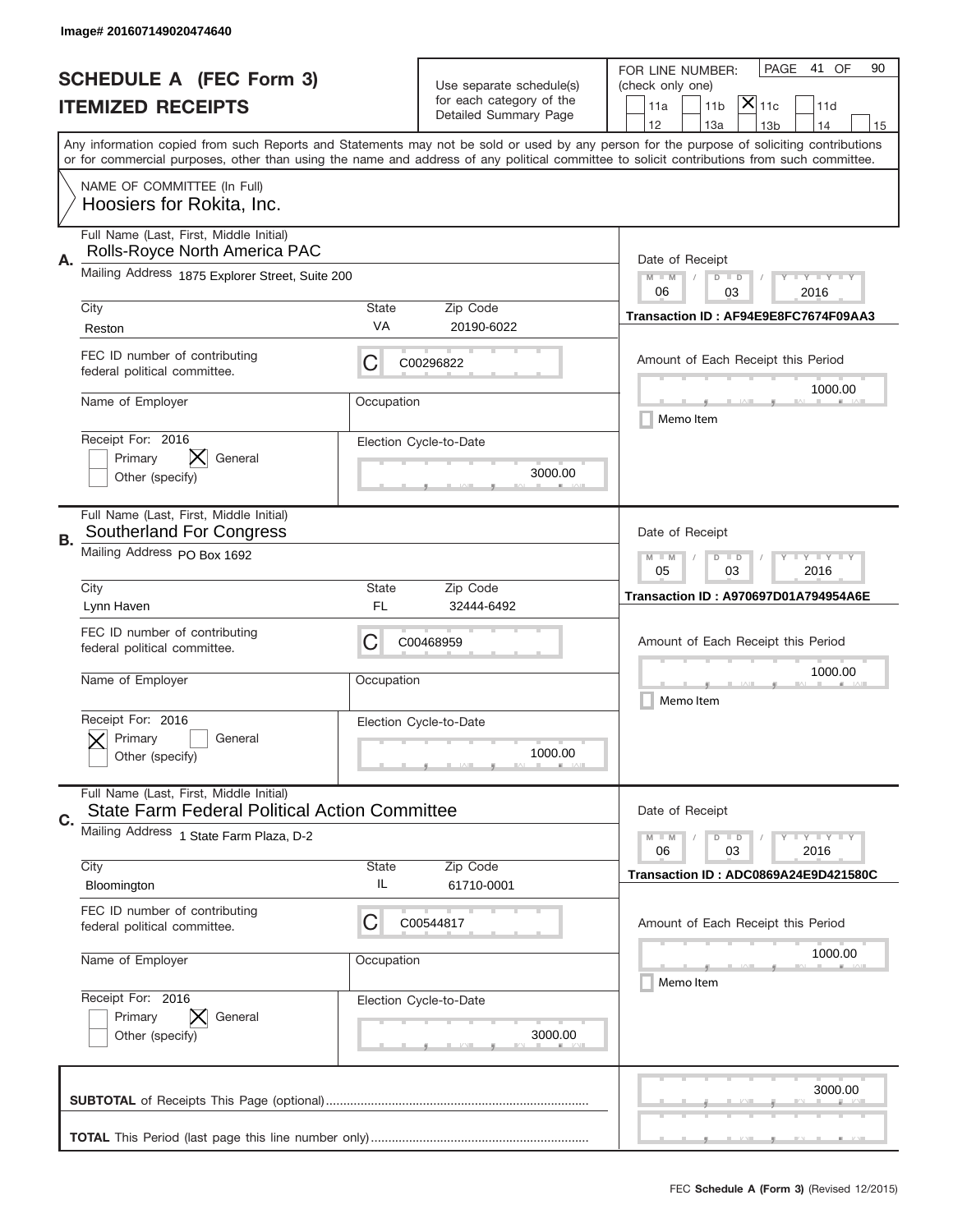|                          | Image# 201607149020474640                                                                       |                                                                                                                         |                                                      |                                                                                                                                                                                                                                                                                         |  |  |
|--------------------------|-------------------------------------------------------------------------------------------------|-------------------------------------------------------------------------------------------------------------------------|------------------------------------------------------|-----------------------------------------------------------------------------------------------------------------------------------------------------------------------------------------------------------------------------------------------------------------------------------------|--|--|
|                          | <b>SCHEDULE A (FEC Form 3)</b>                                                                  |                                                                                                                         |                                                      | PAGE<br>41 OF<br>90<br>FOR LINE NUMBER:                                                                                                                                                                                                                                                 |  |  |
| <b>ITEMIZED RECEIPTS</b> |                                                                                                 |                                                                                                                         | Use separate schedule(s)<br>for each category of the | (check only one)<br>$\mathsf{\bar{X}}\vert_{\mathsf{11c}}$<br>11a<br>11 <sub>b</sub><br>11d                                                                                                                                                                                             |  |  |
|                          |                                                                                                 |                                                                                                                         | Detailed Summary Page                                | 12<br>13a<br>14<br>13 <sub>b</sub><br>15                                                                                                                                                                                                                                                |  |  |
|                          |                                                                                                 |                                                                                                                         |                                                      | Any information copied from such Reports and Statements may not be sold or used by any person for the purpose of soliciting contributions<br>or for commercial purposes, other than using the name and address of any political committee to solicit contributions from such committee. |  |  |
|                          | NAME OF COMMITTEE (In Full)<br>Hoosiers for Rokita, Inc.                                        |                                                                                                                         |                                                      |                                                                                                                                                                                                                                                                                         |  |  |
| А.                       | Full Name (Last, First, Middle Initial)<br>Rolls-Royce North America PAC                        | Date of Receipt                                                                                                         |                                                      |                                                                                                                                                                                                                                                                                         |  |  |
|                          | Mailing Address 1875 Explorer Street, Suite 200                                                 |                                                                                                                         |                                                      | $M - M$<br>$\mathbf{I}$ $\mathbf{Y}$ $\mathbf{I}$ $\mathbf{Y}$ $\mathbf{I}$ $\mathbf{Y}$<br>$D$ $D$<br>06<br>03<br>2016                                                                                                                                                                 |  |  |
|                          | City<br>Reston                                                                                  | State<br>VA                                                                                                             | Zip Code<br>20190-6022                               | Transaction ID: AF94E9E8FC7674F09AA3                                                                                                                                                                                                                                                    |  |  |
|                          | FEC ID number of contributing<br>federal political committee.                                   | С                                                                                                                       | C00296822                                            | Amount of Each Receipt this Period                                                                                                                                                                                                                                                      |  |  |
|                          | Name of Employer                                                                                | Occupation                                                                                                              |                                                      | 1000.00<br>Memo Item                                                                                                                                                                                                                                                                    |  |  |
|                          | Receipt For: 2016<br>IХ.<br>Primary<br>General<br>Other (specify)                               |                                                                                                                         | Election Cycle-to-Date<br>3000.00                    |                                                                                                                                                                                                                                                                                         |  |  |
| В.                       | Full Name (Last, First, Middle Initial)<br>Southerland For Congress                             | Date of Receipt                                                                                                         |                                                      |                                                                                                                                                                                                                                                                                         |  |  |
|                          | Mailing Address PO Box 1692                                                                     | $\mathbf{I}$ $\mathbf{Y}$ $\mathbf{I}$ $\mathbf{Y}$ $\mathbf{I}$ $\mathbf{Y}$<br>$M - M$<br>$D$ $D$<br>05<br>03<br>2016 |                                                      |                                                                                                                                                                                                                                                                                         |  |  |
|                          | City<br>Lynn Haven                                                                              | State<br>FL                                                                                                             | Zip Code<br>32444-6492                               | <b>Transaction ID: A970697D01A794954A6E</b>                                                                                                                                                                                                                                             |  |  |
|                          | FEC ID number of contributing<br>federal political committee.                                   | С                                                                                                                       | C00468959                                            | Amount of Each Receipt this Period                                                                                                                                                                                                                                                      |  |  |
|                          | Name of Employer                                                                                | Occupation                                                                                                              |                                                      | 1000.00<br>Memo Item                                                                                                                                                                                                                                                                    |  |  |
|                          | Receipt For: 2016<br>General<br>Primary<br>Other (specify)                                      |                                                                                                                         | Election Cycle-to-Date<br>1000.00                    |                                                                                                                                                                                                                                                                                         |  |  |
| C.                       | Full Name (Last, First, Middle Initial)<br><b>State Farm Federal Political Action Committee</b> |                                                                                                                         |                                                      | Date of Receipt                                                                                                                                                                                                                                                                         |  |  |
|                          | Mailing Address 1 State Farm Plaza, D-2                                                         |                                                                                                                         |                                                      | $I - Y - I - Y - I - Y$<br>$M - M$<br>$D$ $D$<br>06<br>2016<br>03                                                                                                                                                                                                                       |  |  |
|                          | City<br>Bloomington                                                                             | State<br>IL                                                                                                             | Zip Code<br>61710-0001                               | Transaction ID: ADC0869A24E9D421580C                                                                                                                                                                                                                                                    |  |  |
|                          | FEC ID number of contributing<br>federal political committee.                                   | C                                                                                                                       | C00544817                                            | Amount of Each Receipt this Period                                                                                                                                                                                                                                                      |  |  |
|                          | Name of Employer                                                                                | Occupation                                                                                                              |                                                      | 1000.00<br>Memo Item                                                                                                                                                                                                                                                                    |  |  |
|                          | Receipt For: 2016<br>Primary<br>General<br>Other (specify)                                      |                                                                                                                         | Election Cycle-to-Date<br>3000.00                    |                                                                                                                                                                                                                                                                                         |  |  |
|                          |                                                                                                 |                                                                                                                         |                                                      | 3000.00                                                                                                                                                                                                                                                                                 |  |  |
|                          |                                                                                                 |                                                                                                                         |                                                      |                                                                                                                                                                                                                                                                                         |  |  |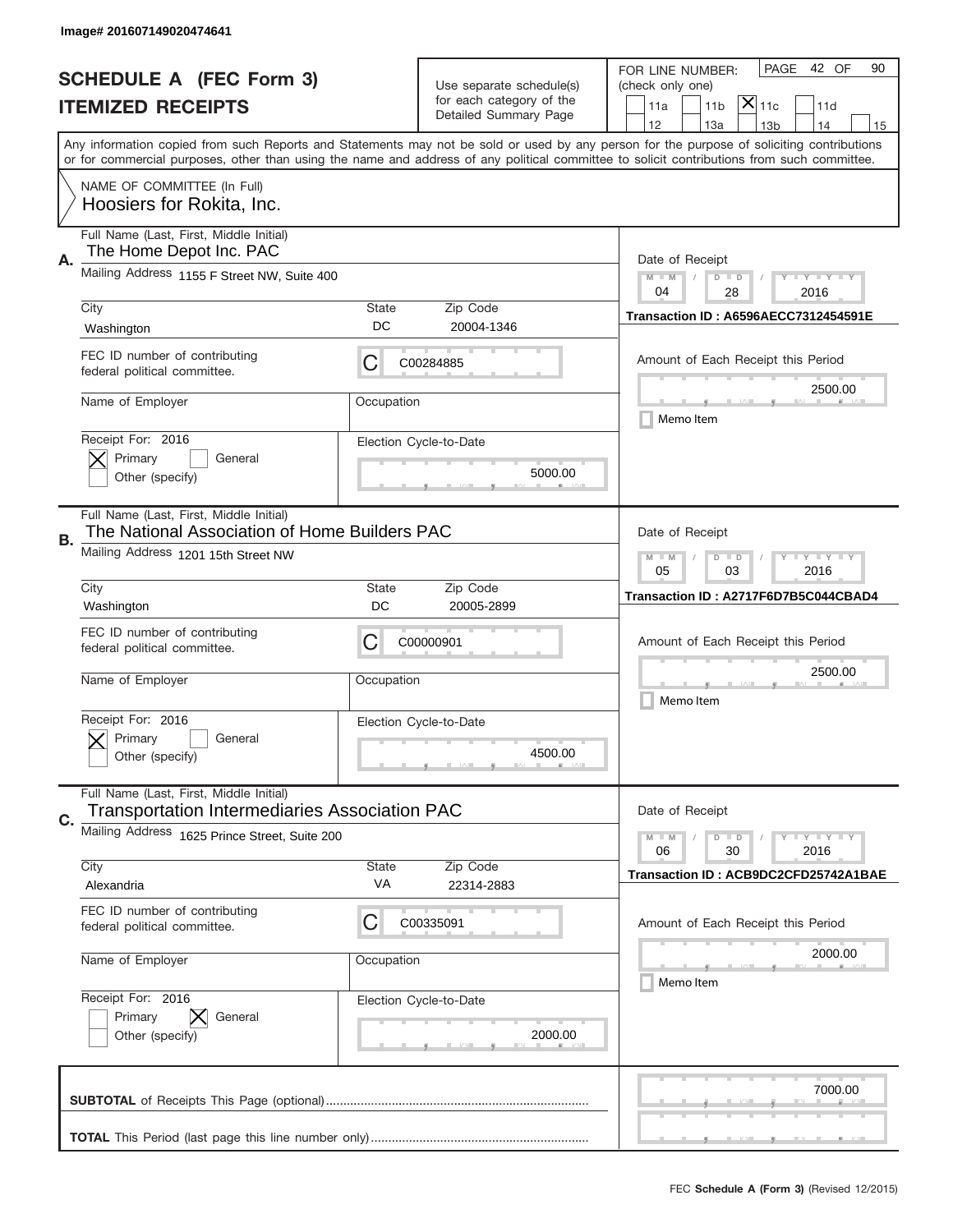|                          | Image# 201607149020474641                                                                       |                                                         |                                                      |                                                                                                                                                                                                                                                                                         |  |  |
|--------------------------|-------------------------------------------------------------------------------------------------|---------------------------------------------------------|------------------------------------------------------|-----------------------------------------------------------------------------------------------------------------------------------------------------------------------------------------------------------------------------------------------------------------------------------------|--|--|
|                          | <b>SCHEDULE A (FEC Form 3)</b>                                                                  |                                                         |                                                      | 42 OF<br>PAGE<br>90<br>FOR LINE NUMBER:                                                                                                                                                                                                                                                 |  |  |
| <b>ITEMIZED RECEIPTS</b> |                                                                                                 |                                                         | Use separate schedule(s)<br>for each category of the | (check only one)<br>$ \mathsf{X} _{\mathsf{11c}}$<br>11 <sub>b</sub><br>11a<br>11d                                                                                                                                                                                                      |  |  |
|                          |                                                                                                 |                                                         | Detailed Summary Page                                | 12<br>13a<br>13 <sub>b</sub><br>14<br>15                                                                                                                                                                                                                                                |  |  |
|                          |                                                                                                 |                                                         |                                                      | Any information copied from such Reports and Statements may not be sold or used by any person for the purpose of soliciting contributions<br>or for commercial purposes, other than using the name and address of any political committee to solicit contributions from such committee. |  |  |
|                          | NAME OF COMMITTEE (In Full)<br>Hoosiers for Rokita, Inc.                                        |                                                         |                                                      |                                                                                                                                                                                                                                                                                         |  |  |
| Α.                       | Full Name (Last, First, Middle Initial)<br>The Home Depot Inc. PAC                              |                                                         |                                                      | Date of Receipt                                                                                                                                                                                                                                                                         |  |  |
|                          | Mailing Address 1155 F Street NW, Suite 400                                                     |                                                         |                                                      | $M$ M<br><b>LY LY LY</b><br>$D$ $D$<br>04<br>28<br>2016                                                                                                                                                                                                                                 |  |  |
|                          | City<br>Washington                                                                              | <b>State</b><br>DC                                      | Zip Code<br>20004-1346                               | <b>Transaction ID: A6596AECC7312454591E</b>                                                                                                                                                                                                                                             |  |  |
|                          | FEC ID number of contributing<br>federal political committee.                                   | С                                                       | C00284885                                            | Amount of Each Receipt this Period<br>2500.00                                                                                                                                                                                                                                           |  |  |
|                          | Name of Employer                                                                                | Occupation                                              |                                                      | Memo Item                                                                                                                                                                                                                                                                               |  |  |
|                          | Receipt For: 2016<br>Primary<br>General<br>Other (specify)                                      |                                                         | Election Cycle-to-Date<br>5000.00                    |                                                                                                                                                                                                                                                                                         |  |  |
| В.                       | Full Name (Last, First, Middle Initial)<br>The National Association of Home Builders PAC        |                                                         |                                                      | Date of Receipt                                                                                                                                                                                                                                                                         |  |  |
|                          | Mailing Address 1201 15th Street NW                                                             | <b>LYLYLY</b><br>$M - M$<br>$D$ $D$<br>05<br>03<br>2016 |                                                      |                                                                                                                                                                                                                                                                                         |  |  |
|                          | City<br>Washington                                                                              | <b>State</b><br>DC                                      | Zip Code<br>20005-2899                               | Transaction ID: A2717F6D7B5C044CBAD4                                                                                                                                                                                                                                                    |  |  |
|                          | FEC ID number of contributing<br>federal political committee.                                   | С                                                       | C00000901                                            | Amount of Each Receipt this Period                                                                                                                                                                                                                                                      |  |  |
|                          | Name of Employer                                                                                | Occupation                                              |                                                      | 2500.00<br>Memo Item                                                                                                                                                                                                                                                                    |  |  |
|                          | Receipt For: 2016<br>Primary<br>General<br>Other (specify)                                      |                                                         | Election Cycle-to-Date<br>4500.00                    |                                                                                                                                                                                                                                                                                         |  |  |
| C.                       | Full Name (Last, First, Middle Initial)<br><b>Transportation Intermediaries Association PAC</b> |                                                         |                                                      | Date of Receipt                                                                                                                                                                                                                                                                         |  |  |
|                          | Mailing Address 1625 Prince Street, Suite 200                                                   |                                                         |                                                      | <b>LYLYLY</b><br>$M - M$<br>$D$ $D$<br>06<br>2016<br>30                                                                                                                                                                                                                                 |  |  |
|                          | City<br>Alexandria                                                                              | <b>State</b><br>VA                                      | Zip Code<br>22314-2883                               | Transaction ID: ACB9DC2CFD25742A1BAE                                                                                                                                                                                                                                                    |  |  |
|                          | FEC ID number of contributing<br>federal political committee.                                   | С                                                       | C00335091                                            | Amount of Each Receipt this Period                                                                                                                                                                                                                                                      |  |  |
|                          | Name of Employer                                                                                | Occupation                                              |                                                      | 2000.00<br>Memo Item                                                                                                                                                                                                                                                                    |  |  |
|                          | Receipt For: 2016<br>Primary<br>General<br>Other (specify)                                      |                                                         | Election Cycle-to-Date<br>2000.00                    |                                                                                                                                                                                                                                                                                         |  |  |
|                          |                                                                                                 |                                                         |                                                      | 7000.00                                                                                                                                                                                                                                                                                 |  |  |
|                          |                                                                                                 |                                                         |                                                      |                                                                                                                                                                                                                                                                                         |  |  |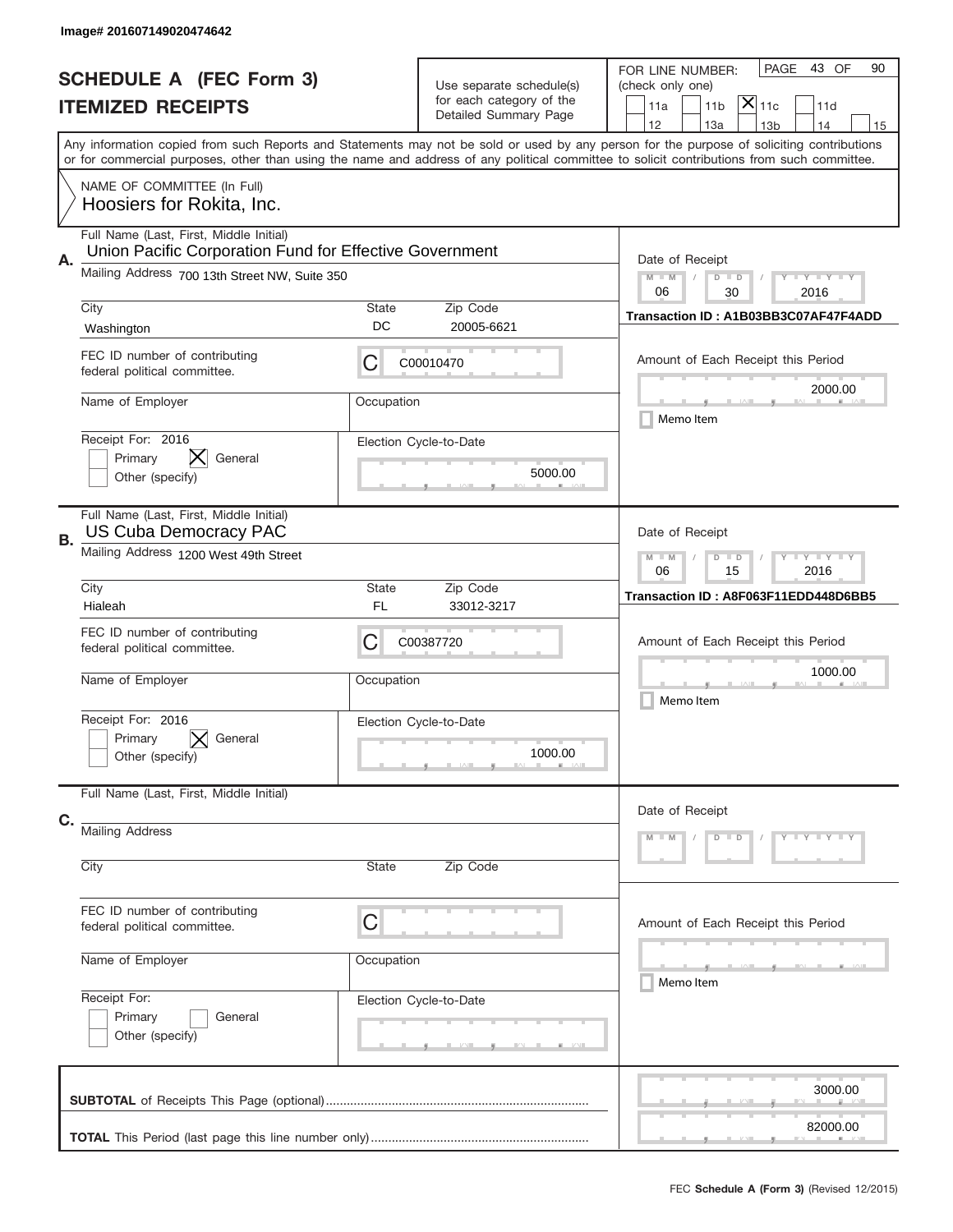|                                                                                                                                                                       | Image# 201607149020474642                                                                          |                                                                                                                         |                                                   |                                                                                                                                            |  |  |
|-----------------------------------------------------------------------------------------------------------------------------------------------------------------------|----------------------------------------------------------------------------------------------------|-------------------------------------------------------------------------------------------------------------------------|---------------------------------------------------|--------------------------------------------------------------------------------------------------------------------------------------------|--|--|
|                                                                                                                                                                       | <b>SCHEDULE A (FEC Form 3)</b>                                                                     |                                                                                                                         | Use separate schedule(s)                          | 43 OF<br>PAGE<br>90<br>FOR LINE NUMBER:<br>(check only one)                                                                                |  |  |
| <b>ITEMIZED RECEIPTS</b><br>Any information copied from such Reports and Statements may not be sold or used by any person for the purpose of soliciting contributions |                                                                                                    |                                                                                                                         | for each category of the<br>Detailed Summary Page | $\mathsf{\bar{X}}\vert_{\mathsf{11c}}$<br>11a<br>11 <sub>b</sub><br>11d                                                                    |  |  |
|                                                                                                                                                                       |                                                                                                    |                                                                                                                         |                                                   | 12<br>13a<br>14<br>13 <sub>b</sub><br>15                                                                                                   |  |  |
|                                                                                                                                                                       |                                                                                                    |                                                                                                                         |                                                   | or for commercial purposes, other than using the name and address of any political committee to solicit contributions from such committee. |  |  |
|                                                                                                                                                                       | NAME OF COMMITTEE (In Full)<br>Hoosiers for Rokita, Inc.                                           |                                                                                                                         |                                                   |                                                                                                                                            |  |  |
| А.                                                                                                                                                                    | Full Name (Last, First, Middle Initial)<br>Union Pacific Corporation Fund for Effective Government | Date of Receipt                                                                                                         |                                                   |                                                                                                                                            |  |  |
|                                                                                                                                                                       | Mailing Address 700 13th Street NW, Suite 350                                                      |                                                                                                                         |                                                   | $M - M$<br>$-1$ $-1$ $-1$ $-1$ $-1$<br>$D$ $D$<br>06<br>30<br>2016                                                                         |  |  |
|                                                                                                                                                                       | City<br>Washington                                                                                 | State<br>DC                                                                                                             | Zip Code<br>20005-6621                            | Transaction ID: A1B03BB3C07AF47F4ADD                                                                                                       |  |  |
|                                                                                                                                                                       | FEC ID number of contributing<br>federal political committee.                                      | С                                                                                                                       | C00010470                                         | Amount of Each Receipt this Period<br>2000.00                                                                                              |  |  |
|                                                                                                                                                                       | Name of Employer                                                                                   | Occupation                                                                                                              |                                                   | Memo Item                                                                                                                                  |  |  |
|                                                                                                                                                                       | Receipt For: 2016<br>IХ.<br>Primary<br>General<br>Other (specify)                                  |                                                                                                                         | Election Cycle-to-Date<br>5000.00                 |                                                                                                                                            |  |  |
| В.                                                                                                                                                                    | Full Name (Last, First, Middle Initial)<br><b>US Cuba Democracy PAC</b>                            | Date of Receipt                                                                                                         |                                                   |                                                                                                                                            |  |  |
|                                                                                                                                                                       | Mailing Address 1200 West 49th Street                                                              | $\mathbf{I}$ $\mathbf{Y}$ $\mathbf{I}$ $\mathbf{Y}$ $\mathbf{I}$ $\mathbf{Y}$<br>$M - M$<br>$D$ $D$<br>06<br>15<br>2016 |                                                   |                                                                                                                                            |  |  |
|                                                                                                                                                                       | City<br>Hialeah                                                                                    | State<br>FL                                                                                                             | Zip Code<br>33012-3217                            | Transaction ID: A8F063F11EDD448D6BB5                                                                                                       |  |  |
|                                                                                                                                                                       | FEC ID number of contributing<br>federal political committee.                                      | С                                                                                                                       | C00387720                                         | Amount of Each Receipt this Period                                                                                                         |  |  |
|                                                                                                                                                                       | Name of Employer                                                                                   | Occupation                                                                                                              |                                                   | 1000.00<br>Memo Item                                                                                                                       |  |  |
|                                                                                                                                                                       | Receipt For: 2016<br>General<br>Primary<br>Other (specify)                                         |                                                                                                                         | Election Cycle-to-Date<br>1000.00                 |                                                                                                                                            |  |  |
| C.                                                                                                                                                                    | Full Name (Last, First, Middle Initial)                                                            |                                                                                                                         |                                                   | Date of Receipt                                                                                                                            |  |  |
|                                                                                                                                                                       | <b>Mailing Address</b>                                                                             | $Y - Y - Y - Y - Y$<br>$M - M$<br>$D$ $D$                                                                               |                                                   |                                                                                                                                            |  |  |
|                                                                                                                                                                       | City                                                                                               | State                                                                                                                   | Zip Code                                          |                                                                                                                                            |  |  |
|                                                                                                                                                                       | FEC ID number of contributing<br>federal political committee.                                      | C                                                                                                                       |                                                   | Amount of Each Receipt this Period                                                                                                         |  |  |
|                                                                                                                                                                       | Name of Employer                                                                                   | Occupation                                                                                                              |                                                   | _____<br>Memo Item                                                                                                                         |  |  |
|                                                                                                                                                                       | Receipt For:<br>Primary<br>General<br>Other (specify)                                              |                                                                                                                         | Election Cycle-to-Date                            |                                                                                                                                            |  |  |
|                                                                                                                                                                       |                                                                                                    |                                                                                                                         |                                                   | 3000.00                                                                                                                                    |  |  |
|                                                                                                                                                                       |                                                                                                    |                                                                                                                         |                                                   | 82000.00                                                                                                                                   |  |  |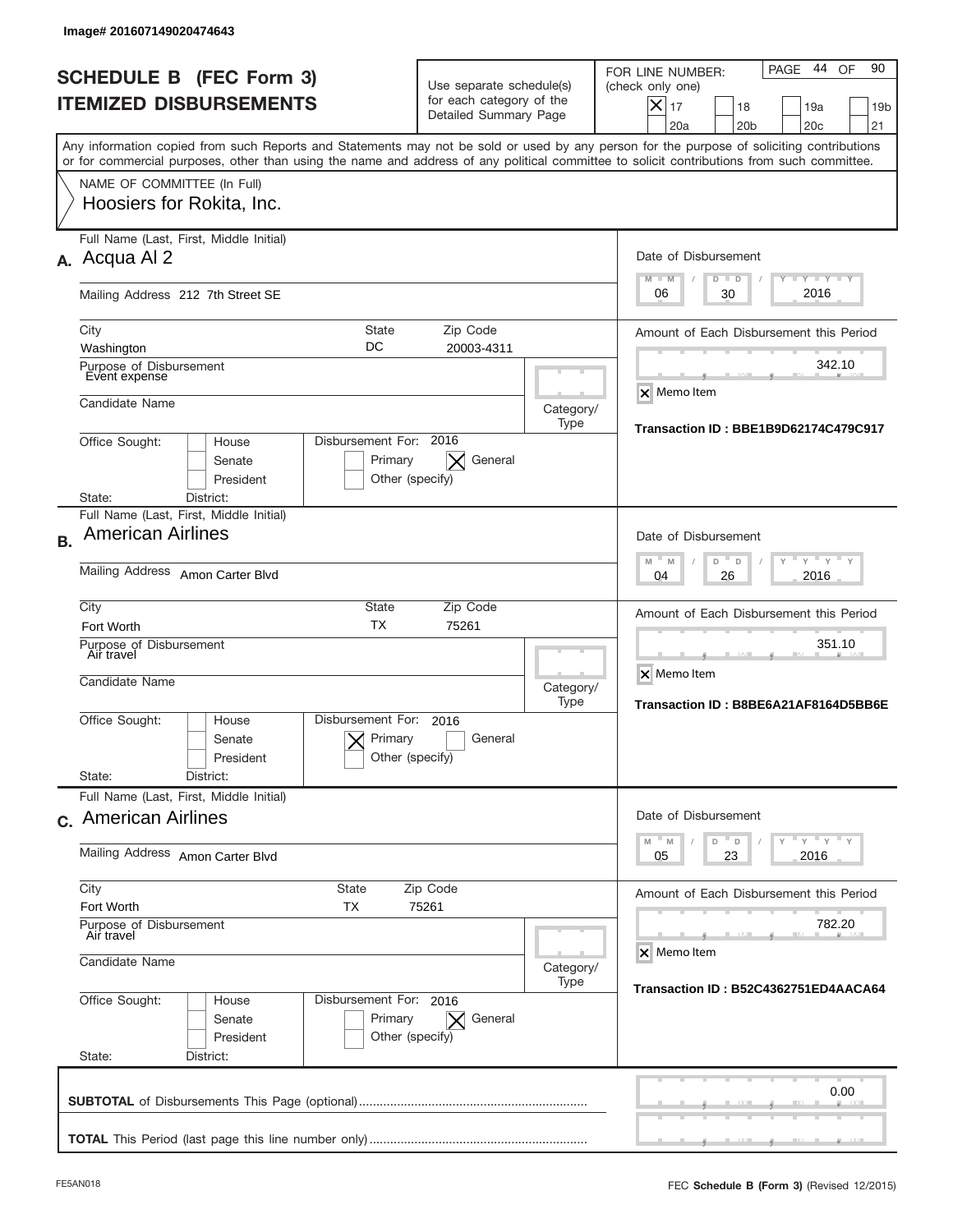|           | Image# 201607149020474643                                                                                                                                                                                                                                                               |                                                                               |                                      |                                                                                                                                                                |
|-----------|-----------------------------------------------------------------------------------------------------------------------------------------------------------------------------------------------------------------------------------------------------------------------------------------|-------------------------------------------------------------------------------|--------------------------------------|----------------------------------------------------------------------------------------------------------------------------------------------------------------|
|           | <b>SCHEDULE B (FEC Form 3)</b><br><b>ITEMIZED DISBURSEMENTS</b>                                                                                                                                                                                                                         | Use separate schedule(s)<br>for each category of the<br>Detailed Summary Page |                                      | 44<br>90<br>PAGE<br>OF<br>FOR LINE NUMBER:<br>(check only one)<br>$X _{17}$<br>18<br>19a<br>19 <sub>b</sub><br>20a<br>20 <sub>b</sub><br>20 <sub>c</sub><br>21 |
|           | Any information copied from such Reports and Statements may not be sold or used by any person for the purpose of soliciting contributions<br>or for commercial purposes, other than using the name and address of any political committee to solicit contributions from such committee. |                                                                               |                                      |                                                                                                                                                                |
|           | NAME OF COMMITTEE (In Full)<br>Hoosiers for Rokita, Inc.                                                                                                                                                                                                                                |                                                                               |                                      |                                                                                                                                                                |
|           | Full Name (Last, First, Middle Initial)<br>A. Acqua Al 2                                                                                                                                                                                                                                |                                                                               |                                      | Date of Disbursement<br>$T - Y$ $T - Y$ $T - Y$<br>$M - M$<br>$D$ $D$                                                                                          |
|           | Mailing Address 212 7th Street SE                                                                                                                                                                                                                                                       |                                                                               |                                      | 2016<br>30<br>06                                                                                                                                               |
|           | State<br>City<br>DC<br>Washington                                                                                                                                                                                                                                                       | Amount of Each Disbursement this Period                                       |                                      |                                                                                                                                                                |
|           | Purpose of Disbursement<br>Event expense                                                                                                                                                                                                                                                | 20003-4311                                                                    |                                      | 342.10                                                                                                                                                         |
|           | Candidate Name                                                                                                                                                                                                                                                                          |                                                                               | Category/                            | X Memo Item                                                                                                                                                    |
|           | Disbursement For: 2016<br>Office Sought:<br>House<br>Senate<br>Primary<br>President<br>Other (specify)                                                                                                                                                                                  | General<br>$\times$                                                           | Type                                 | Transaction ID: BBE1B9D62174C479C917                                                                                                                           |
|           | District:<br>State:<br>Full Name (Last, First, Middle Initial)                                                                                                                                                                                                                          |                                                                               |                                      |                                                                                                                                                                |
| <b>B.</b> | <b>American Airlines</b>                                                                                                                                                                                                                                                                | Date of Disbursement                                                          |                                      |                                                                                                                                                                |
|           | Mailing Address Amon Carter Blvd                                                                                                                                                                                                                                                        | $-M$<br>$Y = Y$<br>M<br>D<br>D<br>2016<br>04<br>26                            |                                      |                                                                                                                                                                |
|           | City<br><b>State</b><br><b>TX</b><br>Fort Worth                                                                                                                                                                                                                                         | Zip Code<br>75261                                                             |                                      | Amount of Each Disbursement this Period                                                                                                                        |
|           | Purpose of Disbursement<br>Air travel<br>Candidate Name                                                                                                                                                                                                                                 |                                                                               | 351.10<br>X Memo Item                |                                                                                                                                                                |
|           |                                                                                                                                                                                                                                                                                         |                                                                               | Category/<br>Type                    | Transaction ID: B8BE6A21AF8164D5BB6E                                                                                                                           |
|           | Disbursement For:<br>Office Sought:<br>House<br>Primary<br>Senate<br>Other (specify)<br>President                                                                                                                                                                                       | 2016<br>General                                                               |                                      |                                                                                                                                                                |
|           | State:<br>District:<br>Full Name (Last, First, Middle Initial)                                                                                                                                                                                                                          |                                                                               |                                      |                                                                                                                                                                |
|           | c. American Airlines                                                                                                                                                                                                                                                                    | Date of Disbursement<br>$Y$ $Y$ $Y$ $Y$ $Y$                                   |                                      |                                                                                                                                                                |
|           | Mailing Address Amon Carter Blvd                                                                                                                                                                                                                                                        | $-M$<br>M<br>D<br>D<br>23<br>2016<br>05                                       |                                      |                                                                                                                                                                |
|           | City<br><b>State</b><br>Zip Code<br>Fort Worth<br>ТX<br>75261                                                                                                                                                                                                                           | Amount of Each Disbursement this Period                                       |                                      |                                                                                                                                                                |
|           | Purpose of Disbursement<br>Air travel                                                                                                                                                                                                                                                   |                                                                               | 782.20<br>X Memo Item                |                                                                                                                                                                |
|           | Candidate Name                                                                                                                                                                                                                                                                          | Category/<br>Type                                                             | Transaction ID: B52C4362751ED4AACA64 |                                                                                                                                                                |
|           | Office Sought:<br>Disbursement For: 2016<br>House<br>Senate<br>Primary<br>President<br>Other (specify)<br>State:<br>District:                                                                                                                                                           | $\mathsf{X}$ General                                                          |                                      |                                                                                                                                                                |
|           |                                                                                                                                                                                                                                                                                         |                                                                               |                                      | 0.00                                                                                                                                                           |
|           |                                                                                                                                                                                                                                                                                         |                                                                               |                                      |                                                                                                                                                                |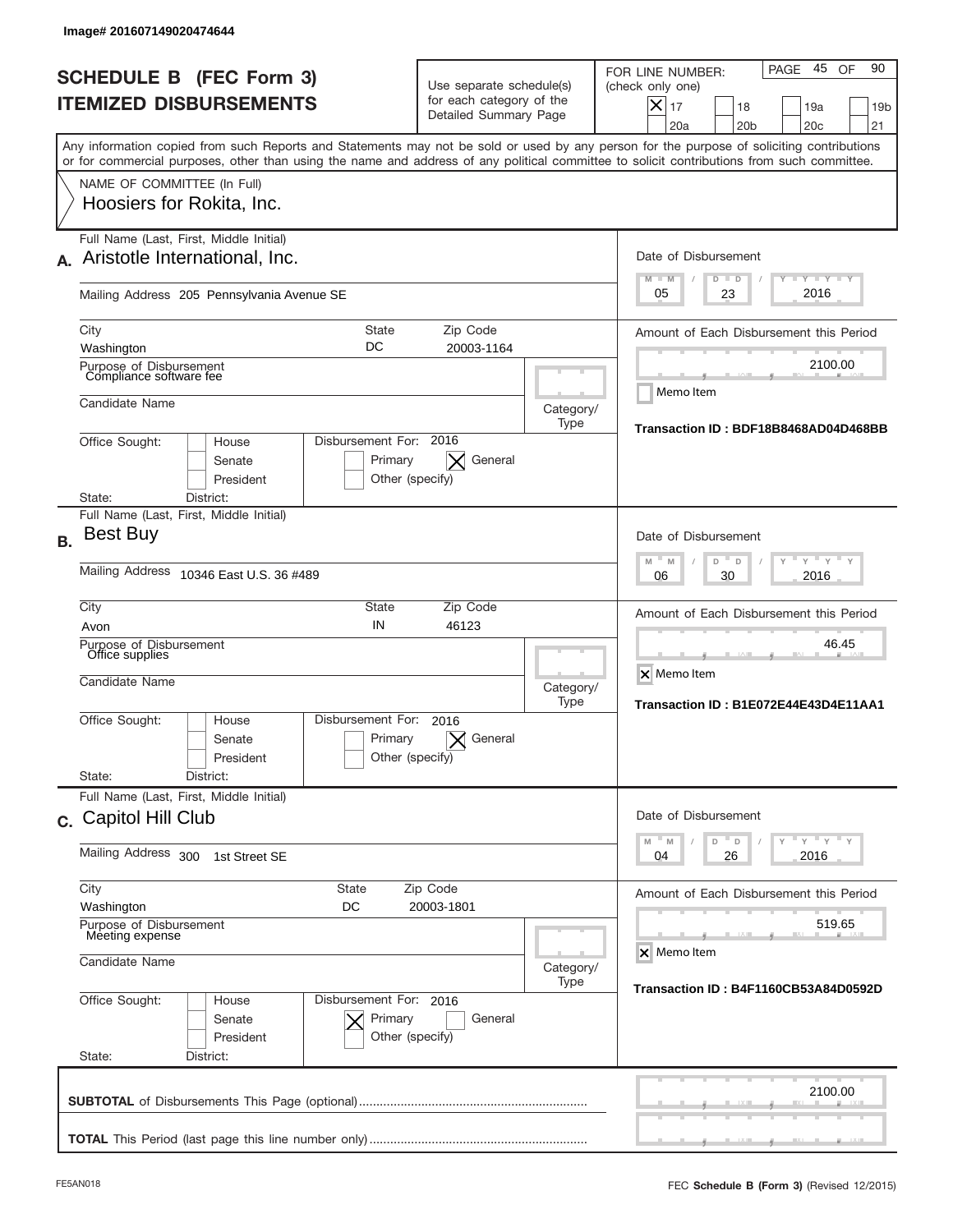|           | Image# 201607149020474644                                                                                       |                                                                            |                                                                               |                                                                                                         |                                                                                                                                                                                                                                                                                         |
|-----------|-----------------------------------------------------------------------------------------------------------------|----------------------------------------------------------------------------|-------------------------------------------------------------------------------|---------------------------------------------------------------------------------------------------------|-----------------------------------------------------------------------------------------------------------------------------------------------------------------------------------------------------------------------------------------------------------------------------------------|
|           | <b>SCHEDULE B (FEC Form 3)</b><br><b>ITEMIZED DISBURSEMENTS</b>                                                 |                                                                            | Use separate schedule(s)<br>for each category of the<br>Detailed Summary Page |                                                                                                         | 45<br>90<br>PAGE<br>OF<br>FOR LINE NUMBER:<br>(check only one)<br>X<br>17<br>18<br>19a<br>19 <sub>b</sub><br>20a<br>20 <sub>b</sub><br>20 <sub>c</sub><br>21                                                                                                                            |
|           |                                                                                                                 |                                                                            |                                                                               |                                                                                                         | Any information copied from such Reports and Statements may not be sold or used by any person for the purpose of soliciting contributions<br>or for commercial purposes, other than using the name and address of any political committee to solicit contributions from such committee. |
|           | NAME OF COMMITTEE (In Full)<br>Hoosiers for Rokita, Inc.                                                        |                                                                            |                                                                               |                                                                                                         |                                                                                                                                                                                                                                                                                         |
| А.        | Full Name (Last, First, Middle Initial)<br>Aristotle International, Inc.                                        |                                                                            |                                                                               |                                                                                                         | Date of Disbursement<br><b>LEY LEY LEY</b><br>$M - M$<br>$D$ $D$                                                                                                                                                                                                                        |
|           | Mailing Address 205 Pennsylvania Avenue SE                                                                      |                                                                            |                                                                               |                                                                                                         | 2016<br>05<br>23                                                                                                                                                                                                                                                                        |
|           | City<br>Washington                                                                                              | <b>State</b><br>DC                                                         | Zip Code<br>20003-1164                                                        |                                                                                                         | Amount of Each Disbursement this Period                                                                                                                                                                                                                                                 |
|           | Purpose of Disbursement<br>Compliance software fee                                                              |                                                                            |                                                                               |                                                                                                         | 2100.00<br>Memo Item                                                                                                                                                                                                                                                                    |
|           | Candidate Name                                                                                                  |                                                                            |                                                                               | Category/<br>Type                                                                                       | Transaction ID: BDF18B8468AD04D468BB                                                                                                                                                                                                                                                    |
|           | Disbursement For: 2016<br>Office Sought:<br>House<br>Senate<br>President<br>State:<br>District:                 |                                                                            |                                                                               |                                                                                                         |                                                                                                                                                                                                                                                                                         |
| <b>B.</b> | Full Name (Last, First, Middle Initial)<br><b>Best Buy</b><br><b>Mailing Address</b><br>10346 East U.S. 36 #489 | Date of Disbursement<br>$-M$<br>$Y = Y$<br>M<br>D<br>D<br>2016<br>06<br>30 |                                                                               |                                                                                                         |                                                                                                                                                                                                                                                                                         |
|           | City                                                                                                            |                                                                            |                                                                               |                                                                                                         |                                                                                                                                                                                                                                                                                         |
|           | Avon<br>Purpose of Disbursement<br>Office supplies<br>Candidate Name                                            | State<br>IN                                                                | Category/<br>Type                                                             | Amount of Each Disbursement this Period<br>46.45<br>X Memo Item<br>Transaction ID: B1E072E44E43D4E11AA1 |                                                                                                                                                                                                                                                                                         |
|           | Office Sought:<br>House<br>Senate<br>President<br>State:<br>District:                                           | Disbursement For:<br>Primary<br>Other (specify)                            | 2016<br>General                                                               |                                                                                                         |                                                                                                                                                                                                                                                                                         |
|           | Full Name (Last, First, Middle Initial)<br>c. Capitol Hill Club                                                 | Date of Disbursement<br>γ " γ <sup>"</sup> γ " γ                           |                                                                               |                                                                                                         |                                                                                                                                                                                                                                                                                         |
|           | Mailing Address 300<br>1st Street SE                                                                            | $-M$<br>M<br>D<br>D<br>2016<br>04<br>26                                    |                                                                               |                                                                                                         |                                                                                                                                                                                                                                                                                         |
|           | City<br>State<br>Washington<br>DC                                                                               | Amount of Each Disbursement this Period                                    |                                                                               |                                                                                                         |                                                                                                                                                                                                                                                                                         |
|           | Purpose of Disbursement<br>Meeting expense<br>Candidate Name                                                    |                                                                            | Category/                                                                     | 519.65<br>X Memo Item                                                                                   |                                                                                                                                                                                                                                                                                         |
|           | Office Sought:<br>House<br>Senate<br>President<br>State:<br>District:                                           | Disbursement For: 2016<br>Primary<br>Other (specify)                       | General                                                                       | Type                                                                                                    | Transaction ID: B4F1160CB53A84D0592D                                                                                                                                                                                                                                                    |
|           |                                                                                                                 |                                                                            |                                                                               |                                                                                                         | 2100.00                                                                                                                                                                                                                                                                                 |
|           |                                                                                                                 |                                                                            |                                                                               |                                                                                                         |                                                                                                                                                                                                                                                                                         |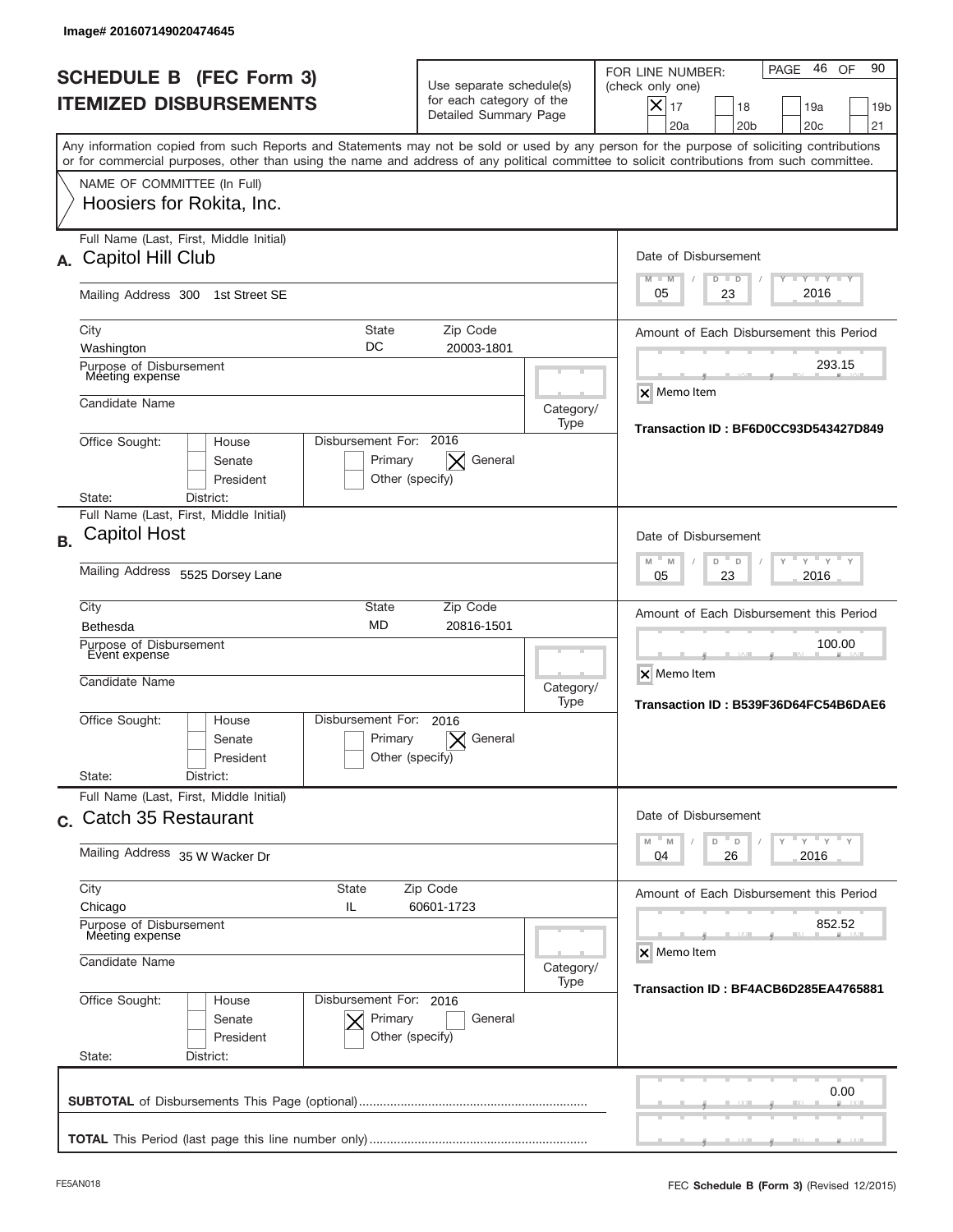|           | Image# 201607149020474645                                                             |                                                                               |                                                                               |                   |                                                                                                                                                                                                                                                                                         |
|-----------|---------------------------------------------------------------------------------------|-------------------------------------------------------------------------------|-------------------------------------------------------------------------------|-------------------|-----------------------------------------------------------------------------------------------------------------------------------------------------------------------------------------------------------------------------------------------------------------------------------------|
|           | <b>SCHEDULE B (FEC Form 3)</b><br><b>ITEMIZED DISBURSEMENTS</b>                       |                                                                               | Use separate schedule(s)<br>for each category of the<br>Detailed Summary Page |                   | 46<br>90<br>PAGE<br>OF<br>FOR LINE NUMBER:<br>(check only one)<br>$\times$<br>17<br>18<br>19a<br>19 <sub>b</sub><br>20a<br>20 <sub>b</sub><br>20 <sub>c</sub><br>21                                                                                                                     |
|           |                                                                                       |                                                                               |                                                                               |                   | Any information copied from such Reports and Statements may not be sold or used by any person for the purpose of soliciting contributions<br>or for commercial purposes, other than using the name and address of any political committee to solicit contributions from such committee. |
|           | NAME OF COMMITTEE (In Full)<br>Hoosiers for Rokita, Inc.                              |                                                                               |                                                                               |                   |                                                                                                                                                                                                                                                                                         |
| А.        | Full Name (Last, First, Middle Initial)<br>Capitol Hill Club                          |                                                                               |                                                                               |                   | Date of Disbursement<br><b>LYLYLY</b>                                                                                                                                                                                                                                                   |
|           | Mailing Address 300 1st Street SE                                                     |                                                                               |                                                                               |                   | $M - M$<br>$D$ $D$<br>2016<br>05<br>23                                                                                                                                                                                                                                                  |
|           | City<br>Washington                                                                    | <b>State</b><br>DC                                                            | Zip Code<br>20003-1801                                                        |                   | Amount of Each Disbursement this Period<br>293.15                                                                                                                                                                                                                                       |
|           | Purpose of Disbursement<br>Meeting expense<br>Candidate Name                          |                                                                               |                                                                               | Category/<br>Type | X Memo Item                                                                                                                                                                                                                                                                             |
|           | Office Sought:<br>House<br>Senate<br>President<br>District:<br>State:                 | Disbursement For: 2016<br>Primary<br>Other (specify)                          | General                                                                       |                   | Transaction ID: BF6D0CC93D543427D849                                                                                                                                                                                                                                                    |
|           | Full Name (Last, First, Middle Initial)                                               |                                                                               |                                                                               |                   |                                                                                                                                                                                                                                                                                         |
| <b>B.</b> | <b>Capitol Host</b><br>Mailing Address 5525 Dorsey Lane                               | Date of Disbursement<br>$-M$<br>$Y = Y$<br>M<br>D<br>D<br>2016<br>05<br>23    |                                                                               |                   |                                                                                                                                                                                                                                                                                         |
|           | City<br><b>Bethesda</b><br>Purpose of Disbursement<br>Event expense<br>Candidate Name | Category/                                                                     | Amount of Each Disbursement this Period<br>100.00<br>X Memo Item              |                   |                                                                                                                                                                                                                                                                                         |
|           | Office Sought:<br>House<br>Senate<br>President<br>State:<br>District:                 | Disbursement For:<br>Primary<br>Other (specify)                               | 2016<br>General                                                               | Type              | Transaction ID: B539F36D64FC54B6DAE6                                                                                                                                                                                                                                                    |
|           | Full Name (Last, First, Middle Initial)<br>c. Catch 35 Restaurant                     | Date of Disbursement<br>$\cdots$ $\gamma$ $\cdots$ $\gamma$ $\cdots$ $\gamma$ |                                                                               |                   |                                                                                                                                                                                                                                                                                         |
|           | Mailing Address 35 W Wacker Dr                                                        | D<br>M<br>M<br>D<br>2016<br>04<br>26                                          |                                                                               |                   |                                                                                                                                                                                                                                                                                         |
|           | City<br>Chicago<br>Purpose of Disbursement                                            | Amount of Each Disbursement this Period<br>852.52                             |                                                                               |                   |                                                                                                                                                                                                                                                                                         |
|           | Meeting expense<br>Candidate Name                                                     | Category/<br>Type                                                             | X Memo Item                                                                   |                   |                                                                                                                                                                                                                                                                                         |
|           | Office Sought:<br>House<br>Senate<br>President<br>State:<br>District:                 | Disbursement For: 2016<br>Primary<br>Other (specify)                          | General                                                                       |                   | Transaction ID: BF4ACB6D285EA4765881                                                                                                                                                                                                                                                    |
|           |                                                                                       |                                                                               |                                                                               |                   | 0.00                                                                                                                                                                                                                                                                                    |
|           |                                                                                       |                                                                               |                                                                               |                   |                                                                                                                                                                                                                                                                                         |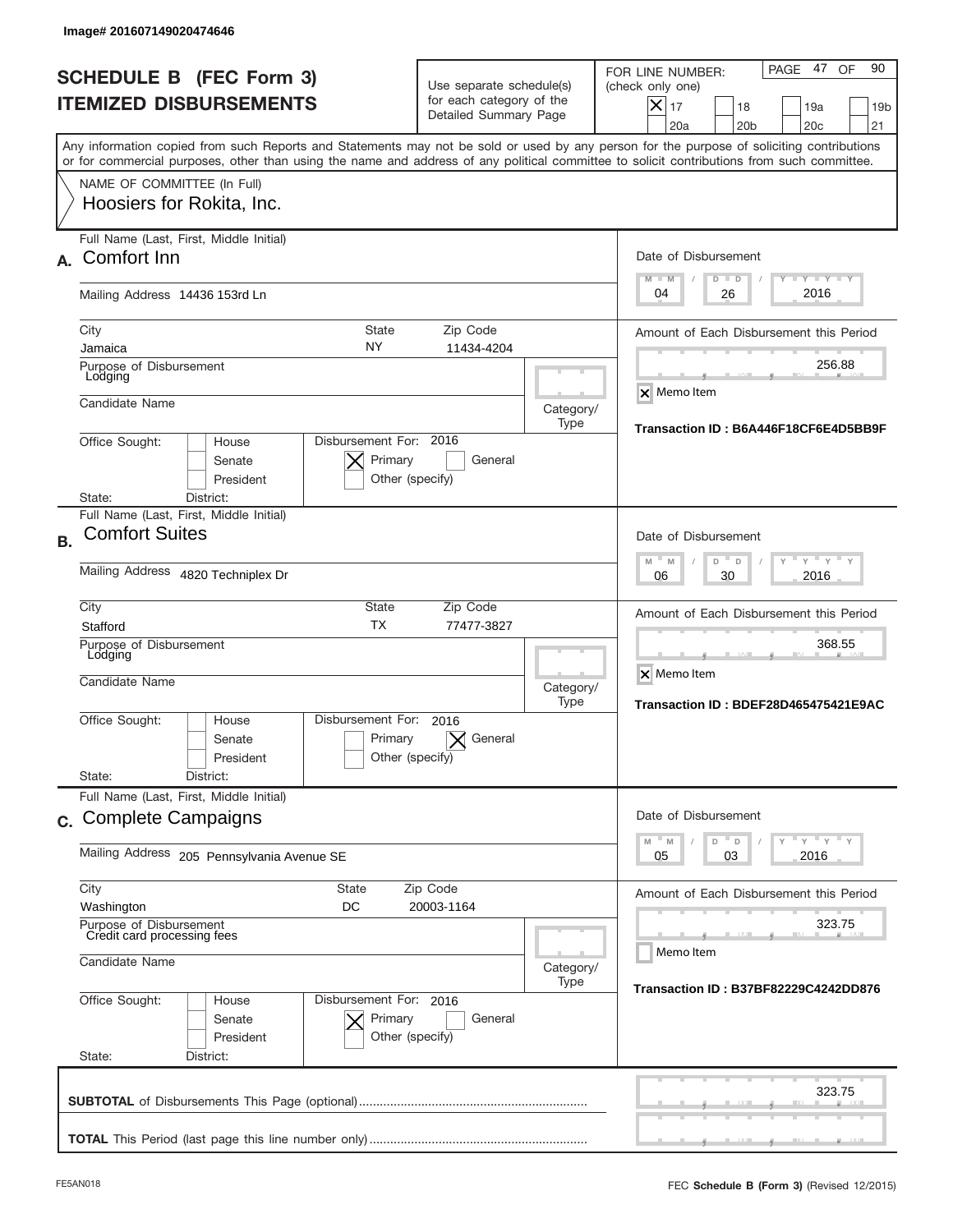|           | Image# 201607149020474646                                                                                                                                                                                                                                                               |                                                                            |                                                                               |                   |                                                                                                                                                             |  |
|-----------|-----------------------------------------------------------------------------------------------------------------------------------------------------------------------------------------------------------------------------------------------------------------------------------------|----------------------------------------------------------------------------|-------------------------------------------------------------------------------|-------------------|-------------------------------------------------------------------------------------------------------------------------------------------------------------|--|
|           | <b>SCHEDULE B (FEC Form 3)</b><br><b>ITEMIZED DISBURSEMENTS</b>                                                                                                                                                                                                                         |                                                                            | Use separate schedule(s)<br>for each category of the<br>Detailed Summary Page |                   | 90<br>PAGE 47<br>OF<br>FOR LINE NUMBER:<br>(check only one)<br>$X _{17}$<br>18<br>19a<br>19 <sub>b</sub><br>20 <sub>c</sub><br>20a<br>20 <sub>b</sub><br>21 |  |
|           | Any information copied from such Reports and Statements may not be sold or used by any person for the purpose of soliciting contributions<br>or for commercial purposes, other than using the name and address of any political committee to solicit contributions from such committee. |                                                                            |                                                                               |                   |                                                                                                                                                             |  |
|           | NAME OF COMMITTEE (In Full)<br>Hoosiers for Rokita, Inc.                                                                                                                                                                                                                                |                                                                            |                                                                               |                   |                                                                                                                                                             |  |
| А.        | Full Name (Last, First, Middle Initial)<br>Comfort Inn                                                                                                                                                                                                                                  |                                                                            |                                                                               |                   | Date of Disbursement<br>$T - Y$ $T - Y$ $T - Y$<br>$M - M$<br>$D$ $D$                                                                                       |  |
|           | Mailing Address 14436 153rd Ln                                                                                                                                                                                                                                                          |                                                                            |                                                                               |                   | 2016<br>04<br>26                                                                                                                                            |  |
|           | City<br>Jamaica<br>Purpose of Disbursement                                                                                                                                                                                                                                              | State<br>NY.                                                               | Zip Code<br>11434-4204                                                        |                   | Amount of Each Disbursement this Period<br>256.88                                                                                                           |  |
|           | Lodging<br>Candidate Name                                                                                                                                                                                                                                                               |                                                                            |                                                                               | Category/<br>Type | <b>X</b> Memo Item                                                                                                                                          |  |
|           | Disbursement For: 2016<br>Office Sought:<br>House<br>Senate<br>President<br>District:<br>State:                                                                                                                                                                                         | Transaction ID: B6A446F18CF6E4D5BB9F                                       |                                                                               |                   |                                                                                                                                                             |  |
| <b>B.</b> | Full Name (Last, First, Middle Initial)<br><b>Comfort Suites</b>                                                                                                                                                                                                                        | Date of Disbursement                                                       |                                                                               |                   |                                                                                                                                                             |  |
|           | Mailing Address 4820 Techniplex Dr                                                                                                                                                                                                                                                      | $M - M$<br>$Y = Y$<br>D<br>D<br>2016<br>06<br>30                           |                                                                               |                   |                                                                                                                                                             |  |
|           | City<br>Stafford<br>Purpose of Disbursement<br>Lodging<br>Candidate Name                                                                                                                                                                                                                | <b>State</b><br><b>TX</b>                                                  | Zip Code<br>77477-3827                                                        | Category/         | Amount of Each Disbursement this Period<br>368.55<br>X Memo Item<br>Transaction ID: BDEF28D465475421E9AC                                                    |  |
|           | Office Sought:<br>House<br>Senate<br>President<br>State:<br>District:                                                                                                                                                                                                                   | Type<br>Disbursement For:<br>2016<br>Primary<br>General<br>Other (specify) |                                                                               |                   |                                                                                                                                                             |  |
|           | Full Name (Last, First, Middle Initial)<br>c. Complete Campaigns                                                                                                                                                                                                                        |                                                                            |                                                                               |                   | Date of Disbursement<br>≡ γ ≡ γ ≡ γ<br>M<br>D<br>M<br>D                                                                                                     |  |
|           | Mailing Address 205 Pennsylvania Avenue SE                                                                                                                                                                                                                                              | 03<br>2016<br>05                                                           |                                                                               |                   |                                                                                                                                                             |  |
|           | City<br><b>State</b><br>Washington<br>DC<br>Purpose of Disbursement                                                                                                                                                                                                                     |                                                                            | Zip Code<br>20003-1164                                                        |                   | Amount of Each Disbursement this Period<br>323.75                                                                                                           |  |
|           | Credit card processing fees<br>Candidate Name                                                                                                                                                                                                                                           | Category/<br>Type                                                          | Memo Item                                                                     |                   |                                                                                                                                                             |  |
|           | Office Sought:<br>Disbursement For: 2016<br>House<br>Senate<br>President<br>State:<br>District:                                                                                                                                                                                         | Transaction ID: B37BF82229C4242DD876                                       |                                                                               |                   |                                                                                                                                                             |  |
|           |                                                                                                                                                                                                                                                                                         |                                                                            |                                                                               |                   | 323.75                                                                                                                                                      |  |
|           |                                                                                                                                                                                                                                                                                         |                                                                            |                                                                               |                   |                                                                                                                                                             |  |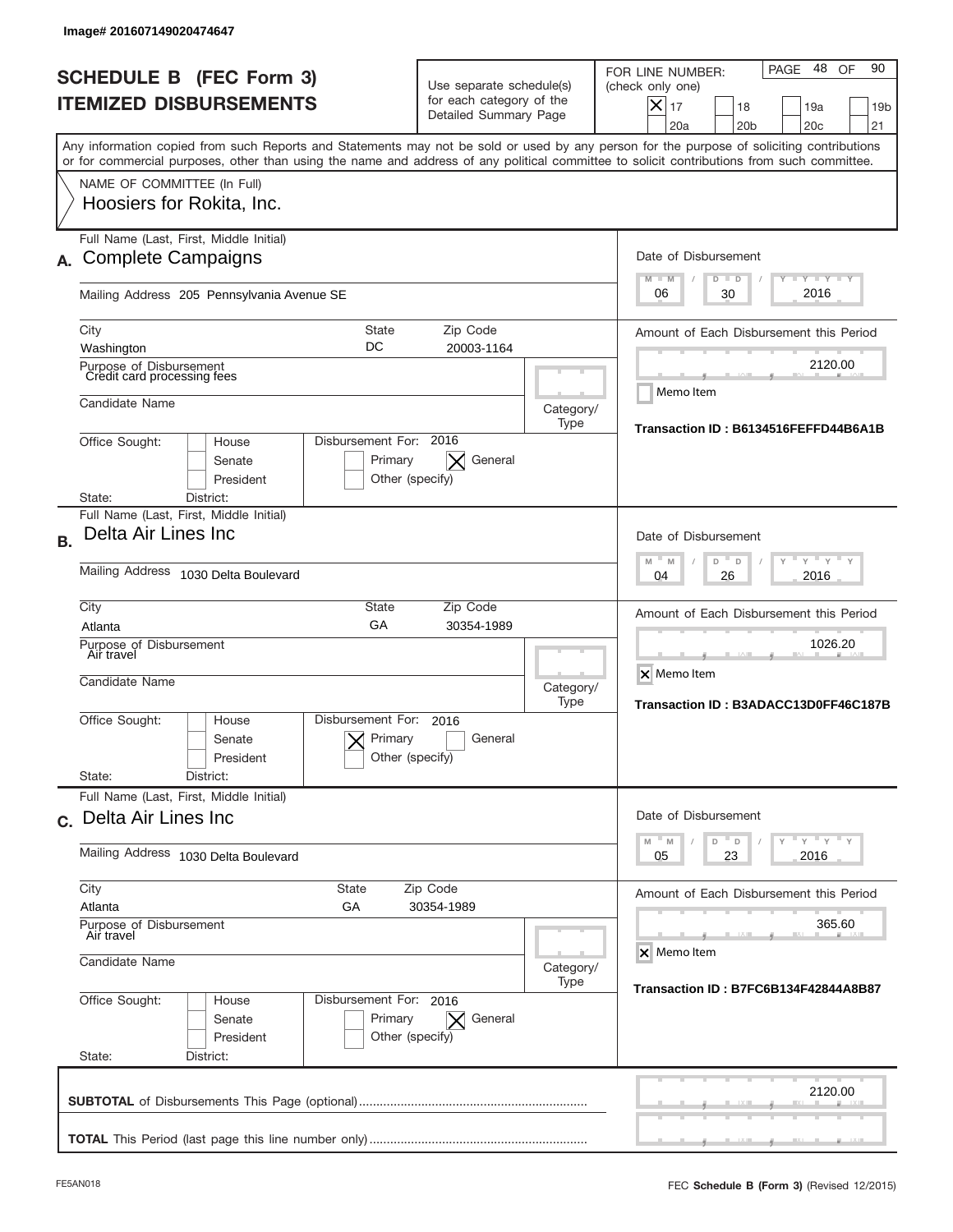|           | Image# 201607149020474647                                                                                                                                                                                                                                                               |                                                                                                 |                                                                               |                   |                                                                                                                                                              |
|-----------|-----------------------------------------------------------------------------------------------------------------------------------------------------------------------------------------------------------------------------------------------------------------------------------------|-------------------------------------------------------------------------------------------------|-------------------------------------------------------------------------------|-------------------|--------------------------------------------------------------------------------------------------------------------------------------------------------------|
|           | <b>SCHEDULE B (FEC Form 3)</b><br><b>ITEMIZED DISBURSEMENTS</b>                                                                                                                                                                                                                         |                                                                                                 | Use separate schedule(s)<br>for each category of the<br>Detailed Summary Page |                   | 48<br>90<br>PAGE<br>OF<br>FOR LINE NUMBER:<br>(check only one)<br>X<br>17<br>19a<br>18<br>19 <sub>b</sub><br>21<br>20a<br>20 <sub>b</sub><br>20 <sub>c</sub> |
|           | Any information copied from such Reports and Statements may not be sold or used by any person for the purpose of soliciting contributions<br>or for commercial purposes, other than using the name and address of any political committee to solicit contributions from such committee. |                                                                                                 |                                                                               |                   |                                                                                                                                                              |
|           | NAME OF COMMITTEE (In Full)<br>Hoosiers for Rokita, Inc.                                                                                                                                                                                                                                |                                                                                                 |                                                                               |                   |                                                                                                                                                              |
|           | Full Name (Last, First, Middle Initial)<br><b>Complete Campaigns</b>                                                                                                                                                                                                                    |                                                                                                 |                                                                               |                   | Date of Disbursement<br>$I - Y - I - Y - I - Y$<br>M<br>$-M$<br>$D$ $D$                                                                                      |
|           | Mailing Address 205 Pennsylvania Avenue SE                                                                                                                                                                                                                                              |                                                                                                 |                                                                               |                   | 2016<br>30<br>06                                                                                                                                             |
|           | <b>State</b><br>City<br>DC<br>Washington                                                                                                                                                                                                                                                |                                                                                                 | Zip Code<br>20003-1164                                                        |                   | Amount of Each Disbursement this Period                                                                                                                      |
|           | Purpose of Disbursement<br>Credit card processing fees                                                                                                                                                                                                                                  |                                                                                                 |                                                                               |                   | 2120.00                                                                                                                                                      |
|           | Candidate Name                                                                                                                                                                                                                                                                          |                                                                                                 |                                                                               | Category/<br>Type | Memo Item                                                                                                                                                    |
|           | Disbursement For: 2016<br>Office Sought:<br>House<br>Senate<br>Primary<br>President<br>Other (specify)<br>State:<br>District:                                                                                                                                                           | Transaction ID: B6134516FEFFD44B6A1B                                                            |                                                                               |                   |                                                                                                                                                              |
| <b>B.</b> | Full Name (Last, First, Middle Initial)<br>Delta Air Lines Inc                                                                                                                                                                                                                          | Date of Disbursement<br>$Y = Y$<br>$M - M$<br>D<br>D                                            |                                                                               |                   |                                                                                                                                                              |
|           | Mailing Address<br>1030 Delta Boulevard                                                                                                                                                                                                                                                 | 2016<br>04<br>26                                                                                |                                                                               |                   |                                                                                                                                                              |
|           | City<br>State<br>Zip Code<br>GA<br>Atlanta<br>30354-1989<br>Purpose of Disbursement<br>Air travel<br>Candidate Name                                                                                                                                                                     |                                                                                                 |                                                                               |                   | Amount of Each Disbursement this Period<br>1026.20<br>X Memo Item                                                                                            |
|           | Disbursement For:<br>Office Sought:<br>House<br>Senate<br>President<br>State:<br>District:                                                                                                                                                                                              | Primary<br>Other (specify)                                                                      | 2016<br>General                                                               | Category/<br>Type | Transaction ID: B3ADACC13D0FF46C187B                                                                                                                         |
|           | Full Name (Last, First, Middle Initial)<br>c. Delta Air Lines Inc                                                                                                                                                                                                                       | Date of Disbursement                                                                            |                                                                               |                   |                                                                                                                                                              |
|           | Mailing Address 1030 Delta Boulevard                                                                                                                                                                                                                                                    | $\gamma$ $\gamma$ $\gamma$ $\gamma$ $\gamma$<br>$M$ $M$<br>D<br>$\mathsf D$<br>23<br>2016<br>05 |                                                                               |                   |                                                                                                                                                              |
|           | City<br>State<br>Atlanta<br>GА<br>Purpose of Disbursement<br>Air travel                                                                                                                                                                                                                 |                                                                                                 | Amount of Each Disbursement this Period<br>365.60<br>X Memo Item              |                   |                                                                                                                                                              |
|           | Candidate Name                                                                                                                                                                                                                                                                          | Category/<br>Type                                                                               |                                                                               |                   |                                                                                                                                                              |
|           | Office Sought:<br>Disbursement For: 2016<br>House<br>Senate<br>President<br>State:<br>District:                                                                                                                                                                                         | Primary<br>Other (specify)                                                                      | General<br>$\times$                                                           |                   | Transaction ID: B7FC6B134F42844A8B87                                                                                                                         |
|           |                                                                                                                                                                                                                                                                                         |                                                                                                 |                                                                               |                   | 2120.00                                                                                                                                                      |
|           |                                                                                                                                                                                                                                                                                         |                                                                                                 |                                                                               |                   |                                                                                                                                                              |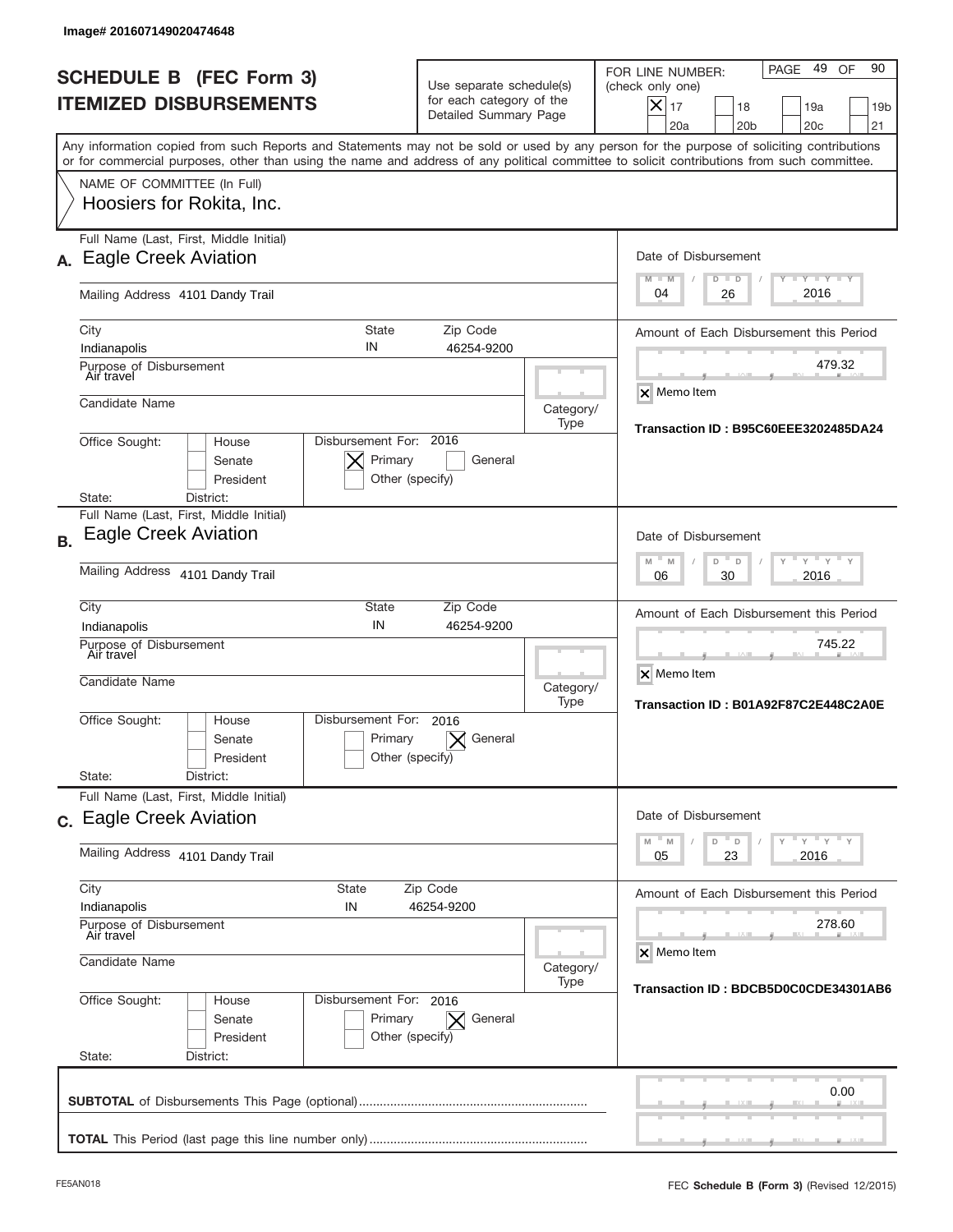|           | Image# 201607149020474648                                                                                                                                                                                                                                                               |                                                                               |                   |                                                                                                                                                                |
|-----------|-----------------------------------------------------------------------------------------------------------------------------------------------------------------------------------------------------------------------------------------------------------------------------------------|-------------------------------------------------------------------------------|-------------------|----------------------------------------------------------------------------------------------------------------------------------------------------------------|
|           | <b>SCHEDULE B (FEC Form 3)</b><br><b>ITEMIZED DISBURSEMENTS</b>                                                                                                                                                                                                                         | Use separate schedule(s)<br>for each category of the<br>Detailed Summary Page |                   | 49<br>90<br>PAGE<br>OF<br>FOR LINE NUMBER:<br>(check only one)<br>$X _{17}$<br>18<br>19a<br>19 <sub>b</sub><br>20a<br>20 <sub>b</sub><br>20 <sub>c</sub><br>21 |
|           | Any information copied from such Reports and Statements may not be sold or used by any person for the purpose of soliciting contributions<br>or for commercial purposes, other than using the name and address of any political committee to solicit contributions from such committee. |                                                                               |                   |                                                                                                                                                                |
|           | NAME OF COMMITTEE (In Full)<br>Hoosiers for Rokita, Inc.                                                                                                                                                                                                                                |                                                                               |                   |                                                                                                                                                                |
| А.        | Full Name (Last, First, Middle Initial)<br><b>Eagle Creek Aviation</b>                                                                                                                                                                                                                  |                                                                               |                   | Date of Disbursement<br>$T - Y$ $T - Y$ $T - Y$<br>$M - M$<br>$D$ $D$                                                                                          |
|           | Mailing Address 4101 Dandy Trail                                                                                                                                                                                                                                                        |                                                                               |                   | 2016<br>04<br>26                                                                                                                                               |
|           | City<br><b>State</b><br>IN<br>Indianapolis<br>Purpose of Disbursement                                                                                                                                                                                                                   | Zip Code<br>46254-9200                                                        |                   | Amount of Each Disbursement this Period<br>479.32                                                                                                              |
|           | Air travel<br>Candidate Name                                                                                                                                                                                                                                                            |                                                                               | Category/<br>Type | X Memo Item                                                                                                                                                    |
|           | Disbursement For: 2016<br>Office Sought:<br>House<br>Primary<br>Senate<br>President<br>District:<br>State:                                                                                                                                                                              | General<br>Other (specify)                                                    |                   | Transaction ID: B95C60EEE3202485DA24                                                                                                                           |
| <b>B.</b> | Full Name (Last, First, Middle Initial)<br><b>Eagle Creek Aviation</b>                                                                                                                                                                                                                  |                                                                               |                   | Date of Disbursement                                                                                                                                           |
|           | Mailing Address 4101 Dandy Trail                                                                                                                                                                                                                                                        | $-M$<br>$Y = Y$<br>M<br>D<br>D<br>2016<br>06<br>30                            |                   |                                                                                                                                                                |
|           | City<br><b>State</b><br>IN<br>Indianapolis                                                                                                                                                                                                                                              | Zip Code<br>46254-9200                                                        |                   | Amount of Each Disbursement this Period<br>745.22                                                                                                              |
|           | Purpose of Disbursement<br>Air travel<br>Candidate Name                                                                                                                                                                                                                                 |                                                                               | Category/<br>Type | X Memo Item<br>Transaction ID: B01A92F87C2E448C2A0E                                                                                                            |
|           | Disbursement For:<br>Office Sought:<br>House<br>Primary<br>Senate<br>President                                                                                                                                                                                                          | 2016<br>General<br>Other (specify)                                            |                   |                                                                                                                                                                |
|           | State:<br>District:<br>Full Name (Last, First, Middle Initial)                                                                                                                                                                                                                          |                                                                               |                   |                                                                                                                                                                |
|           | c. Eagle Creek Aviation                                                                                                                                                                                                                                                                 |                                                                               |                   | Date of Disbursement<br>ү"ү"ү"ү<br>$-M$<br>D<br>M<br>D                                                                                                         |
|           | Mailing Address 4101 Dandy Trail                                                                                                                                                                                                                                                        |                                                                               |                   | 23<br>2016<br>05                                                                                                                                               |
|           | City<br>State<br>Indianapolis<br>IN                                                                                                                                                                                                                                                     | Zip Code<br>46254-9200                                                        |                   | Amount of Each Disbursement this Period                                                                                                                        |
|           | Purpose of Disbursement<br>Air travel<br>Candidate Name                                                                                                                                                                                                                                 |                                                                               | Category/         | 278.60<br>X Memo Item                                                                                                                                          |
|           | Office Sought:<br>Disbursement For: 2016<br>House<br>Senate<br>Primary<br>President<br>State:<br>District:                                                                                                                                                                              | $\vert \times \vert$ General<br>Other (specify)                               | Type              | Transaction ID: BDCB5D0C0CDE34301AB6                                                                                                                           |
|           |                                                                                                                                                                                                                                                                                         |                                                                               |                   | 0.00                                                                                                                                                           |
|           |                                                                                                                                                                                                                                                                                         |                                                                               |                   |                                                                                                                                                                |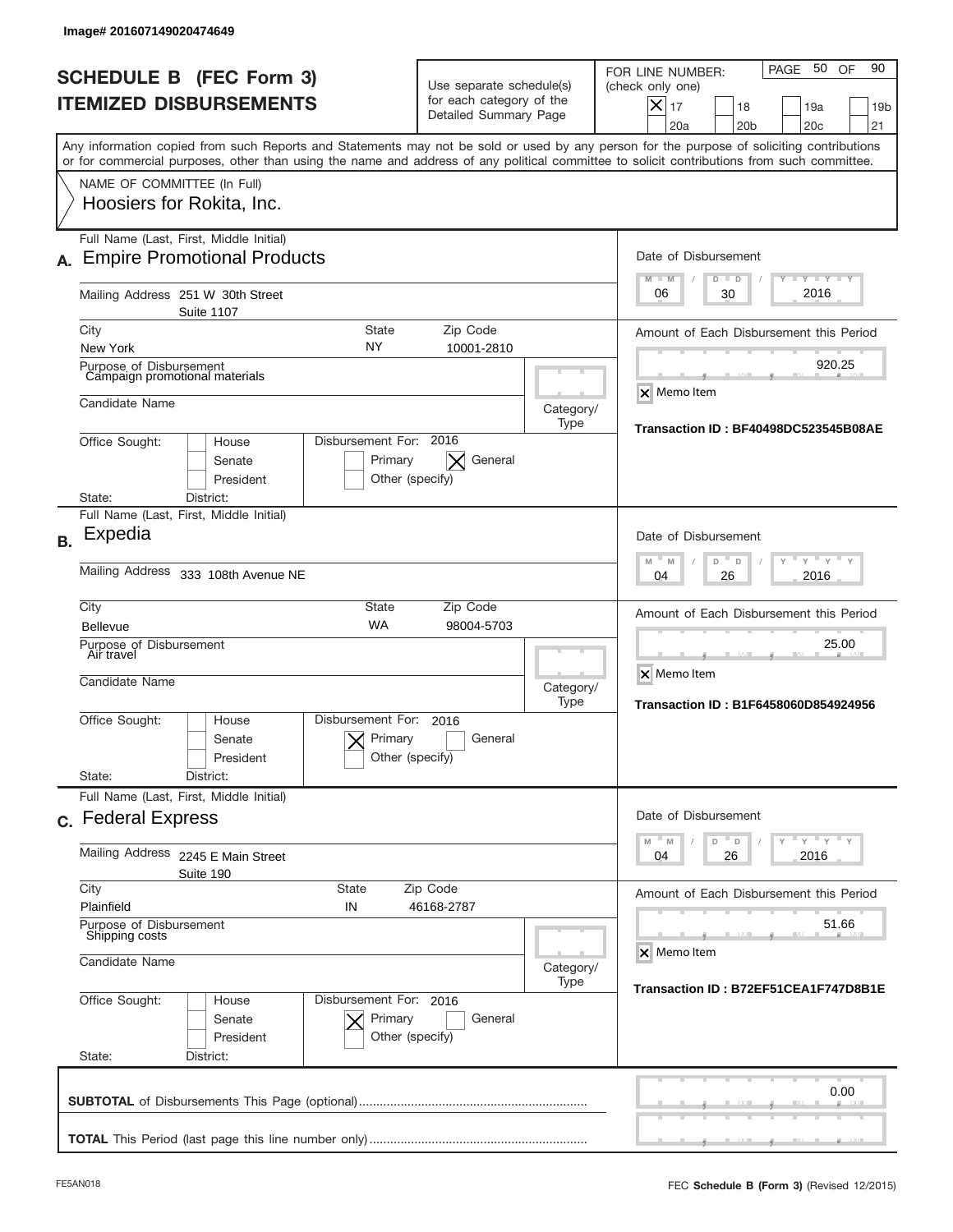| Image# 201607149020474649                                                                                                                                                                                                                                                                                              |                                                                                                                          |                                                              |                                                                                                                                                                              |  |  |  |
|------------------------------------------------------------------------------------------------------------------------------------------------------------------------------------------------------------------------------------------------------------------------------------------------------------------------|--------------------------------------------------------------------------------------------------------------------------|--------------------------------------------------------------|------------------------------------------------------------------------------------------------------------------------------------------------------------------------------|--|--|--|
| <b>SCHEDULE B (FEC Form 3)</b><br><b>ITEMIZED DISBURSEMENTS</b>                                                                                                                                                                                                                                                        | Use separate schedule(s)<br>for each category of the<br>Detailed Summary Page                                            |                                                              | PAGE 50 OF<br>90<br>FOR LINE NUMBER:<br>(check only one)<br>$ \boldsymbol{\times} $<br>17<br>18<br>19a<br>19 <sub>b</sub><br>20a<br>20 <sub>b</sub><br>20 <sub>c</sub><br>21 |  |  |  |
| Any information copied from such Reports and Statements may not be sold or used by any person for the purpose of soliciting contributions<br>or for commercial purposes, other than using the name and address of any political committee to solicit contributions from such committee.<br>NAME OF COMMITTEE (In Full) |                                                                                                                          |                                                              |                                                                                                                                                                              |  |  |  |
| Hoosiers for Rokita, Inc.                                                                                                                                                                                                                                                                                              |                                                                                                                          |                                                              |                                                                                                                                                                              |  |  |  |
| Full Name (Last, First, Middle Initial)<br><b>Empire Promotional Products</b><br>А.                                                                                                                                                                                                                                    |                                                                                                                          |                                                              | Date of Disbursement<br>$T - Y$ $T - Y$<br>$M - M$<br>$D$ $D$                                                                                                                |  |  |  |
| Mailing Address 251 W 30th Street<br><b>Suite 1107</b>                                                                                                                                                                                                                                                                 |                                                                                                                          |                                                              | 2016<br>06<br>30                                                                                                                                                             |  |  |  |
| City<br><b>State</b><br>NY                                                                                                                                                                                                                                                                                             | Zip Code                                                                                                                 |                                                              | Amount of Each Disbursement this Period                                                                                                                                      |  |  |  |
| New York<br>Purpose of Disbursement<br>Campaign promotional materials                                                                                                                                                                                                                                                  | 10001-2810                                                                                                               |                                                              | 920.25                                                                                                                                                                       |  |  |  |
| Candidate Name                                                                                                                                                                                                                                                                                                         |                                                                                                                          | Category/<br>Type                                            | $\times$ Memo Item<br>Transaction ID: BF40498DC523545B08AE                                                                                                                   |  |  |  |
| Disbursement For: 2016<br>Office Sought:<br>House<br>Primary<br>Senate<br>President<br>District:<br>State:                                                                                                                                                                                                             | General<br>$\times$<br>Other (specify)                                                                                   |                                                              |                                                                                                                                                                              |  |  |  |
| Full Name (Last, First, Middle Initial)                                                                                                                                                                                                                                                                                |                                                                                                                          |                                                              |                                                                                                                                                                              |  |  |  |
| Expedia<br><b>B.</b>                                                                                                                                                                                                                                                                                                   | Date of Disbursement<br>M<br>M<br>D<br>D                                                                                 |                                                              |                                                                                                                                                                              |  |  |  |
| Mailing Address<br>333 108th Avenue NE                                                                                                                                                                                                                                                                                 | 2016<br>04<br>26                                                                                                         |                                                              |                                                                                                                                                                              |  |  |  |
| City<br><b>State</b><br><b>WA</b><br><b>Bellevue</b>                                                                                                                                                                                                                                                                   | Amount of Each Disbursement this Period                                                                                  |                                                              |                                                                                                                                                                              |  |  |  |
| Purpose of Disbursement<br>Air travel<br>Candidate Name                                                                                                                                                                                                                                                                | Category/<br>Type                                                                                                        | 25.00<br>X Memo Item<br>Transaction ID: B1F6458060D854924956 |                                                                                                                                                                              |  |  |  |
| Disbursement For:<br>Office Sought:<br>House<br>Primary<br>Senate<br>President<br>State:<br>District:                                                                                                                                                                                                                  | 2016<br>General<br>Other (specify)                                                                                       |                                                              |                                                                                                                                                                              |  |  |  |
| Full Name (Last, First, Middle Initial)<br>c. Federal Express                                                                                                                                                                                                                                                          |                                                                                                                          |                                                              | Date of Disbursement                                                                                                                                                         |  |  |  |
| Mailing Address 2245 E Main Street<br>Suite 190                                                                                                                                                                                                                                                                        | $\mathbb{F}$ $\mathsf{y}$ $\mathbb{F}$ $\mathsf{y}$ $\mathbb{F}$ $\mathsf{y}$<br>$-M$<br>M<br>D<br>D<br>2016<br>04<br>26 |                                                              |                                                                                                                                                                              |  |  |  |
| City<br><b>State</b><br>Plainfield<br>IN                                                                                                                                                                                                                                                                               | Zip Code<br>46168-2787                                                                                                   |                                                              |                                                                                                                                                                              |  |  |  |
| Purpose of Disbursement<br>Shipping costs<br>Candidate Name                                                                                                                                                                                                                                                            | Category/                                                                                                                | 51.66<br>X Memo Item                                         |                                                                                                                                                                              |  |  |  |
|                                                                                                                                                                                                                                                                                                                        | Transaction ID: B72EF51CEA1F747D8B1E                                                                                     |                                                              |                                                                                                                                                                              |  |  |  |
| Office Sought:<br>Disbursement For: 2016<br>House<br>Senate<br>Primary<br>President<br>State:<br>District:                                                                                                                                                                                                             | General<br>Other (specify)                                                                                               |                                                              |                                                                                                                                                                              |  |  |  |
|                                                                                                                                                                                                                                                                                                                        |                                                                                                                          |                                                              | 0.00                                                                                                                                                                         |  |  |  |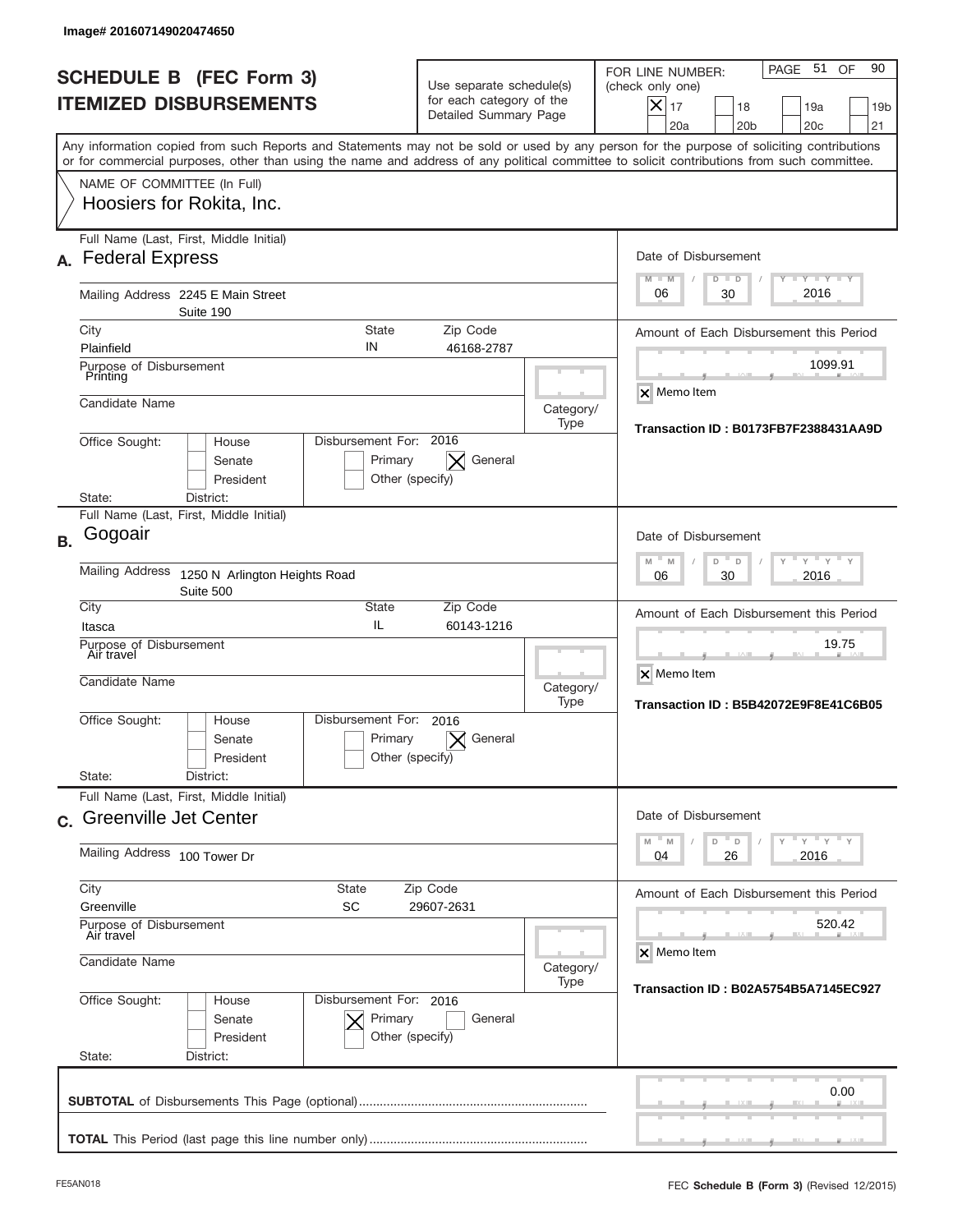|           | Image# 201607149020474650                                                                                                                  |                                                      |                                                                               |                   |                                                                                                                                                             |
|-----------|--------------------------------------------------------------------------------------------------------------------------------------------|------------------------------------------------------|-------------------------------------------------------------------------------|-------------------|-------------------------------------------------------------------------------------------------------------------------------------------------------------|
|           | <b>SCHEDULE B (FEC Form 3)</b><br><b>ITEMIZED DISBURSEMENTS</b>                                                                            |                                                      | Use separate schedule(s)<br>for each category of the<br>Detailed Summary Page |                   | PAGE 51<br>90<br>OF<br>FOR LINE NUMBER:<br>(check only one)<br>$X _{17}$<br>18<br>19a<br>19 <sub>b</sub><br>20a<br>20 <sub>b</sub><br>20 <sub>c</sub><br>21 |
|           | or for commercial purposes, other than using the name and address of any political committee to solicit contributions from such committee. |                                                      |                                                                               |                   | Any information copied from such Reports and Statements may not be sold or used by any person for the purpose of soliciting contributions                   |
|           | NAME OF COMMITTEE (In Full)<br>Hoosiers for Rokita, Inc.                                                                                   |                                                      |                                                                               |                   |                                                                                                                                                             |
| А.        | Full Name (Last, First, Middle Initial)<br><b>Federal Express</b>                                                                          |                                                      |                                                                               |                   | Date of Disbursement<br><b>LYLYLY</b><br>$M - M$<br>$D$ $D$                                                                                                 |
|           | Mailing Address 2245 E Main Street<br>Suite 190                                                                                            |                                                      |                                                                               |                   | 2016<br>30<br>06                                                                                                                                            |
|           | City<br>Plainfield                                                                                                                         | <b>State</b><br>IN                                   | Zip Code<br>46168-2787                                                        |                   | Amount of Each Disbursement this Period                                                                                                                     |
|           | Purpose of Disbursement<br>Printing                                                                                                        |                                                      |                                                                               |                   | 1099.91<br>X Memo Item                                                                                                                                      |
|           | Candidate Name                                                                                                                             |                                                      |                                                                               | Category/<br>Type | Transaction ID: B0173FB7F2388431AA9D                                                                                                                        |
|           | Office Sought:<br>House<br>Senate<br>President<br>State:<br>District:                                                                      | Disbursement For: 2016<br>Primary<br>Other (specify) | General<br>$\times$                                                           |                   |                                                                                                                                                             |
| <b>B.</b> | Full Name (Last, First, Middle Initial)<br>Gogoair                                                                                         |                                                      |                                                                               |                   | Date of Disbursement                                                                                                                                        |
|           | Mailing Address<br>1250 N Arlington Heights Road<br>Suite 500                                                                              | $M - M$<br>$Y = Y$<br>D<br>D<br>2016<br>06<br>30     |                                                                               |                   |                                                                                                                                                             |
|           | City<br>Itasca                                                                                                                             | <b>State</b><br>IL                                   | Zip Code<br>60143-1216                                                        |                   | Amount of Each Disbursement this Period                                                                                                                     |
|           | Purpose of Disbursement<br>Air travel<br>Candidate Name                                                                                    |                                                      |                                                                               | Category/<br>Type | 19.75<br>X Memo Item<br>Transaction ID: B5B42072E9F8E41C6B05                                                                                                |
|           | Office Sought:<br>House<br>Senate<br>President<br>State:<br>District:                                                                      | Disbursement For:<br>Primary<br>Other (specify)      | 2016<br>General                                                               |                   |                                                                                                                                                             |
|           | Full Name (Last, First, Middle Initial)<br>c. Greenville Jet Center                                                                        |                                                      |                                                                               |                   | Date of Disbursement                                                                                                                                        |
|           | Mailing Address 100 Tower Dr                                                                                                               |                                                      |                                                                               |                   | $-\gamma$ $-\gamma$ $-\gamma$<br>$-M$<br>D<br>M<br>D<br>2016<br>04<br>26                                                                                    |
|           | City<br><b>State</b><br>SC<br>Greenville                                                                                                   |                                                      | Zip Code<br>29607-2631                                                        |                   | Amount of Each Disbursement this Period                                                                                                                     |
|           | Purpose of Disbursement<br>Air travel<br>Candidate Name                                                                                    |                                                      |                                                                               | Category/         | 520.42<br>X Memo Item                                                                                                                                       |
|           | Office Sought:<br>House<br>Senate<br>President<br>State:<br>District:                                                                      | Disbursement For: 2016<br>Primary<br>Other (specify) | General                                                                       | Type              | <b>Transaction ID: B02A5754B5A7145EC927</b>                                                                                                                 |
|           |                                                                                                                                            |                                                      |                                                                               |                   | 0.00                                                                                                                                                        |
|           |                                                                                                                                            |                                                      |                                                                               |                   |                                                                                                                                                             |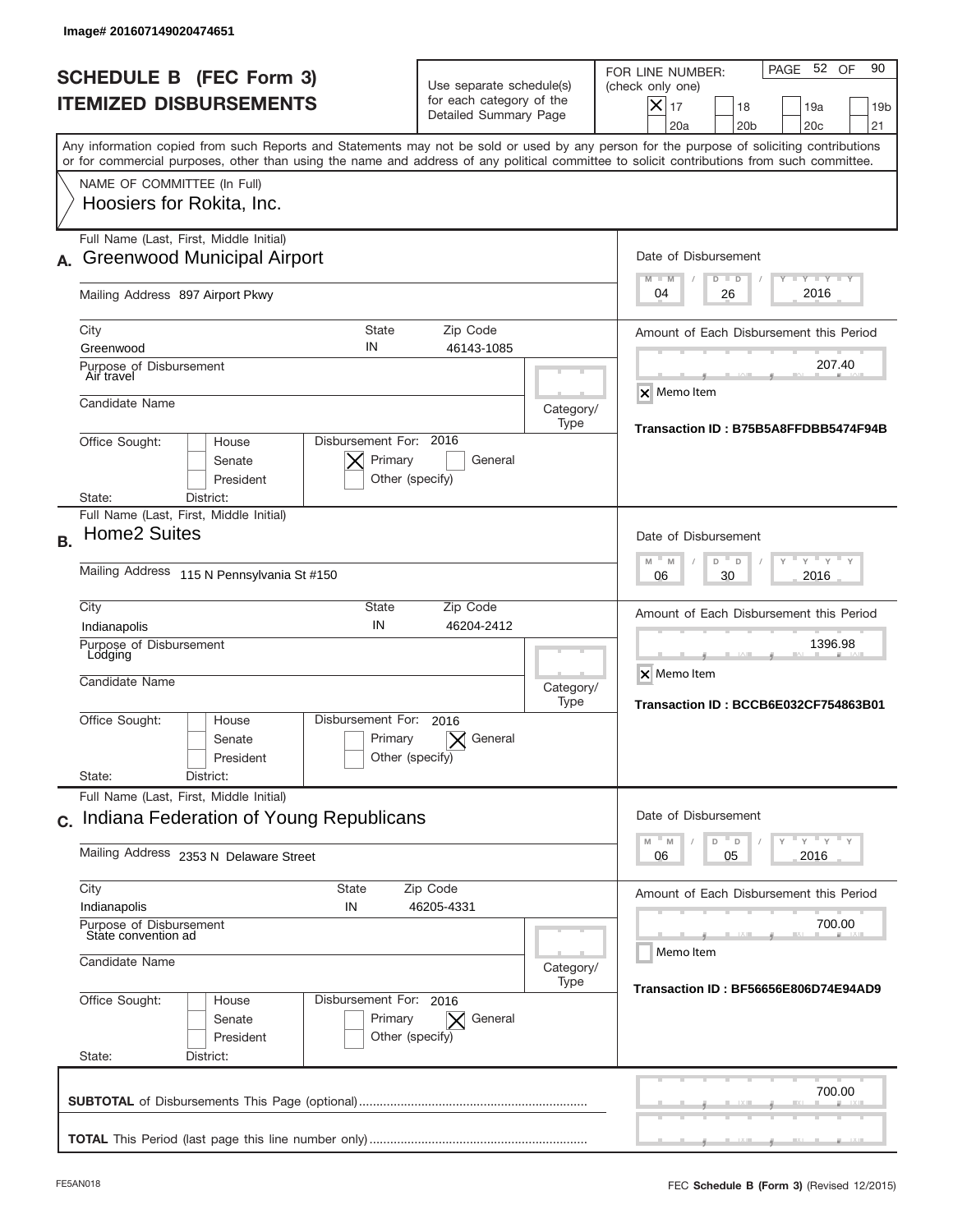|           | lmage#201607149020474651                                                                                                                                                                                                                                                                |                                                                               |                   |                                                                                                                                                                  |
|-----------|-----------------------------------------------------------------------------------------------------------------------------------------------------------------------------------------------------------------------------------------------------------------------------------------|-------------------------------------------------------------------------------|-------------------|------------------------------------------------------------------------------------------------------------------------------------------------------------------|
|           | <b>SCHEDULE B (FEC Form 3)</b><br><b>ITEMIZED DISBURSEMENTS</b>                                                                                                                                                                                                                         | Use separate schedule(s)<br>for each category of the<br>Detailed Summary Page |                   | 52 OF<br>90<br>PAGE<br>FOR LINE NUMBER:<br>(check only one)<br>$\times$<br>17<br>18<br>19a<br>19 <sub>b</sub><br>20a<br>20 <sub>b</sub><br>20 <sub>c</sub><br>21 |
|           | Any information copied from such Reports and Statements may not be sold or used by any person for the purpose of soliciting contributions<br>or for commercial purposes, other than using the name and address of any political committee to solicit contributions from such committee. |                                                                               |                   |                                                                                                                                                                  |
|           | NAME OF COMMITTEE (In Full)<br>Hoosiers for Rokita, Inc.                                                                                                                                                                                                                                |                                                                               |                   |                                                                                                                                                                  |
|           | Full Name (Last, First, Middle Initial)<br><b>Greenwood Municipal Airport</b>                                                                                                                                                                                                           |                                                                               |                   | Date of Disbursement<br><b>LEY LEY LEY</b><br>$M - M$<br>$D$ $D$                                                                                                 |
|           | Mailing Address 897 Airport Pkwy                                                                                                                                                                                                                                                        |                                                                               |                   | 2016<br>04<br>26                                                                                                                                                 |
|           | City<br><b>State</b><br>IN<br>Greenwood                                                                                                                                                                                                                                                 | Zip Code<br>46143-1085                                                        |                   | Amount of Each Disbursement this Period                                                                                                                          |
|           | Purpose of Disbursement<br>Air travel                                                                                                                                                                                                                                                   |                                                                               |                   | 207.40                                                                                                                                                           |
|           | Candidate Name                                                                                                                                                                                                                                                                          |                                                                               | Category/<br>Type | $\times$ Memo Item                                                                                                                                               |
|           | Disbursement For: 2016<br>Office Sought:<br>House<br>Primary<br>Senate<br>President<br>Other (specify)                                                                                                                                                                                  | General                                                                       |                   | Transaction ID: B75B5A8FFDBB5474F94B                                                                                                                             |
|           | District:<br>State:<br>Full Name (Last, First, Middle Initial)                                                                                                                                                                                                                          |                                                                               |                   |                                                                                                                                                                  |
| <b>B.</b> | <b>Home2 Suites</b>                                                                                                                                                                                                                                                                     |                                                                               |                   | Date of Disbursement                                                                                                                                             |
|           | Mailing Address 115 N Pennsylvania St #150                                                                                                                                                                                                                                              |                                                                               |                   | $-M$<br>$Y = Y$<br>M<br>D<br>D<br>2016<br>06<br>30                                                                                                               |
|           | City<br>State<br>IN<br>Indianapolis                                                                                                                                                                                                                                                     | Zip Code<br>46204-2412                                                        |                   | Amount of Each Disbursement this Period                                                                                                                          |
|           | Purpose of Disbursement<br>Lodging<br>Candidate Name                                                                                                                                                                                                                                    |                                                                               | Category/         | 1396.98<br>X Memo Item                                                                                                                                           |
|           | Disbursement For:<br>Office Sought:<br>House<br>Primary<br>Senate<br>Other (specify)<br>President<br>State:<br>District:                                                                                                                                                                | 2016<br>General                                                               | Type              | Transaction ID: BCCB6E032CF754863B01                                                                                                                             |
|           | Full Name (Last, First, Middle Initial)<br>c. Indiana Federation of Young Republicans                                                                                                                                                                                                   |                                                                               |                   | Date of Disbursement                                                                                                                                             |
|           | Mailing Address 2353 N Delaware Street                                                                                                                                                                                                                                                  |                                                                               |                   | $Y$ $Y$ $Y$ $Y$ $Y$<br>D<br>M<br>M<br>D<br>2016<br>06<br>05                                                                                                      |
|           | City<br>State<br>Indianapolis<br>IN                                                                                                                                                                                                                                                     | Zip Code<br>46205-4331                                                        |                   | Amount of Each Disbursement this Period                                                                                                                          |
|           | Purpose of Disbursement<br>State convention ad<br>Candidate Name                                                                                                                                                                                                                        |                                                                               | Category/         | 700.00<br>Memo Item                                                                                                                                              |
|           | Office Sought:<br>Disbursement For: 2016<br>House                                                                                                                                                                                                                                       |                                                                               | Type              | Transaction ID: BF56656E806D74E94AD9                                                                                                                             |
|           | Primary<br>Senate<br>President<br>Other (specify)<br>State:<br>District:                                                                                                                                                                                                                | General<br>$\times$                                                           |                   |                                                                                                                                                                  |
|           |                                                                                                                                                                                                                                                                                         |                                                                               |                   | 700.00                                                                                                                                                           |
|           |                                                                                                                                                                                                                                                                                         |                                                                               |                   |                                                                                                                                                                  |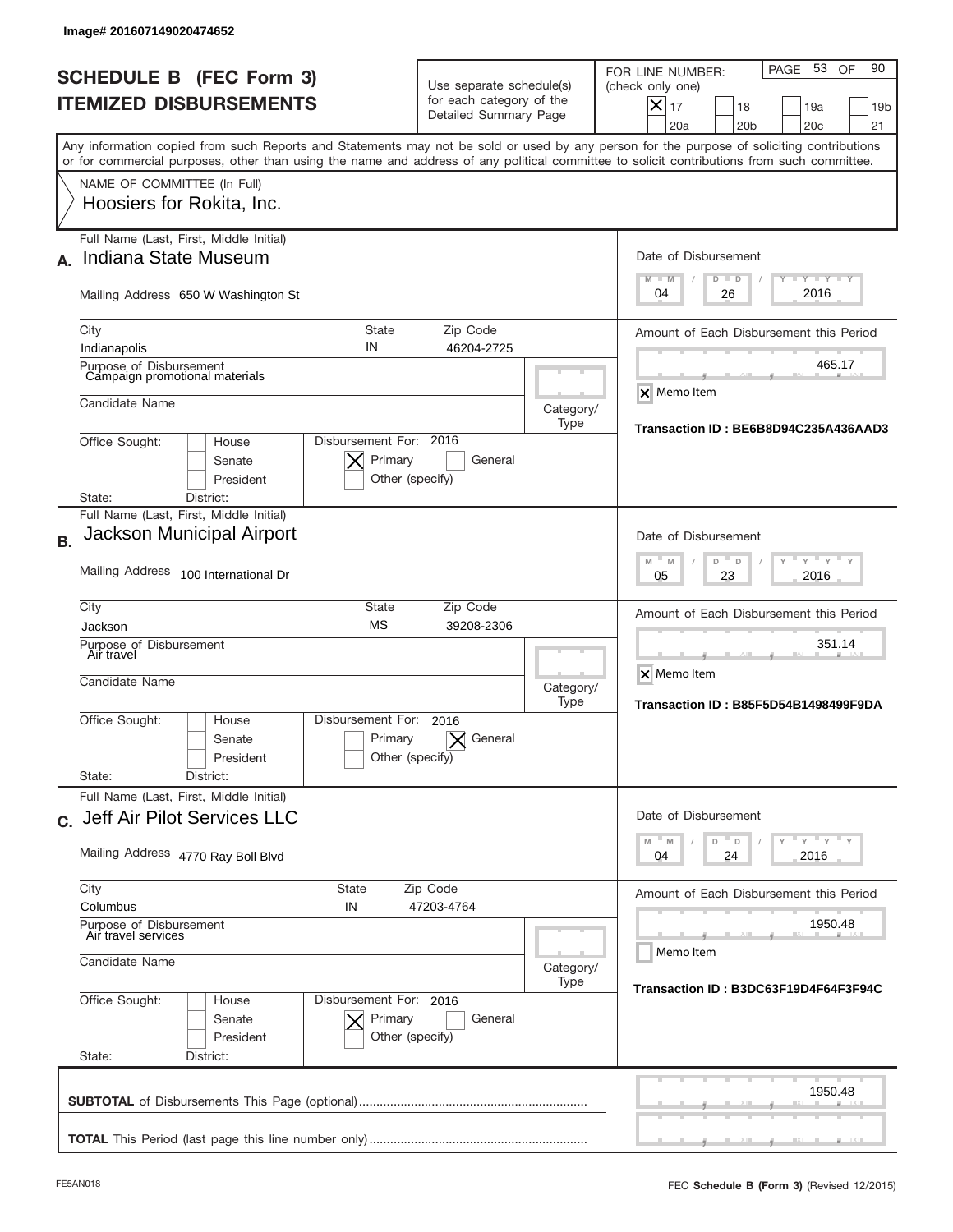|           | Image# 201607149020474652                                                                                                                                                                                                                                                               |                                                                               |                   |                                                                                                                                                             |
|-----------|-----------------------------------------------------------------------------------------------------------------------------------------------------------------------------------------------------------------------------------------------------------------------------------------|-------------------------------------------------------------------------------|-------------------|-------------------------------------------------------------------------------------------------------------------------------------------------------------|
|           | <b>SCHEDULE B (FEC Form 3)</b><br><b>ITEMIZED DISBURSEMENTS</b>                                                                                                                                                                                                                         | Use separate schedule(s)<br>for each category of the<br>Detailed Summary Page |                   | PAGE 53<br>90<br>OF<br>FOR LINE NUMBER:<br>(check only one)<br>$X _{17}$<br>18<br>19a<br>19 <sub>b</sub><br>20a<br>20 <sub>b</sub><br>20 <sub>c</sub><br>21 |
|           | Any information copied from such Reports and Statements may not be sold or used by any person for the purpose of soliciting contributions<br>or for commercial purposes, other than using the name and address of any political committee to solicit contributions from such committee. |                                                                               |                   |                                                                                                                                                             |
|           | NAME OF COMMITTEE (In Full)<br>Hoosiers for Rokita, Inc.                                                                                                                                                                                                                                |                                                                               |                   |                                                                                                                                                             |
|           | Full Name (Last, First, Middle Initial)<br><b>Indiana State Museum</b>                                                                                                                                                                                                                  |                                                                               |                   | Date of Disbursement<br><b>LYLYLY</b><br>$M - M$<br>$D$ $D$                                                                                                 |
|           | Mailing Address 650 W Washington St                                                                                                                                                                                                                                                     |                                                                               |                   | 2016<br>04<br>26                                                                                                                                            |
|           | <b>State</b><br>City<br>IN<br>Indianapolis                                                                                                                                                                                                                                              | Zip Code<br>46204-2725                                                        |                   | Amount of Each Disbursement this Period<br>465.17                                                                                                           |
|           | Purpose of Disbursement<br>Campaign promotional materials<br>Candidate Name                                                                                                                                                                                                             |                                                                               | Category/         | <b>X</b> Memo Item                                                                                                                                          |
|           | Disbursement For: 2016<br>Office Sought:<br>House<br>Primary<br>Senate<br>President<br>District:<br>State:                                                                                                                                                                              | General<br>Other (specify)                                                    | Type              | Transaction ID: BE6B8D94C235A436AAD3                                                                                                                        |
| <b>B.</b> | Full Name (Last, First, Middle Initial)<br>Jackson Municipal Airport                                                                                                                                                                                                                    |                                                                               |                   | Date of Disbursement                                                                                                                                        |
|           | Mailing Address 100 International Dr                                                                                                                                                                                                                                                    | $-M$<br>$Y = Y$<br>M<br>D<br>D<br>2016<br>05<br>23                            |                   |                                                                                                                                                             |
|           | City<br><b>State</b><br><b>MS</b><br>Jackson<br>Purpose of Disbursement                                                                                                                                                                                                                 | Zip Code<br>39208-2306                                                        |                   | Amount of Each Disbursement this Period<br>351.14                                                                                                           |
|           | Air travel<br>Candidate Name                                                                                                                                                                                                                                                            |                                                                               | Category/<br>Type | X Memo Item<br>Transaction ID: B85F5D54B1498499F9DA                                                                                                         |
|           | Disbursement For:<br>Office Sought:<br>House<br>Primary<br>Senate<br>President<br>State:<br>District:                                                                                                                                                                                   | 2016<br>General<br>Other (specify)                                            |                   |                                                                                                                                                             |
|           | Full Name (Last, First, Middle Initial)<br>c. Jeff Air Pilot Services LLC                                                                                                                                                                                                               |                                                                               |                   | Date of Disbursement                                                                                                                                        |
|           | Mailing Address 4770 Ray Boll Blvd                                                                                                                                                                                                                                                      |                                                                               |                   | $\mathbb{F}$ $\gamma$ $\mathbb{F}$ $\gamma$ $\mathbb{F}$ $\gamma$<br>D<br>M<br>M<br>D<br>2016<br>04<br>24                                                   |
|           | City<br>State<br>Columbus<br>IN                                                                                                                                                                                                                                                         | Zip Code<br>47203-4764                                                        |                   | Amount of Each Disbursement this Period                                                                                                                     |
|           | Purpose of Disbursement<br>Air travel services<br>Candidate Name                                                                                                                                                                                                                        |                                                                               | Category/         | 1950.48<br>Memo Item                                                                                                                                        |
|           | Office Sought:<br>Disbursement For: 2016<br>House<br>Senate<br>Primary<br>President<br>State:<br>District:                                                                                                                                                                              | General<br>Other (specify)                                                    | Type              | Transaction ID: B3DC63F19D4F64F3F94C                                                                                                                        |
|           |                                                                                                                                                                                                                                                                                         |                                                                               |                   | 1950.48                                                                                                                                                     |
|           |                                                                                                                                                                                                                                                                                         |                                                                               |                   |                                                                                                                                                             |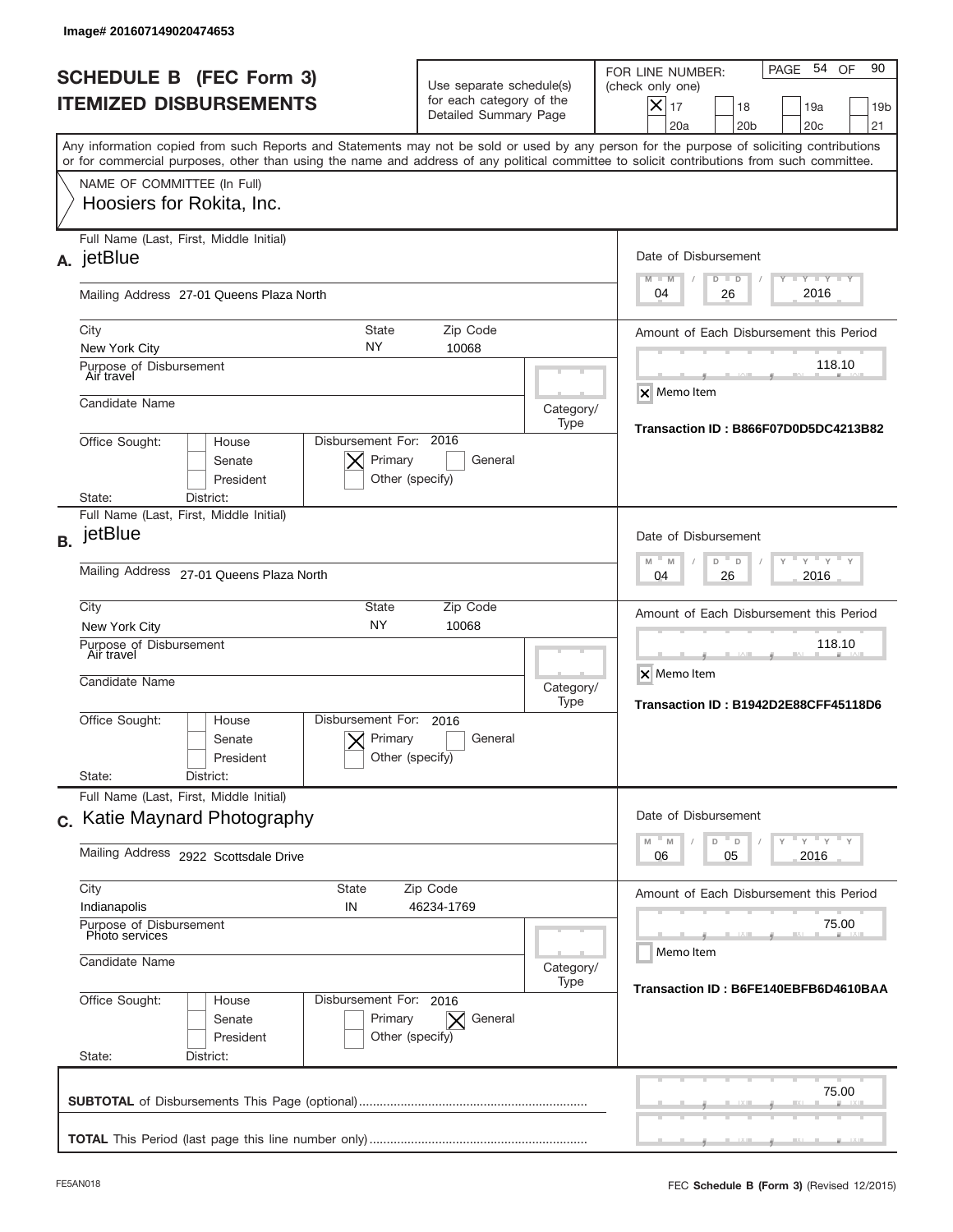|           | Image# 201607149020474653                                                                                                                                                                                                                                                               |                                                                               |                   |                                                                                                                                                             |
|-----------|-----------------------------------------------------------------------------------------------------------------------------------------------------------------------------------------------------------------------------------------------------------------------------------------|-------------------------------------------------------------------------------|-------------------|-------------------------------------------------------------------------------------------------------------------------------------------------------------|
|           | <b>SCHEDULE B (FEC Form 3)</b><br><b>ITEMIZED DISBURSEMENTS</b>                                                                                                                                                                                                                         | Use separate schedule(s)<br>for each category of the<br>Detailed Summary Page |                   | PAGE 54<br>90<br>OF<br>FOR LINE NUMBER:<br>(check only one)<br>$X _{17}$<br>18<br>19a<br>19 <sub>b</sub><br>20a<br>20 <sub>b</sub><br>20 <sub>c</sub><br>21 |
|           | Any information copied from such Reports and Statements may not be sold or used by any person for the purpose of soliciting contributions<br>or for commercial purposes, other than using the name and address of any political committee to solicit contributions from such committee. |                                                                               |                   |                                                                                                                                                             |
|           | NAME OF COMMITTEE (In Full)<br>Hoosiers for Rokita, Inc.                                                                                                                                                                                                                                |                                                                               |                   |                                                                                                                                                             |
|           | Full Name (Last, First, Middle Initial)<br>A. jetBlue                                                                                                                                                                                                                                   |                                                                               |                   | Date of Disbursement<br>$T - Y$ $T - Y$ $T - Y$<br>$M - M$<br>$D$ $D$                                                                                       |
|           | Mailing Address 27-01 Queens Plaza North                                                                                                                                                                                                                                                |                                                                               |                   | 2016<br>04<br>26                                                                                                                                            |
|           | State<br>City<br>NY.<br>New York City<br>Purpose of Disbursement                                                                                                                                                                                                                        | Zip Code<br>10068                                                             |                   | Amount of Each Disbursement this Period<br>118.10                                                                                                           |
|           | Air travel<br>Candidate Name                                                                                                                                                                                                                                                            |                                                                               | Category/         | <b>X</b> Memo Item                                                                                                                                          |
|           | Disbursement For: 2016<br>Office Sought:<br>House<br>Senate<br>President<br>State:<br>District:                                                                                                                                                                                         | Primary<br>General<br>Other (specify)                                         | Type              | Transaction ID: B866F07D0D5DC4213B82                                                                                                                        |
| <b>B.</b> | Full Name (Last, First, Middle Initial)<br>jetBlue                                                                                                                                                                                                                                      |                                                                               |                   | Date of Disbursement                                                                                                                                        |
|           | Mailing Address 27-01 Queens Plaza North                                                                                                                                                                                                                                                |                                                                               |                   | $-M$<br>$Y = Y$<br>M<br>D<br>D<br>2016<br>04<br>26                                                                                                          |
|           | City<br><b>State</b><br><b>NY</b><br>New York City                                                                                                                                                                                                                                      | Zip Code<br>10068                                                             |                   | Amount of Each Disbursement this Period<br>118.10                                                                                                           |
|           | Purpose of Disbursement<br>Air travel<br>Candidate Name                                                                                                                                                                                                                                 |                                                                               | Category/<br>Type | X Memo Item<br>Transaction ID: B1942D2E88CFF45118D6                                                                                                         |
|           | Disbursement For:<br>Office Sought:<br>House<br>Senate<br>President                                                                                                                                                                                                                     | 2016<br>Primary<br>General<br>Other (specify)                                 |                   |                                                                                                                                                             |
|           | State:<br>District:<br>Full Name (Last, First, Middle Initial)                                                                                                                                                                                                                          |                                                                               |                   |                                                                                                                                                             |
|           | c. Katie Maynard Photography                                                                                                                                                                                                                                                            |                                                                               |                   | Date of Disbursement<br>$\vdash$ $\vdash$ $\vdash$ $\vdash$ $\vdash$ $\vdash$ $\vdash$<br>$\mathbb M$<br>M<br>D<br>D                                        |
|           | Mailing Address 2922 Scottsdale Drive                                                                                                                                                                                                                                                   |                                                                               |                   | 2016<br>06<br>05                                                                                                                                            |
|           | City<br>State<br>Indianapolis<br>IN                                                                                                                                                                                                                                                     | Zip Code<br>46234-1769                                                        |                   | Amount of Each Disbursement this Period                                                                                                                     |
|           | Purpose of Disbursement<br>Photo services<br>Candidate Name                                                                                                                                                                                                                             |                                                                               | Category/         | 75.00<br>Memo Item                                                                                                                                          |
|           | Office Sought:<br>Disbursement For: 2016<br>House<br>Senate<br>President<br>State:<br>District:                                                                                                                                                                                         | Primary<br>General<br>$\times$<br>Other (specify)                             | Type              | Transaction ID: B6FE140EBFB6D4610BAA                                                                                                                        |
|           |                                                                                                                                                                                                                                                                                         |                                                                               |                   | 75.00                                                                                                                                                       |
|           |                                                                                                                                                                                                                                                                                         |                                                                               |                   |                                                                                                                                                             |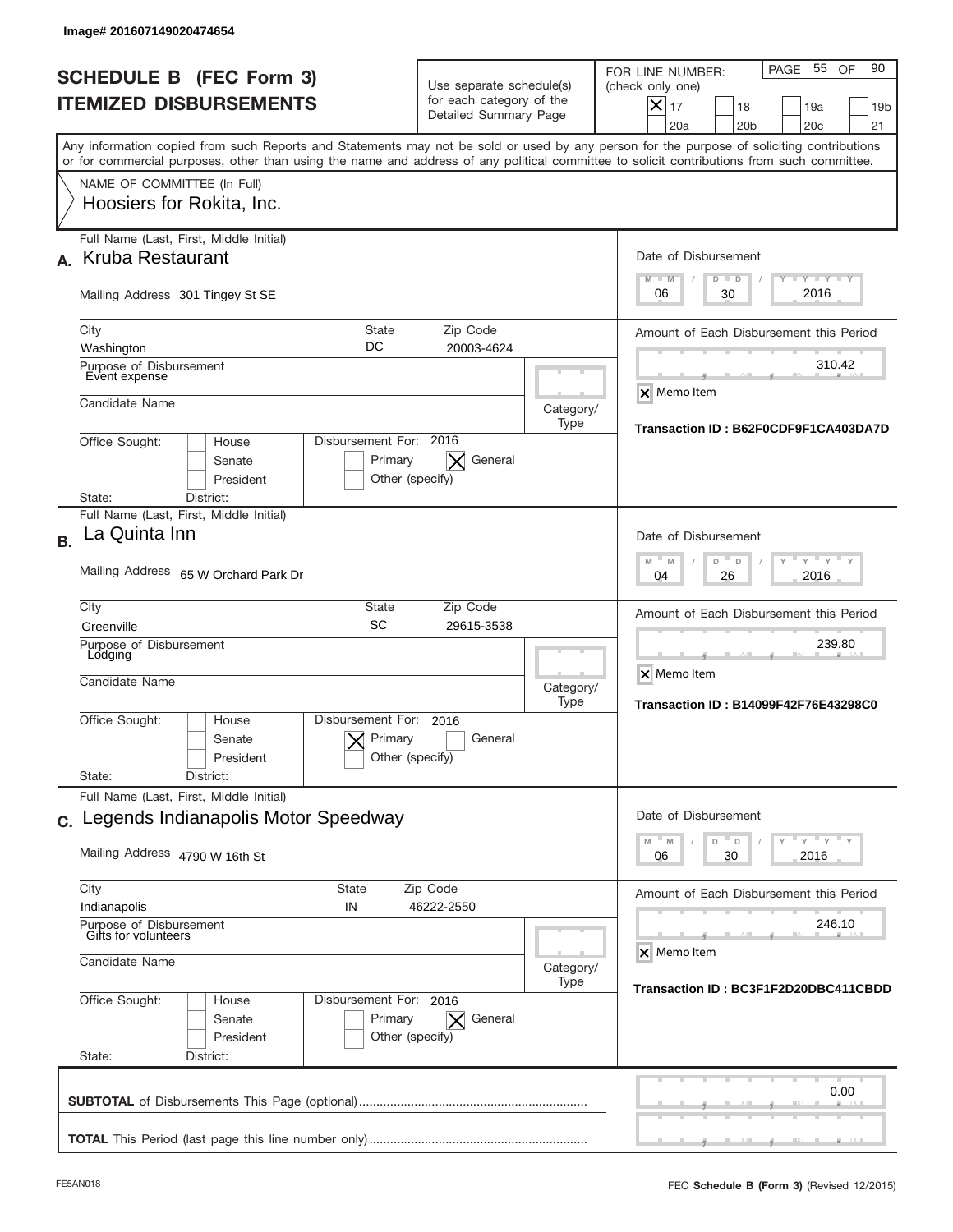|           | lmage#201607149020474654                                                                                                                                                                                                                                                                |                            |                                                                               |                   |                                                                                                                                                                                      |
|-----------|-----------------------------------------------------------------------------------------------------------------------------------------------------------------------------------------------------------------------------------------------------------------------------------------|----------------------------|-------------------------------------------------------------------------------|-------------------|--------------------------------------------------------------------------------------------------------------------------------------------------------------------------------------|
|           | <b>SCHEDULE B (FEC Form 3)</b><br><b>ITEMIZED DISBURSEMENTS</b>                                                                                                                                                                                                                         |                            | Use separate schedule(s)<br>for each category of the<br>Detailed Summary Page |                   | 55<br>90<br>PAGE<br>OF<br>FOR LINE NUMBER:<br>(check only one)<br>$\boldsymbol{\mathsf{X}}$<br>17<br>18<br>19a<br>19 <sub>b</sub><br>20a<br>20 <sub>b</sub><br>20 <sub>c</sub><br>21 |
|           | Any information copied from such Reports and Statements may not be sold or used by any person for the purpose of soliciting contributions<br>or for commercial purposes, other than using the name and address of any political committee to solicit contributions from such committee. |                            |                                                                               |                   |                                                                                                                                                                                      |
|           | NAME OF COMMITTEE (In Full)<br>Hoosiers for Rokita, Inc.                                                                                                                                                                                                                                |                            |                                                                               |                   |                                                                                                                                                                                      |
|           | Full Name (Last, First, Middle Initial)<br>A. Kruba Restaurant                                                                                                                                                                                                                          |                            |                                                                               |                   | Date of Disbursement<br><b>LEY LEY LEY</b><br>$M - M$<br>$D$ $D$                                                                                                                     |
|           | Mailing Address 301 Tingey St SE                                                                                                                                                                                                                                                        |                            |                                                                               |                   | 2016<br>06<br>30                                                                                                                                                                     |
|           | City<br>Washington<br>Purpose of Disbursement<br>Event expense                                                                                                                                                                                                                          | <b>State</b><br>DC         | Zip Code<br>20003-4624                                                        |                   | Amount of Each Disbursement this Period<br>310.42                                                                                                                                    |
|           | Candidate Name                                                                                                                                                                                                                                                                          |                            |                                                                               | Category/<br>Type | <b>X</b> Memo Item                                                                                                                                                                   |
|           | Disbursement For: 2016<br>Office Sought:<br>House<br>Senate<br>President<br>District:<br>State:                                                                                                                                                                                         | Primary<br>Other (specify) | General                                                                       |                   | Transaction ID: B62F0CDF9F1CA403DA7D                                                                                                                                                 |
| <b>B.</b> | Full Name (Last, First, Middle Initial)<br>La Quinta Inn                                                                                                                                                                                                                                |                            |                                                                               |                   | Date of Disbursement                                                                                                                                                                 |
|           | Mailing Address 65 W Orchard Park Dr                                                                                                                                                                                                                                                    |                            |                                                                               |                   | $Y$ $Y$ $Y$<br>$M - M$<br>D<br>D<br>2016<br>04<br>26                                                                                                                                 |
|           | City<br>Greenville<br>Purpose of Disbursement<br>Lodging<br>Candidate Name                                                                                                                                                                                                              | <b>State</b><br><b>SC</b>  | Zip Code<br>29615-3538                                                        | Category/         | Amount of Each Disbursement this Period<br>239.80<br>X Memo Item                                                                                                                     |
|           | Disbursement For:<br>Office Sought:<br>House<br>Senate<br>President<br>State:<br>District:                                                                                                                                                                                              | Primary<br>Other (specify) | 2016<br>General                                                               | Type              | Transaction ID: B14099F42F76E43298C0                                                                                                                                                 |
|           | Full Name (Last, First, Middle Initial)<br>c. Legends Indianapolis Motor Speedway                                                                                                                                                                                                       |                            |                                                                               |                   | Date of Disbursement                                                                                                                                                                 |
|           | Mailing Address 4790 W 16th St                                                                                                                                                                                                                                                          |                            |                                                                               |                   | $\cdots$ $\gamma$ $\cdots$ $\gamma$ $\cdots$ $\gamma$<br>M<br>D<br>M<br>D<br>2016<br>06<br>30                                                                                        |
|           | City<br><b>State</b><br>Indianapolis<br>IN                                                                                                                                                                                                                                              |                            | Zip Code<br>46222-2550                                                        |                   | Amount of Each Disbursement this Period                                                                                                                                              |
|           | Purpose of Disbursement<br>Gifts for volunteers<br>Candidate Name                                                                                                                                                                                                                       |                            |                                                                               | Category/<br>Type | 246.10<br>X Memo Item                                                                                                                                                                |
|           | Office Sought:<br>Disbursement For: 2016<br>House<br>Senate<br>President<br>State:<br>District:                                                                                                                                                                                         | Primary<br>Other (specify) | General                                                                       |                   | Transaction ID : BC3F1F2D20DBC411CBDD                                                                                                                                                |
|           |                                                                                                                                                                                                                                                                                         |                            |                                                                               |                   | 0.00                                                                                                                                                                                 |
|           |                                                                                                                                                                                                                                                                                         |                            |                                                                               |                   |                                                                                                                                                                                      |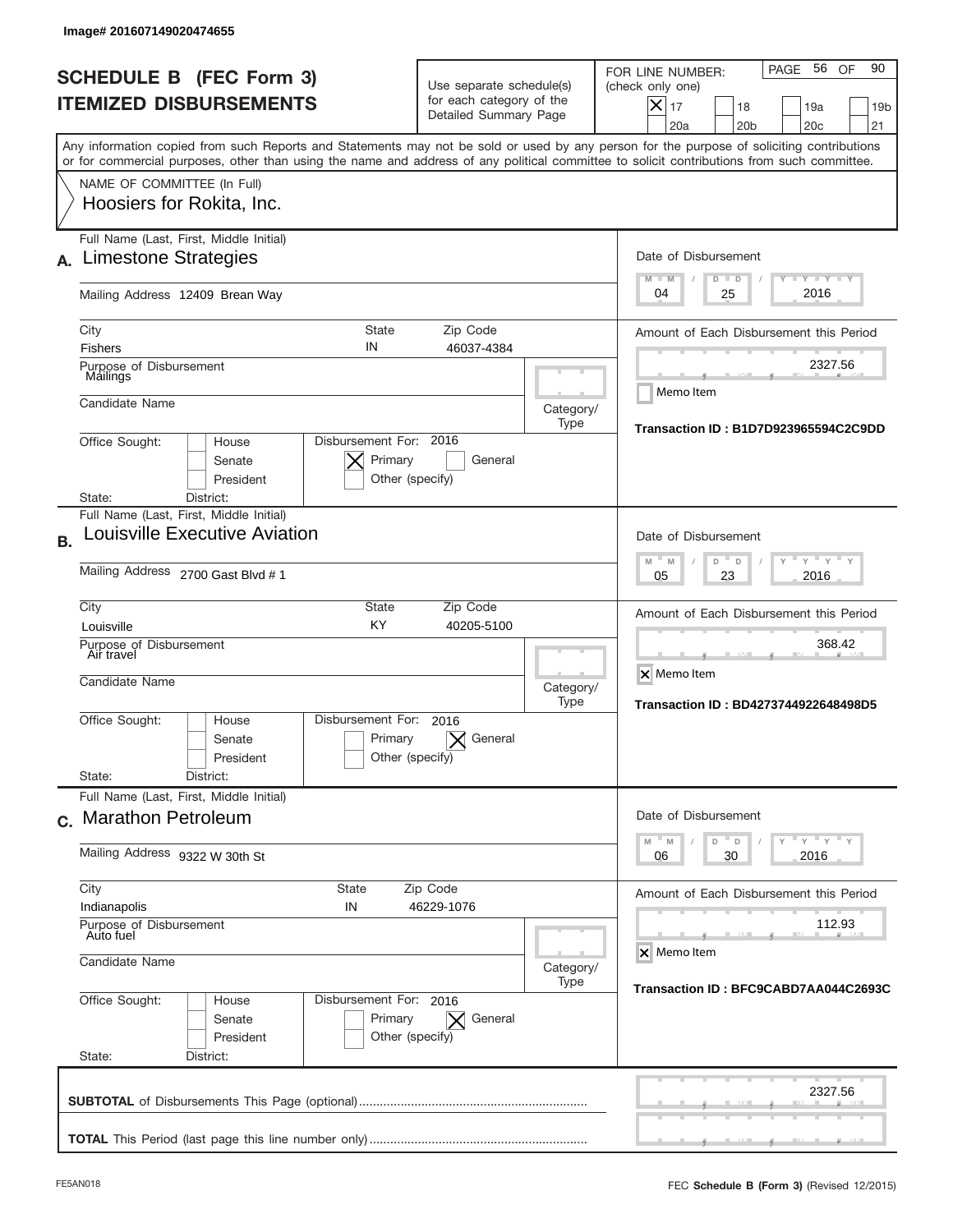|           | Image# 201607149020474655                                             |                                                      |                                                                               |                   |                                                                                                                                                                                                                                                                                         |
|-----------|-----------------------------------------------------------------------|------------------------------------------------------|-------------------------------------------------------------------------------|-------------------|-----------------------------------------------------------------------------------------------------------------------------------------------------------------------------------------------------------------------------------------------------------------------------------------|
|           | <b>SCHEDULE B (FEC Form 3)</b><br><b>ITEMIZED DISBURSEMENTS</b>       |                                                      | Use separate schedule(s)<br>for each category of the<br>Detailed Summary Page |                   | 56 OF<br>90<br>PAGE<br>FOR LINE NUMBER:<br>(check only one)<br>$\boldsymbol{\times}$<br>17<br>18<br>19a<br>19 <sub>b</sub><br>20a<br>20 <sub>b</sub><br>20 <sub>c</sub><br>21                                                                                                           |
|           |                                                                       |                                                      |                                                                               |                   | Any information copied from such Reports and Statements may not be sold or used by any person for the purpose of soliciting contributions<br>or for commercial purposes, other than using the name and address of any political committee to solicit contributions from such committee. |
|           | NAME OF COMMITTEE (In Full)<br>Hoosiers for Rokita, Inc.              |                                                      |                                                                               |                   |                                                                                                                                                                                                                                                                                         |
| А.        | Full Name (Last, First, Middle Initial)<br>Limestone Strategies       |                                                      |                                                                               |                   | Date of Disbursement<br>$T - Y$ $T - Y$<br>$M - M$                                                                                                                                                                                                                                      |
|           | Mailing Address 12409 Brean Way                                       |                                                      |                                                                               |                   | $D$ $D$<br>2016<br>04<br>25                                                                                                                                                                                                                                                             |
|           | City<br><b>Fishers</b><br>Purpose of Disbursement                     | <b>State</b><br>IN                                   | Zip Code<br>46037-4384                                                        |                   | Amount of Each Disbursement this Period<br>2327.56                                                                                                                                                                                                                                      |
|           | Mailings<br>Candidate Name                                            |                                                      |                                                                               | Category/<br>Type | Memo Item                                                                                                                                                                                                                                                                               |
|           | Office Sought:<br>House<br>Senate<br>President<br>District:<br>State: | Disbursement For: 2016<br>Primary<br>Other (specify) | General                                                                       |                   | Transaction ID: B1D7D923965594C2C9DD                                                                                                                                                                                                                                                    |
|           | Full Name (Last, First, Middle Initial)                               |                                                      |                                                                               |                   |                                                                                                                                                                                                                                                                                         |
| <b>B.</b> | Louisville Executive Aviation<br>Mailing Address 2700 Gast Blvd # 1   |                                                      |                                                                               |                   | Date of Disbursement<br>$Y$ $Y$ $Y$<br>$M - M$<br>D<br>$\Box$<br>2016<br>05<br>23                                                                                                                                                                                                       |
|           | City<br>Louisville<br>Purpose of Disbursement<br>Air travel           | State<br>KY                                          | Zip Code<br>40205-5100                                                        |                   | Amount of Each Disbursement this Period<br>368.42                                                                                                                                                                                                                                       |
|           | Candidate Name                                                        | Category/<br>Type                                    | X Memo Item<br>Transaction ID: BD4273744922648498D5                           |                   |                                                                                                                                                                                                                                                                                         |
|           | Office Sought:<br>House<br>Senate<br>President                        | Disbursement For:<br>Primary<br>Other (specify)      | 2016<br>General                                                               |                   |                                                                                                                                                                                                                                                                                         |
|           | State:<br>District:<br>Full Name (Last, First, Middle Initial)        |                                                      |                                                                               |                   |                                                                                                                                                                                                                                                                                         |
|           | c. Marathon Petroleum                                                 |                                                      |                                                                               |                   | Date of Disbursement<br>$Y$ $Y$ $Y$ $Y$ $Y$<br>$-M$<br>M<br>D<br>D                                                                                                                                                                                                                      |
|           | Mailing Address 9322 W 30th St                                        | 2016<br>06<br>30                                     |                                                                               |                   |                                                                                                                                                                                                                                                                                         |
|           | City<br>Indianapolis                                                  | State<br>IN                                          | Zip Code<br>46229-1076                                                        |                   | Amount of Each Disbursement this Period                                                                                                                                                                                                                                                 |
|           | Purpose of Disbursement<br>Auto fuel<br>Candidate Name                | Category/                                            | 112.93<br>X Memo Item                                                         |                   |                                                                                                                                                                                                                                                                                         |
|           | Office Sought:<br>House<br>Senate<br>President<br>State:<br>District: | Disbursement For: 2016<br>Primary<br>Other (specify) | General<br>$\times$                                                           | Type              | Transaction ID: BFC9CABD7AA044C2693C                                                                                                                                                                                                                                                    |
|           |                                                                       |                                                      |                                                                               |                   | 2327.56                                                                                                                                                                                                                                                                                 |
|           |                                                                       |                                                      |                                                                               |                   |                                                                                                                                                                                                                                                                                         |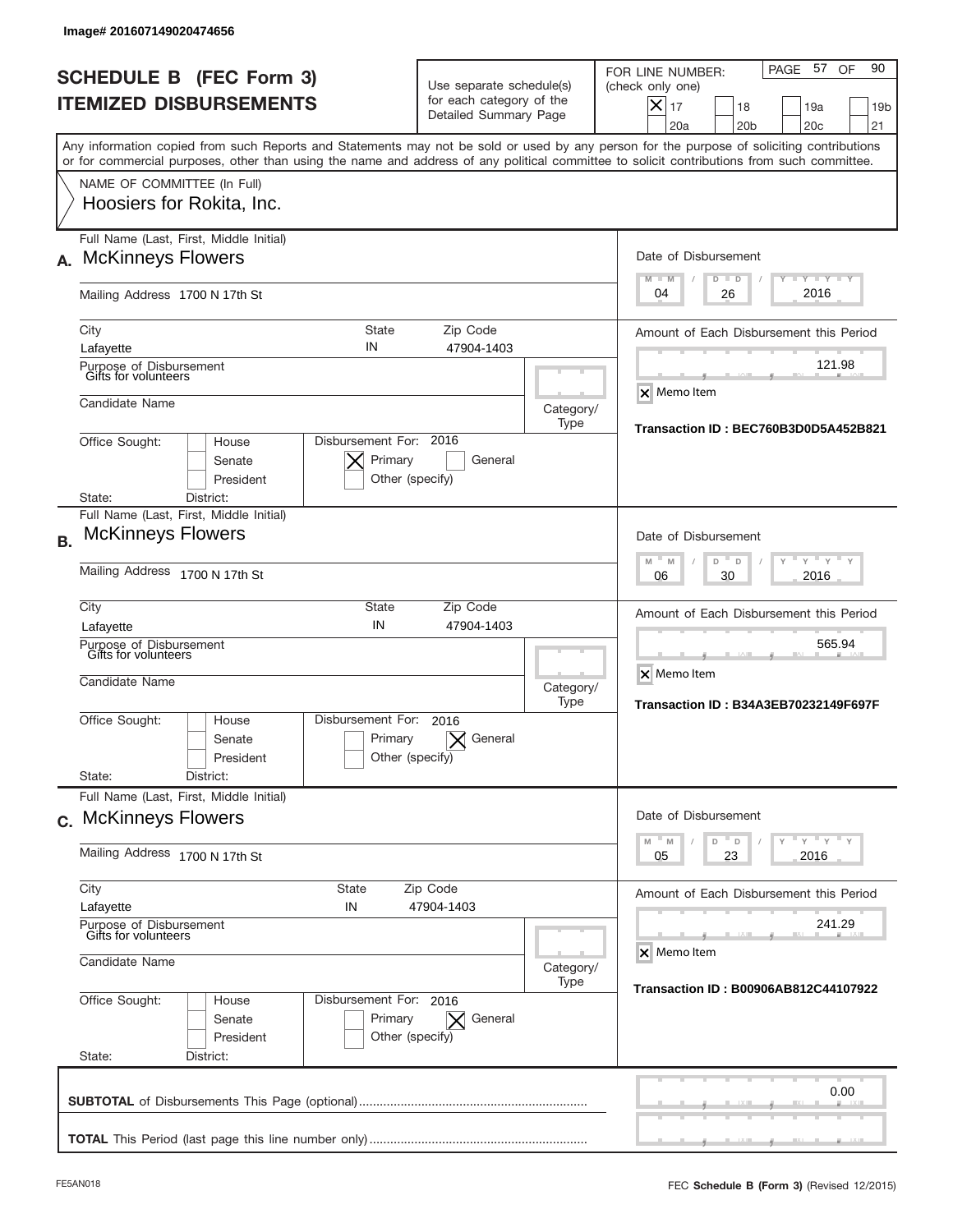|           | Image# 201607149020474656                                                                                                                                                                                                                                                               |                                                                               |                   |                                                                                                                                                             |
|-----------|-----------------------------------------------------------------------------------------------------------------------------------------------------------------------------------------------------------------------------------------------------------------------------------------|-------------------------------------------------------------------------------|-------------------|-------------------------------------------------------------------------------------------------------------------------------------------------------------|
|           | <b>SCHEDULE B (FEC Form 3)</b><br><b>ITEMIZED DISBURSEMENTS</b>                                                                                                                                                                                                                         | Use separate schedule(s)<br>for each category of the<br>Detailed Summary Page |                   | PAGE 57<br>90<br>OF<br>FOR LINE NUMBER:<br>(check only one)<br>$X _{17}$<br>19a<br>18<br>19 <sub>b</sub><br>20a<br>20 <sub>b</sub><br>20 <sub>c</sub><br>21 |
|           | Any information copied from such Reports and Statements may not be sold or used by any person for the purpose of soliciting contributions<br>or for commercial purposes, other than using the name and address of any political committee to solicit contributions from such committee. |                                                                               |                   |                                                                                                                                                             |
|           | NAME OF COMMITTEE (In Full)<br>Hoosiers for Rokita, Inc.                                                                                                                                                                                                                                |                                                                               |                   |                                                                                                                                                             |
| А.        | Full Name (Last, First, Middle Initial)<br><b>McKinneys Flowers</b>                                                                                                                                                                                                                     |                                                                               |                   | Date of Disbursement<br>$T - Y$ $T - Y$ $T - Y$<br>$M - M$<br>$D$ $D$                                                                                       |
|           | Mailing Address 1700 N 17th St                                                                                                                                                                                                                                                          |                                                                               |                   | 2016<br>04<br>26                                                                                                                                            |
|           | <b>State</b><br>City<br>IN<br>Lafayette                                                                                                                                                                                                                                                 | Zip Code<br>47904-1403                                                        |                   | Amount of Each Disbursement this Period<br>121.98                                                                                                           |
|           | Purpose of Disbursement<br>Gifts for volunteers<br>Candidate Name                                                                                                                                                                                                                       |                                                                               | Category/<br>Type | <b>X</b> Memo Item                                                                                                                                          |
|           | Disbursement For: 2016<br>Office Sought:<br>House<br>Primary<br>Senate<br>President<br>District:<br>State:                                                                                                                                                                              | General<br>Other (specify)                                                    |                   | Transaction ID: BEC760B3D0D5A452B821                                                                                                                        |
| <b>B.</b> | Full Name (Last, First, Middle Initial)<br><b>McKinneys Flowers</b>                                                                                                                                                                                                                     |                                                                               |                   | Date of Disbursement                                                                                                                                        |
|           | Mailing Address 1700 N 17th St                                                                                                                                                                                                                                                          | $-M$<br>$Y = Y$<br>M<br>D<br>D<br>2016<br>06<br>30                            |                   |                                                                                                                                                             |
|           | City<br><b>State</b><br>IN<br>Lafayette                                                                                                                                                                                                                                                 | Zip Code<br>47904-1403                                                        |                   | Amount of Each Disbursement this Period<br>565.94                                                                                                           |
|           | Purpose of Disbursement<br>Gifts for volunteers<br>Candidate Name                                                                                                                                                                                                                       |                                                                               | Category/<br>Type | X Memo Item<br><b>Transaction ID: B34A3EB70232149F697F</b>                                                                                                  |
|           | Disbursement For:<br>Office Sought:<br>House<br>Primary<br>Senate<br>President                                                                                                                                                                                                          | 2016<br>General<br>Other (specify)                                            |                   |                                                                                                                                                             |
|           | State:<br>District:<br>Full Name (Last, First, Middle Initial)                                                                                                                                                                                                                          |                                                                               |                   |                                                                                                                                                             |
|           | c. McKinneys Flowers<br>Mailing Address 1700 N 17th St                                                                                                                                                                                                                                  |                                                                               |                   | Date of Disbursement<br>$\mathsf{Y} \mathsf{Y} \mathsf{Y} \mathsf{Y}$<br>$-M$<br>D<br>M<br>D<br>Y.<br>23<br>2016<br>05                                      |
|           | City<br><b>State</b>                                                                                                                                                                                                                                                                    | Zip Code<br>47904-1403                                                        |                   | Amount of Each Disbursement this Period                                                                                                                     |
|           | IN<br>Lafayette<br>Purpose of Disbursement<br>Gifts for volunteers                                                                                                                                                                                                                      | 241.29<br>X Memo Item                                                         |                   |                                                                                                                                                             |
|           | Candidate Name                                                                                                                                                                                                                                                                          | Category/<br>Transaction ID: B00906AB812C44107922                             |                   |                                                                                                                                                             |
|           | Office Sought:<br>Disbursement For: 2016<br>House<br>Senate<br>Primary<br>President<br>State:<br>District:                                                                                                                                                                              | $\vert \times \vert$ General<br>Other (specify)                               |                   |                                                                                                                                                             |
|           |                                                                                                                                                                                                                                                                                         |                                                                               |                   | 0.00                                                                                                                                                        |
|           |                                                                                                                                                                                                                                                                                         |                                                                               |                   |                                                                                                                                                             |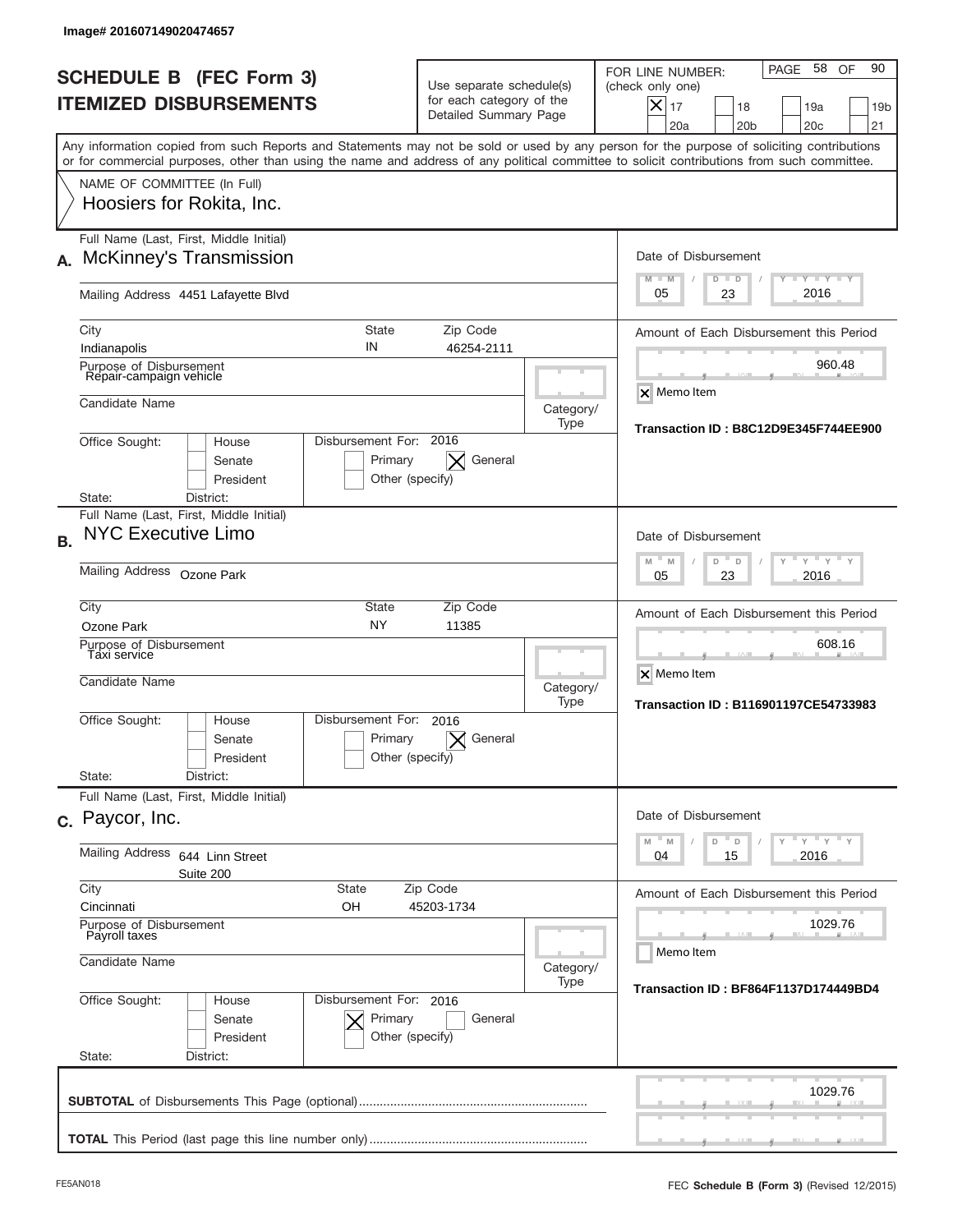|           | Image# 201607149020474657                                                 |                                                                |                                                                               |                   |                                                                                                                                                                                                                                                                                         |
|-----------|---------------------------------------------------------------------------|----------------------------------------------------------------|-------------------------------------------------------------------------------|-------------------|-----------------------------------------------------------------------------------------------------------------------------------------------------------------------------------------------------------------------------------------------------------------------------------------|
|           | <b>SCHEDULE B (FEC Form 3)</b><br><b>ITEMIZED DISBURSEMENTS</b>           |                                                                | Use separate schedule(s)<br>for each category of the<br>Detailed Summary Page |                   | 58 OF<br>90<br>PAGE<br>FOR LINE NUMBER:<br>(check only one)<br>$\boldsymbol{\times}$<br>17<br>19a<br>18<br>19 <sub>b</sub><br>20a<br>20 <sub>b</sub><br>20 <sub>c</sub><br>21                                                                                                           |
|           |                                                                           |                                                                |                                                                               |                   | Any information copied from such Reports and Statements may not be sold or used by any person for the purpose of soliciting contributions<br>or for commercial purposes, other than using the name and address of any political committee to solicit contributions from such committee. |
|           | NAME OF COMMITTEE (In Full)<br>Hoosiers for Rokita, Inc.                  |                                                                |                                                                               |                   |                                                                                                                                                                                                                                                                                         |
| А.        | Full Name (Last, First, Middle Initial)<br><b>McKinney's Transmission</b> |                                                                |                                                                               |                   | Date of Disbursement<br>$T - Y$ $T - Y$<br>$M - M$<br>$D$ $D$                                                                                                                                                                                                                           |
|           | Mailing Address 4451 Lafayette Blvd                                       |                                                                |                                                                               |                   | 2016<br>05<br>23                                                                                                                                                                                                                                                                        |
|           | City<br>Indianapolis                                                      | <b>State</b><br>IN                                             | Zip Code<br>46254-2111                                                        |                   | Amount of Each Disbursement this Period                                                                                                                                                                                                                                                 |
|           | Purpose of Disbursement<br>Repair-campaign vehicle                        |                                                                |                                                                               |                   | 960.48<br>X Memo Item                                                                                                                                                                                                                                                                   |
|           | Candidate Name                                                            |                                                                |                                                                               | Category/<br>Type | Transaction ID: B8C12D9E345F744EE900                                                                                                                                                                                                                                                    |
|           | Office Sought:<br>House<br>Senate<br>President                            | Disbursement For: 2016<br>Primary<br>Other (specify)           | General                                                                       |                   |                                                                                                                                                                                                                                                                                         |
|           | District:<br>State:<br>Full Name (Last, First, Middle Initial)            |                                                                |                                                                               |                   |                                                                                                                                                                                                                                                                                         |
| <b>B.</b> | <b>NYC Executive Limo</b>                                                 |                                                                |                                                                               |                   | Date of Disbursement<br>$Y$ $Y$ $Y$<br>$M - M$<br>D<br>D                                                                                                                                                                                                                                |
|           | Mailing Address Ozone Park                                                | 2016<br>05<br>23                                               |                                                                               |                   |                                                                                                                                                                                                                                                                                         |
|           | City<br>Ozone Park                                                        | State<br><b>NY</b>                                             | Zip Code<br>11385                                                             |                   | Amount of Each Disbursement this Period                                                                                                                                                                                                                                                 |
|           | Purpose of Disbursement<br>Taxi service<br>Candidate Name                 |                                                                |                                                                               | Category/<br>Type | 608.16<br>X Memo Item<br>Transaction ID: B116901197CE54733983                                                                                                                                                                                                                           |
|           | Office Sought:<br>House<br>Senate<br>President                            | Disbursement For:<br>Primary<br>Other (specify)                | 2016<br>General                                                               |                   |                                                                                                                                                                                                                                                                                         |
|           | State:<br>District:<br>Full Name (Last, First, Middle Initial)            |                                                                |                                                                               |                   |                                                                                                                                                                                                                                                                                         |
|           | c. Paycor, Inc.                                                           |                                                                |                                                                               |                   | Date of Disbursement                                                                                                                                                                                                                                                                    |
|           | Mailing Address<br>644 Linn Street<br>Suite 200                           | $Y$ $Y$ $Y$ $Y$ $Y$<br>$-M$<br>M<br>D<br>D<br>2016<br>04<br>15 |                                                                               |                   |                                                                                                                                                                                                                                                                                         |
|           | City<br><b>State</b><br>Cincinnati<br>OН                                  | Amount of Each Disbursement this Period                        |                                                                               |                   |                                                                                                                                                                                                                                                                                         |
|           | Purpose of Disbursement<br>Payroll taxes<br>Candidate Name                |                                                                | 1029.76<br>Memo Item                                                          |                   |                                                                                                                                                                                                                                                                                         |
|           | Office Sought:<br>Disbursement For: 2016<br>House                         | Category/<br>Type                                              | Transaction ID: BF864F1137D174449BD4                                          |                   |                                                                                                                                                                                                                                                                                         |
|           | Senate<br>President                                                       | Primary<br>Other (specify)                                     | General                                                                       |                   |                                                                                                                                                                                                                                                                                         |
|           | State:<br>District:                                                       |                                                                |                                                                               |                   | 1029.76                                                                                                                                                                                                                                                                                 |
|           |                                                                           |                                                                |                                                                               |                   |                                                                                                                                                                                                                                                                                         |
|           |                                                                           |                                                                |                                                                               |                   |                                                                                                                                                                                                                                                                                         |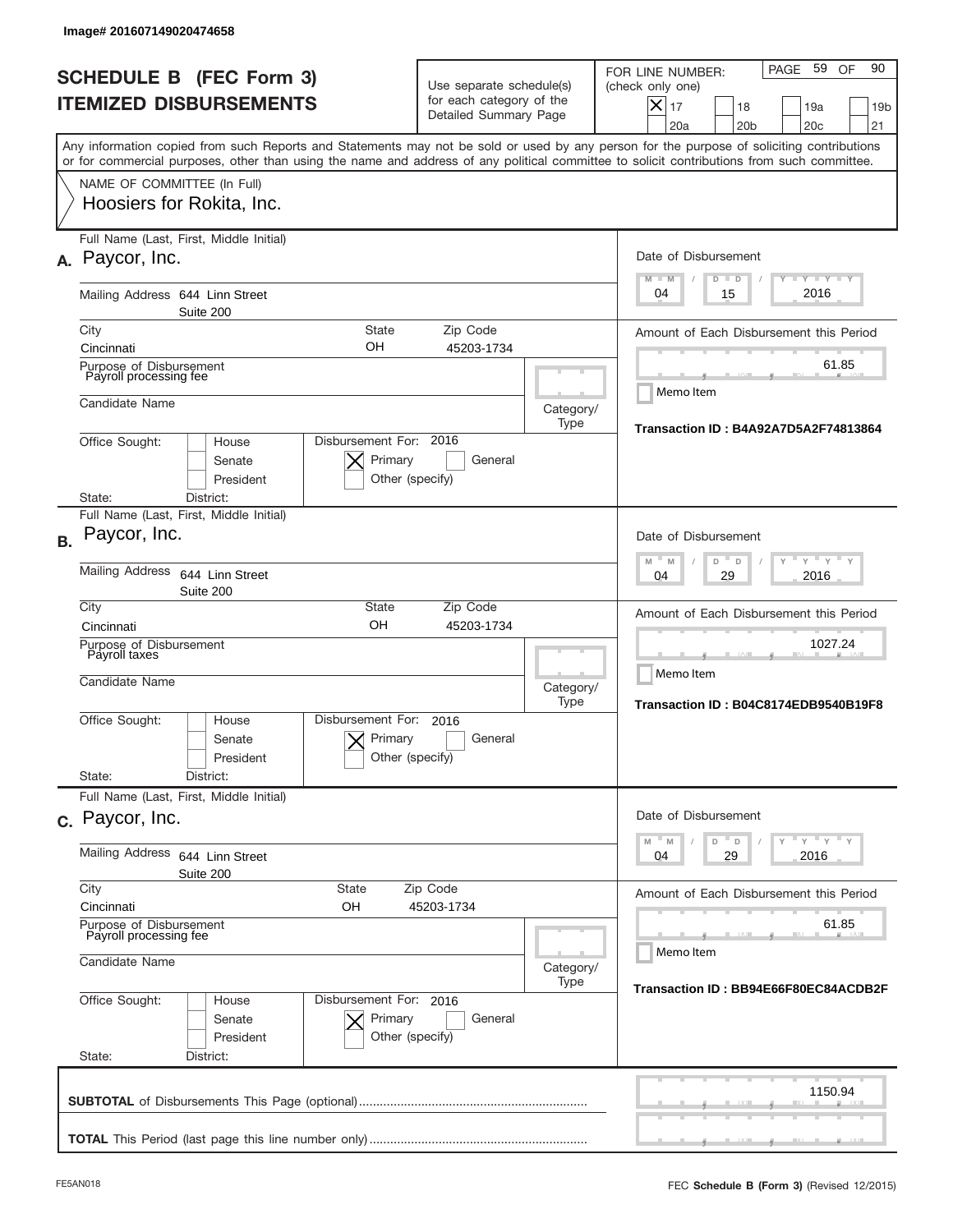|           | Image# 201607149020474658                                  |                                                                                |                                                                               |                                      |                                                                                                                                                                                                                                                                                         |
|-----------|------------------------------------------------------------|--------------------------------------------------------------------------------|-------------------------------------------------------------------------------|--------------------------------------|-----------------------------------------------------------------------------------------------------------------------------------------------------------------------------------------------------------------------------------------------------------------------------------------|
|           |                                                            | <b>SCHEDULE B (FEC Form 3)</b><br><b>ITEMIZED DISBURSEMENTS</b>                | Use separate schedule(s)<br>for each category of the<br>Detailed Summary Page |                                      | 90<br>59<br>PAGE<br>OF<br>FOR LINE NUMBER:<br>(check only one)<br>$\times$<br>17<br>18<br>19a<br>19 <sub>b</sub><br>20a<br>20 <sub>b</sub><br>20 <sub>c</sub><br>21                                                                                                                     |
|           |                                                            |                                                                                |                                                                               |                                      | Any information copied from such Reports and Statements may not be sold or used by any person for the purpose of soliciting contributions<br>or for commercial purposes, other than using the name and address of any political committee to solicit contributions from such committee. |
|           | NAME OF COMMITTEE (In Full)<br>Hoosiers for Rokita, Inc.   |                                                                                |                                                                               |                                      |                                                                                                                                                                                                                                                                                         |
|           | Full Name (Last, First, Middle Initial)<br>A. Paycor, Inc. |                                                                                |                                                                               |                                      | Date of Disbursement<br><b>LEY LEY LEY</b><br>$M - M$<br>$D$ $D$                                                                                                                                                                                                                        |
|           | Mailing Address 644 Linn Street                            | Suite 200                                                                      |                                                                               |                                      | 2016<br>04<br>15                                                                                                                                                                                                                                                                        |
|           | City<br>Cincinnati                                         | <b>State</b><br>OН                                                             | Zip Code<br>45203-1734                                                        |                                      | Amount of Each Disbursement this Period                                                                                                                                                                                                                                                 |
|           | Purpose of Disbursement<br>Payroll processing fee          |                                                                                |                                                                               |                                      | 61.85                                                                                                                                                                                                                                                                                   |
|           | Candidate Name                                             |                                                                                |                                                                               | Category/<br>Type                    | Memo Item                                                                                                                                                                                                                                                                               |
|           | Office Sought:<br>State:                                   | Disbursement For: 2016<br>House<br>Primary<br>Senate<br>President<br>District: | General<br>Other (specify)                                                    |                                      | Transaction ID: B4A92A7D5A2F74813864                                                                                                                                                                                                                                                    |
|           | Full Name (Last, First, Middle Initial)                    |                                                                                |                                                                               |                                      |                                                                                                                                                                                                                                                                                         |
| <b>B.</b> | Paycor, Inc.                                               |                                                                                |                                                                               |                                      | Date of Disbursement<br>$-M$<br>$Y = Y$<br>M<br>D<br>D                                                                                                                                                                                                                                  |
|           | <b>Mailing Address</b>                                     | 644 Linn Street<br>Suite 200                                                   | 2016<br>04<br>29                                                              |                                      |                                                                                                                                                                                                                                                                                         |
|           | City<br>Cincinnati                                         | State<br>OH                                                                    | Zip Code<br>45203-1734                                                        |                                      | Amount of Each Disbursement this Period                                                                                                                                                                                                                                                 |
|           | Purpose of Disbursement<br>Payroll taxes<br>Candidate Name |                                                                                |                                                                               | Category/<br>Type                    | 1027.24<br>Memo Item<br>Transaction ID: B04C8174EDB9540B19F8                                                                                                                                                                                                                            |
|           | Office Sought:<br>State:                                   | Disbursement For:<br>House<br>Primary<br>Senate<br>President<br>District:      | 2016<br>General<br>Other (specify)                                            |                                      |                                                                                                                                                                                                                                                                                         |
|           | Full Name (Last, First, Middle Initial)                    |                                                                                |                                                                               |                                      |                                                                                                                                                                                                                                                                                         |
|           | c. Paycor, Inc.                                            |                                                                                |                                                                               |                                      | Date of Disbursement<br>≡ γ ≡ γ ≡ γ<br>M<br>D<br>M<br>D                                                                                                                                                                                                                                 |
|           | Mailing Address                                            | 644 Linn Street<br>Suite 200                                                   |                                                                               |                                      | 29<br>2016<br>04                                                                                                                                                                                                                                                                        |
|           | City<br>Cincinnati                                         | State<br>OН                                                                    | Zip Code<br>45203-1734                                                        |                                      | Amount of Each Disbursement this Period                                                                                                                                                                                                                                                 |
|           | Purpose of Disbursement<br>Payroll processing fee          |                                                                                |                                                                               | 61.85<br>Memo Item                   |                                                                                                                                                                                                                                                                                         |
|           | Candidate Name                                             |                                                                                | Category/<br>Type                                                             | Transaction ID: BB94E66F80EC84ACDB2F |                                                                                                                                                                                                                                                                                         |
|           | Office Sought:<br>State:                                   | Disbursement For: 2016<br>House<br>Primary<br>Senate<br>President<br>District: | General<br>Other (specify)                                                    |                                      |                                                                                                                                                                                                                                                                                         |
|           |                                                            |                                                                                |                                                                               |                                      | 1150.94                                                                                                                                                                                                                                                                                 |
|           |                                                            |                                                                                |                                                                               |                                      |                                                                                                                                                                                                                                                                                         |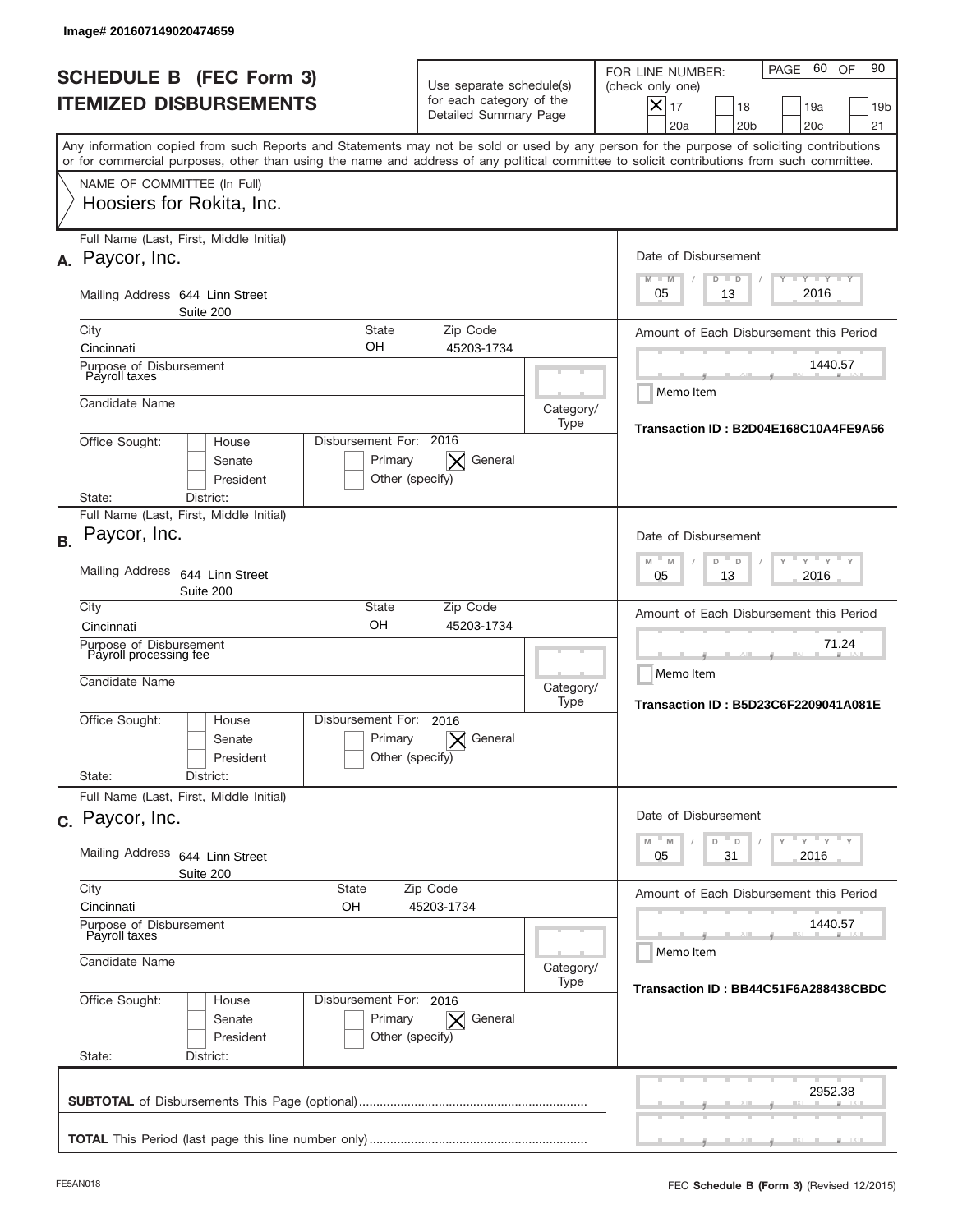| Image# 201607149020474659                                                                                                                                                                                                                                                                                              |                                                                                                        |                                                            |                                                                                                                                                                              |
|------------------------------------------------------------------------------------------------------------------------------------------------------------------------------------------------------------------------------------------------------------------------------------------------------------------------|--------------------------------------------------------------------------------------------------------|------------------------------------------------------------|------------------------------------------------------------------------------------------------------------------------------------------------------------------------------|
| <b>SCHEDULE B (FEC Form 3)</b><br><b>ITEMIZED DISBURSEMENTS</b>                                                                                                                                                                                                                                                        | Use separate schedule(s)<br>for each category of the<br>Detailed Summary Page                          |                                                            | PAGE 60 OF<br>90<br>FOR LINE NUMBER:<br>(check only one)<br>$ \boldsymbol{\times} $<br>17<br>18<br>19a<br>19 <sub>b</sub><br>20a<br>20 <sub>b</sub><br>20 <sub>c</sub><br>21 |
| Any information copied from such Reports and Statements may not be sold or used by any person for the purpose of soliciting contributions<br>or for commercial purposes, other than using the name and address of any political committee to solicit contributions from such committee.<br>NAME OF COMMITTEE (In Full) |                                                                                                        |                                                            |                                                                                                                                                                              |
| Hoosiers for Rokita, Inc.                                                                                                                                                                                                                                                                                              |                                                                                                        |                                                            |                                                                                                                                                                              |
| Full Name (Last, First, Middle Initial)<br>A. Paycor, Inc.                                                                                                                                                                                                                                                             |                                                                                                        |                                                            | Date of Disbursement<br>$T - Y$ $T - Y$<br>$M - M$<br>$D$ $D$                                                                                                                |
| Mailing Address 644 Linn Street<br>Suite 200                                                                                                                                                                                                                                                                           |                                                                                                        |                                                            | 2016<br>05<br>13                                                                                                                                                             |
| City<br><b>State</b><br>OΗ                                                                                                                                                                                                                                                                                             | Zip Code                                                                                               |                                                            | Amount of Each Disbursement this Period                                                                                                                                      |
| Cincinnati<br>Purpose of Disbursement<br>Payroll taxes                                                                                                                                                                                                                                                                 | 45203-1734                                                                                             |                                                            | 1440.57                                                                                                                                                                      |
| Candidate Name                                                                                                                                                                                                                                                                                                         |                                                                                                        | Category/<br>Type                                          | Memo Item<br>Transaction ID: B2D04E168C10A4FE9A56                                                                                                                            |
| Disbursement For: 2016<br>Office Sought:<br>House<br>Senate<br>President<br>District:<br>State:                                                                                                                                                                                                                        | General<br>Primary<br>Other (specify)                                                                  |                                                            |                                                                                                                                                                              |
| Full Name (Last, First, Middle Initial)                                                                                                                                                                                                                                                                                |                                                                                                        |                                                            |                                                                                                                                                                              |
| Paycor, Inc.<br><b>B.</b>                                                                                                                                                                                                                                                                                              | Date of Disbursement<br>$\cdots$ $\gamma$ $\cdots$ $\gamma$ $\cdots$ $\gamma$<br>M<br>D<br>M<br>$\Box$ |                                                            |                                                                                                                                                                              |
| <b>Mailing Address</b><br>644 Linn Street<br>Suite 200<br>City<br><b>State</b>                                                                                                                                                                                                                                         | 2016<br>05<br>13                                                                                       |                                                            |                                                                                                                                                                              |
| OH<br>Cincinnati                                                                                                                                                                                                                                                                                                       | Zip Code<br>45203-1734                                                                                 |                                                            | Amount of Each Disbursement this Period                                                                                                                                      |
| Purpose of Disbursement<br>Payroll processing fee<br>Candidate Name                                                                                                                                                                                                                                                    | Category/<br>Type                                                                                      | 71.24<br>Memo Item<br>Transaction ID: B5D23C6F2209041A081E |                                                                                                                                                                              |
| Disbursement For:<br>Office Sought:<br>House<br>Senate<br>President<br>State:<br>District:                                                                                                                                                                                                                             | 2016<br>General<br>Primary<br>$\bm{\times}$<br>Other (specify)                                         |                                                            |                                                                                                                                                                              |
| Full Name (Last, First, Middle Initial)                                                                                                                                                                                                                                                                                |                                                                                                        |                                                            |                                                                                                                                                                              |
| c. Paycor, Inc.                                                                                                                                                                                                                                                                                                        |                                                                                                        |                                                            | Date of Disbursement<br>ү "ү "ү "ү<br>$\mathbb{N}$<br>D<br>M<br>D                                                                                                            |
| Mailing Address<br>644 Linn Street<br>Suite 200<br>City<br><b>State</b>                                                                                                                                                                                                                                                | 2016<br>05<br>31                                                                                       |                                                            |                                                                                                                                                                              |
| Cincinnati<br>OН                                                                                                                                                                                                                                                                                                       | Zip Code<br>45203-1734                                                                                 |                                                            | Amount of Each Disbursement this Period                                                                                                                                      |
| Purpose of Disbursement<br>Payroll taxes                                                                                                                                                                                                                                                                               |                                                                                                        | 1440.57<br>Memo Item                                       |                                                                                                                                                                              |
| Candidate Name                                                                                                                                                                                                                                                                                                         | Category/                                                                                              |                                                            |                                                                                                                                                                              |
| Office Sought:<br>Disbursement For: 2016<br>House<br>Senate<br>President<br>State:<br>District:                                                                                                                                                                                                                        | Primary<br>X General<br>Other (specify)                                                                | Type                                                       | Transaction ID: BB44C51F6A288438CBDC                                                                                                                                         |
|                                                                                                                                                                                                                                                                                                                        |                                                                                                        |                                                            | 2952.38                                                                                                                                                                      |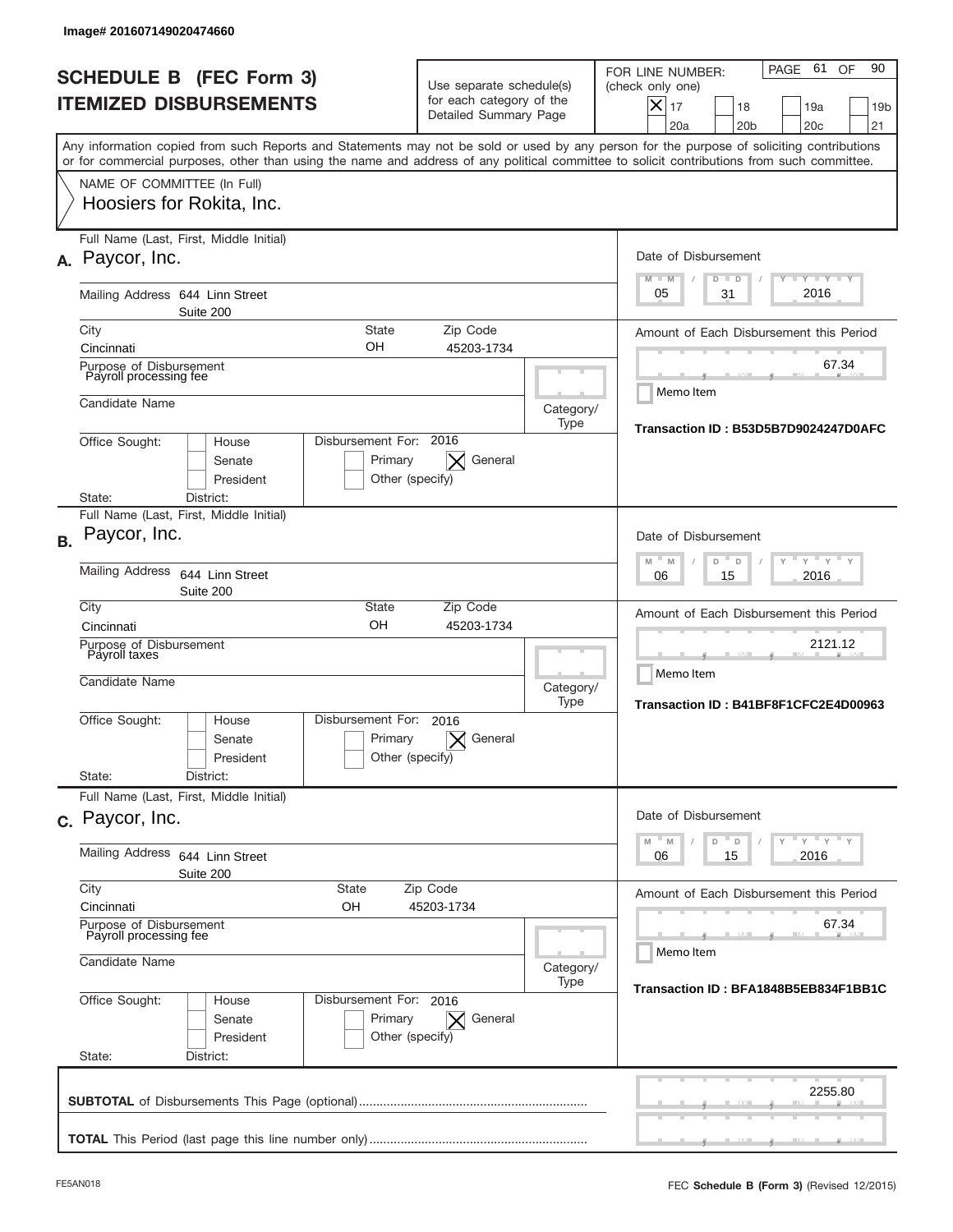|           | lmage#201607149020474660                                              |                                                      |                                                                               |                    |                                                                                                                                                                                                                                                                                         |
|-----------|-----------------------------------------------------------------------|------------------------------------------------------|-------------------------------------------------------------------------------|--------------------|-----------------------------------------------------------------------------------------------------------------------------------------------------------------------------------------------------------------------------------------------------------------------------------------|
|           | <b>SCHEDULE B (FEC Form 3)</b><br><b>ITEMIZED DISBURSEMENTS</b>       |                                                      | Use separate schedule(s)<br>for each category of the<br>Detailed Summary Page |                    | 61<br>90<br>PAGE<br>OF<br>FOR LINE NUMBER:<br>(check only one)<br>$\boldsymbol{\times}$<br>17<br>18<br>19a<br>19 <sub>b</sub><br>20a<br>20 <sub>b</sub><br>20 <sub>c</sub><br>21                                                                                                        |
|           |                                                                       |                                                      |                                                                               |                    | Any information copied from such Reports and Statements may not be sold or used by any person for the purpose of soliciting contributions<br>or for commercial purposes, other than using the name and address of any political committee to solicit contributions from such committee. |
|           | NAME OF COMMITTEE (In Full)<br>Hoosiers for Rokita, Inc.              |                                                      |                                                                               |                    |                                                                                                                                                                                                                                                                                         |
|           | Full Name (Last, First, Middle Initial)<br>A. Paycor, Inc.            |                                                      |                                                                               |                    | Date of Disbursement<br><b>LEY LEY LEY</b><br>$M - M$<br>$D$ $D$                                                                                                                                                                                                                        |
|           | Mailing Address 644 Linn Street<br>Suite 200                          |                                                      |                                                                               |                    | 2016<br>05<br>31                                                                                                                                                                                                                                                                        |
|           | City<br>Cincinnati                                                    | <b>State</b><br>OН                                   | Zip Code<br>45203-1734                                                        |                    | Amount of Each Disbursement this Period                                                                                                                                                                                                                                                 |
|           | Purpose of Disbursement<br>Payroll processing fee                     |                                                      |                                                                               |                    | 67.34                                                                                                                                                                                                                                                                                   |
|           | Candidate Name                                                        |                                                      |                                                                               | Category/<br>Type  | Memo Item<br>Transaction ID: B53D5B7D9024247D0AFC                                                                                                                                                                                                                                       |
|           | Office Sought:<br>House<br>Senate<br>President<br>District:<br>State: | Disbursement For: 2016<br>Primary<br>Other (specify) |                                                                               |                    |                                                                                                                                                                                                                                                                                         |
|           | Full Name (Last, First, Middle Initial)                               |                                                      |                                                                               |                    |                                                                                                                                                                                                                                                                                         |
| <b>B.</b> | Paycor, Inc.                                                          |                                                      | Date of Disbursement<br>$M - M$<br>$Y = Y$<br>D<br>D                          |                    |                                                                                                                                                                                                                                                                                         |
|           | <b>Mailing Address</b><br>644 Linn Street<br>Suite 200                |                                                      | 2016<br>06<br>15                                                              |                    |                                                                                                                                                                                                                                                                                         |
|           | City<br>Cincinnati                                                    | State<br>OH                                          | Amount of Each Disbursement this Period                                       |                    |                                                                                                                                                                                                                                                                                         |
|           | Purpose of Disbursement<br>Payroll taxes<br>Candidate Name            |                                                      |                                                                               |                    | 2121.12<br>Memo Item<br>Category/<br>Transaction ID: B41BF8F1CFC2E4D00963                                                                                                                                                                                                               |
|           | Office Sought:<br>House<br>Senate<br>President<br>State:<br>District: | Disbursement For:<br>Primary                         | 2016<br>General<br>Other (specify)                                            | Type               |                                                                                                                                                                                                                                                                                         |
|           | Full Name (Last, First, Middle Initial)                               |                                                      |                                                                               |                    |                                                                                                                                                                                                                                                                                         |
|           | c. Paycor, Inc.                                                       |                                                      |                                                                               |                    | Date of Disbursement                                                                                                                                                                                                                                                                    |
|           | Mailing Address<br>644 Linn Street<br>Suite 200                       |                                                      | $Y$ $Y$ $Y$ $Y$ $Y$<br>M<br>M<br>D<br>D<br>2016<br>06<br>15                   |                    |                                                                                                                                                                                                                                                                                         |
|           | City<br>Cincinnati                                                    | State<br>OН                                          | Zip Code<br>45203-1734                                                        |                    | Amount of Each Disbursement this Period                                                                                                                                                                                                                                                 |
|           | Purpose of Disbursement<br>Payroll processing fee                     |                                                      |                                                                               | 67.34<br>Memo Item |                                                                                                                                                                                                                                                                                         |
|           | Candidate Name                                                        |                                                      | Category/<br>Transaction ID: BFA1848B5EB834F1BB1C                             |                    |                                                                                                                                                                                                                                                                                         |
|           | Office Sought:<br>House<br>Senate<br>President<br>State:<br>District: | Disbursement For: 2016<br>Primary                    | General<br>$\times$<br>Other (specify)                                        |                    |                                                                                                                                                                                                                                                                                         |
|           |                                                                       |                                                      |                                                                               |                    | 2255.80                                                                                                                                                                                                                                                                                 |
|           |                                                                       |                                                      |                                                                               |                    |                                                                                                                                                                                                                                                                                         |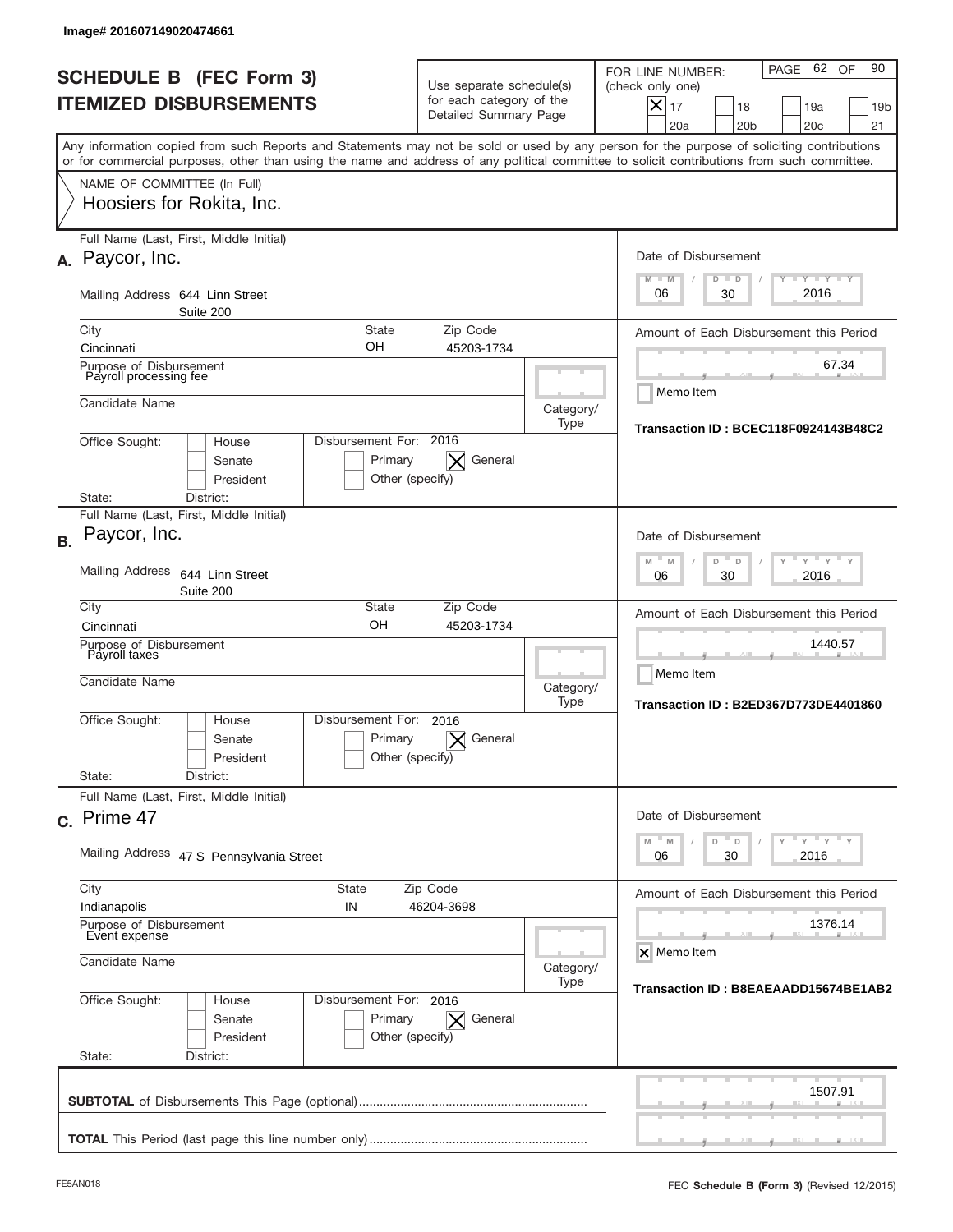|           | lmage#201607149020474661                                                     |                                                                 |                                                      |                                                                               |                   |                                                                                                                                                                                                                                                                                         |
|-----------|------------------------------------------------------------------------------|-----------------------------------------------------------------|------------------------------------------------------|-------------------------------------------------------------------------------|-------------------|-----------------------------------------------------------------------------------------------------------------------------------------------------------------------------------------------------------------------------------------------------------------------------------------|
|           |                                                                              | <b>SCHEDULE B (FEC Form 3)</b><br><b>ITEMIZED DISBURSEMENTS</b> |                                                      | Use separate schedule(s)<br>for each category of the<br>Detailed Summary Page |                   | 62 OF<br>90<br>PAGE<br>FOR LINE NUMBER:<br>(check only one)<br>$\boldsymbol{\times}$<br>17<br>18<br>19a<br>19 <sub>b</sub><br>20a<br>20 <sub>b</sub><br>20 <sub>c</sub><br>21                                                                                                           |
|           |                                                                              |                                                                 |                                                      |                                                                               |                   | Any information copied from such Reports and Statements may not be sold or used by any person for the purpose of soliciting contributions<br>or for commercial purposes, other than using the name and address of any political committee to solicit contributions from such committee. |
|           | NAME OF COMMITTEE (In Full)                                                  | Hoosiers for Rokita, Inc.                                       |                                                      |                                                                               |                   |                                                                                                                                                                                                                                                                                         |
|           | A. Paycor, Inc.                                                              | Full Name (Last, First, Middle Initial)                         |                                                      |                                                                               |                   | Date of Disbursement<br><b>LEY LEY LEY</b><br>$M - M$<br>$D$ $D$                                                                                                                                                                                                                        |
|           |                                                                              | Mailing Address 644 Linn Street<br>Suite 200                    |                                                      |                                                                               |                   | 2016<br>06<br>30                                                                                                                                                                                                                                                                        |
|           | City<br>Cincinnati                                                           |                                                                 | <b>State</b><br>OН                                   | Zip Code<br>45203-1734                                                        |                   | Amount of Each Disbursement this Period                                                                                                                                                                                                                                                 |
|           | Purpose of Disbursement<br>Payroll processing fee                            |                                                                 |                                                      |                                                                               |                   | 67.34                                                                                                                                                                                                                                                                                   |
|           | Candidate Name                                                               |                                                                 |                                                      |                                                                               |                   | Memo Item<br>Category/                                                                                                                                                                                                                                                                  |
|           | Office Sought:                                                               | House<br>Senate<br>President                                    | Disbursement For: 2016<br>Primary<br>Other (specify) | General                                                                       | Type              | Transaction ID: BCEC118F0924143B48C2                                                                                                                                                                                                                                                    |
|           | State:                                                                       | District:<br>Full Name (Last, First, Middle Initial)            |                                                      |                                                                               |                   |                                                                                                                                                                                                                                                                                         |
| <b>B.</b> | Paycor, Inc.                                                                 |                                                                 |                                                      |                                                                               |                   | Date of Disbursement                                                                                                                                                                                                                                                                    |
|           | <b>Mailing Address</b>                                                       | 644 Linn Street<br>Suite 200                                    | $M - M$<br>$Y = Y$<br>D<br>D<br>2016<br>06<br>30     |                                                                               |                   |                                                                                                                                                                                                                                                                                         |
|           | City<br>Cincinnati                                                           |                                                                 | State<br>OH                                          | Zip Code<br>45203-1734                                                        |                   | Amount of Each Disbursement this Period                                                                                                                                                                                                                                                 |
|           | Purpose of Disbursement<br>Payroll taxes<br>Candidate Name                   |                                                                 |                                                      |                                                                               |                   | 1440.57<br>Memo Item                                                                                                                                                                                                                                                                    |
|           |                                                                              |                                                                 |                                                      |                                                                               | Category/<br>Type | Transaction ID: B2ED367D773DE4401860                                                                                                                                                                                                                                                    |
|           | Office Sought:                                                               | House<br>Senate<br>President                                    | Disbursement For:<br>Primary<br>Other (specify)      | 2016<br>General                                                               |                   |                                                                                                                                                                                                                                                                                         |
|           | State:                                                                       | District:<br>Full Name (Last, First, Middle Initial)            |                                                      |                                                                               |                   |                                                                                                                                                                                                                                                                                         |
|           | c. Prime 47                                                                  |                                                                 |                                                      |                                                                               |                   | Date of Disbursement                                                                                                                                                                                                                                                                    |
|           | Mailing Address 47 S Pennsylvania Street                                     |                                                                 |                                                      |                                                                               |                   | $\gamma$ $\gamma$ $\gamma$ $\gamma$ $\gamma$<br>M<br>M<br>D<br>D<br>30<br>2016<br>06                                                                                                                                                                                                    |
|           | City<br>State<br>Zip Code                                                    |                                                                 |                                                      |                                                                               |                   | Amount of Each Disbursement this Period                                                                                                                                                                                                                                                 |
|           | Indianapolis<br>IN<br>46204-3698<br>Purpose of Disbursement<br>Event expense |                                                                 |                                                      |                                                                               |                   | 1376.14                                                                                                                                                                                                                                                                                 |
|           | Candidate Name                                                               |                                                                 |                                                      |                                                                               |                   | X Memo Item<br>Category/                                                                                                                                                                                                                                                                |
|           | Office Sought:<br>State:                                                     | House<br>Senate<br>President<br>District:                       | Disbursement For: 2016<br>Primary<br>Other (specify) | General<br>$\times$                                                           | Type              | Transaction ID: B8EAEAADD15674BE1AB2                                                                                                                                                                                                                                                    |
|           |                                                                              |                                                                 |                                                      |                                                                               |                   |                                                                                                                                                                                                                                                                                         |
|           |                                                                              |                                                                 |                                                      |                                                                               |                   | 1507.91                                                                                                                                                                                                                                                                                 |
|           |                                                                              |                                                                 |                                                      |                                                                               |                   |                                                                                                                                                                                                                                                                                         |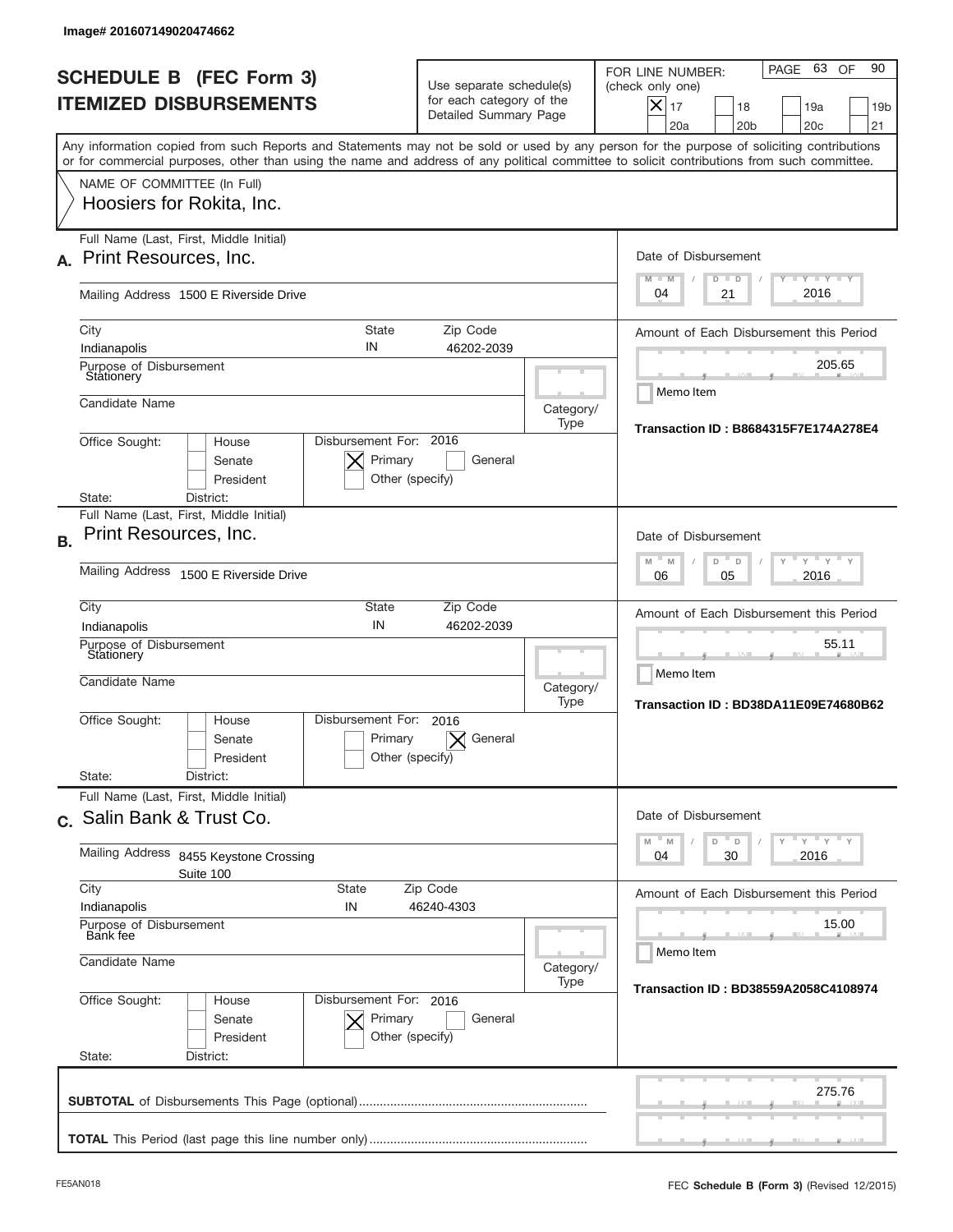| <b>SCHEDULE B (FEC Form 3)</b><br><b>ITEMIZED DISBURSEMENTS</b><br>Any information copied from such Reports and Statements may not be sold or used by any person for the purpose of soliciting contributions<br>or for commercial purposes, other than using the name and address of any political committee to solicit contributions from such committee.<br>NAME OF COMMITTEE (In Full)<br>Hoosiers for Rokita, Inc.<br>Full Name (Last, First, Middle Initial)<br>Print Resources, Inc. | Use separate schedule(s)<br>for each category of the<br>Detailed Summary Page                  |                                                            | 63 OF<br>90<br>PAGE<br>FOR LINE NUMBER:<br>(check only one)<br>$\boldsymbol{\times}$<br>17<br>18<br>19a<br>19 <sub>b</sub><br>20a<br>20 <sub>b</sub><br>20 <sub>c</sub><br>21 |  |  |
|--------------------------------------------------------------------------------------------------------------------------------------------------------------------------------------------------------------------------------------------------------------------------------------------------------------------------------------------------------------------------------------------------------------------------------------------------------------------------------------------|------------------------------------------------------------------------------------------------|------------------------------------------------------------|-------------------------------------------------------------------------------------------------------------------------------------------------------------------------------|--|--|
|                                                                                                                                                                                                                                                                                                                                                                                                                                                                                            |                                                                                                |                                                            |                                                                                                                                                                               |  |  |
|                                                                                                                                                                                                                                                                                                                                                                                                                                                                                            |                                                                                                |                                                            |                                                                                                                                                                               |  |  |
|                                                                                                                                                                                                                                                                                                                                                                                                                                                                                            |                                                                                                |                                                            |                                                                                                                                                                               |  |  |
|                                                                                                                                                                                                                                                                                                                                                                                                                                                                                            |                                                                                                |                                                            | Date of Disbursement<br><b>TAYLY LY</b><br>$M - M$<br>$D$ $D$                                                                                                                 |  |  |
| Mailing Address 1500 E Riverside Drive                                                                                                                                                                                                                                                                                                                                                                                                                                                     |                                                                                                |                                                            | 2016<br>04<br>21                                                                                                                                                              |  |  |
| City<br>State<br>IN<br>Indianapolis                                                                                                                                                                                                                                                                                                                                                                                                                                                        |                                                                                                | Amount of Each Disbursement this Period<br>205.65          |                                                                                                                                                                               |  |  |
| Candidate Name                                                                                                                                                                                                                                                                                                                                                                                                                                                                             | Purpose of Disbursement<br>Stationery                                                          |                                                            |                                                                                                                                                                               |  |  |
| Disbursement For: 2016<br>Office Sought:<br>House<br>Primary<br>Senate<br>Other (specify)<br>President                                                                                                                                                                                                                                                                                                                                                                                     | Transaction ID: B8684315F7E174A278E4                                                           |                                                            |                                                                                                                                                                               |  |  |
| State:<br>District:<br>Full Name (Last, First, Middle Initial)                                                                                                                                                                                                                                                                                                                                                                                                                             |                                                                                                |                                                            |                                                                                                                                                                               |  |  |
| Print Resources, Inc.<br><b>B.</b>                                                                                                                                                                                                                                                                                                                                                                                                                                                         | Date of Disbursement<br>$\cdots$ $\gamma$ $\cdots$ $\gamma$ $\cdots$<br>$M - M$<br>D<br>$\Box$ |                                                            |                                                                                                                                                                               |  |  |
| Mailing Address 1500 E Riverside Drive                                                                                                                                                                                                                                                                                                                                                                                                                                                     | 2016<br>06<br>05                                                                               |                                                            |                                                                                                                                                                               |  |  |
| City<br>State<br>IN<br>Indianapolis                                                                                                                                                                                                                                                                                                                                                                                                                                                        |                                                                                                | Amount of Each Disbursement this Period                    |                                                                                                                                                                               |  |  |
| Purpose of Disbursement<br>Stationery<br>Candidate Name                                                                                                                                                                                                                                                                                                                                                                                                                                    | Category/<br>Type                                                                              | 55.11<br>Memo Item<br>Transaction ID: BD38DA11E09E74680B62 |                                                                                                                                                                               |  |  |
| Disbursement For:<br>Office Sought:<br>House<br>Primary<br>Senate<br>President                                                                                                                                                                                                                                                                                                                                                                                                             | 2016<br>General<br>Other (specify)                                                             |                                                            |                                                                                                                                                                               |  |  |
| State:<br>District:<br>Full Name (Last, First, Middle Initial)                                                                                                                                                                                                                                                                                                                                                                                                                             |                                                                                                |                                                            |                                                                                                                                                                               |  |  |
| c. Salin Bank & Trust Co.                                                                                                                                                                                                                                                                                                                                                                                                                                                                  |                                                                                                |                                                            | Date of Disbursement<br>$Y$ $Y$ $Y$ $Y$ $Y$<br>$-M$<br>M<br>D<br>D                                                                                                            |  |  |
| Mailing Address<br>8455 Keystone Crossing<br>Suite 100<br>City<br>State                                                                                                                                                                                                                                                                                                                                                                                                                    | 2016<br>04<br>30                                                                               |                                                            |                                                                                                                                                                               |  |  |
| Indianapolis<br>IN                                                                                                                                                                                                                                                                                                                                                                                                                                                                         | Amount of Each Disbursement this Period                                                        |                                                            |                                                                                                                                                                               |  |  |
| Purpose of Disbursement<br>Bank fee<br>Candidate Name                                                                                                                                                                                                                                                                                                                                                                                                                                      | Category/                                                                                      | 15.00<br>Memo Item                                         |                                                                                                                                                                               |  |  |
| Office Sought:<br>Disbursement For: 2016<br>House<br>Senate<br>Primary<br>President<br>State:<br>District:                                                                                                                                                                                                                                                                                                                                                                                 | General<br>Other (specify)                                                                     | Type                                                       | Transaction ID: BD38559A2058C4108974                                                                                                                                          |  |  |
|                                                                                                                                                                                                                                                                                                                                                                                                                                                                                            |                                                                                                |                                                            | 275.76                                                                                                                                                                        |  |  |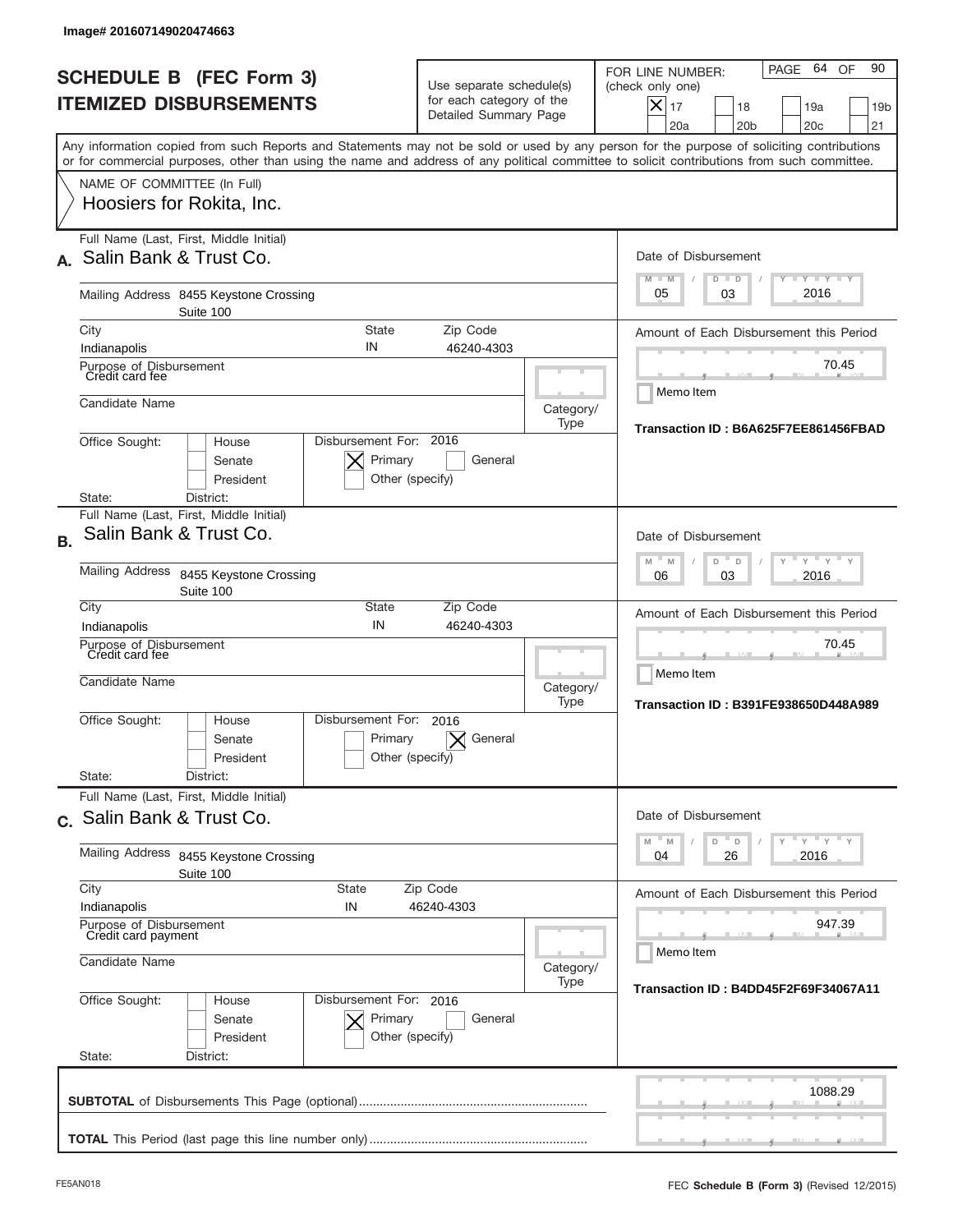| <b>SCHEDULE B (FEC Form 3)</b><br><b>ITEMIZED DISBURSEMENTS</b>                                                                                                                                                                                                                                                        | Use separate schedule(s)<br>for each category of the<br>Detailed Summary Page            |                                                   | 64 OF<br>90<br>PAGE<br>FOR LINE NUMBER:<br>(check only one)<br>$X _{17}$<br>18<br>19a<br>19 <sub>b</sub><br>20a<br>20 <sub>b</sub><br>20 <sub>c</sub><br>21 |
|------------------------------------------------------------------------------------------------------------------------------------------------------------------------------------------------------------------------------------------------------------------------------------------------------------------------|------------------------------------------------------------------------------------------|---------------------------------------------------|-------------------------------------------------------------------------------------------------------------------------------------------------------------|
| Any information copied from such Reports and Statements may not be sold or used by any person for the purpose of soliciting contributions<br>or for commercial purposes, other than using the name and address of any political committee to solicit contributions from such committee.<br>NAME OF COMMITTEE (In Full) |                                                                                          |                                                   |                                                                                                                                                             |
| Hoosiers for Rokita, Inc.                                                                                                                                                                                                                                                                                              |                                                                                          |                                                   |                                                                                                                                                             |
| Full Name (Last, First, Middle Initial)<br>Salin Bank & Trust Co.                                                                                                                                                                                                                                                      |                                                                                          |                                                   | Date of Disbursement<br>$T - Y$ $T - Y$<br>$M - M$<br>$D$ $D$                                                                                               |
| Mailing Address 8455 Keystone Crossing<br>Suite 100                                                                                                                                                                                                                                                                    |                                                                                          |                                                   | 2016<br>05<br>03                                                                                                                                            |
| City<br><b>State</b><br>IN<br>Indianapolis                                                                                                                                                                                                                                                                             | Zip Code<br>46240-4303                                                                   |                                                   | Amount of Each Disbursement this Period                                                                                                                     |
| Purpose of Disbursement<br>Credit card fee                                                                                                                                                                                                                                                                             |                                                                                          | 70.45                                             |                                                                                                                                                             |
| Candidate Name                                                                                                                                                                                                                                                                                                         | Category/<br>Type                                                                        | Memo Item<br>Transaction ID: B6A625F7EE861456FBAD |                                                                                                                                                             |
| Disbursement For: 2016<br>Office Sought:<br>House<br>Senate<br>President<br>State:<br>District:                                                                                                                                                                                                                        | Primary<br>General<br>Other (specify)                                                    |                                                   |                                                                                                                                                             |
| Full Name (Last, First, Middle Initial)                                                                                                                                                                                                                                                                                |                                                                                          |                                                   |                                                                                                                                                             |
| Salin Bank & Trust Co.<br><b>B.</b>                                                                                                                                                                                                                                                                                    | Date of Disbursement<br>$\cdots$ $\gamma$ $\cdots$ $\gamma$ $\cdots$<br>M<br>D<br>M<br>D |                                                   |                                                                                                                                                             |
| <b>Mailing Address</b><br>8455 Keystone Crossing<br>Suite 100<br>City<br>State                                                                                                                                                                                                                                         | 2016<br>06<br>03                                                                         |                                                   |                                                                                                                                                             |
| IN<br>Indianapolis                                                                                                                                                                                                                                                                                                     | Zip Code<br>46240-4303                                                                   |                                                   | Amount of Each Disbursement this Period                                                                                                                     |
| Purpose of Disbursement<br>Credit card fee<br>Candidate Name                                                                                                                                                                                                                                                           |                                                                                          | Category/<br>Type                                 | 70.45<br>Memo Item<br>Transaction ID: B391FE938650D448A989                                                                                                  |
| Disbursement For:<br>Office Sought:<br>House<br>Senate<br>President<br>State:<br>District:                                                                                                                                                                                                                             | 2016<br>Primary<br>General<br>Other (specify)                                            |                                                   |                                                                                                                                                             |
| Full Name (Last, First, Middle Initial)                                                                                                                                                                                                                                                                                |                                                                                          |                                                   |                                                                                                                                                             |
| c. Salin Bank & Trust Co.                                                                                                                                                                                                                                                                                              |                                                                                          |                                                   | Date of Disbursement<br>$\mathbb{F}$ $\mathsf{y}$ $\mathbb{F}$ $\mathsf{y}$ $\mathbb{F}$ $\mathsf{y}$<br>D<br>M<br>M<br>D                                   |
| Mailing Address<br>8455 Keystone Crossing<br>Suite 100                                                                                                                                                                                                                                                                 | 2016<br>04<br>26                                                                         |                                                   |                                                                                                                                                             |
| City<br>State<br>Indianapolis<br>IN                                                                                                                                                                                                                                                                                    | Zip Code<br>46240-4303                                                                   |                                                   | Amount of Each Disbursement this Period                                                                                                                     |
| Purpose of Disbursement<br>Credit card payment                                                                                                                                                                                                                                                                         |                                                                                          | 947.39<br>Memo Item                               |                                                                                                                                                             |
| Candidate Name                                                                                                                                                                                                                                                                                                         | Category/<br>Type                                                                        | Transaction ID: B4DD45F2F69F34067A11              |                                                                                                                                                             |
| Office Sought:<br>Disbursement For: 2016<br>House<br>Senate<br>President<br>State:<br>District:                                                                                                                                                                                                                        | Primary<br>General<br>Other (specify)                                                    |                                                   |                                                                                                                                                             |
|                                                                                                                                                                                                                                                                                                                        |                                                                                          |                                                   | 1088.29                                                                                                                                                     |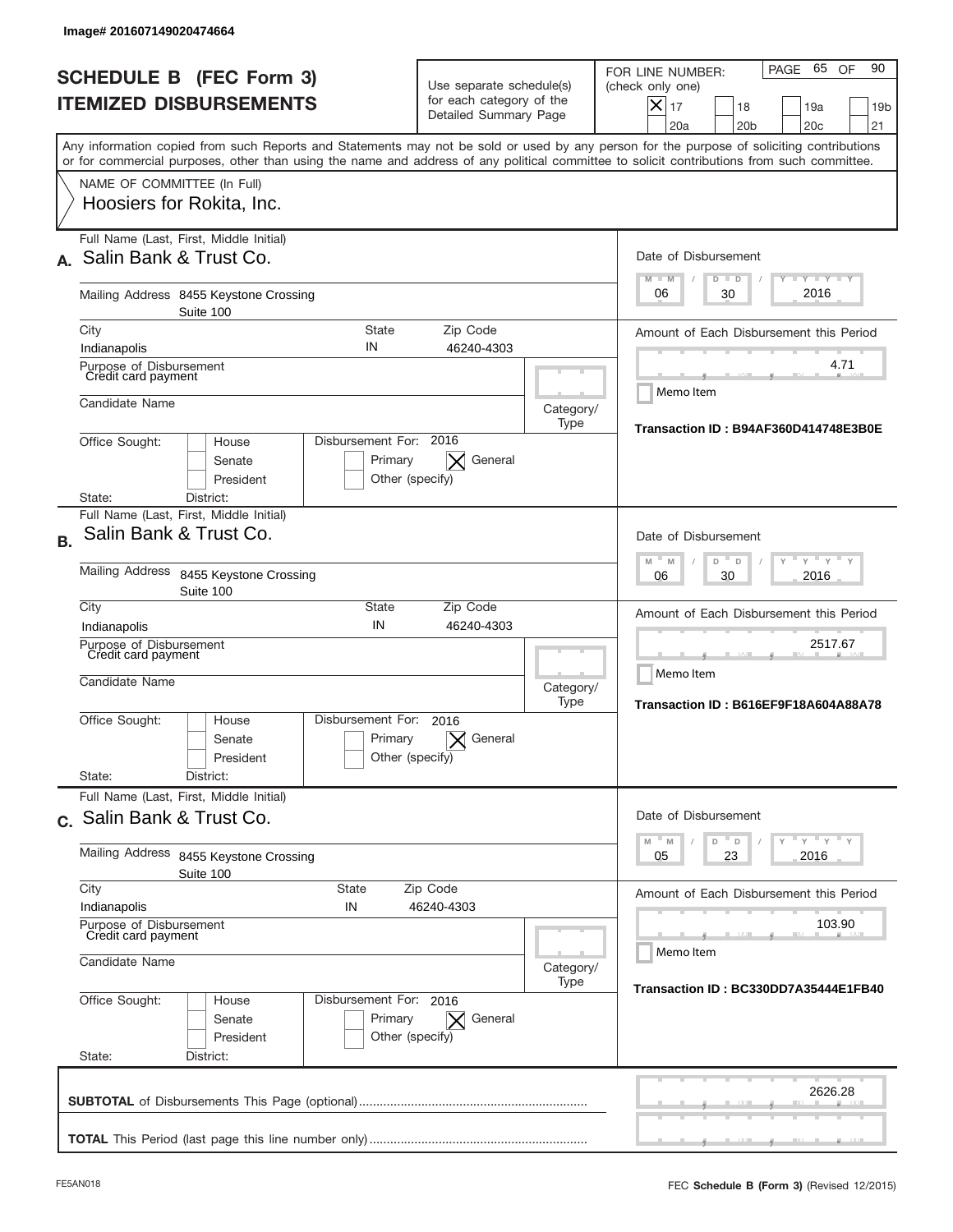| Image# 201607149020474664                                                                                                                                                                                                                                                               |                                                                                                                              |                                                                                      |                   |                                                                                                                                                          |  |  |
|-----------------------------------------------------------------------------------------------------------------------------------------------------------------------------------------------------------------------------------------------------------------------------------------|------------------------------------------------------------------------------------------------------------------------------|--------------------------------------------------------------------------------------|-------------------|----------------------------------------------------------------------------------------------------------------------------------------------------------|--|--|
| <b>SCHEDULE B (FEC Form 3)</b><br><b>ITEMIZED DISBURSEMENTS</b>                                                                                                                                                                                                                         |                                                                                                                              | Use separate schedule(s)<br>for each category of the<br>Detailed Summary Page        |                   | PAGE 65 OF<br>90<br>FOR LINE NUMBER:<br>(check only one)<br>$X _{17}$<br>18<br>19a<br>19 <sub>b</sub><br>20a<br>20 <sub>b</sub><br>20 <sub>c</sub><br>21 |  |  |
| Any information copied from such Reports and Statements may not be sold or used by any person for the purpose of soliciting contributions<br>or for commercial purposes, other than using the name and address of any political committee to solicit contributions from such committee. |                                                                                                                              |                                                                                      |                   |                                                                                                                                                          |  |  |
| NAME OF COMMITTEE (In Full)<br>Hoosiers for Rokita, Inc.                                                                                                                                                                                                                                |                                                                                                                              |                                                                                      |                   |                                                                                                                                                          |  |  |
| Full Name (Last, First, Middle Initial)<br>Salin Bank & Trust Co.                                                                                                                                                                                                                       |                                                                                                                              |                                                                                      |                   | Date of Disbursement<br>$T - Y$ $T - Y$                                                                                                                  |  |  |
| Mailing Address 8455 Keystone Crossing<br>Suite 100                                                                                                                                                                                                                                     |                                                                                                                              |                                                                                      |                   | $M - M$<br>$D$ $D$<br>2016<br>06<br>30                                                                                                                   |  |  |
| City                                                                                                                                                                                                                                                                                    | <b>State</b>                                                                                                                 | Zip Code                                                                             |                   | Amount of Each Disbursement this Period                                                                                                                  |  |  |
| Purpose of Disbursement<br>Credit card payment                                                                                                                                                                                                                                          | IN<br>Indianapolis<br>46240-4303                                                                                             |                                                                                      |                   |                                                                                                                                                          |  |  |
| Candidate Name                                                                                                                                                                                                                                                                          |                                                                                                                              |                                                                                      | Category/<br>Type | Memo Item<br>Transaction ID: B94AF360D414748E3B0E                                                                                                        |  |  |
| Office Sought:<br>House<br>Senate<br>President<br>District:<br>State:                                                                                                                                                                                                                   | Disbursement For: 2016<br>Primary<br>Other (specify)                                                                         | General                                                                              |                   |                                                                                                                                                          |  |  |
| Full Name (Last, First, Middle Initial)<br>Salin Bank & Trust Co.<br><b>B.</b>                                                                                                                                                                                                          |                                                                                                                              |                                                                                      |                   | Date of Disbursement                                                                                                                                     |  |  |
| <b>Mailing Address</b><br>8455 Keystone Crossing<br>Suite 100                                                                                                                                                                                                                           |                                                                                                                              | $\cdots$ $\gamma$ $\cdots$ $\gamma$ $\cdots$<br>M<br>D<br>M<br>D<br>2016<br>06<br>30 |                   |                                                                                                                                                          |  |  |
| City<br>Indianapolis                                                                                                                                                                                                                                                                    | State<br>IN                                                                                                                  | Zip Code<br>46240-4303                                                               |                   | Amount of Each Disbursement this Period                                                                                                                  |  |  |
| Purpose of Disbursement<br>Credit card payment<br>Candidate Name                                                                                                                                                                                                                        |                                                                                                                              |                                                                                      | Category/<br>Type | 2517.67<br>Memo Item<br>Transaction ID: B616EF9F18A604A88A78                                                                                             |  |  |
| Office Sought:<br>House<br>Senate<br>President                                                                                                                                                                                                                                          | Disbursement For:<br>2016<br>Primary<br>Other (specify)                                                                      | General                                                                              |                   |                                                                                                                                                          |  |  |
| State:<br>District:<br>Full Name (Last, First, Middle Initial)                                                                                                                                                                                                                          |                                                                                                                              |                                                                                      |                   |                                                                                                                                                          |  |  |
| c. Salin Bank & Trust Co.                                                                                                                                                                                                                                                               |                                                                                                                              |                                                                                      |                   | Date of Disbursement                                                                                                                                     |  |  |
| Mailing Address<br>8455 Keystone Crossing<br>Suite 100                                                                                                                                                                                                                                  | $\overline{y}$ $\overline{y}$ $\overline{y}$ $\overline{y}$ $\overline{y}$<br>$\mathbb M$<br>D<br>M<br>D<br>2016<br>05<br>23 |                                                                                      |                   |                                                                                                                                                          |  |  |
| City<br>State<br>Indianapolis<br>IN                                                                                                                                                                                                                                                     | Zip Code<br>46240-4303                                                                                                       |                                                                                      |                   | Amount of Each Disbursement this Period                                                                                                                  |  |  |
| Purpose of Disbursement<br>Credit card payment                                                                                                                                                                                                                                          |                                                                                                                              | 103.90<br>Memo Item                                                                  |                   |                                                                                                                                                          |  |  |
| Candidate Name                                                                                                                                                                                                                                                                          | Category/<br>Type                                                                                                            |                                                                                      |                   |                                                                                                                                                          |  |  |
| Office Sought:<br>House<br>Senate<br>President<br>State:<br>District:                                                                                                                                                                                                                   | Disbursement For: 2016<br>Primary<br>Other (specify)                                                                         | General                                                                              |                   | Transaction ID: BC330DD7A35444E1FB40                                                                                                                     |  |  |
|                                                                                                                                                                                                                                                                                         |                                                                                                                              |                                                                                      |                   | 2626.28                                                                                                                                                  |  |  |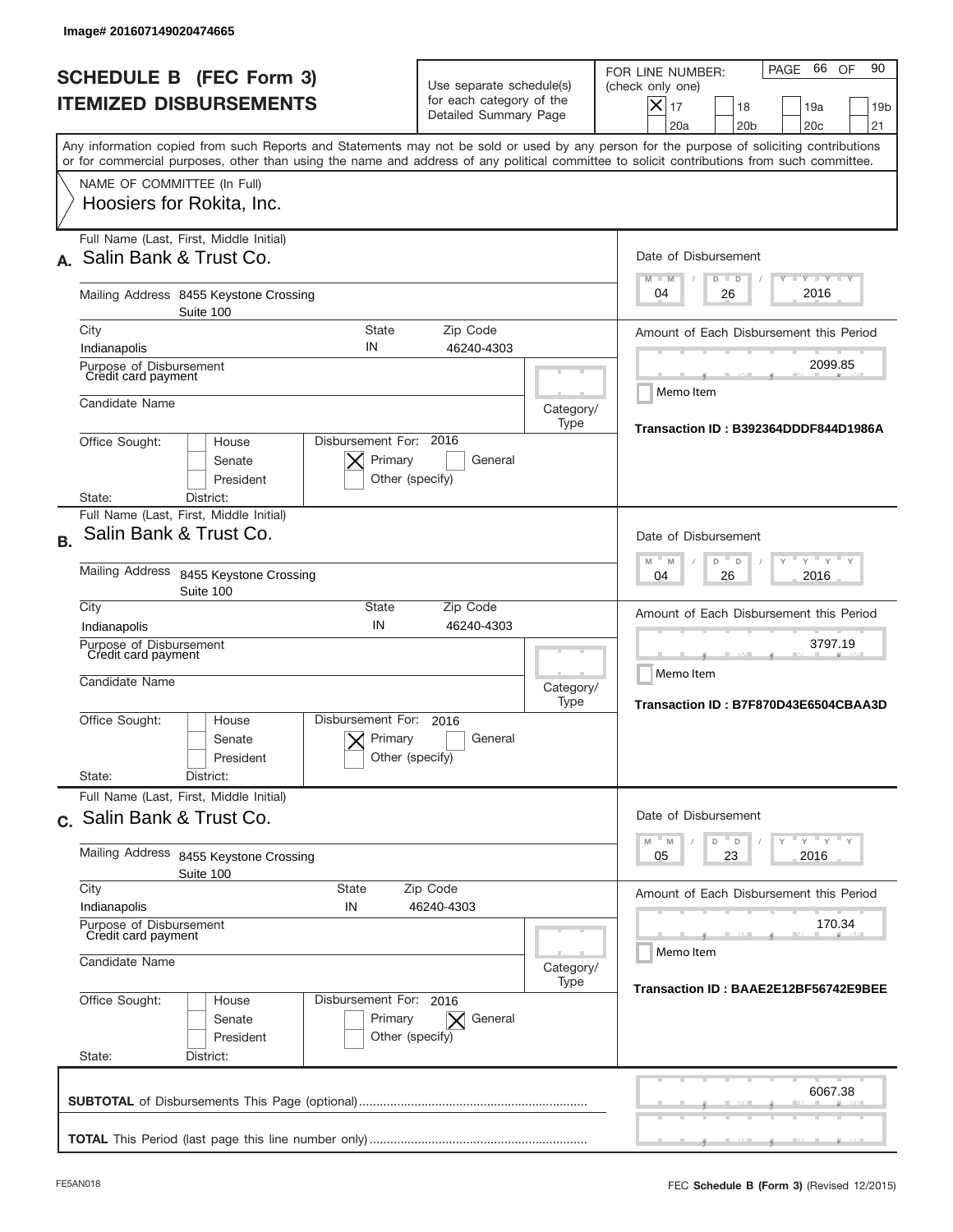|           | Image# 201607149020474665                                        |                                                                   |                                                                                      |                                                                               |                   |                                                                                                                                                                                                                                                                                         |
|-----------|------------------------------------------------------------------|-------------------------------------------------------------------|--------------------------------------------------------------------------------------|-------------------------------------------------------------------------------|-------------------|-----------------------------------------------------------------------------------------------------------------------------------------------------------------------------------------------------------------------------------------------------------------------------------------|
|           |                                                                  | <b>SCHEDULE B (FEC Form 3)</b><br><b>ITEMIZED DISBURSEMENTS</b>   |                                                                                      | Use separate schedule(s)<br>for each category of the<br>Detailed Summary Page |                   | 66 OF<br>90<br>PAGE<br>FOR LINE NUMBER:<br>(check only one)<br>$\boldsymbol{\times}$<br>17<br>18<br>19a<br>19 <sub>b</sub><br>20a<br>20 <sub>b</sub><br>20 <sub>c</sub><br>21                                                                                                           |
|           | NAME OF COMMITTEE (In Full)                                      |                                                                   |                                                                                      |                                                                               |                   | Any information copied from such Reports and Statements may not be sold or used by any person for the purpose of soliciting contributions<br>or for commercial purposes, other than using the name and address of any political committee to solicit contributions from such committee. |
|           |                                                                  | Hoosiers for Rokita, Inc.                                         |                                                                                      |                                                                               |                   |                                                                                                                                                                                                                                                                                         |
|           |                                                                  | Full Name (Last, First, Middle Initial)<br>Salin Bank & Trust Co. |                                                                                      |                                                                               |                   | Date of Disbursement<br>$T - Y$ $T - Y$<br>$M - M$<br>$D$ $D$                                                                                                                                                                                                                           |
|           |                                                                  | Mailing Address 8455 Keystone Crossing<br>Suite 100               | 2016<br>04<br>26                                                                     |                                                                               |                   |                                                                                                                                                                                                                                                                                         |
|           | City<br>Indianapolis                                             |                                                                   | <b>State</b><br>IN                                                                   | Zip Code<br>46240-4303                                                        |                   | Amount of Each Disbursement this Period                                                                                                                                                                                                                                                 |
|           | Purpose of Disbursement<br>Credit card payment                   |                                                                   |                                                                                      |                                                                               |                   | 2099.85<br>Memo Item                                                                                                                                                                                                                                                                    |
|           | Candidate Name                                                   |                                                                   |                                                                                      |                                                                               | Category/<br>Type | Transaction ID: B392364DDDF844D1986A                                                                                                                                                                                                                                                    |
|           | Office Sought:<br>State:                                         | House<br>Senate<br>President<br>District:                         | Disbursement For: 2016<br>Primary<br>Other (specify)                                 | General                                                                       |                   |                                                                                                                                                                                                                                                                                         |
|           |                                                                  | Full Name (Last, First, Middle Initial)<br>Salin Bank & Trust Co. |                                                                                      |                                                                               |                   | Date of Disbursement                                                                                                                                                                                                                                                                    |
| <b>B.</b> | Mailing Address                                                  | 8455 Keystone Crossing<br>Suite 100                               | $\cdots$ $\gamma$ $\cdots$ $\gamma$ $\cdots$<br>M<br>M<br>D<br>D<br>2016<br>04<br>26 |                                                                               |                   |                                                                                                                                                                                                                                                                                         |
|           | City<br>Indianapolis                                             |                                                                   | State<br>IN                                                                          | Zip Code<br>46240-4303                                                        |                   | Amount of Each Disbursement this Period                                                                                                                                                                                                                                                 |
|           | Purpose of Disbursement<br>Credit card payment<br>Candidate Name |                                                                   |                                                                                      |                                                                               | Category/<br>Type | 3797.19<br>Memo Item<br>Transaction ID: B7F870D43E6504CBAA3D                                                                                                                                                                                                                            |
|           | Office Sought:<br>State:                                         | House<br>Senate<br>President<br>District:                         | Disbursement For:<br>Primary<br>Other (specify)                                      | 2016<br>General                                                               |                   |                                                                                                                                                                                                                                                                                         |
|           |                                                                  | Full Name (Last, First, Middle Initial)                           |                                                                                      |                                                                               |                   |                                                                                                                                                                                                                                                                                         |
|           |                                                                  | c. Salin Bank & Trust Co.                                         |                                                                                      |                                                                               |                   | Date of Disbursement<br>$\mathbb{F}$ $\mathsf{y}$ $\mathbb{F}$ $\mathsf{y}$ $\mathbb{F}$ $\mathsf{y}$<br>$\mathbb M$<br>D<br>M<br>D                                                                                                                                                     |
|           | Mailing Address<br>8455 Keystone Crossing<br>Suite 100           |                                                                   |                                                                                      |                                                                               |                   | 2016<br>05<br>23                                                                                                                                                                                                                                                                        |
|           | City<br>Indianapolis                                             |                                                                   | State<br>IN                                                                          | Zip Code<br>46240-4303                                                        |                   | Amount of Each Disbursement this Period                                                                                                                                                                                                                                                 |
|           | Purpose of Disbursement<br>Credit card payment                   |                                                                   |                                                                                      |                                                                               |                   | 170.34<br>Memo Item                                                                                                                                                                                                                                                                     |
|           | Candidate Name                                                   |                                                                   | Category/<br>Transaction ID: BAAE2E12BF56742E9BEE                                    |                                                                               |                   |                                                                                                                                                                                                                                                                                         |
|           | Office Sought:<br>State:                                         | House<br>Senate<br>President<br>District:                         | Disbursement For: 2016<br>Primary<br>Other (specify)                                 | General                                                                       |                   |                                                                                                                                                                                                                                                                                         |
|           |                                                                  |                                                                   |                                                                                      |                                                                               |                   | 6067.38                                                                                                                                                                                                                                                                                 |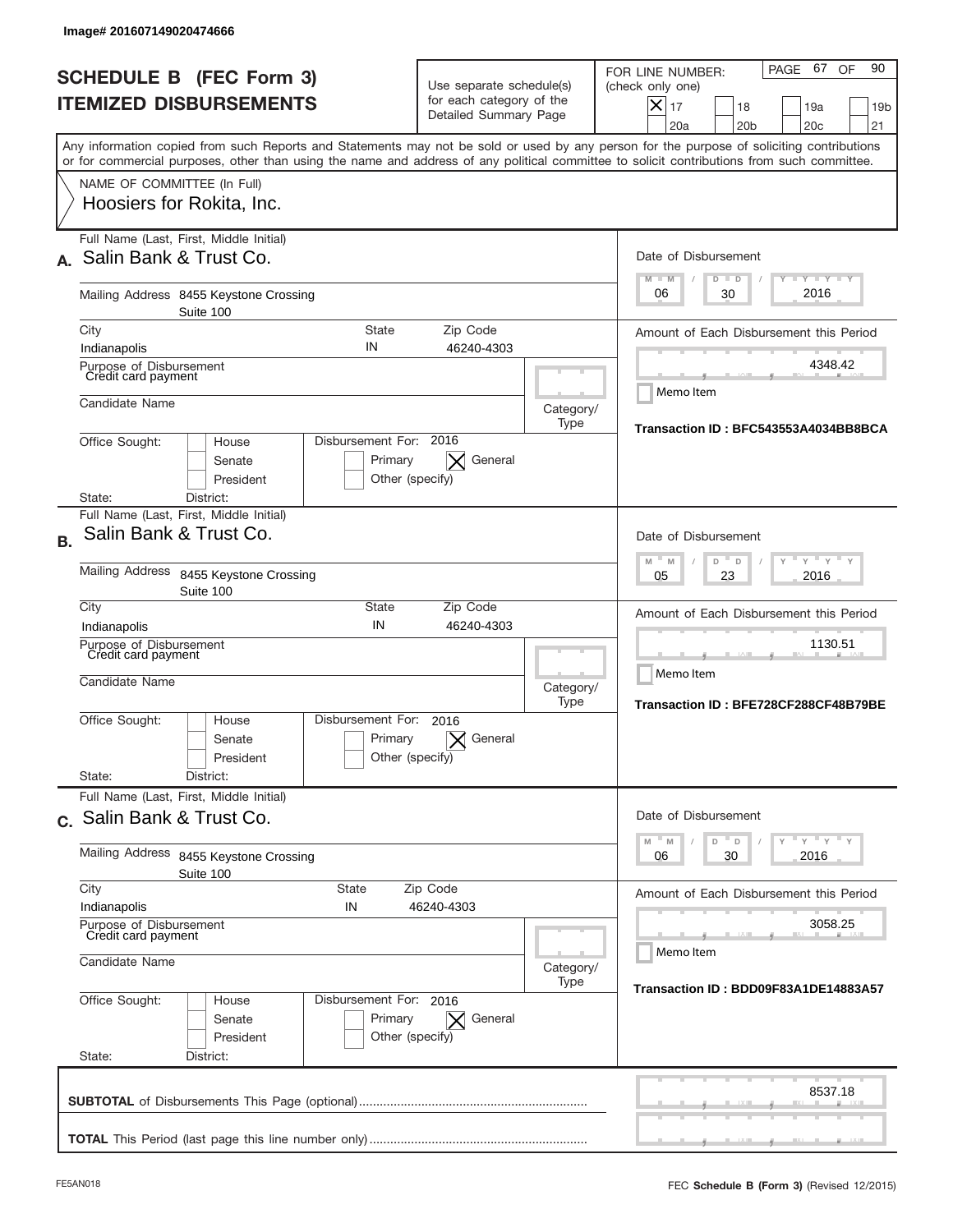| <b>SCHEDULE B (FEC Form 3)</b><br><b>ITEMIZED DISBURSEMENTS</b>       |                                                                                      | Use separate schedule(s)<br>for each category of the<br>Detailed Summary Page |                                                              | PAGE 67 OF<br>90<br>FOR LINE NUMBER:<br>(check only one)<br>$\boldsymbol{\times}$<br>17<br>18<br>19a<br>19 <sub>b</sub><br>20a<br>20 <sub>b</sub><br>20 <sub>c</sub><br>21                                                                                                              |
|-----------------------------------------------------------------------|--------------------------------------------------------------------------------------|-------------------------------------------------------------------------------|--------------------------------------------------------------|-----------------------------------------------------------------------------------------------------------------------------------------------------------------------------------------------------------------------------------------------------------------------------------------|
|                                                                       |                                                                                      |                                                                               |                                                              | Any information copied from such Reports and Statements may not be sold or used by any person for the purpose of soliciting contributions<br>or for commercial purposes, other than using the name and address of any political committee to solicit contributions from such committee. |
| NAME OF COMMITTEE (In Full)<br>Hoosiers for Rokita, Inc.              |                                                                                      |                                                                               |                                                              |                                                                                                                                                                                                                                                                                         |
| Full Name (Last, First, Middle Initial)<br>Salin Bank & Trust Co.     |                                                                                      |                                                                               |                                                              | Date of Disbursement<br>$T - Y$ $T - Y$<br>$M - M$                                                                                                                                                                                                                                      |
| Mailing Address 8455 Keystone Crossing<br>Suite 100                   |                                                                                      |                                                                               |                                                              | $D$ $D$<br>2016<br>06<br>30                                                                                                                                                                                                                                                             |
| City                                                                  | <b>State</b><br>IN                                                                   | Zip Code                                                                      |                                                              | Amount of Each Disbursement this Period                                                                                                                                                                                                                                                 |
| Indianapolis<br>Purpose of Disbursement<br>Credit card payment        |                                                                                      | 46240-4303                                                                    |                                                              | 4348.42                                                                                                                                                                                                                                                                                 |
| Candidate Name                                                        |                                                                                      |                                                                               | Category/<br>Type                                            | Memo Item<br>Transaction ID: BFC543553A4034BB8BCA                                                                                                                                                                                                                                       |
| Office Sought:<br>House<br>Senate<br>President<br>District:<br>State: | Disbursement For: 2016<br>Primary<br>Other (specify)                                 | General                                                                       |                                                              |                                                                                                                                                                                                                                                                                         |
| Full Name (Last, First, Middle Initial)                               |                                                                                      |                                                                               |                                                              |                                                                                                                                                                                                                                                                                         |
| Salin Bank & Trust Co.<br><b>B.</b>                                   |                                                                                      |                                                                               |                                                              | Date of Disbursement                                                                                                                                                                                                                                                                    |
| <b>Mailing Address</b><br>8455 Keystone Crossing<br>Suite 100         | $\cdots$ $\gamma$ $\cdots$ $\gamma$ $\cdots$<br>M<br>M<br>D<br>D<br>2016<br>05<br>23 |                                                                               |                                                              |                                                                                                                                                                                                                                                                                         |
| City<br>Indianapolis                                                  | State<br>IN                                                                          | Zip Code<br>46240-4303                                                        |                                                              | Amount of Each Disbursement this Period                                                                                                                                                                                                                                                 |
| Purpose of Disbursement<br>Credit card payment<br>Candidate Name      |                                                                                      | Category/<br>Type                                                             | 1130.51<br>Memo Item<br>Transaction ID: BFE728CF288CF48B79BE |                                                                                                                                                                                                                                                                                         |
| Office Sought:<br>House<br>Senate<br>President                        | Disbursement For:<br>Primary<br>Other (specify)                                      | 2016<br>General                                                               |                                                              |                                                                                                                                                                                                                                                                                         |
| State:<br>District:<br>Full Name (Last, First, Middle Initial)        |                                                                                      |                                                                               |                                                              |                                                                                                                                                                                                                                                                                         |
| c. Salin Bank & Trust Co.                                             |                                                                                      |                                                                               |                                                              | Date of Disbursement<br>$\overline{y}$ $\overline{y}$ $\overline{y}$ $\overline{y}$ $\overline{y}$<br>D<br>M<br>D                                                                                                                                                                       |
| Mailing Address<br>8455 Keystone Crossing<br>Suite 100                | M<br>2016<br>06<br>30                                                                |                                                                               |                                                              |                                                                                                                                                                                                                                                                                         |
| City<br>Indianapolis                                                  | State<br>IN                                                                          | Zip Code<br>46240-4303                                                        |                                                              | Amount of Each Disbursement this Period                                                                                                                                                                                                                                                 |
| Purpose of Disbursement<br>Credit card payment                        |                                                                                      | 3058.25<br>Memo Item                                                          |                                                              |                                                                                                                                                                                                                                                                                         |
| Candidate Name                                                        | Category/                                                                            |                                                                               |                                                              |                                                                                                                                                                                                                                                                                         |
| Office Sought:<br>House<br>Senate<br>President<br>State:<br>District: | Disbursement For: 2016<br>Primary<br>Other (specify)                                 | General                                                                       | Type                                                         | Transaction ID: BDD09F83A1DE14883A57                                                                                                                                                                                                                                                    |
|                                                                       |                                                                                      |                                                                               |                                                              | 8537.18                                                                                                                                                                                                                                                                                 |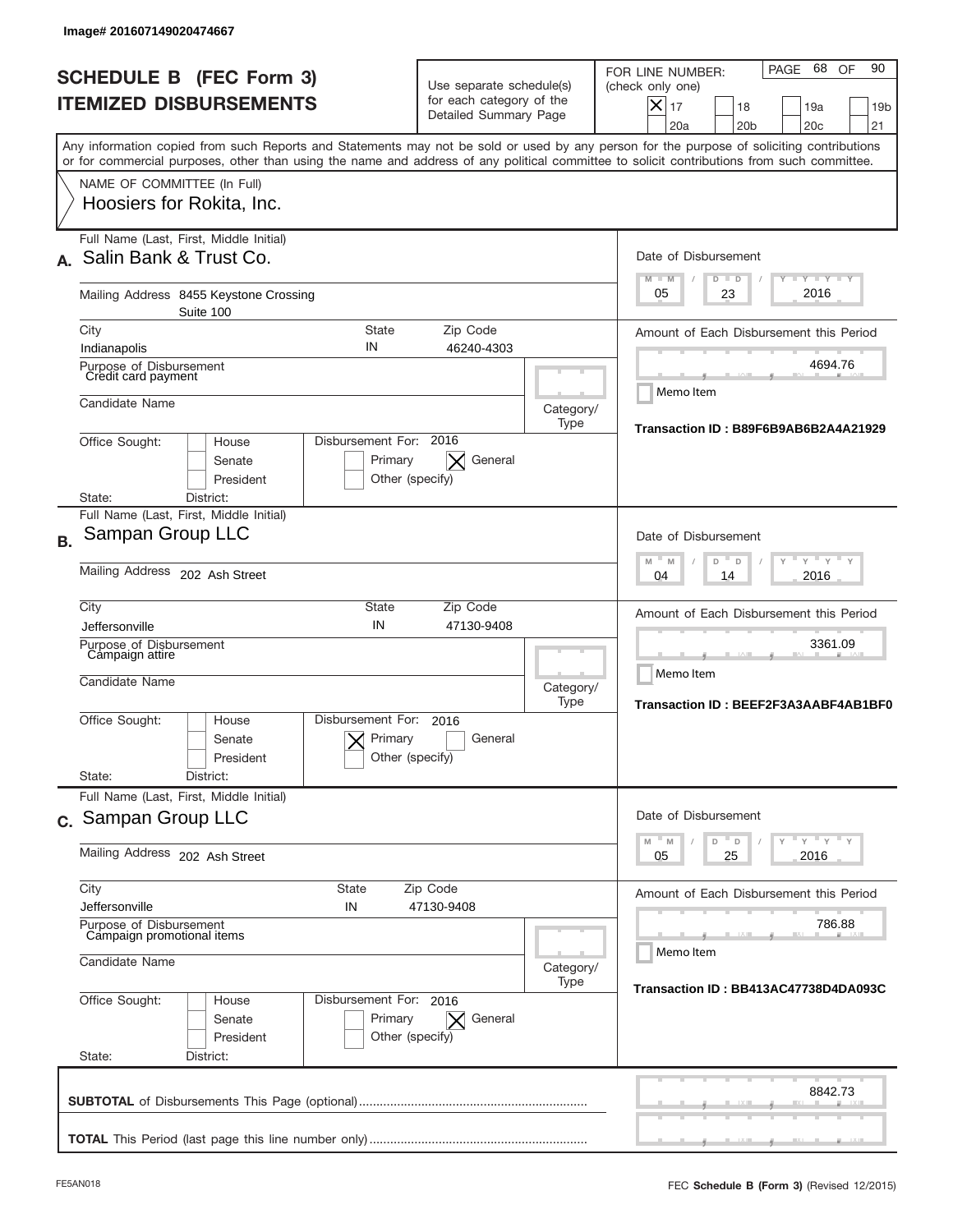|           | Image# 201607149020474667                                                                                                                                                                                                                                                               |                                                      |                                                                               |                   |                                                                                                                                                                |
|-----------|-----------------------------------------------------------------------------------------------------------------------------------------------------------------------------------------------------------------------------------------------------------------------------------------|------------------------------------------------------|-------------------------------------------------------------------------------|-------------------|----------------------------------------------------------------------------------------------------------------------------------------------------------------|
|           | <b>SCHEDULE B (FEC Form 3)</b><br><b>ITEMIZED DISBURSEMENTS</b>                                                                                                                                                                                                                         |                                                      | Use separate schedule(s)<br>for each category of the<br>Detailed Summary Page |                   | 68<br>90<br>PAGE<br>OF<br>FOR LINE NUMBER:<br>(check only one)<br>$X _{17}$<br>19a<br>19 <sub>b</sub><br>18<br>20a<br>20 <sub>b</sub><br>20 <sub>c</sub><br>21 |
|           | Any information copied from such Reports and Statements may not be sold or used by any person for the purpose of soliciting contributions<br>or for commercial purposes, other than using the name and address of any political committee to solicit contributions from such committee. |                                                      |                                                                               |                   |                                                                                                                                                                |
|           | NAME OF COMMITTEE (In Full)<br>Hoosiers for Rokita, Inc.                                                                                                                                                                                                                                |                                                      |                                                                               |                   |                                                                                                                                                                |
|           | Full Name (Last, First, Middle Initial)<br>Salin Bank & Trust Co.                                                                                                                                                                                                                       |                                                      |                                                                               |                   | Date of Disbursement<br>$T - Y$ $T - Y$ $T - Y$<br>$M - M$<br>$D$ $D$                                                                                          |
|           | Mailing Address 8455 Keystone Crossing<br>Suite 100                                                                                                                                                                                                                                     |                                                      |                                                                               |                   | 2016<br>05<br>23                                                                                                                                               |
|           | City<br>Indianapolis                                                                                                                                                                                                                                                                    | State<br>IN                                          | Zip Code<br>46240-4303                                                        |                   | Amount of Each Disbursement this Period                                                                                                                        |
|           | Purpose of Disbursement<br>Credit card payment                                                                                                                                                                                                                                          |                                                      |                                                                               |                   | 4694.76<br>Memo Item                                                                                                                                           |
|           | Candidate Name<br>House                                                                                                                                                                                                                                                                 | Disbursement For: 2016                               |                                                                               | Category/<br>Type | Transaction ID: B89F6B9AB6B2A4A21929                                                                                                                           |
|           | Office Sought:<br>Senate<br>President<br>District:<br>State:                                                                                                                                                                                                                            |                                                      |                                                                               |                   |                                                                                                                                                                |
| <b>B.</b> | Full Name (Last, First, Middle Initial)<br>Sampan Group LLC                                                                                                                                                                                                                             |                                                      |                                                                               |                   | Date of Disbursement                                                                                                                                           |
|           | Mailing Address 202 Ash Street                                                                                                                                                                                                                                                          | $-M$<br>$Y = Y$<br>M<br>D<br>D<br>2016<br>04<br>14   |                                                                               |                   |                                                                                                                                                                |
|           | City<br>Jeffersonville                                                                                                                                                                                                                                                                  | <b>State</b><br>IN                                   | Zip Code<br>47130-9408                                                        |                   | Amount of Each Disbursement this Period                                                                                                                        |
|           | Purpose of Disbursement<br>Campaign attire<br>Candidate Name                                                                                                                                                                                                                            |                                                      |                                                                               |                   | 3361.09<br>Memo Item<br>Category/<br>Transaction ID: BEEF2F3A3AABF4AB1BF0                                                                                      |
|           | Office Sought:<br>House<br>Senate<br>President                                                                                                                                                                                                                                          | Disbursement For:<br>Primary<br>Other (specify)      | 2016<br>General                                                               |                   |                                                                                                                                                                |
|           | State:<br>District:<br>Full Name (Last, First, Middle Initial)                                                                                                                                                                                                                          |                                                      |                                                                               |                   | Date of Disbursement                                                                                                                                           |
|           | c. Sampan Group LLC<br>Mailing Address 202 Ash Street                                                                                                                                                                                                                                   | ≡ γ ≡ γ ≡ γ<br>D<br>M<br>M<br>D<br>25<br>2016<br>05  |                                                                               |                   |                                                                                                                                                                |
|           | City<br><b>State</b>                                                                                                                                                                                                                                                                    | Amount of Each Disbursement this Period              |                                                                               |                   |                                                                                                                                                                |
|           | Jeffersonville<br>IN<br>Purpose of Disbursement<br>Campaign promotional items                                                                                                                                                                                                           | 786.88<br>Memo Item                                  |                                                                               |                   |                                                                                                                                                                |
|           | Candidate Name                                                                                                                                                                                                                                                                          | Category/<br>Transaction ID: BB413AC47738D4DA093C    |                                                                               |                   |                                                                                                                                                                |
|           | Office Sought:<br>House<br>Senate<br>President<br>State:<br>District:                                                                                                                                                                                                                   | Disbursement For: 2016<br>Primary<br>Other (specify) | General<br>$\times$                                                           |                   |                                                                                                                                                                |
|           |                                                                                                                                                                                                                                                                                         |                                                      |                                                                               |                   | 8842.73                                                                                                                                                        |
|           |                                                                                                                                                                                                                                                                                         |                                                      |                                                                               |                   |                                                                                                                                                                |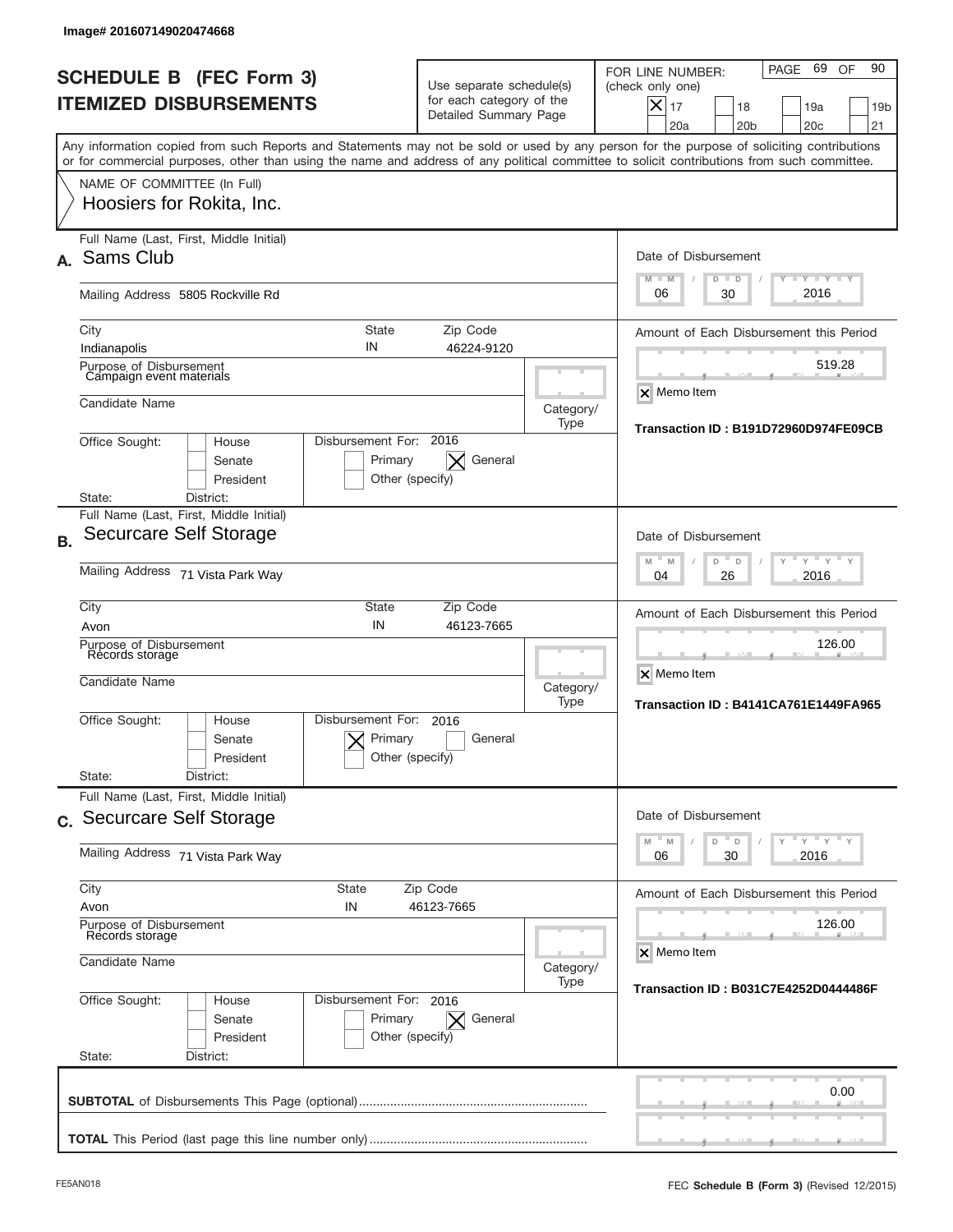|              | Image# 201607149020474668                                                                                                                                                                                                                                                               |                                                                  |                          |                                                                                                                                                                |
|--------------|-----------------------------------------------------------------------------------------------------------------------------------------------------------------------------------------------------------------------------------------------------------------------------------------|------------------------------------------------------------------|--------------------------|----------------------------------------------------------------------------------------------------------------------------------------------------------------|
|              | <b>SCHEDULE B (FEC Form 3)</b><br><b>ITEMIZED DISBURSEMENTS</b>                                                                                                                                                                                                                         | for each category of the<br>Detailed Summary Page                | Use separate schedule(s) | 69<br>90<br>PAGE<br>OF<br>FOR LINE NUMBER:<br>(check only one)<br>$X _{17}$<br>18<br>19a<br>19 <sub>b</sub><br>20a<br>20 <sub>b</sub><br>20 <sub>c</sub><br>21 |
|              | Any information copied from such Reports and Statements may not be sold or used by any person for the purpose of soliciting contributions<br>or for commercial purposes, other than using the name and address of any political committee to solicit contributions from such committee. |                                                                  |                          |                                                                                                                                                                |
|              | NAME OF COMMITTEE (In Full)<br>Hoosiers for Rokita, Inc.                                                                                                                                                                                                                                |                                                                  |                          |                                                                                                                                                                |
| $\mathbf{A}$ | Full Name (Last, First, Middle Initial)<br>Sams Club                                                                                                                                                                                                                                    |                                                                  |                          | Date of Disbursement<br><b>LYLYLY</b><br>$M - M$<br>$D$ $D$                                                                                                    |
|              | Mailing Address 5805 Rockville Rd                                                                                                                                                                                                                                                       |                                                                  |                          | 2016<br>06<br>30                                                                                                                                               |
|              | State<br>City<br>IN<br>Indianapolis<br>Purpose of Disbursement                                                                                                                                                                                                                          | Zip Code<br>46224-9120                                           |                          | Amount of Each Disbursement this Period<br>519.28                                                                                                              |
|              | Campaign event materials<br>Candidate Name                                                                                                                                                                                                                                              |                                                                  | Category/<br>Type        | <b>X</b> Memo Item                                                                                                                                             |
|              | Disbursement For: 2016<br>Office Sought:<br>House<br>Senate<br>President<br>District:<br>State:                                                                                                                                                                                         | General<br>Primary<br>$\times$<br>Other (specify)                |                          | Transaction ID: B191D72960D974FE09CB                                                                                                                           |
| <b>B.</b>    | Full Name (Last, First, Middle Initial)<br>Securcare Self Storage                                                                                                                                                                                                                       |                                                                  |                          | Date of Disbursement                                                                                                                                           |
|              | Mailing Address 71 Vista Park Way                                                                                                                                                                                                                                                       | $-M$<br>$Y = Y$<br>M<br>D<br>D<br>2016<br>04<br>26               |                          |                                                                                                                                                                |
|              | City<br><b>State</b><br>IN<br>Avon<br>Purpose of Disbursement<br>Records storage<br>Candidate Name                                                                                                                                                                                      | Zip Code<br>46123-7665                                           | Category/                | Amount of Each Disbursement this Period<br>126.00<br>X Memo Item                                                                                               |
|              | Disbursement For:<br>Office Sought:<br>House<br>Senate<br>President<br>State:<br>District:                                                                                                                                                                                              | 2016<br>Primary<br>General<br>Other (specify)                    | Type                     | Transaction ID: B4141CA761E1449FA965                                                                                                                           |
|              | Full Name (Last, First, Middle Initial)<br>c. Securcare Self Storage                                                                                                                                                                                                                    |                                                                  |                          | Date of Disbursement<br>≡ γ ≡ γ ≡ γ<br>$-M$<br>$\mathbb M$<br>D<br>D                                                                                           |
|              | Mailing Address 71 Vista Park Way                                                                                                                                                                                                                                                       | 30<br>2016<br>06                                                 |                          |                                                                                                                                                                |
|              | City<br><b>State</b><br>Avon<br>IN<br>Purpose of Disbursement<br>Records storage                                                                                                                                                                                                        | Amount of Each Disbursement this Period<br>126.00                |                          |                                                                                                                                                                |
|              | Candidate Name                                                                                                                                                                                                                                                                          | X Memo Item<br>Category/<br>Transaction ID: B031C7E4252D0444486F |                          |                                                                                                                                                                |
|              | Office Sought:<br>Disbursement For: 2016<br>House<br>Senate<br>President<br>State:<br>District:                                                                                                                                                                                         | Primary<br>General<br>$\times$<br>Other (specify)                |                          |                                                                                                                                                                |
|              |                                                                                                                                                                                                                                                                                         |                                                                  |                          | 0.00                                                                                                                                                           |
|              |                                                                                                                                                                                                                                                                                         |                                                                  |                          |                                                                                                                                                                |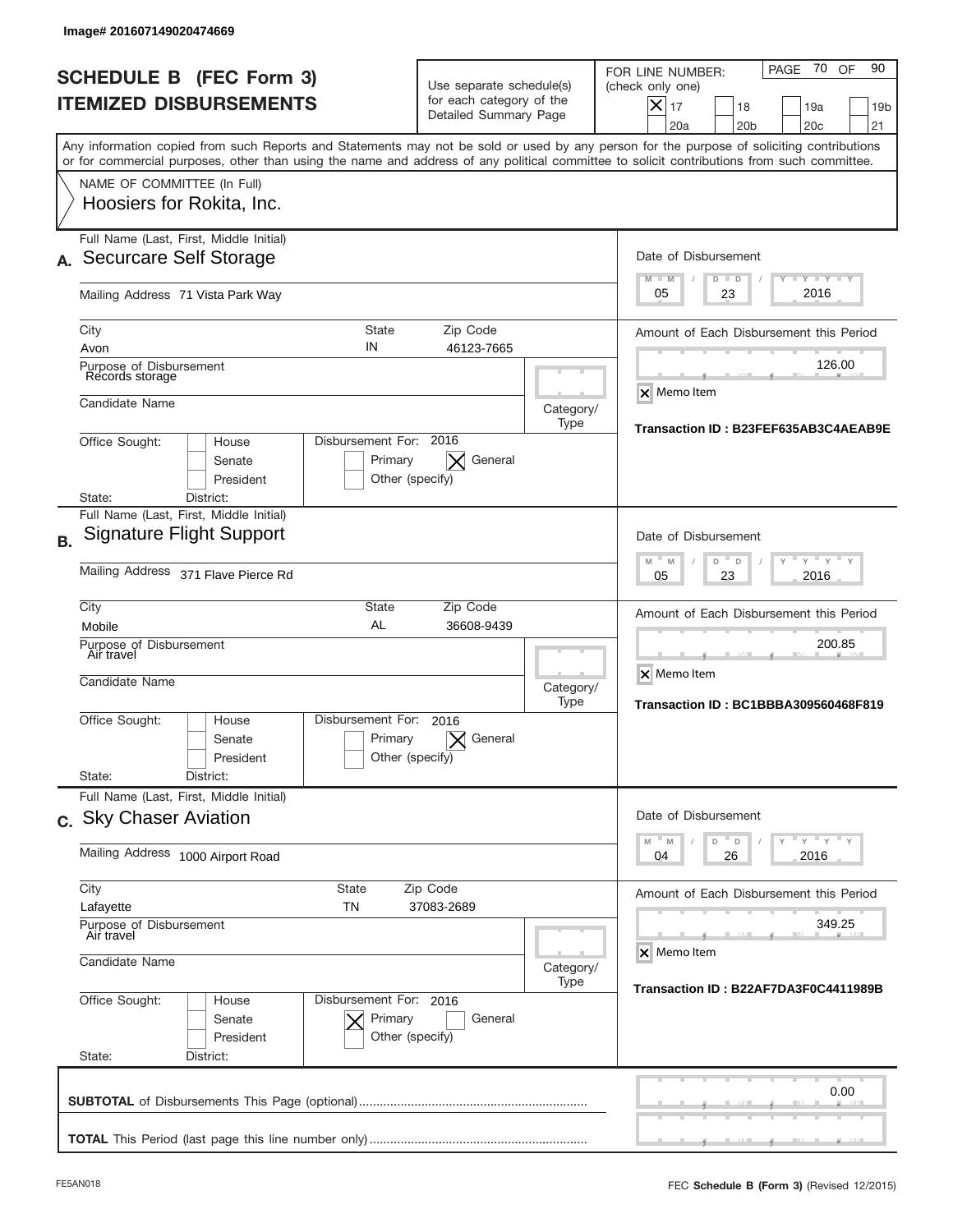|           | Image# 201607149020474669                                                                                                                                                                                                                                                               |                                                      |                                                                               |                   |                                                                                                                                                                               |
|-----------|-----------------------------------------------------------------------------------------------------------------------------------------------------------------------------------------------------------------------------------------------------------------------------------------|------------------------------------------------------|-------------------------------------------------------------------------------|-------------------|-------------------------------------------------------------------------------------------------------------------------------------------------------------------------------|
|           | <b>SCHEDULE B (FEC Form 3)</b><br><b>ITEMIZED DISBURSEMENTS</b>                                                                                                                                                                                                                         |                                                      | Use separate schedule(s)<br>for each category of the<br>Detailed Summary Page |                   | 70 OF<br>90<br>PAGE<br>FOR LINE NUMBER:<br>(check only one)<br>$\boldsymbol{\times}$<br>17<br>19a<br>18<br>19 <sub>b</sub><br>20a<br>20 <sub>b</sub><br>20 <sub>c</sub><br>21 |
|           | Any information copied from such Reports and Statements may not be sold or used by any person for the purpose of soliciting contributions<br>or for commercial purposes, other than using the name and address of any political committee to solicit contributions from such committee. |                                                      |                                                                               |                   |                                                                                                                                                                               |
|           | NAME OF COMMITTEE (In Full)<br>Hoosiers for Rokita, Inc.                                                                                                                                                                                                                                |                                                      |                                                                               |                   |                                                                                                                                                                               |
|           | Full Name (Last, First, Middle Initial)<br>Securcare Self Storage                                                                                                                                                                                                                       |                                                      |                                                                               |                   | Date of Disbursement<br>$T - Y$ $T - Y$<br>$M - M$<br>$D$ $D$                                                                                                                 |
|           | Mailing Address 71 Vista Park Way                                                                                                                                                                                                                                                       |                                                      |                                                                               |                   | 2016<br>05<br>23                                                                                                                                                              |
|           | City<br>Avon                                                                                                                                                                                                                                                                            | <b>State</b><br>IN                                   | Zip Code<br>46123-7665                                                        |                   | Amount of Each Disbursement this Period<br>126.00                                                                                                                             |
|           | Purpose of Disbursement<br>Records storage<br>Candidate Name                                                                                                                                                                                                                            |                                                      |                                                                               | Category/<br>Type | X Memo Item                                                                                                                                                                   |
|           | Disbursement For: 2016<br>Office Sought:<br>House<br>Senate<br>President<br>District:<br>State:                                                                                                                                                                                         | Transaction ID: B23FEF635AB3C4AEAB9E                 |                                                                               |                   |                                                                                                                                                                               |
| <b>B.</b> | Full Name (Last, First, Middle Initial)<br><b>Signature Flight Support</b>                                                                                                                                                                                                              |                                                      |                                                                               |                   | Date of Disbursement                                                                                                                                                          |
|           | Mailing Address 371 Flave Pierce Rd                                                                                                                                                                                                                                                     | $Y$ $Y$ $Y$<br>$M - M$<br>D<br>D<br>2016<br>05<br>23 |                                                                               |                   |                                                                                                                                                                               |
|           | City<br>Mobile                                                                                                                                                                                                                                                                          |                                                      | Amount of Each Disbursement this Period                                       |                   |                                                                                                                                                                               |
|           | Purpose of Disbursement<br>Air travel<br>Candidate Name                                                                                                                                                                                                                                 |                                                      |                                                                               |                   | 200.85<br>X Memo Item<br>Category/<br>Transaction ID: BC1BBBA309560468F819                                                                                                    |
|           | Office Sought:<br>House<br>Senate<br>President                                                                                                                                                                                                                                          | Disbursement For:<br>Primary<br>Other (specify)      | 2016<br>General                                                               | Type              |                                                                                                                                                                               |
|           | State:<br>District:<br>Full Name (Last, First, Middle Initial)                                                                                                                                                                                                                          |                                                      |                                                                               |                   |                                                                                                                                                                               |
|           | c. Sky Chaser Aviation                                                                                                                                                                                                                                                                  |                                                      |                                                                               |                   | Date of Disbursement<br>$Y$ $Y$ $Y$ $Y$ $Y$<br>$-M$<br>$\mathbb M$<br>D<br>D                                                                                                  |
|           | Mailing Address 1000 Airport Road                                                                                                                                                                                                                                                       | 2016<br>04<br>26                                     |                                                                               |                   |                                                                                                                                                                               |
|           | City<br>State<br>TN<br>Lafayette                                                                                                                                                                                                                                                        | Amount of Each Disbursement this Period              |                                                                               |                   |                                                                                                                                                                               |
|           | Purpose of Disbursement<br>Air travel<br>Candidate Name                                                                                                                                                                                                                                 | Category/                                            | 349.25<br>X Memo Item                                                         |                   |                                                                                                                                                                               |
|           | Office Sought:<br>House<br>Senate<br>President<br>State:<br>District:                                                                                                                                                                                                                   | Disbursement For: 2016<br>Primary<br>Other (specify) | General                                                                       | Type              | Transaction ID: B22AF7DA3F0C4411989B                                                                                                                                          |
|           |                                                                                                                                                                                                                                                                                         |                                                      |                                                                               |                   | 0.00                                                                                                                                                                          |
|           |                                                                                                                                                                                                                                                                                         |                                                      |                                                                               |                   |                                                                                                                                                                               |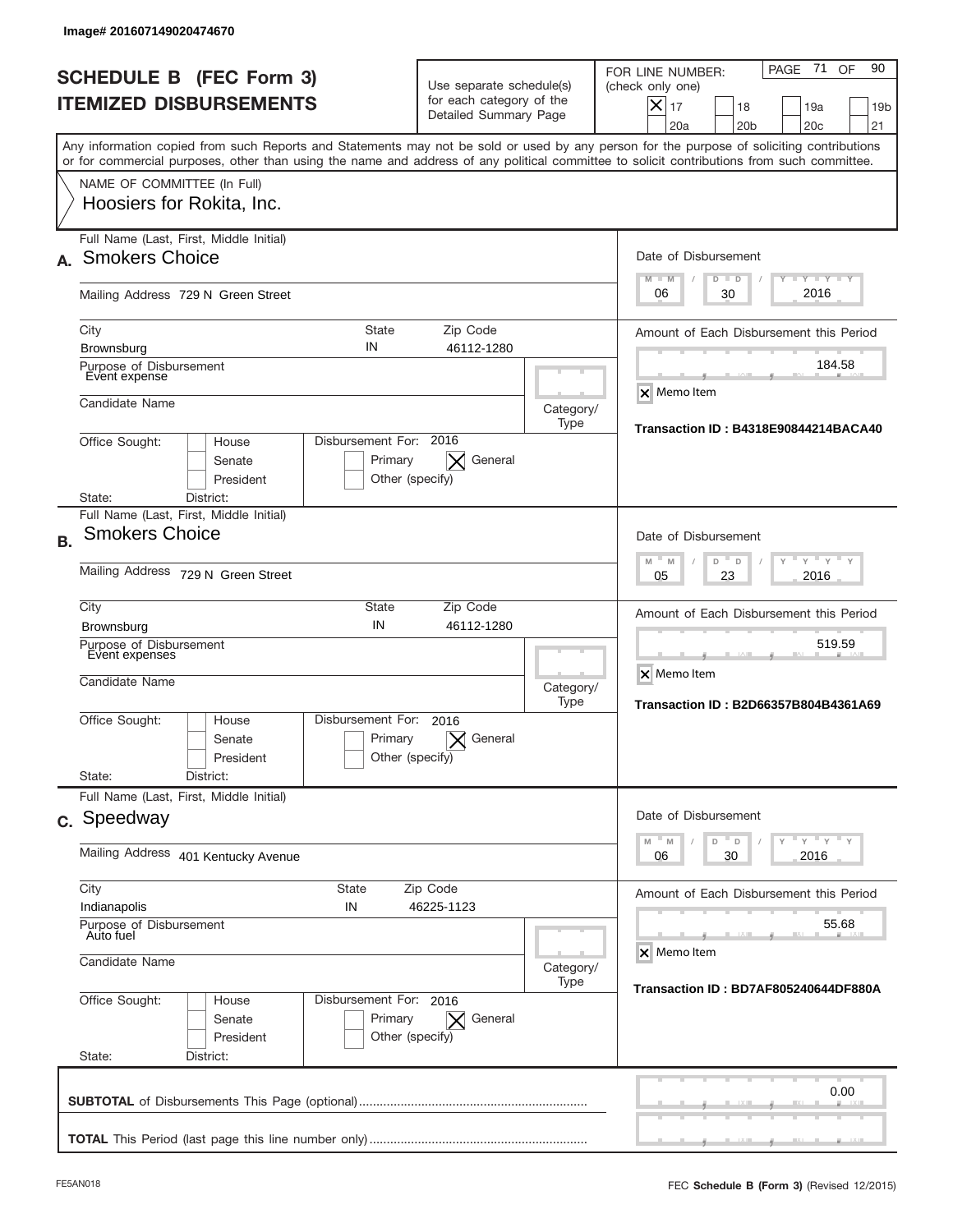| <b>SCHEDULE B (FEC Form 3)</b><br><b>ITEMIZED DISBURSEMENTS</b>                                                                                                                                                                                                                         | Use separate schedule(s)<br>for each category of the<br>Detailed Summary Page |                                                               | PAGE 71<br>90<br>OF<br>FOR LINE NUMBER:<br>(check only one)<br>$\boldsymbol{\times}$<br>17<br>19a<br>18<br>19 <sub>b</sub><br>20a<br>20 <sub>b</sub><br>20 <sub>c</sub><br>21 |  |  |
|-----------------------------------------------------------------------------------------------------------------------------------------------------------------------------------------------------------------------------------------------------------------------------------------|-------------------------------------------------------------------------------|---------------------------------------------------------------|-------------------------------------------------------------------------------------------------------------------------------------------------------------------------------|--|--|
| Any information copied from such Reports and Statements may not be sold or used by any person for the purpose of soliciting contributions<br>or for commercial purposes, other than using the name and address of any political committee to solicit contributions from such committee. |                                                                               |                                                               |                                                                                                                                                                               |  |  |
| NAME OF COMMITTEE (In Full)<br>Hoosiers for Rokita, Inc.                                                                                                                                                                                                                                |                                                                               |                                                               |                                                                                                                                                                               |  |  |
| Full Name (Last, First, Middle Initial)<br><b>Smokers Choice</b>                                                                                                                                                                                                                        |                                                                               |                                                               | Date of Disbursement<br>$T - Y$ $T - Y$                                                                                                                                       |  |  |
| Mailing Address 729 N Green Street                                                                                                                                                                                                                                                      |                                                                               |                                                               | $M - M$<br>$D$ $D$<br>2016<br>06<br>30                                                                                                                                        |  |  |
| <b>State</b><br>City<br>IN<br><b>Brownsburg</b>                                                                                                                                                                                                                                         | Zip Code<br>46112-1280                                                        |                                                               | Amount of Each Disbursement this Period<br>184.58                                                                                                                             |  |  |
| Candidate Name                                                                                                                                                                                                                                                                          | Purpose of Disbursement<br>Event expense                                      |                                                               |                                                                                                                                                                               |  |  |
| Disbursement For: 2016<br>Office Sought:<br>House<br>Senate<br>President<br>District:<br>State:                                                                                                                                                                                         | General<br>Primary<br>Other (specify)                                         | Type                                                          | <b>Transaction ID: B4318E90844214BACA40</b>                                                                                                                                   |  |  |
| Full Name (Last, First, Middle Initial)<br><b>Smokers Choice</b><br><b>B.</b>                                                                                                                                                                                                           |                                                                               |                                                               | Date of Disbursement                                                                                                                                                          |  |  |
| Mailing Address 729 N Green Street                                                                                                                                                                                                                                                      | $Y$ $Y$ $Y$<br>$M - M$<br>D<br>$\Box$<br>2016<br>05<br>23                     |                                                               |                                                                                                                                                                               |  |  |
| City<br>State<br>IN<br><b>Brownsburg</b>                                                                                                                                                                                                                                                | Zip Code<br>46112-1280                                                        |                                                               | Amount of Each Disbursement this Period                                                                                                                                       |  |  |
| Purpose of Disbursement<br>Event expenses<br>Candidate Name                                                                                                                                                                                                                             | Category/<br>Type                                                             | 519.59<br>X Memo Item<br>Transaction ID: B2D66357B804B4361A69 |                                                                                                                                                                               |  |  |
| Disbursement For:<br>Office Sought:<br>House<br>Senate<br>President                                                                                                                                                                                                                     | 2016<br>Primary<br>General<br>Other (specify)                                 |                                                               |                                                                                                                                                                               |  |  |
| State:<br>District:<br>Full Name (Last, First, Middle Initial)                                                                                                                                                                                                                          |                                                                               |                                                               |                                                                                                                                                                               |  |  |
| c. Speedway                                                                                                                                                                                                                                                                             |                                                                               |                                                               | Date of Disbursement<br>$Y$ $Y$ $Y$ $Y$ $Y$<br>$-M$<br>$\mathbb M$<br>D<br>D                                                                                                  |  |  |
| Mailing Address 401 Kentucky Avenue                                                                                                                                                                                                                                                     | 2016<br>06<br>30                                                              |                                                               |                                                                                                                                                                               |  |  |
| City<br>State<br>Indianapolis<br>IN                                                                                                                                                                                                                                                     | Amount of Each Disbursement this Period                                       |                                                               |                                                                                                                                                                               |  |  |
| Purpose of Disbursement<br>Auto fuel<br>Candidate Name                                                                                                                                                                                                                                  | Category/                                                                     | 55.68<br>X Memo Item                                          |                                                                                                                                                                               |  |  |
| Office Sought:<br>Disbursement For: 2016<br>House<br>Senate<br>President<br>State:<br>District:                                                                                                                                                                                         | Primary<br>General<br>$\times$<br>Other (specify)                             | Type                                                          | Transaction ID: BD7AF805240644DF880A                                                                                                                                          |  |  |
|                                                                                                                                                                                                                                                                                         |                                                                               |                                                               | 0.00                                                                                                                                                                          |  |  |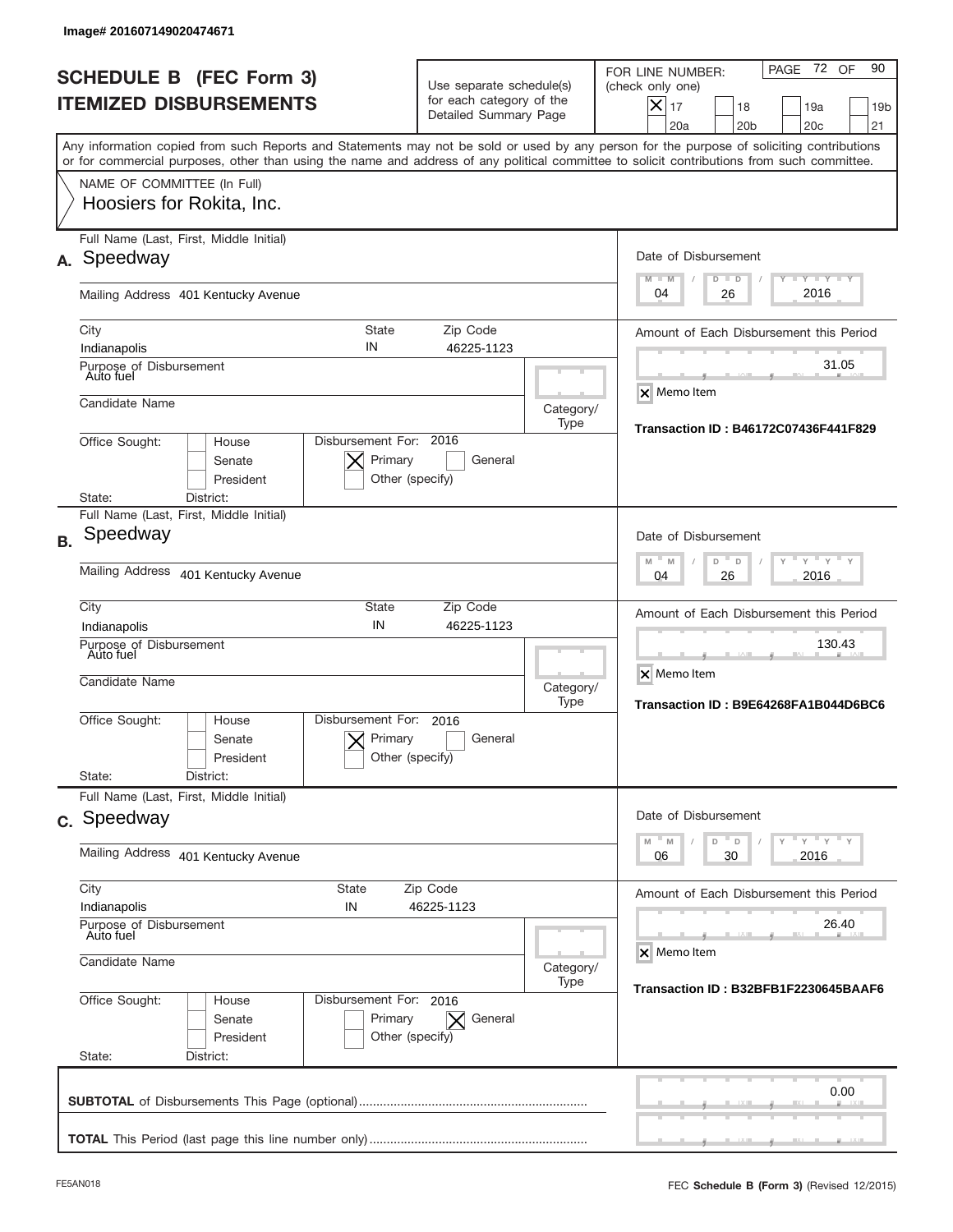|           | <b>SCHEDULE B (FEC Form 3)</b><br><b>ITEMIZED DISBURSEMENTS</b>                                                                                                                                                                                                                         | Use separate schedule(s)<br>for each category of the<br>Detailed Summary Page |                                                  | 72 OF<br>90<br>PAGE<br>FOR LINE NUMBER:<br>(check only one)<br>X<br>17<br>18<br>19a<br>19 <sub>b</sub><br>21<br>20a<br>20 <sub>b</sub><br>20 <sub>c</sub> |
|-----------|-----------------------------------------------------------------------------------------------------------------------------------------------------------------------------------------------------------------------------------------------------------------------------------------|-------------------------------------------------------------------------------|--------------------------------------------------|-----------------------------------------------------------------------------------------------------------------------------------------------------------|
|           | Any information copied from such Reports and Statements may not be sold or used by any person for the purpose of soliciting contributions<br>or for commercial purposes, other than using the name and address of any political committee to solicit contributions from such committee. |                                                                               |                                                  |                                                                                                                                                           |
|           | NAME OF COMMITTEE (In Full)<br>Hoosiers for Rokita, Inc.                                                                                                                                                                                                                                |                                                                               |                                                  |                                                                                                                                                           |
| А.        | Full Name (Last, First, Middle Initial)<br>Speedway                                                                                                                                                                                                                                     |                                                                               |                                                  | Date of Disbursement<br>$\mathbf{I}$ $\mathbf{Y}$ $\mathbf{I}$ $\mathbf{Y}$ $\mathbf{I}$ $\mathbf{Y}$<br>$M - M$<br>$D$ $D$                               |
|           | Mailing Address 401 Kentucky Avenue                                                                                                                                                                                                                                                     |                                                                               |                                                  | 2016<br>26<br>04                                                                                                                                          |
|           | <b>State</b><br>City<br>IN<br>Indianapolis                                                                                                                                                                                                                                              | Zip Code<br>46225-1123                                                        |                                                  | Amount of Each Disbursement this Period                                                                                                                   |
|           | Purpose of Disbursement<br>Auto fuel                                                                                                                                                                                                                                                    |                                                                               |                                                  | 31.05<br><b>X</b> Memo Item                                                                                                                               |
|           | Candidate Name<br>Disbursement For: 2016<br>Office Sought:<br>House                                                                                                                                                                                                                     |                                                                               | Category/<br>Type                                | Transaction ID: B46172C07436F441F829                                                                                                                      |
|           | Primary<br>Senate<br>President<br>Other (specify)<br>State:<br>District:                                                                                                                                                                                                                | General                                                                       |                                                  |                                                                                                                                                           |
| <b>B.</b> | Full Name (Last, First, Middle Initial)<br>Speedway                                                                                                                                                                                                                                     |                                                                               |                                                  | Date of Disbursement                                                                                                                                      |
|           | Mailing Address 401 Kentucky Avenue                                                                                                                                                                                                                                                     |                                                                               | $Y$ $Y$<br>$M - M$<br>D<br>D<br>2016<br>04<br>26 |                                                                                                                                                           |
|           | City<br>State<br>IN<br>Indianapolis                                                                                                                                                                                                                                                     | Zip Code<br>46225-1123                                                        |                                                  | Amount of Each Disbursement this Period                                                                                                                   |
|           | Purpose of Disbursement<br>Auto fuel<br>Candidate Name                                                                                                                                                                                                                                  |                                                                               | Category/<br>Type                                | 130.43<br>X Memo Item<br>Transaction ID: B9E64268FA1B044D6BC6                                                                                             |
|           | Disbursement For:<br>Office Sought:<br>House<br>Primary<br>Senate<br>President<br>Other (specify)                                                                                                                                                                                       | 2016<br>General                                                               |                                                  |                                                                                                                                                           |
|           | State:<br>District:<br>Full Name (Last, First, Middle Initial)                                                                                                                                                                                                                          |                                                                               |                                                  |                                                                                                                                                           |
|           | c. Speedway                                                                                                                                                                                                                                                                             | Date of Disbursement<br>$Y$ $Y$ $Y$ $Y$ $Y$<br>$M$ $M$<br>D<br>D              |                                                  |                                                                                                                                                           |
|           | Mailing Address 401 Kentucky Avenue                                                                                                                                                                                                                                                     | 30<br>2016<br>06                                                              |                                                  |                                                                                                                                                           |
|           | City<br>State<br>Zip Code<br>Indianapolis<br>IN<br>46225-1123<br>Purpose of Disbursement<br>Auto fuel                                                                                                                                                                                   |                                                                               | Amount of Each Disbursement this Period<br>26.40 |                                                                                                                                                           |
|           | Candidate Name                                                                                                                                                                                                                                                                          | Category/                                                                     | X Memo Item                                      |                                                                                                                                                           |
|           | Office Sought:<br>Disbursement For: 2016<br>House<br>Senate<br>Primary<br>President<br>Other (specify)<br>State:<br>District:                                                                                                                                                           | General<br>$\times$                                                           | Type                                             | Transaction ID: B32BFB1F2230645BAAF6                                                                                                                      |
|           |                                                                                                                                                                                                                                                                                         |                                                                               |                                                  | 0.00                                                                                                                                                      |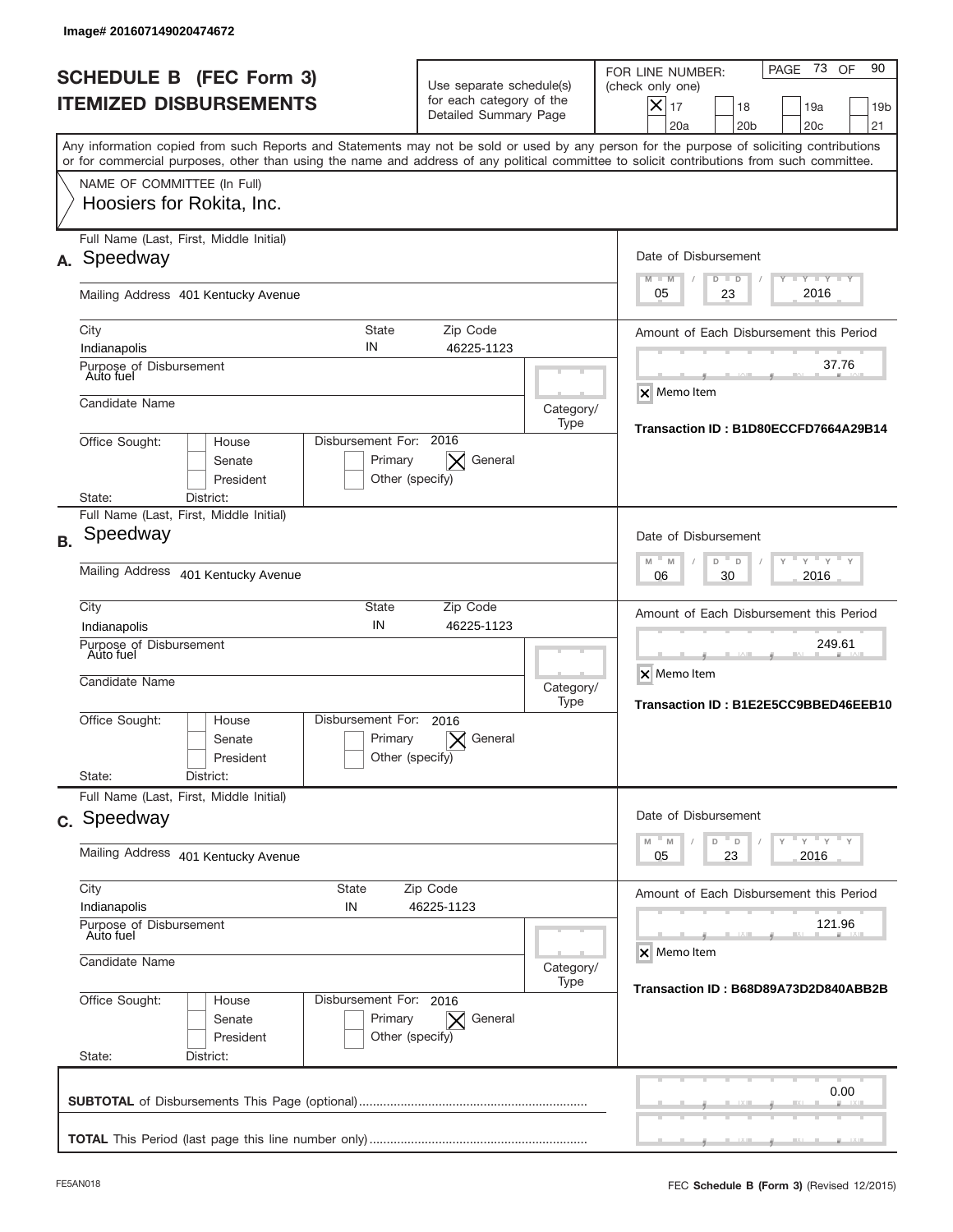|           | Image# 201607149020474672                                                                                                                                                                                                                                                               |                                        |                                                                               |                   |                                                                                                                                                              |
|-----------|-----------------------------------------------------------------------------------------------------------------------------------------------------------------------------------------------------------------------------------------------------------------------------------------|----------------------------------------|-------------------------------------------------------------------------------|-------------------|--------------------------------------------------------------------------------------------------------------------------------------------------------------|
|           | <b>SCHEDULE B (FEC Form 3)</b><br><b>ITEMIZED DISBURSEMENTS</b>                                                                                                                                                                                                                         |                                        | Use separate schedule(s)<br>for each category of the<br>Detailed Summary Page |                   | 73<br>90<br>OF<br>PAGE<br>FOR LINE NUMBER:<br>(check only one)<br>X<br>17<br>19a<br>18<br>19 <sub>b</sub><br>21<br>20a<br>20 <sub>b</sub><br>20 <sub>c</sub> |
|           | Any information copied from such Reports and Statements may not be sold or used by any person for the purpose of soliciting contributions<br>or for commercial purposes, other than using the name and address of any political committee to solicit contributions from such committee. |                                        |                                                                               |                   |                                                                                                                                                              |
|           | NAME OF COMMITTEE (In Full)<br>Hoosiers for Rokita, Inc.                                                                                                                                                                                                                                |                                        |                                                                               |                   |                                                                                                                                                              |
| А.        | Full Name (Last, First, Middle Initial)<br>Speedway                                                                                                                                                                                                                                     |                                        |                                                                               |                   | Date of Disbursement<br>$\mathbf{I}$ $\mathbf{Y}$ $\mathbf{I}$ $\mathbf{Y}$ $\mathbf{I}$ $\mathbf{Y}$<br>$M - M$<br>$D$ $D$                                  |
|           | Mailing Address 401 Kentucky Avenue                                                                                                                                                                                                                                                     |                                        |                                                                               |                   | 2016<br>23<br>05                                                                                                                                             |
|           | <b>State</b><br>City<br>IN<br>Indianapolis<br>Purpose of Disbursement<br>Auto fuel                                                                                                                                                                                                      |                                        | Zip Code<br>46225-1123                                                        |                   | Amount of Each Disbursement this Period<br>37.76                                                                                                             |
|           | Candidate Name                                                                                                                                                                                                                                                                          |                                        |                                                                               | Category/<br>Type | X Memo Item<br>Transaction ID: B1D80ECCFD7664A29B14                                                                                                          |
|           | Disbursement For: 2016<br>Office Sought:<br>House<br>Senate<br>President<br>State:<br>District:                                                                                                                                                                                         | Primary<br>$\times$<br>Other (specify) | General                                                                       |                   |                                                                                                                                                              |
| <b>B.</b> | Full Name (Last, First, Middle Initial)<br>Speedway                                                                                                                                                                                                                                     |                                        |                                                                               |                   | Date of Disbursement<br>$Y$ $Y$                                                                                                                              |
|           | Mailing Address 401 Kentucky Avenue                                                                                                                                                                                                                                                     |                                        |                                                                               |                   | $M - M$<br>D<br>D<br>2016<br>06<br>30                                                                                                                        |
|           | City<br>State<br>IN<br>Indianapolis<br>Purpose of Disbursement<br>Auto fuel                                                                                                                                                                                                             |                                        | Zip Code<br>46225-1123                                                        |                   | Amount of Each Disbursement this Period<br>249.61                                                                                                            |
|           | Candidate Name                                                                                                                                                                                                                                                                          |                                        |                                                                               | Category/<br>Type | X Memo Item<br>Transaction ID: B1E2E5CC9BBED46EEB10                                                                                                          |
|           | Disbursement For:<br>Office Sought:<br>House<br>Senate<br>President                                                                                                                                                                                                                     | 2016<br>Primary<br>Other (specify)     | General                                                                       |                   |                                                                                                                                                              |
|           | State:<br>District:<br>Full Name (Last, First, Middle Initial)                                                                                                                                                                                                                          |                                        |                                                                               |                   |                                                                                                                                                              |
|           | c. Speedway                                                                                                                                                                                                                                                                             |                                        |                                                                               |                   | Date of Disbursement<br>$\gamma$ $\gamma$ $\gamma$ $\gamma$ $\gamma$<br>$M$ $M$<br>D                                                                         |
|           | Mailing Address 401 Kentucky Avenue                                                                                                                                                                                                                                                     |                                        |                                                                               |                   | D<br>23<br>2016<br>05                                                                                                                                        |
|           | City<br>State<br>Indianapolis<br>IN                                                                                                                                                                                                                                                     | Zip Code<br>46225-1123                 |                                                                               |                   | Amount of Each Disbursement this Period                                                                                                                      |
|           | Purpose of Disbursement<br>Auto fuel                                                                                                                                                                                                                                                    |                                        |                                                                               |                   | 121.96<br>X Memo Item                                                                                                                                        |
|           | Candidate Name                                                                                                                                                                                                                                                                          |                                        |                                                                               | Category/<br>Type | Transaction ID: B68D89A73D2D840ABB2B                                                                                                                         |
|           | Office Sought:<br>Disbursement For: 2016<br>House<br>Senate<br>Primary<br>President<br>State:<br>District:                                                                                                                                                                              | $\bm{\times}$<br>Other (specify)       | General                                                                       |                   |                                                                                                                                                              |
|           |                                                                                                                                                                                                                                                                                         |                                        |                                                                               |                   | 0.00                                                                                                                                                         |
|           |                                                                                                                                                                                                                                                                                         |                                        |                                                                               |                   |                                                                                                                                                              |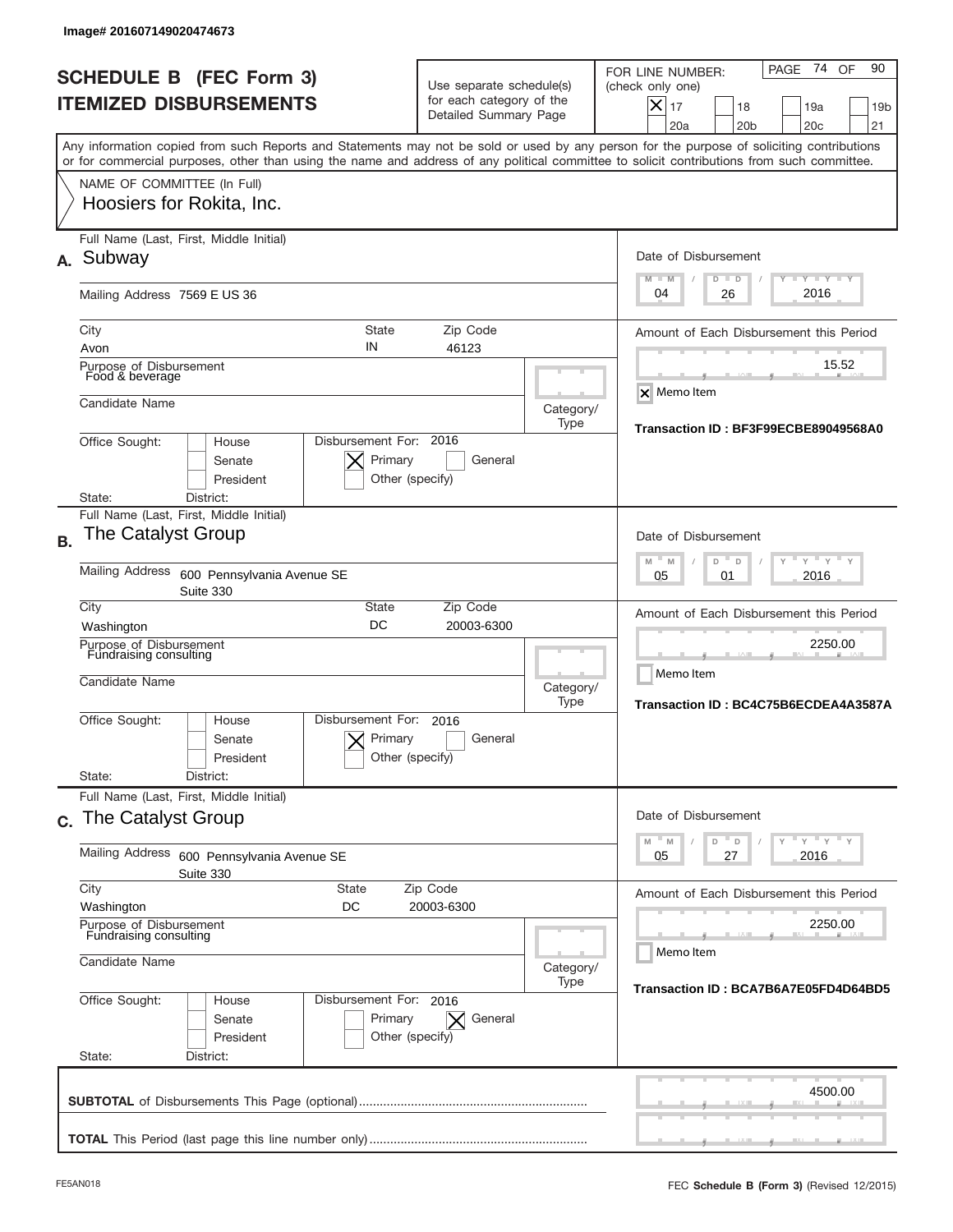|           | Image# 201607149020474673                                                                                                                                                                                                                                                               |                                                                               |                   |                                                                                                                                                                |
|-----------|-----------------------------------------------------------------------------------------------------------------------------------------------------------------------------------------------------------------------------------------------------------------------------------------|-------------------------------------------------------------------------------|-------------------|----------------------------------------------------------------------------------------------------------------------------------------------------------------|
|           | <b>SCHEDULE B (FEC Form 3)</b><br><b>ITEMIZED DISBURSEMENTS</b>                                                                                                                                                                                                                         | Use separate schedule(s)<br>for each category of the<br>Detailed Summary Page |                   | 74<br>90<br>OF<br>PAGE<br>FOR LINE NUMBER:<br>(check only one)<br>$X _{17}$<br>19a<br>19 <sub>b</sub><br>18<br>20a<br>20 <sub>b</sub><br>20 <sub>c</sub><br>21 |
|           | Any information copied from such Reports and Statements may not be sold or used by any person for the purpose of soliciting contributions<br>or for commercial purposes, other than using the name and address of any political committee to solicit contributions from such committee. |                                                                               |                   |                                                                                                                                                                |
|           | NAME OF COMMITTEE (In Full)<br>Hoosiers for Rokita, Inc.                                                                                                                                                                                                                                |                                                                               |                   |                                                                                                                                                                |
| А.        | Full Name (Last, First, Middle Initial)<br>Subway                                                                                                                                                                                                                                       |                                                                               |                   | Date of Disbursement<br>$T - Y$ $T - Y$ $T - Y$<br>$M - M$<br>$D$ $D$                                                                                          |
|           | Mailing Address 7569 E US 36                                                                                                                                                                                                                                                            |                                                                               |                   | 2016<br>04<br>26                                                                                                                                               |
|           | State<br>City<br>IN<br>Avon<br>Purpose of Disbursement<br>Food & beverage                                                                                                                                                                                                               | Zip Code<br>46123                                                             |                   | Amount of Each Disbursement this Period<br>15.52                                                                                                               |
|           | Candidate Name                                                                                                                                                                                                                                                                          |                                                                               | Category/<br>Type | X Memo Item<br>Transaction ID: BF3F99ECBE89049568A0                                                                                                            |
|           | Office Sought:<br>House<br>Senate<br>President<br>District:<br>State:                                                                                                                                                                                                                   | Disbursement For: 2016<br>Primary<br>General<br>Other (specify)               |                   |                                                                                                                                                                |
| <b>B.</b> | Full Name (Last, First, Middle Initial)<br><b>The Catalyst Group</b>                                                                                                                                                                                                                    |                                                                               |                   | Date of Disbursement<br>$-M$<br>$Y = Y$<br>M<br>D<br>D                                                                                                         |
|           | Mailing Address<br>600 Pennsylvania Avenue SE<br>Suite 330                                                                                                                                                                                                                              |                                                                               |                   | 2016<br>05<br>01                                                                                                                                               |
|           | City<br>State<br>DC<br>Washington                                                                                                                                                                                                                                                       | Zip Code<br>20003-6300                                                        |                   | Amount of Each Disbursement this Period                                                                                                                        |
|           | Purpose of Disbursement<br>Fundraising consulting<br>Candidate Name                                                                                                                                                                                                                     |                                                                               | Category/<br>Type | 2250.00<br>Memo Item<br>Transaction ID: BC4C75B6ECDEA4A3587A                                                                                                   |
|           | Disbursement For:<br>Office Sought:<br>House<br>Senate<br>President                                                                                                                                                                                                                     | 2016<br>Primary<br>General<br>Other (specify)                                 |                   |                                                                                                                                                                |
|           | State:<br>District:<br>Full Name (Last, First, Middle Initial)                                                                                                                                                                                                                          |                                                                               |                   |                                                                                                                                                                |
|           | c. The Catalyst Group                                                                                                                                                                                                                                                                   |                                                                               |                   | Date of Disbursement                                                                                                                                           |
|           | <b>Mailing Address</b><br>600 Pennsylvania Avenue SE<br>Suite 330                                                                                                                                                                                                                       |                                                                               |                   | ≡ γ ≡ γ ≡ γ<br>M<br>M<br>D<br>D<br>27<br>2016<br>05                                                                                                            |
|           | City<br><b>State</b><br>Washington<br>DC                                                                                                                                                                                                                                                | Zip Code<br>20003-6300                                                        |                   | Amount of Each Disbursement this Period                                                                                                                        |
|           | Purpose of Disbursement<br>Fundraising consulting<br>Candidate Name                                                                                                                                                                                                                     |                                                                               | Category/         | 2250.00<br>Memo Item                                                                                                                                           |
|           | Office Sought:<br>House<br>Senate<br>President<br>State:<br>District:                                                                                                                                                                                                                   | Disbursement For: 2016<br>Primary<br>General<br>$\times$<br>Other (specify)   | Type              | Transaction ID: BCA7B6A7E05FD4D64BD5                                                                                                                           |
|           |                                                                                                                                                                                                                                                                                         |                                                                               |                   | 4500.00                                                                                                                                                        |
|           |                                                                                                                                                                                                                                                                                         |                                                                               |                   |                                                                                                                                                                |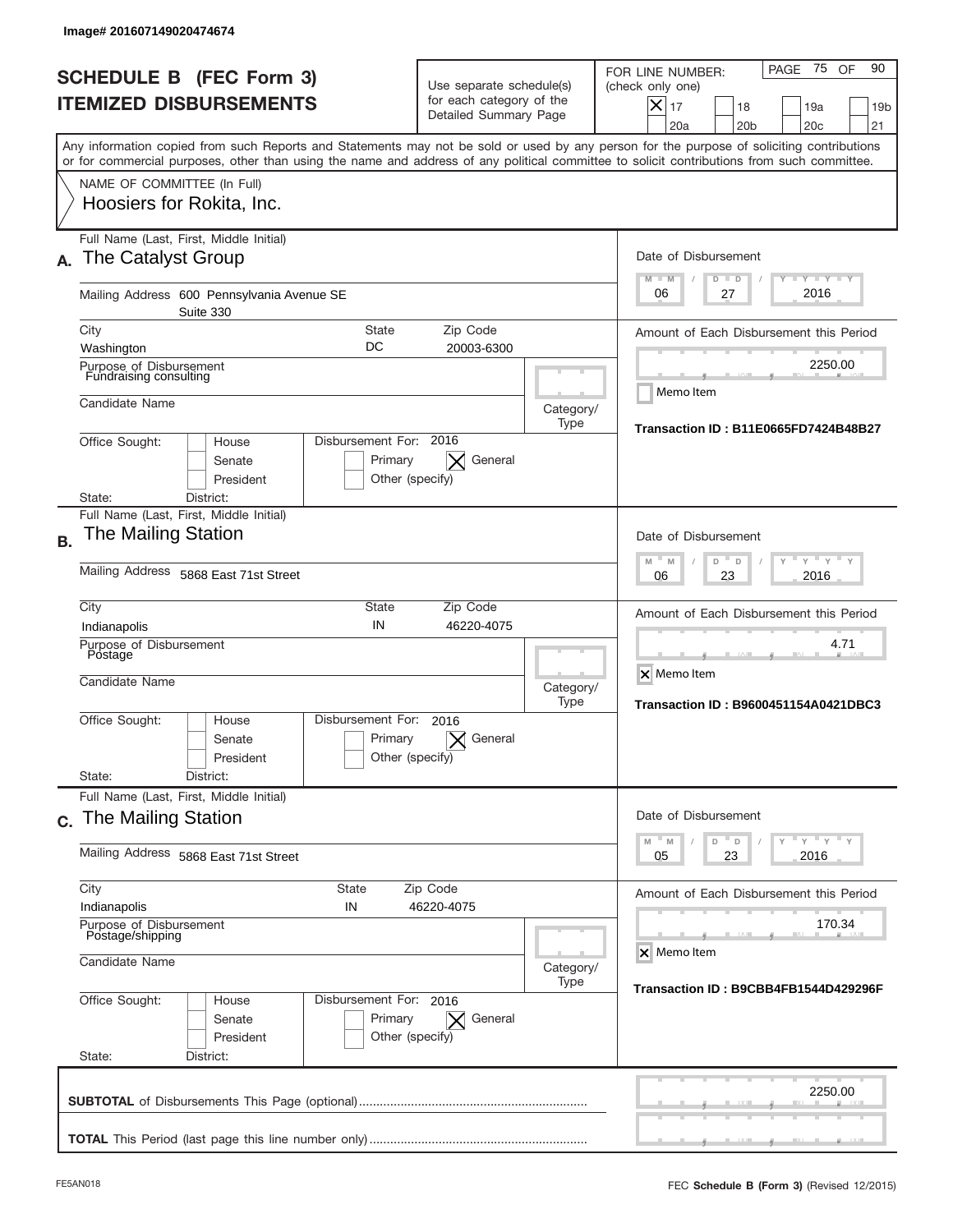|           | Image# 201607149020474674                                             |                                                      |                                                                               |                       |                                                                                                                                                                                                                                                                                         |
|-----------|-----------------------------------------------------------------------|------------------------------------------------------|-------------------------------------------------------------------------------|-----------------------|-----------------------------------------------------------------------------------------------------------------------------------------------------------------------------------------------------------------------------------------------------------------------------------------|
|           | <b>SCHEDULE B (FEC Form 3)</b><br><b>ITEMIZED DISBURSEMENTS</b>       |                                                      | Use separate schedule(s)<br>for each category of the<br>Detailed Summary Page |                       | 75<br>OF<br>90<br>PAGE<br>FOR LINE NUMBER:<br>(check only one)<br>$\times$<br>17<br>19a<br>19 <sub>b</sub><br>18<br>20a<br>20 <sub>b</sub><br>20 <sub>c</sub><br>21                                                                                                                     |
|           |                                                                       |                                                      |                                                                               |                       | Any information copied from such Reports and Statements may not be sold or used by any person for the purpose of soliciting contributions<br>or for commercial purposes, other than using the name and address of any political committee to solicit contributions from such committee. |
|           | NAME OF COMMITTEE (In Full)<br>Hoosiers for Rokita, Inc.              |                                                      |                                                                               |                       |                                                                                                                                                                                                                                                                                         |
| А.        | Full Name (Last, First, Middle Initial)<br>The Catalyst Group         |                                                      |                                                                               |                       | Date of Disbursement<br><b>LEY LEY LEY</b><br>$M - M$<br>$D$ $D$                                                                                                                                                                                                                        |
|           | Mailing Address 600 Pennsylvania Avenue SE<br>Suite 330               |                                                      |                                                                               |                       | 2016<br>06<br>27                                                                                                                                                                                                                                                                        |
|           | City<br>Washington                                                    | <b>State</b><br>DC                                   | Zip Code<br>20003-6300                                                        |                       | Amount of Each Disbursement this Period                                                                                                                                                                                                                                                 |
|           | Purpose of Disbursement<br>Fundraising consulting                     |                                                      |                                                                               |                       | 2250.00<br>Memo Item                                                                                                                                                                                                                                                                    |
|           | Candidate Name                                                        |                                                      |                                                                               | Category/<br>Type     | <b>Transaction ID: B11E0665FD7424B48B27</b>                                                                                                                                                                                                                                             |
|           | Office Sought:<br>House<br>Senate<br>President                        | Disbursement For: 2016<br>Primary<br>Other (specify) | General                                                                       |                       |                                                                                                                                                                                                                                                                                         |
|           | District:<br>State:<br>Full Name (Last, First, Middle Initial)        |                                                      |                                                                               |                       |                                                                                                                                                                                                                                                                                         |
| <b>B.</b> | The Mailing Station                                                   |                                                      |                                                                               |                       | Date of Disbursement<br>$-M$<br>$Y = Y$<br>M<br>D<br>D                                                                                                                                                                                                                                  |
|           | Mailing Address 5868 East 71st Street                                 | 2016<br>06<br>23                                     |                                                                               |                       |                                                                                                                                                                                                                                                                                         |
|           | City<br>Indianapolis                                                  | State<br>IN                                          | Zip Code<br>46220-4075                                                        |                       | Amount of Each Disbursement this Period                                                                                                                                                                                                                                                 |
|           | Purpose of Disbursement<br>Postage<br>Candidate Name                  |                                                      |                                                                               | Category/<br>Type     | 4.71<br>X Memo Item<br><b>Transaction ID: B9600451154A0421DBC3</b>                                                                                                                                                                                                                      |
|           | Office Sought:<br>House<br>Senate<br>President                        | Disbursement For:<br>Primary<br>Other (specify)      | 2016<br>General                                                               |                       |                                                                                                                                                                                                                                                                                         |
|           | State:<br>District:<br>Full Name (Last, First, Middle Initial)        |                                                      |                                                                               |                       |                                                                                                                                                                                                                                                                                         |
|           | c. The Mailing Station                                                |                                                      |                                                                               |                       | Date of Disbursement<br>$-\gamma$ $-\gamma$ $-\gamma$                                                                                                                                                                                                                                   |
|           | Mailing Address 5868 East 71st Street                                 | D<br>M<br>M<br>D<br>23<br>2016<br>05                 |                                                                               |                       |                                                                                                                                                                                                                                                                                         |
|           | City<br>Indianapolis                                                  | State<br>IN                                          | Zip Code<br>46220-4075                                                        |                       | Amount of Each Disbursement this Period                                                                                                                                                                                                                                                 |
|           | Purpose of Disbursement<br>Postage/shipping<br>Candidate Name         |                                                      | Category/                                                                     | 170.34<br>X Memo Item |                                                                                                                                                                                                                                                                                         |
|           | Office Sought:<br>House<br>Senate<br>President<br>State:<br>District: | Disbursement For: 2016<br>Primary<br>Other (specify) | General<br>$\times$                                                           | Type                  | Transaction ID: B9CBB4FB1544D429296F                                                                                                                                                                                                                                                    |
|           |                                                                       |                                                      |                                                                               |                       | 2250.00                                                                                                                                                                                                                                                                                 |
|           |                                                                       |                                                      |                                                                               |                       |                                                                                                                                                                                                                                                                                         |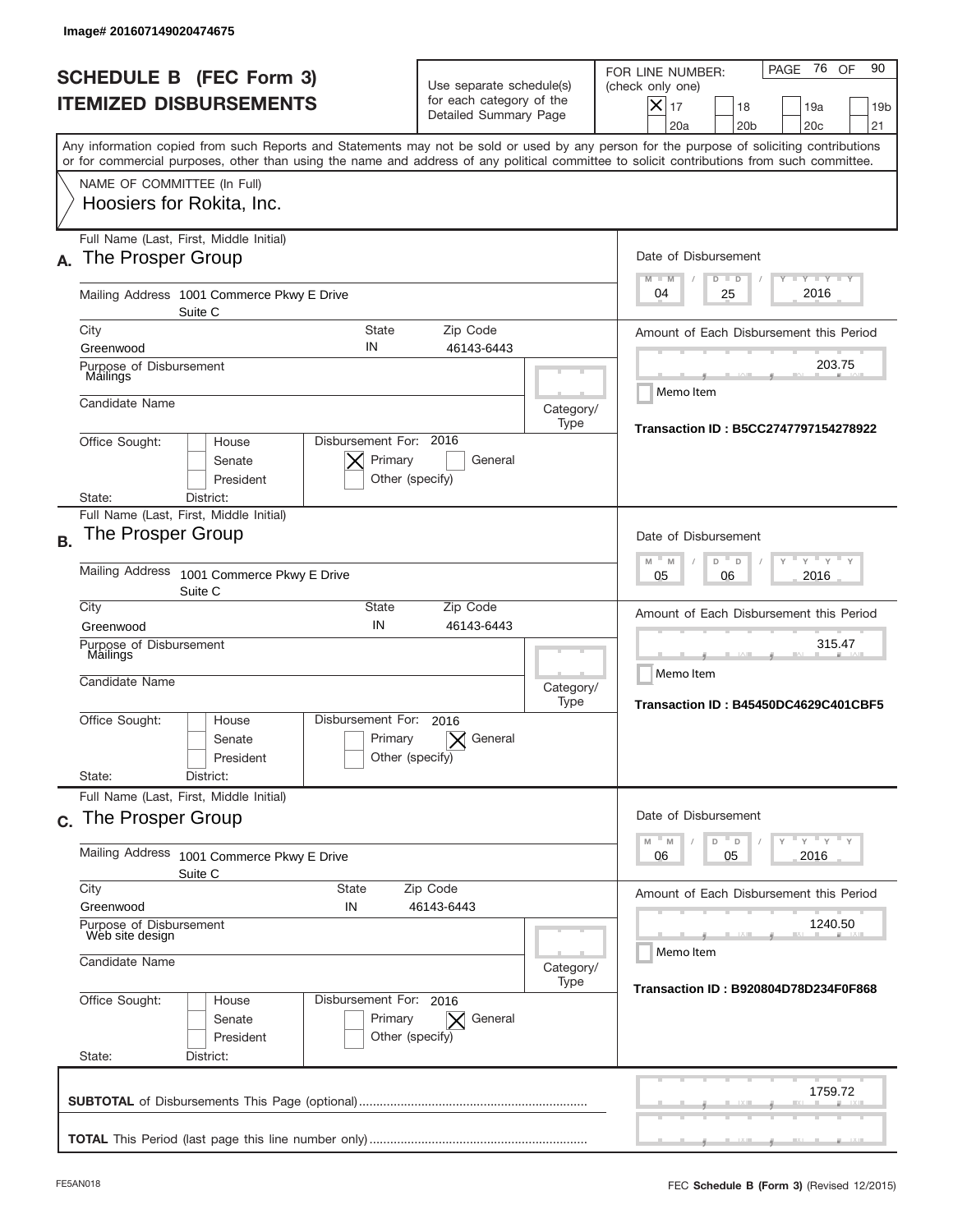|           | Image# 201607149020474675                                                                                                                                                                                                                                                               |                                                                               |                   |                                                                                                                                                                               |
|-----------|-----------------------------------------------------------------------------------------------------------------------------------------------------------------------------------------------------------------------------------------------------------------------------------------|-------------------------------------------------------------------------------|-------------------|-------------------------------------------------------------------------------------------------------------------------------------------------------------------------------|
|           | <b>SCHEDULE B (FEC Form 3)</b><br><b>ITEMIZED DISBURSEMENTS</b>                                                                                                                                                                                                                         | Use separate schedule(s)<br>for each category of the<br>Detailed Summary Page |                   | 76 OF<br>90<br>PAGE<br>FOR LINE NUMBER:<br>(check only one)<br>$\boldsymbol{\times}$<br>17<br>18<br>19a<br>19 <sub>b</sub><br>20a<br>20 <sub>b</sub><br>20 <sub>c</sub><br>21 |
|           | Any information copied from such Reports and Statements may not be sold or used by any person for the purpose of soliciting contributions<br>or for commercial purposes, other than using the name and address of any political committee to solicit contributions from such committee. |                                                                               |                   |                                                                                                                                                                               |
|           | NAME OF COMMITTEE (In Full)<br>Hoosiers for Rokita, Inc.                                                                                                                                                                                                                                |                                                                               |                   |                                                                                                                                                                               |
| А.        | Full Name (Last, First, Middle Initial)<br>The Prosper Group                                                                                                                                                                                                                            |                                                                               |                   | Date of Disbursement<br>$T - Y$ $T - Y$<br>$M - M$<br>$D$ $D$                                                                                                                 |
|           | Mailing Address 1001 Commerce Pkwy E Drive<br>Suite C                                                                                                                                                                                                                                   |                                                                               |                   | 2016<br>04<br>25                                                                                                                                                              |
|           | City<br><b>State</b><br>IN<br>Greenwood                                                                                                                                                                                                                                                 | Zip Code<br>46143-6443                                                        |                   | Amount of Each Disbursement this Period                                                                                                                                       |
|           | Purpose of Disbursement<br>Mailings                                                                                                                                                                                                                                                     |                                                                               |                   | 203.75<br>Memo Item                                                                                                                                                           |
|           | Candidate Name                                                                                                                                                                                                                                                                          |                                                                               | Category/<br>Type | Transaction ID: B5CC2747797154278922                                                                                                                                          |
|           | Disbursement For: 2016<br>Office Sought:<br>House<br>Primary<br>Senate<br>President<br>Other (specify)<br>State:<br>District:                                                                                                                                                           | General                                                                       |                   |                                                                                                                                                                               |
| <b>B.</b> | Full Name (Last, First, Middle Initial)<br>The Prosper Group                                                                                                                                                                                                                            |                                                                               |                   | Date of Disbursement<br>$Y$ $Y$ $Y$<br>$M - M$                                                                                                                                |
|           | <b>Mailing Address</b><br>1001 Commerce Pkwy E Drive<br>Suite C                                                                                                                                                                                                                         |                                                                               |                   | D<br>$\Box$<br>2016<br>05<br>06                                                                                                                                               |
|           | City<br>State<br>IN<br>Greenwood                                                                                                                                                                                                                                                        | Zip Code<br>46143-6443                                                        |                   | Amount of Each Disbursement this Period                                                                                                                                       |
|           | Purpose of Disbursement<br>Mailings<br>Candidate Name                                                                                                                                                                                                                                   |                                                                               | Category/<br>Type | 315.47<br>Memo Item<br>Transaction ID: B45450DC4629C401CBF5                                                                                                                   |
|           | Disbursement For:<br>Office Sought:<br>House<br>Primary<br>Senate<br>Other (specify)<br>President<br>State:<br>District:                                                                                                                                                                | 2016<br>General                                                               |                   |                                                                                                                                                                               |
|           | Full Name (Last, First, Middle Initial)<br>c. The Prosper Group                                                                                                                                                                                                                         |                                                                               |                   | Date of Disbursement                                                                                                                                                          |
|           | Mailing Address<br>1001 Commerce Pkwy E Drive<br>Suite C                                                                                                                                                                                                                                |                                                                               |                   | $Y$ $Y$ $Y$ $Y$ $Y$<br>$-M$<br>M<br>D<br>D<br>2016<br>06<br>05                                                                                                                |
|           | City<br><b>State</b><br>Greenwood<br>IN                                                                                                                                                                                                                                                 | Zip Code<br>46143-6443                                                        |                   | Amount of Each Disbursement this Period                                                                                                                                       |
|           | Purpose of Disbursement<br>Web site design<br>Candidate Name                                                                                                                                                                                                                            |                                                                               |                   | 1240.50<br>Memo Item                                                                                                                                                          |
|           |                                                                                                                                                                                                                                                                                         |                                                                               | Category/<br>Type | Transaction ID: B920804D78D234F0F868                                                                                                                                          |
|           | Office Sought:<br>Disbursement For: 2016<br>House<br>Senate<br>Primary<br>President<br>Other (specify)<br>State:<br>District:                                                                                                                                                           | General<br>$\times$                                                           |                   |                                                                                                                                                                               |
|           |                                                                                                                                                                                                                                                                                         |                                                                               |                   | 1759.72                                                                                                                                                                       |
|           |                                                                                                                                                                                                                                                                                         |                                                                               |                   |                                                                                                                                                                               |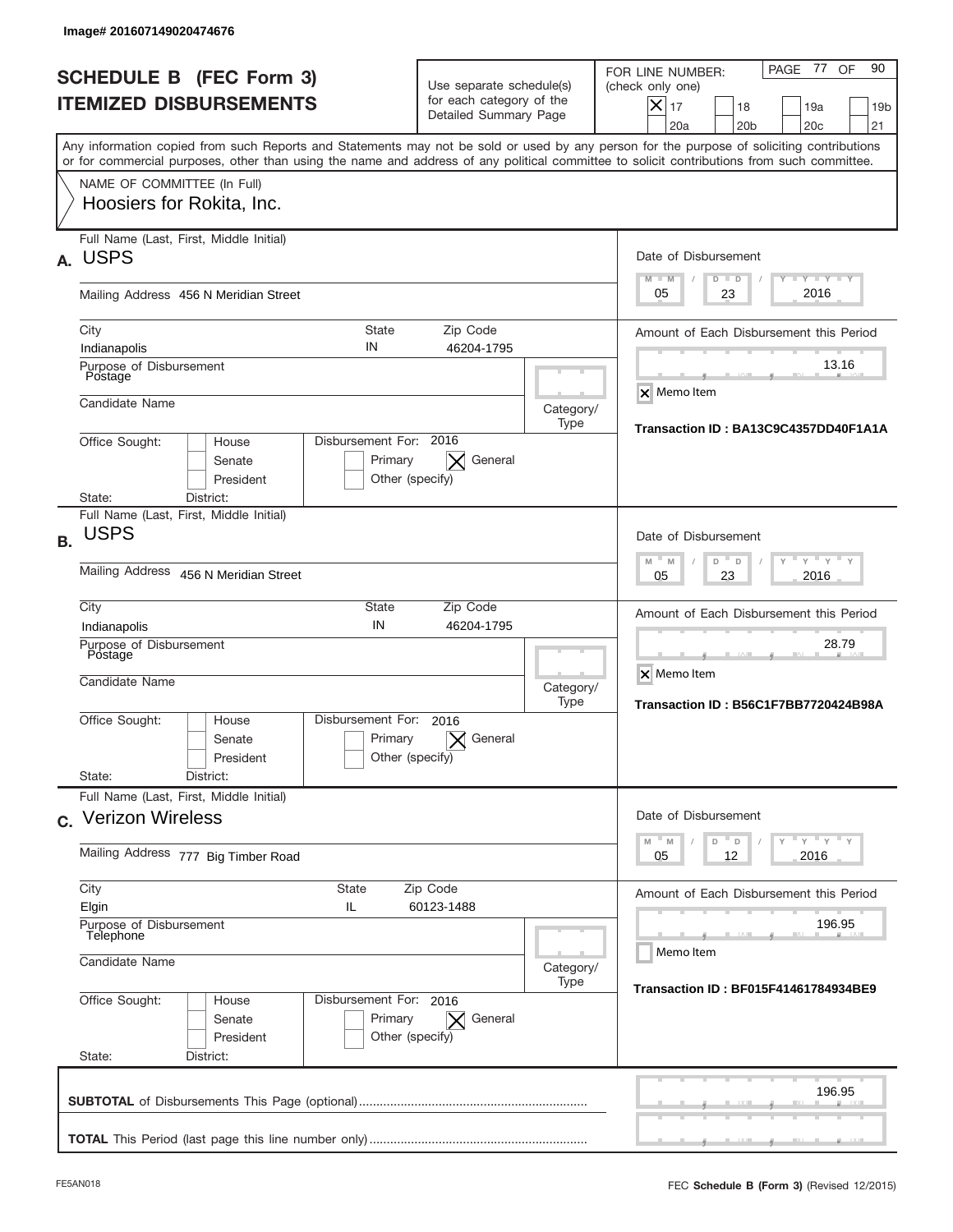|           | Image# 201607149020474676                                             |                                                      |                                                                               |           |                                                                                                                                                                                                                                                                                         |
|-----------|-----------------------------------------------------------------------|------------------------------------------------------|-------------------------------------------------------------------------------|-----------|-----------------------------------------------------------------------------------------------------------------------------------------------------------------------------------------------------------------------------------------------------------------------------------------|
|           | <b>SCHEDULE B (FEC Form 3)</b><br><b>ITEMIZED DISBURSEMENTS</b>       |                                                      | Use separate schedule(s)<br>for each category of the<br>Detailed Summary Page |           | 90<br>PAGE 77<br>OF<br>FOR LINE NUMBER:<br>(check only one)<br>$X _{17}$<br>18<br>19a<br>19 <sub>b</sub><br>20a<br>20 <sub>b</sub><br>20 <sub>c</sub><br>21                                                                                                                             |
|           |                                                                       |                                                      |                                                                               |           | Any information copied from such Reports and Statements may not be sold or used by any person for the purpose of soliciting contributions<br>or for commercial purposes, other than using the name and address of any political committee to solicit contributions from such committee. |
|           | NAME OF COMMITTEE (In Full)<br>Hoosiers for Rokita, Inc.              |                                                      |                                                                               |           |                                                                                                                                                                                                                                                                                         |
| А.        | Full Name (Last, First, Middle Initial)<br><b>USPS</b>                |                                                      |                                                                               |           | Date of Disbursement<br>$T - Y$ $T - Y$ $T - Y$<br>$M - M$<br>$D$ $D$                                                                                                                                                                                                                   |
|           | Mailing Address 456 N Meridian Street                                 |                                                      |                                                                               |           | 2016<br>23<br>05                                                                                                                                                                                                                                                                        |
|           | City<br>Indianapolis                                                  | State<br>IN                                          | Zip Code<br>46204-1795                                                        |           | Amount of Each Disbursement this Period                                                                                                                                                                                                                                                 |
|           | Purpose of Disbursement<br>Postage                                    |                                                      |                                                                               |           | 13.16                                                                                                                                                                                                                                                                                   |
|           | Candidate Name                                                        |                                                      |                                                                               | Category/ | X Memo Item                                                                                                                                                                                                                                                                             |
|           | Office Sought:<br>House<br>Senate<br>President                        | Disbursement For: 2016<br>Primary<br>Other (specify) | General<br>$\times$                                                           | Type      | Transaction ID: BA13C9C4357DD40F1A1A                                                                                                                                                                                                                                                    |
|           | State:<br>District:<br>Full Name (Last, First, Middle Initial)        |                                                      |                                                                               |           |                                                                                                                                                                                                                                                                                         |
| <b>B.</b> | <b>USPS</b>                                                           |                                                      |                                                                               |           | Date of Disbursement                                                                                                                                                                                                                                                                    |
|           | Mailing Address 456 N Meridian Street                                 |                                                      |                                                                               |           | $Y'$ $Y'$<br>$-M$<br>M<br>D<br>D<br>2016<br>05<br>23                                                                                                                                                                                                                                    |
|           | City<br>Indianapolis                                                  | State<br>IN                                          | Zip Code<br>46204-1795                                                        |           | Amount of Each Disbursement this Period                                                                                                                                                                                                                                                 |
|           | Purpose of Disbursement<br>Postage<br>Candidate Name                  |                                                      |                                                                               | Category/ | 28.79<br>X Memo Item                                                                                                                                                                                                                                                                    |
|           | Office Sought:<br>House<br>Senate<br>President<br>State:<br>District: | Disbursement For:<br>Primary<br>Other (specify)      | 2016<br>General                                                               | Type      | Transaction ID: B56C1F7BB7720424B98A                                                                                                                                                                                                                                                    |
|           | Full Name (Last, First, Middle Initial)<br>c. Verizon Wireless        |                                                      |                                                                               |           | Date of Disbursement                                                                                                                                                                                                                                                                    |
|           | Mailing Address 777 Big Timber Road                                   |                                                      |                                                                               |           | $Y$ $Y$ $Y$ $Y$ $Y$<br>$- M$<br>M<br>D<br>D<br>12<br>2016<br>05                                                                                                                                                                                                                         |
|           | City<br>Elgin                                                         | State<br>IL                                          | Zip Code<br>60123-1488                                                        |           | Amount of Each Disbursement this Period                                                                                                                                                                                                                                                 |
|           | Purpose of Disbursement<br>Telephone<br>Candidate Name                |                                                      |                                                                               | Category/ | 196.95<br>Memo Item                                                                                                                                                                                                                                                                     |
|           |                                                                       |                                                      |                                                                               | Type      | Transaction ID: BF015F41461784934BE9                                                                                                                                                                                                                                                    |
|           | Office Sought:<br>House<br>Senate<br>President<br>State:<br>District: | Disbursement For: 2016<br>Primary<br>Other (specify) | $\vert \times \vert$ General                                                  |           |                                                                                                                                                                                                                                                                                         |
|           |                                                                       |                                                      |                                                                               |           | 196.95                                                                                                                                                                                                                                                                                  |
|           |                                                                       |                                                      |                                                                               |           |                                                                                                                                                                                                                                                                                         |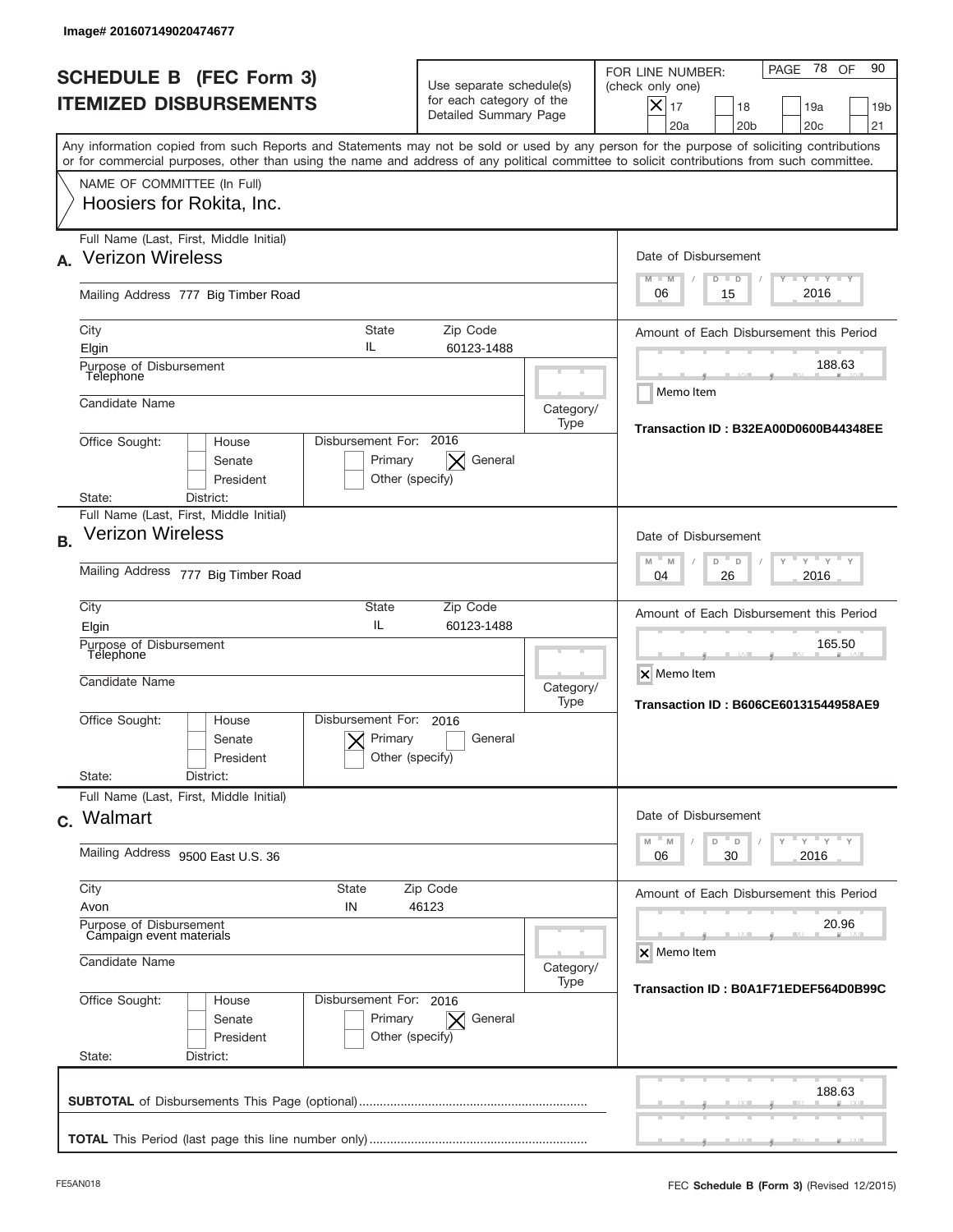|           | Image# 201607149020474677                                             |                                                      |                                                                               |                   |                                                                                                                                                                                                                                                                                         |
|-----------|-----------------------------------------------------------------------|------------------------------------------------------|-------------------------------------------------------------------------------|-------------------|-----------------------------------------------------------------------------------------------------------------------------------------------------------------------------------------------------------------------------------------------------------------------------------------|
|           | <b>SCHEDULE B (FEC Form 3)</b><br><b>ITEMIZED DISBURSEMENTS</b>       |                                                      | Use separate schedule(s)<br>for each category of the<br>Detailed Summary Page |                   | PAGE 78<br>90<br>OF<br>FOR LINE NUMBER:<br>(check only one)<br>X<br>17<br>18<br>19a<br>19 <sub>b</sub><br>21<br>20a<br>20 <sub>b</sub><br>20 <sub>c</sub>                                                                                                                               |
|           |                                                                       |                                                      |                                                                               |                   | Any information copied from such Reports and Statements may not be sold or used by any person for the purpose of soliciting contributions<br>or for commercial purposes, other than using the name and address of any political committee to solicit contributions from such committee. |
|           | NAME OF COMMITTEE (In Full)<br>Hoosiers for Rokita, Inc.              |                                                      |                                                                               |                   |                                                                                                                                                                                                                                                                                         |
| A.        | Full Name (Last, First, Middle Initial)<br><b>Verizon Wireless</b>    |                                                      |                                                                               |                   | Date of Disbursement<br>$\mathbf{I}$ $\mathbf{Y}$ $\mathbf{I}$ $\mathbf{Y}$ $\mathbf{I}$ $\mathbf{Y}$<br>$M - M$<br>$D$ $D$                                                                                                                                                             |
|           | Mailing Address 777 Big Timber Road                                   |                                                      |                                                                               |                   | 2016<br>06<br>15                                                                                                                                                                                                                                                                        |
|           | City<br>Elgin                                                         | State<br>IL                                          | Zip Code<br>60123-1488                                                        |                   | Amount of Each Disbursement this Period                                                                                                                                                                                                                                                 |
|           | Purpose of Disbursement<br>Telephone                                  |                                                      |                                                                               |                   | 188.63<br>Memo Item                                                                                                                                                                                                                                                                     |
|           | Candidate Name<br>Office Sought:<br>House                             | Disbursement For: 2016                               |                                                                               | Category/<br>Type | Transaction ID: B32EA00D0600B44348EE                                                                                                                                                                                                                                                    |
|           | Senate<br>President<br>District:<br>State:                            | Primary<br>Other (specify)                           | General<br>$\times$                                                           |                   |                                                                                                                                                                                                                                                                                         |
| <b>B.</b> | Full Name (Last, First, Middle Initial)<br><b>Verizon Wireless</b>    |                                                      |                                                                               |                   | Date of Disbursement<br>$Y$ $Y$<br>$-M$                                                                                                                                                                                                                                                 |
|           | Mailing Address 777 Big Timber Road                                   |                                                      |                                                                               |                   | M<br>D<br>D<br>2016<br>04<br>26                                                                                                                                                                                                                                                         |
|           | City<br>Elgin<br>Purpose of Disbursement<br>Telephone                 | State<br>IL                                          | Zip Code<br>60123-1488                                                        |                   | Amount of Each Disbursement this Period<br>165.50                                                                                                                                                                                                                                       |
|           | Candidate Name                                                        |                                                      |                                                                               | Category/<br>Type | X Memo Item<br><b>Transaction ID: B606CE60131544958AE9</b>                                                                                                                                                                                                                              |
|           | Office Sought:<br>House<br>Senate<br>President<br>State:<br>District: | Disbursement For:<br>Primary<br>Other (specify)      | 2016<br>General                                                               |                   |                                                                                                                                                                                                                                                                                         |
|           | Full Name (Last, First, Middle Initial)<br>c. Walmart                 |                                                      |                                                                               |                   | Date of Disbursement                                                                                                                                                                                                                                                                    |
|           | Mailing Address 9500 East U.S. 36                                     |                                                      |                                                                               |                   | $Y$ $Y$ $Y$ $Y$ $Y$<br>$M$ $M$<br>D<br>D<br>30<br>2016<br>06                                                                                                                                                                                                                            |
|           | City<br>Avon<br>Purpose of Disbursement                               | <b>State</b><br>IN                                   | Zip Code<br>46123                                                             |                   | Amount of Each Disbursement this Period<br>20.96                                                                                                                                                                                                                                        |
|           | Campaign event materials<br>Candidate Name                            |                                                      |                                                                               | Category/         | X Memo Item                                                                                                                                                                                                                                                                             |
|           | Office Sought:<br>House<br>Senate<br>President<br>State:<br>District: | Disbursement For: 2016<br>Primary<br>Other (specify) | General<br>$\times$                                                           | Type              | Transaction ID: B0A1F71EDEF564D0B99C                                                                                                                                                                                                                                                    |
|           |                                                                       |                                                      |                                                                               |                   | 188.63                                                                                                                                                                                                                                                                                  |
|           |                                                                       |                                                      |                                                                               |                   |                                                                                                                                                                                                                                                                                         |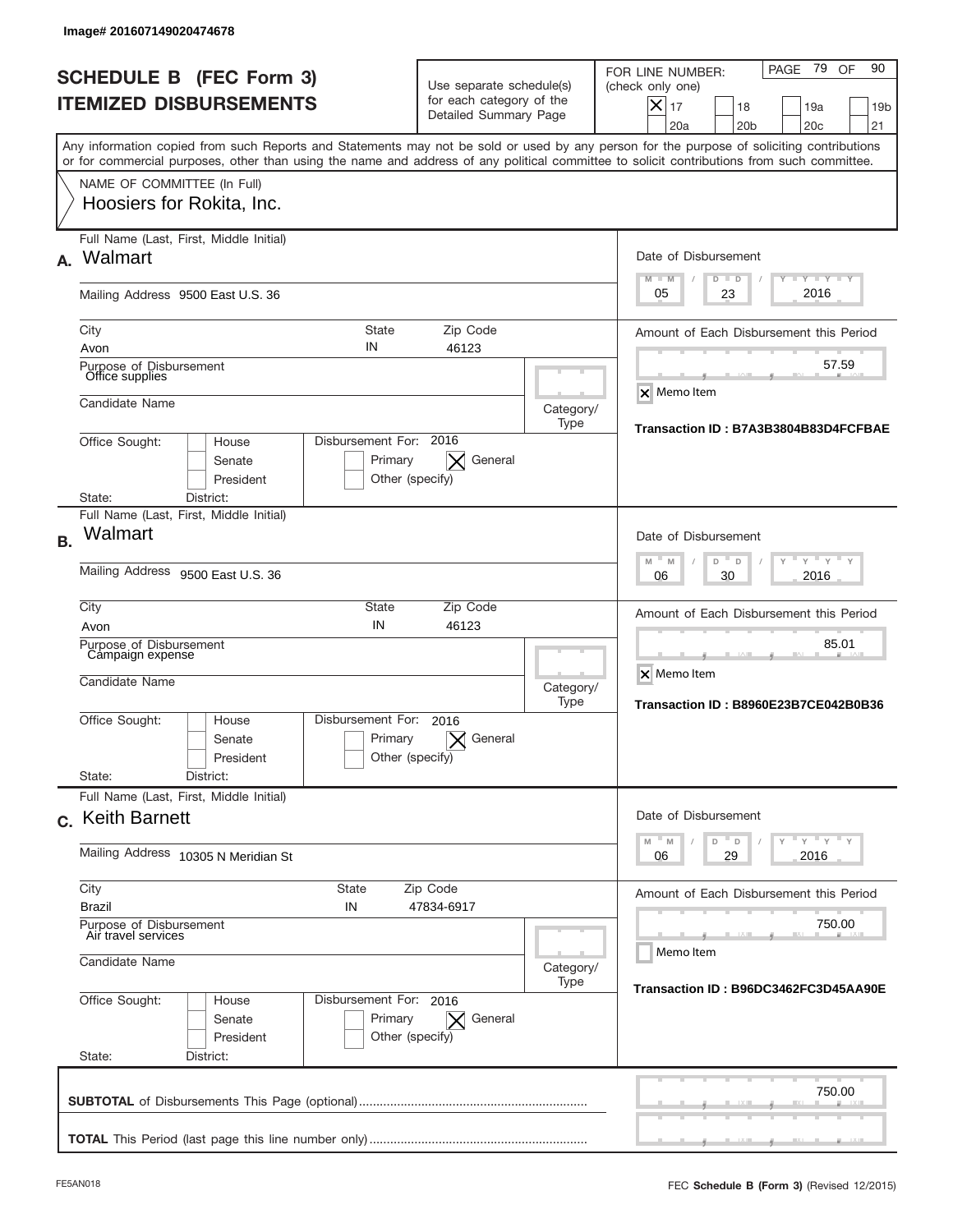|           | Image# 201607149020474678                                                                                                                                                                                                                                                               |                                                                               |                   |                                                                                                                                                             |
|-----------|-----------------------------------------------------------------------------------------------------------------------------------------------------------------------------------------------------------------------------------------------------------------------------------------|-------------------------------------------------------------------------------|-------------------|-------------------------------------------------------------------------------------------------------------------------------------------------------------|
|           | <b>SCHEDULE B (FEC Form 3)</b><br><b>ITEMIZED DISBURSEMENTS</b>                                                                                                                                                                                                                         | Use separate schedule(s)<br>for each category of the<br>Detailed Summary Page |                   | PAGE 79<br>90<br>OF<br>FOR LINE NUMBER:<br>(check only one)<br>$X _{17}$<br>18<br>19a<br>19 <sub>b</sub><br>20a<br>20 <sub>b</sub><br>20 <sub>c</sub><br>21 |
|           | Any information copied from such Reports and Statements may not be sold or used by any person for the purpose of soliciting contributions<br>or for commercial purposes, other than using the name and address of any political committee to solicit contributions from such committee. |                                                                               |                   |                                                                                                                                                             |
|           | NAME OF COMMITTEE (In Full)<br>Hoosiers for Rokita, Inc.                                                                                                                                                                                                                                |                                                                               |                   |                                                                                                                                                             |
| А.        | Full Name (Last, First, Middle Initial)<br>Walmart                                                                                                                                                                                                                                      |                                                                               |                   | Date of Disbursement<br>$T - Y$ $T - Y$ $T - Y$<br>$M - M$<br>$D$ $D$                                                                                       |
|           | Mailing Address 9500 East U.S. 36                                                                                                                                                                                                                                                       |                                                                               |                   | 2016<br>23<br>05                                                                                                                                            |
|           | State<br>City                                                                                                                                                                                                                                                                           | Zip Code                                                                      |                   | Amount of Each Disbursement this Period                                                                                                                     |
|           | IN<br>Avon<br>Purpose of Disbursement<br>Office supplies                                                                                                                                                                                                                                | 46123                                                                         |                   | 57.59                                                                                                                                                       |
|           | Candidate Name                                                                                                                                                                                                                                                                          |                                                                               | Category/<br>Type | <b>X</b> Memo Item                                                                                                                                          |
|           | Disbursement For: 2016<br>Office Sought:<br>House<br>Senate<br>Primary<br>President<br>Other (specify)<br>District:<br>State:                                                                                                                                                           | General<br>$\times$                                                           |                   | Transaction ID: B7A3B3804B83D4FCFBAE                                                                                                                        |
|           | Full Name (Last, First, Middle Initial)                                                                                                                                                                                                                                                 |                                                                               |                   |                                                                                                                                                             |
| <b>B.</b> | Walmart                                                                                                                                                                                                                                                                                 |                                                                               |                   | Date of Disbursement                                                                                                                                        |
|           | Mailing Address 9500 East U.S. 36                                                                                                                                                                                                                                                       |                                                                               |                   | $M - M$<br>$Y = Y$<br>D<br>D<br>2016<br>06<br>30                                                                                                            |
|           | City<br>State<br>IN<br>Avon                                                                                                                                                                                                                                                             | Zip Code<br>46123                                                             |                   | Amount of Each Disbursement this Period                                                                                                                     |
|           | Purpose of Disbursement<br>Campaign expense<br>Candidate Name                                                                                                                                                                                                                           |                                                                               | Category/         | 85.01<br>X Memo Item                                                                                                                                        |
|           | Disbursement For:                                                                                                                                                                                                                                                                       |                                                                               | Type              | Transaction ID: B8960E23B7CE042B0B36                                                                                                                        |
|           | Office Sought:<br>House<br>Primary<br>Senate<br>Other (specify)<br>President                                                                                                                                                                                                            | 2016<br>General                                                               |                   |                                                                                                                                                             |
|           | State:<br>District:<br>Full Name (Last, First, Middle Initial)                                                                                                                                                                                                                          |                                                                               |                   |                                                                                                                                                             |
|           | c. Keith Barnett                                                                                                                                                                                                                                                                        |                                                                               |                   | Date of Disbursement                                                                                                                                        |
|           | Mailing Address 10305 N Meridian St                                                                                                                                                                                                                                                     |                                                                               |                   | $Y$ $Y$ $Y$ $Y$ $Y$<br>$M - M$<br>D<br>D<br>29<br>2016<br>06                                                                                                |
|           | City<br>State<br><b>Brazil</b><br>IN                                                                                                                                                                                                                                                    | Zip Code<br>47834-6917                                                        |                   | Amount of Each Disbursement this Period                                                                                                                     |
|           | Purpose of Disbursement<br>Air travel services                                                                                                                                                                                                                                          |                                                                               |                   | 750.00<br>Memo Item                                                                                                                                         |
|           | Candidate Name                                                                                                                                                                                                                                                                          |                                                                               | Category/<br>Type | Transaction ID: B96DC3462FC3D45AA90E                                                                                                                        |
|           | Office Sought:<br>Disbursement For: 2016<br>House<br>Senate<br>Primary<br>President<br>Other (specify)<br>State:<br>District:                                                                                                                                                           | $\vert \times \vert$ General                                                  |                   |                                                                                                                                                             |
|           |                                                                                                                                                                                                                                                                                         |                                                                               |                   | 750.00                                                                                                                                                      |
|           |                                                                                                                                                                                                                                                                                         |                                                                               |                   |                                                                                                                                                             |
|           |                                                                                                                                                                                                                                                                                         |                                                                               |                   |                                                                                                                                                             |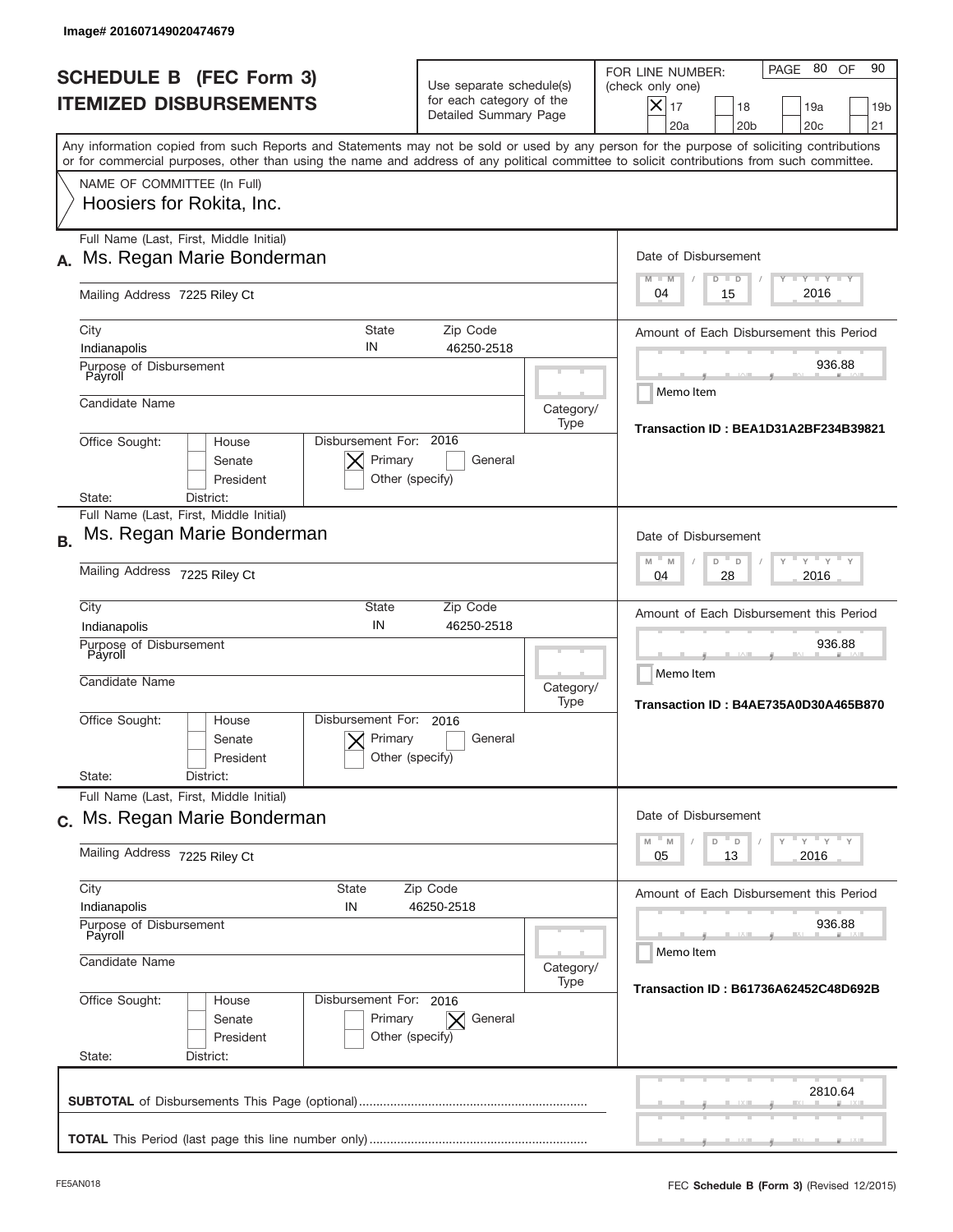|           | Image# 201607149020474679                                                                                                                                                                                                                                                               |                                                      |                                                                               |                   |                                                                                                                                                                               |
|-----------|-----------------------------------------------------------------------------------------------------------------------------------------------------------------------------------------------------------------------------------------------------------------------------------------|------------------------------------------------------|-------------------------------------------------------------------------------|-------------------|-------------------------------------------------------------------------------------------------------------------------------------------------------------------------------|
|           | <b>SCHEDULE B (FEC Form 3)</b><br><b>ITEMIZED DISBURSEMENTS</b>                                                                                                                                                                                                                         |                                                      | Use separate schedule(s)<br>for each category of the<br>Detailed Summary Page |                   | 80 OF<br>90<br>PAGE<br>FOR LINE NUMBER:<br>(check only one)<br>$\boldsymbol{\times}$<br>17<br>18<br>19a<br>19 <sub>b</sub><br>20a<br>20 <sub>b</sub><br>20 <sub>c</sub><br>21 |
|           | Any information copied from such Reports and Statements may not be sold or used by any person for the purpose of soliciting contributions<br>or for commercial purposes, other than using the name and address of any political committee to solicit contributions from such committee. |                                                      |                                                                               |                   |                                                                                                                                                                               |
|           | NAME OF COMMITTEE (In Full)<br>Hoosiers for Rokita, Inc.                                                                                                                                                                                                                                |                                                      |                                                                               |                   |                                                                                                                                                                               |
|           | Full Name (Last, First, Middle Initial)<br>Ms. Regan Marie Bonderman                                                                                                                                                                                                                    |                                                      |                                                                               |                   | Date of Disbursement<br>$T - Y$ $T - Y$                                                                                                                                       |
|           | Mailing Address 7225 Riley Ct                                                                                                                                                                                                                                                           |                                                      |                                                                               |                   | $M - M$<br>$D$ $D$<br>2016<br>04<br>15                                                                                                                                        |
|           | City<br>Indianapolis                                                                                                                                                                                                                                                                    | <b>State</b><br>IN                                   | Zip Code<br>46250-2518                                                        |                   | Amount of Each Disbursement this Period<br>936.88                                                                                                                             |
|           | Purpose of Disbursement<br>Payroll<br>Candidate Name                                                                                                                                                                                                                                    |                                                      |                                                                               | Category/         | Memo Item                                                                                                                                                                     |
|           | Office Sought:<br>House<br>Senate<br>President                                                                                                                                                                                                                                          | Disbursement For: 2016<br>Primary<br>Other (specify) | General                                                                       | Type              | Transaction ID: BEA1D31A2BF234B39821                                                                                                                                          |
| <b>B.</b> | State:<br>District:<br>Full Name (Last, First, Middle Initial)<br>Ms. Regan Marie Bonderman                                                                                                                                                                                             |                                                      |                                                                               |                   | Date of Disbursement                                                                                                                                                          |
|           | Mailing Address 7225 Riley Ct                                                                                                                                                                                                                                                           |                                                      | $Y$ $Y$ $Y$<br>$- M$<br>M<br>D<br>D<br>2016<br>04<br>28                       |                   |                                                                                                                                                                               |
|           | City<br>Indianapolis                                                                                                                                                                                                                                                                    | State<br>IN                                          | Zip Code<br>46250-2518                                                        |                   | Amount of Each Disbursement this Period                                                                                                                                       |
|           | Purpose of Disbursement<br>Payroll<br>Candidate Name                                                                                                                                                                                                                                    |                                                      |                                                                               | Category/<br>Type | 936.88<br>Memo Item<br>Transaction ID: B4AE735A0D30A465B870                                                                                                                   |
|           | Office Sought:<br>House<br>Senate<br>President                                                                                                                                                                                                                                          | Disbursement For:<br>Primary<br>Other (specify)      | 2016<br>General                                                               |                   |                                                                                                                                                                               |
|           | State:<br>District:<br>Full Name (Last, First, Middle Initial)                                                                                                                                                                                                                          |                                                      |                                                                               |                   |                                                                                                                                                                               |
|           | c. Ms. Regan Marie Bonderman                                                                                                                                                                                                                                                            |                                                      |                                                                               |                   | Date of Disbursement<br>$Y$ $Y$ $Y$ $Y$ $Y$<br>$-M$<br>$\mathbb M$<br>D<br>D                                                                                                  |
|           | Mailing Address 7225 Riley Ct                                                                                                                                                                                                                                                           | 2016<br>05<br>13                                     |                                                                               |                   |                                                                                                                                                                               |
|           | City<br><b>State</b><br>Indianapolis<br>IN                                                                                                                                                                                                                                              |                                                      | Zip Code<br>46250-2518                                                        |                   | Amount of Each Disbursement this Period                                                                                                                                       |
|           | Purpose of Disbursement<br>Payroll<br>Candidate Name                                                                                                                                                                                                                                    |                                                      |                                                                               | Category/         | 936.88<br>Memo Item                                                                                                                                                           |
|           | Office Sought:<br>House<br>Senate<br>President<br>State:<br>District:                                                                                                                                                                                                                   | Disbursement For: 2016<br>Primary<br>Other (specify) | General<br>$\times$                                                           | Type              | Transaction ID: B61736A62452C48D692B                                                                                                                                          |
|           |                                                                                                                                                                                                                                                                                         |                                                      |                                                                               |                   | 2810.64                                                                                                                                                                       |
|           |                                                                                                                                                                                                                                                                                         |                                                      |                                                                               |                   |                                                                                                                                                                               |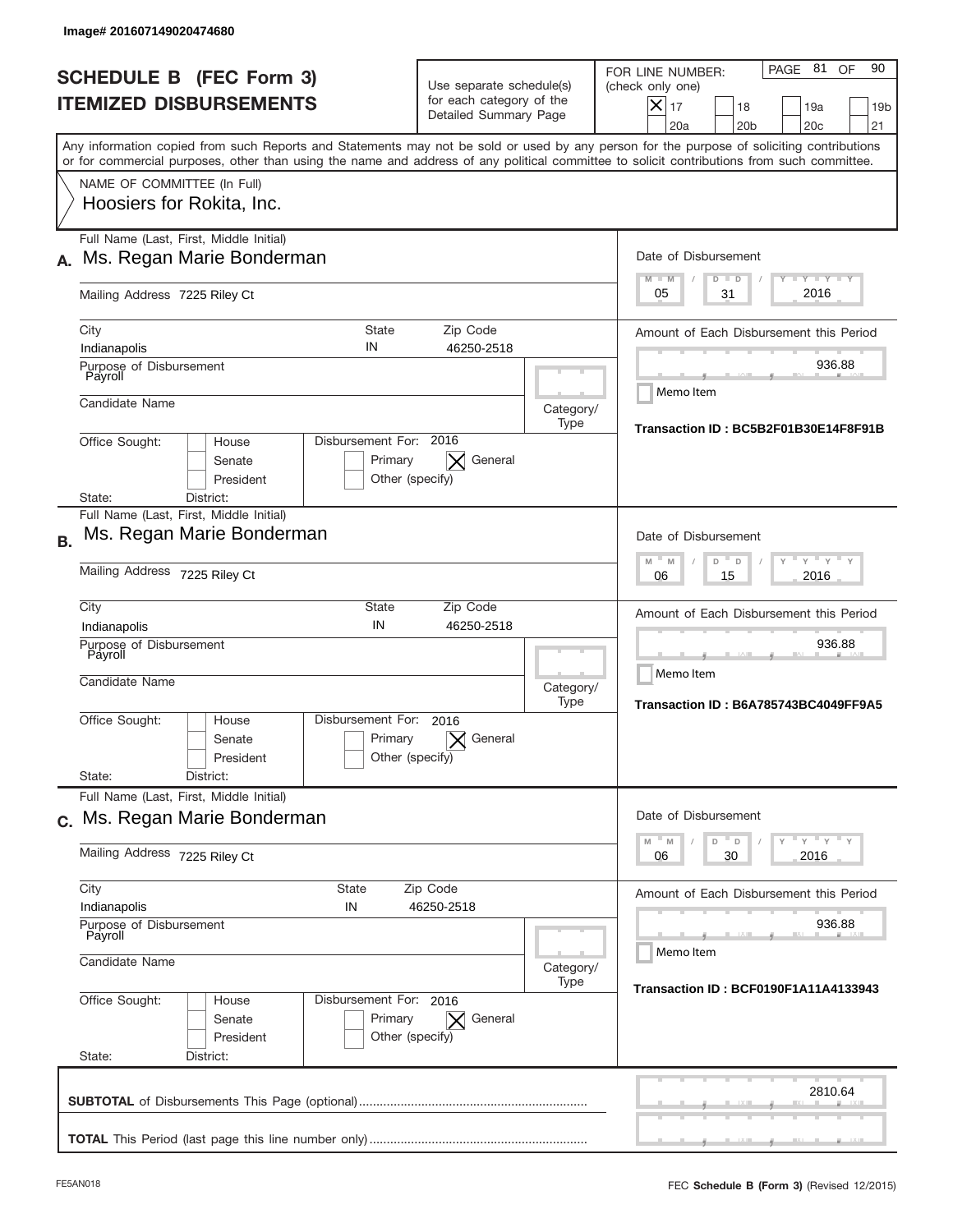| Image# 201607149020474680                                                                                                                                                                                                                                                               |                                                                               |                   |                                                                                                                                                             |  |  |
|-----------------------------------------------------------------------------------------------------------------------------------------------------------------------------------------------------------------------------------------------------------------------------------------|-------------------------------------------------------------------------------|-------------------|-------------------------------------------------------------------------------------------------------------------------------------------------------------|--|--|
| <b>SCHEDULE B (FEC Form 3)</b><br><b>ITEMIZED DISBURSEMENTS</b>                                                                                                                                                                                                                         | Use separate schedule(s)<br>for each category of the<br>Detailed Summary Page |                   | PAGE 81<br>90<br>OF<br>FOR LINE NUMBER:<br>(check only one)<br>$X _{17}$<br>18<br>19a<br>19 <sub>b</sub><br>20a<br>20 <sub>b</sub><br>20 <sub>c</sub><br>21 |  |  |
| Any information copied from such Reports and Statements may not be sold or used by any person for the purpose of soliciting contributions<br>or for commercial purposes, other than using the name and address of any political committee to solicit contributions from such committee. |                                                                               |                   |                                                                                                                                                             |  |  |
| NAME OF COMMITTEE (In Full)<br>Hoosiers for Rokita, Inc.                                                                                                                                                                                                                                |                                                                               |                   |                                                                                                                                                             |  |  |
| Full Name (Last, First, Middle Initial)<br>Ms. Regan Marie Bonderman                                                                                                                                                                                                                    |                                                                               |                   | Date of Disbursement                                                                                                                                        |  |  |
| Mailing Address 7225 Riley Ct                                                                                                                                                                                                                                                           |                                                                               |                   | $T - Y$ $T - Y$<br>$M - M$<br>$D$ $D$<br>2016<br>05<br>31                                                                                                   |  |  |
| City<br>Indianapolis                                                                                                                                                                                                                                                                    | <b>State</b><br>Zip Code<br>IN<br>46250-2518                                  |                   | Amount of Each Disbursement this Period                                                                                                                     |  |  |
| Purpose of Disbursement<br>Payroll<br>Candidate Name                                                                                                                                                                                                                                    |                                                                               |                   | 936.88<br>Memo Item                                                                                                                                         |  |  |
| Office Sought:<br>House                                                                                                                                                                                                                                                                 | Disbursement For: 2016                                                        | Category/<br>Type | Transaction ID: BC5B2F01B30E14F8F91B                                                                                                                        |  |  |
| Senate<br>President<br>District:<br>State:                                                                                                                                                                                                                                              | General<br>Primary<br>Other (specify)                                         |                   |                                                                                                                                                             |  |  |
| Full Name (Last, First, Middle Initial)<br>Ms. Regan Marie Bonderman<br><b>B.</b>                                                                                                                                                                                                       |                                                                               |                   | Date of Disbursement                                                                                                                                        |  |  |
| Mailing Address 7225 Riley Ct                                                                                                                                                                                                                                                           | $\cdots$ $\vdots$ $\vdots$ $\vdots$<br>$M$ M<br>D<br>D<br>2016<br>06<br>15    |                   |                                                                                                                                                             |  |  |
| City<br>Indianapolis                                                                                                                                                                                                                                                                    | State<br>Zip Code<br>IN<br>46250-2518                                         |                   | Amount of Each Disbursement this Period                                                                                                                     |  |  |
| Purpose of Disbursement<br>Payroll<br>Candidate Name                                                                                                                                                                                                                                    |                                                                               | Category/<br>Type | 936.88<br>Memo Item<br>Transaction ID: B6A785743BC4049FF9A5                                                                                                 |  |  |
| Office Sought:<br>House<br>Senate<br>President                                                                                                                                                                                                                                          | Disbursement For:<br>2016<br>Primary<br>General<br>Other (specify)            |                   |                                                                                                                                                             |  |  |
| State:<br>District:<br>Full Name (Last, First, Middle Initial)                                                                                                                                                                                                                          |                                                                               |                   |                                                                                                                                                             |  |  |
| c. Ms. Regan Marie Bonderman                                                                                                                                                                                                                                                            |                                                                               |                   | Date of Disbursement<br>ү "ү "ү "ү<br>$D^{\text{II}}$ D<br>M<br>$\mathbb M$                                                                                 |  |  |
| Mailing Address 7225 Riley Ct                                                                                                                                                                                                                                                           | 2016<br>06<br>30                                                              |                   |                                                                                                                                                             |  |  |
| Indianapolis                                                                                                                                                                                                                                                                            | City<br>State<br>Zip Code<br>IN<br>46250-2518                                 |                   |                                                                                                                                                             |  |  |
| Purpose of Disbursement<br>Payroll<br>Candidate Name                                                                                                                                                                                                                                    |                                                                               |                   | 936.88<br>Memo Item                                                                                                                                         |  |  |
| Office Sought:<br>House<br>Senate<br>President<br>State:<br>District:                                                                                                                                                                                                                   | Disbursement For: 2016<br>Primary<br>General<br>$\times$<br>Other (specify)   | Category/<br>Type | <b>Transaction ID: BCF0190F1A11A4133943</b>                                                                                                                 |  |  |
|                                                                                                                                                                                                                                                                                         |                                                                               |                   | 2810.64                                                                                                                                                     |  |  |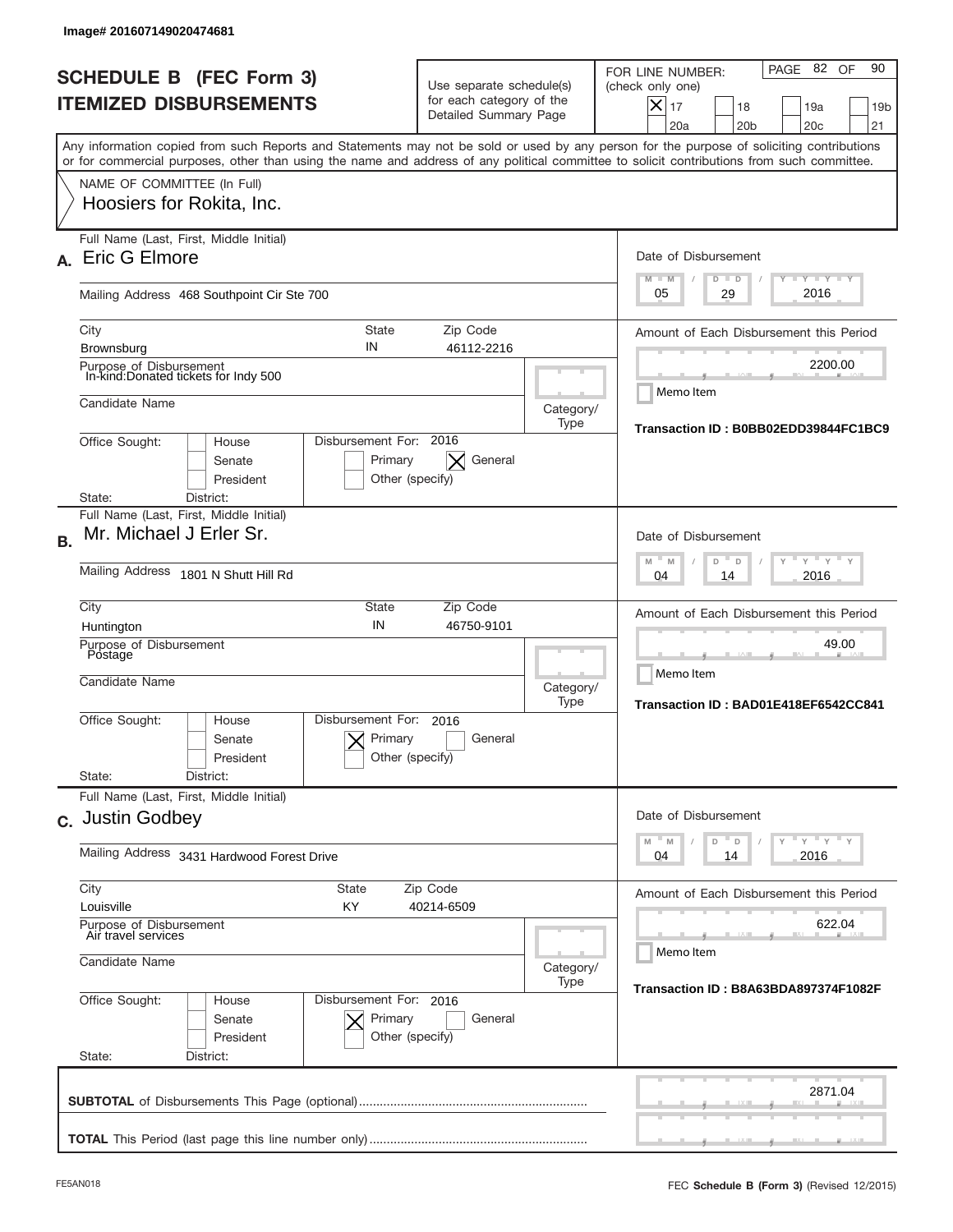|           | lmage# 201607149020474681                                                                                                                                                                                                                                                               |                                                                               |                   |                                                                                                                                                        |
|-----------|-----------------------------------------------------------------------------------------------------------------------------------------------------------------------------------------------------------------------------------------------------------------------------------------|-------------------------------------------------------------------------------|-------------------|--------------------------------------------------------------------------------------------------------------------------------------------------------|
|           | <b>SCHEDULE B (FEC Form 3)</b><br><b>ITEMIZED DISBURSEMENTS</b>                                                                                                                                                                                                                         | Use separate schedule(s)<br>for each category of the<br>Detailed Summary Page |                   | PAGE 82 OF<br>90<br>FOR LINE NUMBER:<br>(check only one)<br>X<br>17<br>19a<br>18<br>19 <sub>b</sub><br>21<br>20a<br>20 <sub>b</sub><br>20 <sub>c</sub> |
|           | Any information copied from such Reports and Statements may not be sold or used by any person for the purpose of soliciting contributions<br>or for commercial purposes, other than using the name and address of any political committee to solicit contributions from such committee. |                                                                               |                   |                                                                                                                                                        |
|           | NAME OF COMMITTEE (In Full)<br>Hoosiers for Rokita, Inc.                                                                                                                                                                                                                                |                                                                               |                   |                                                                                                                                                        |
|           | Full Name (Last, First, Middle Initial)<br>Eric G Elmore                                                                                                                                                                                                                                |                                                                               |                   | Date of Disbursement<br>$I - Y - I - Y - I - Y$<br>$M - M$<br>$D$ $D$                                                                                  |
|           | Mailing Address 468 Southpoint Cir Ste 700                                                                                                                                                                                                                                              |                                                                               |                   | 2016<br>29<br>05                                                                                                                                       |
|           | <b>State</b><br>City<br>IN<br>Brownsburg<br>Purpose of Disbursement<br>In-kind:Donated tickets for Indy 500                                                                                                                                                                             | Zip Code<br>46112-2216                                                        |                   | Amount of Each Disbursement this Period<br>2200.00                                                                                                     |
|           | Candidate Name                                                                                                                                                                                                                                                                          |                                                                               | Category/<br>Type | Memo Item<br>Transaction ID: B0BB02EDD39844FC1BC9                                                                                                      |
|           | Disbursement For: 2016<br>Office Sought:<br>House<br>Senate<br>Primary<br>President<br>District:<br>State:                                                                                                                                                                              | General<br>$\times$<br>Other (specify)                                        |                   |                                                                                                                                                        |
| <b>B.</b> | Full Name (Last, First, Middle Initial)<br>Mr. Michael J Erler Sr.                                                                                                                                                                                                                      |                                                                               |                   | Date of Disbursement<br>$Y$ $Y$<br>$M - M$                                                                                                             |
|           | Mailing Address 1801 N Shutt Hill Rd                                                                                                                                                                                                                                                    |                                                                               |                   | D<br>D<br>2016<br>04<br>14                                                                                                                             |
|           | City<br>State<br>IN<br>Huntington<br>Purpose of Disbursement                                                                                                                                                                                                                            | Zip Code<br>46750-9101                                                        |                   | Amount of Each Disbursement this Period<br>49.00                                                                                                       |
|           | Postage<br>Candidate Name                                                                                                                                                                                                                                                               |                                                                               | Category/<br>Type | Memo Item<br>Transaction ID: BAD01E418EF6542CC841                                                                                                      |
|           | Disbursement For:<br>Office Sought:<br>House<br>Primary<br>Senate<br>President<br>State:<br>District:                                                                                                                                                                                   | 2016<br>General<br>Other (specify)                                            |                   |                                                                                                                                                        |
|           | Full Name (Last, First, Middle Initial)<br>c. Justin Godbey                                                                                                                                                                                                                             |                                                                               |                   | Date of Disbursement                                                                                                                                   |
|           | Mailing Address 3431 Hardwood Forest Drive                                                                                                                                                                                                                                              |                                                                               |                   | $Y + Y + Y + Y$<br>$M$ M<br>D<br>D<br>2016<br>04<br>14                                                                                                 |
|           | City<br>State<br>Louisville<br>KY                                                                                                                                                                                                                                                       | Zip Code<br>40214-6509                                                        |                   | Amount of Each Disbursement this Period                                                                                                                |
|           | Purpose of Disbursement<br>Air travel services<br>Candidate Name                                                                                                                                                                                                                        |                                                                               | Category/         | 622.04<br>Memo Item                                                                                                                                    |
|           | Office Sought:<br>Disbursement For: 2016<br>House<br>Senate<br>Primary<br>President<br>State:<br>District:                                                                                                                                                                              | General<br>Other (specify)                                                    | Type              | Transaction ID: B8A63BDA897374F1082F                                                                                                                   |
|           |                                                                                                                                                                                                                                                                                         |                                                                               |                   | 2871.04                                                                                                                                                |
|           |                                                                                                                                                                                                                                                                                         |                                                                               |                   |                                                                                                                                                        |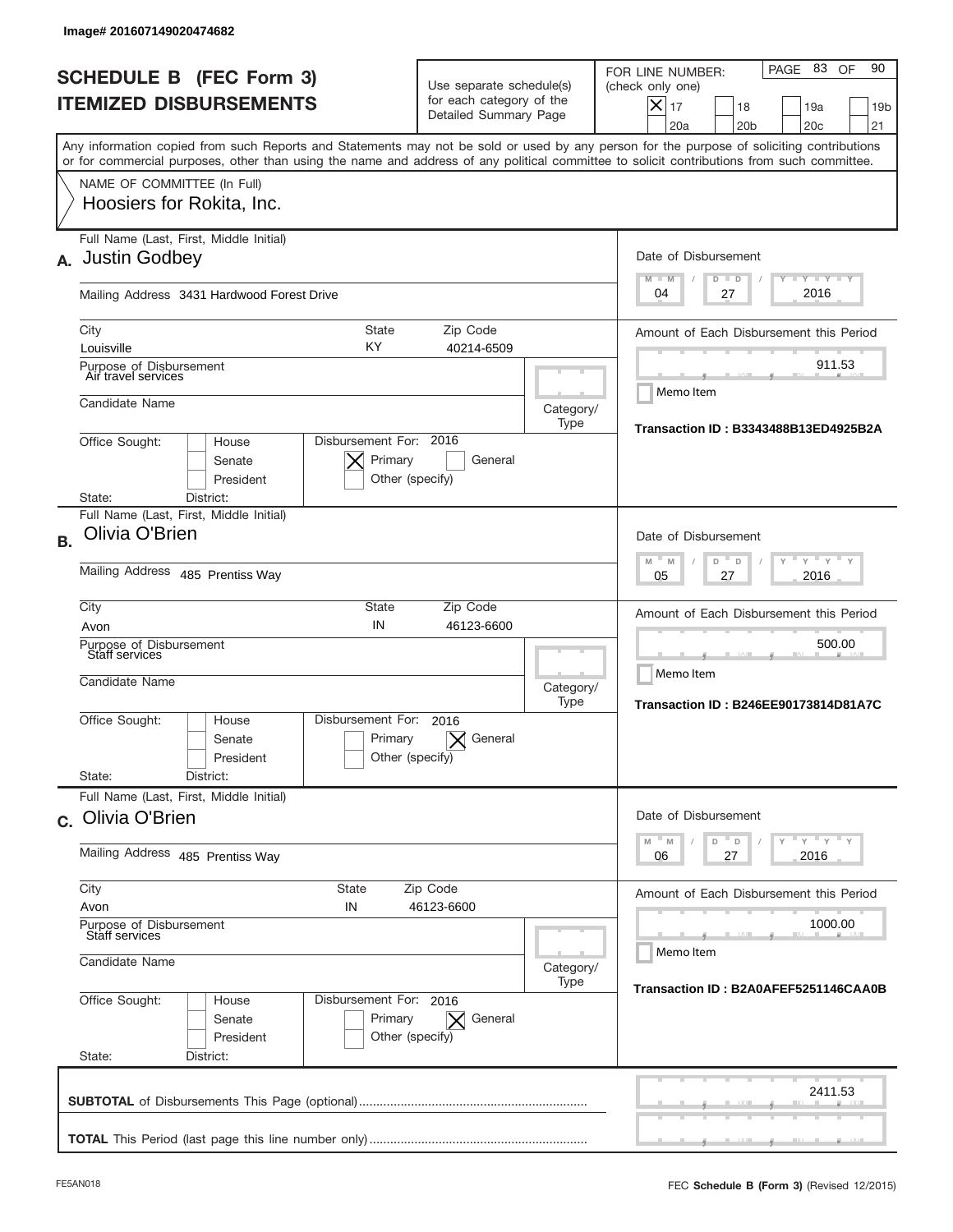|           | Image# 201607149020474682                                                                                                                                                                                                                                                               |                                                                               |                   |                                                                                                                                                                  |
|-----------|-----------------------------------------------------------------------------------------------------------------------------------------------------------------------------------------------------------------------------------------------------------------------------------------|-------------------------------------------------------------------------------|-------------------|------------------------------------------------------------------------------------------------------------------------------------------------------------------|
|           | <b>SCHEDULE B (FEC Form 3)</b><br><b>ITEMIZED DISBURSEMENTS</b>                                                                                                                                                                                                                         | Use separate schedule(s)<br>for each category of the<br>Detailed Summary Page |                   | PAGE 83<br>90<br>OF<br>FOR LINE NUMBER:<br>(check only one)<br>$\times$<br>17<br>18<br>19a<br>19 <sub>b</sub><br>20a<br>20 <sub>b</sub><br>20 <sub>c</sub><br>21 |
|           | Any information copied from such Reports and Statements may not be sold or used by any person for the purpose of soliciting contributions<br>or for commercial purposes, other than using the name and address of any political committee to solicit contributions from such committee. |                                                                               |                   |                                                                                                                                                                  |
|           | NAME OF COMMITTEE (In Full)<br>Hoosiers for Rokita, Inc.                                                                                                                                                                                                                                |                                                                               |                   |                                                                                                                                                                  |
| А.        | Full Name (Last, First, Middle Initial)<br><b>Justin Godbey</b>                                                                                                                                                                                                                         |                                                                               |                   | Date of Disbursement<br><b>LYLYLY</b><br>$M - M$<br>$D$ $D$                                                                                                      |
|           | Mailing Address 3431 Hardwood Forest Drive                                                                                                                                                                                                                                              |                                                                               |                   | 2016<br>04<br>27                                                                                                                                                 |
|           | City<br><b>State</b><br>ΚY<br>Louisville                                                                                                                                                                                                                                                | Zip Code<br>40214-6509                                                        |                   | Amount of Each Disbursement this Period                                                                                                                          |
|           | Purpose of Disbursement<br>Air travel services                                                                                                                                                                                                                                          |                                                                               |                   | 911.53                                                                                                                                                           |
|           | Candidate Name                                                                                                                                                                                                                                                                          |                                                                               | Category/<br>Type | Memo Item                                                                                                                                                        |
|           | Disbursement For: 2016<br>Office Sought:<br>House<br>Senate<br>President<br>State:<br>District:                                                                                                                                                                                         | Primary<br>General<br>Other (specify)                                         |                   | <b>Transaction ID: B3343488B13ED4925B2A</b>                                                                                                                      |
|           | Full Name (Last, First, Middle Initial)                                                                                                                                                                                                                                                 |                                                                               |                   |                                                                                                                                                                  |
| <b>B.</b> | Olivia O'Brien                                                                                                                                                                                                                                                                          |                                                                               |                   | Date of Disbursement<br>$-M$<br>$Y = Y$<br>M<br>D<br>D                                                                                                           |
|           | Mailing Address 485 Prentiss Way                                                                                                                                                                                                                                                        |                                                                               |                   | 2016<br>05<br>27                                                                                                                                                 |
|           | City<br>State<br>IN<br>Avon                                                                                                                                                                                                                                                             | Zip Code<br>46123-6600                                                        |                   | Amount of Each Disbursement this Period                                                                                                                          |
|           | Purpose of Disbursement<br>Staff services<br>Candidate Name                                                                                                                                                                                                                             |                                                                               | Category/         | 500.00<br>Memo Item                                                                                                                                              |
|           | Disbursement For:<br>Office Sought:<br>House<br>Senate<br>President<br>State:<br>District:                                                                                                                                                                                              | 2016<br>Primary<br>General<br>Other (specify)                                 | Type              | <b>Transaction ID: B246EE90173814D81A7C</b>                                                                                                                      |
|           | Full Name (Last, First, Middle Initial)<br>c. Olivia O'Brien                                                                                                                                                                                                                            |                                                                               |                   | Date of Disbursement                                                                                                                                             |
|           | Mailing Address 485 Prentiss Way                                                                                                                                                                                                                                                        |                                                                               |                   | ү "ү "ү "ү<br>$-M$<br>$\mathbb M$<br>D<br>D<br>2016<br>06<br>27                                                                                                  |
|           | City<br>State<br>Avon<br>IN<br>Purpose of Disbursement                                                                                                                                                                                                                                  | Zip Code<br>46123-6600                                                        |                   | Amount of Each Disbursement this Period<br>1000.00                                                                                                               |
|           | Staff services<br>Candidate Name                                                                                                                                                                                                                                                        |                                                                               | Category/         | Memo Item                                                                                                                                                        |
|           | Office Sought:<br>Disbursement For: 2016<br>House<br>Senate<br>President<br>State:<br>District:                                                                                                                                                                                         | Primary<br>General<br>$\times$<br>Other (specify)                             | Type              | Transaction ID: B2A0AFEF5251146CAA0B                                                                                                                             |
|           |                                                                                                                                                                                                                                                                                         |                                                                               |                   | 2411.53                                                                                                                                                          |
|           |                                                                                                                                                                                                                                                                                         |                                                                               |                   |                                                                                                                                                                  |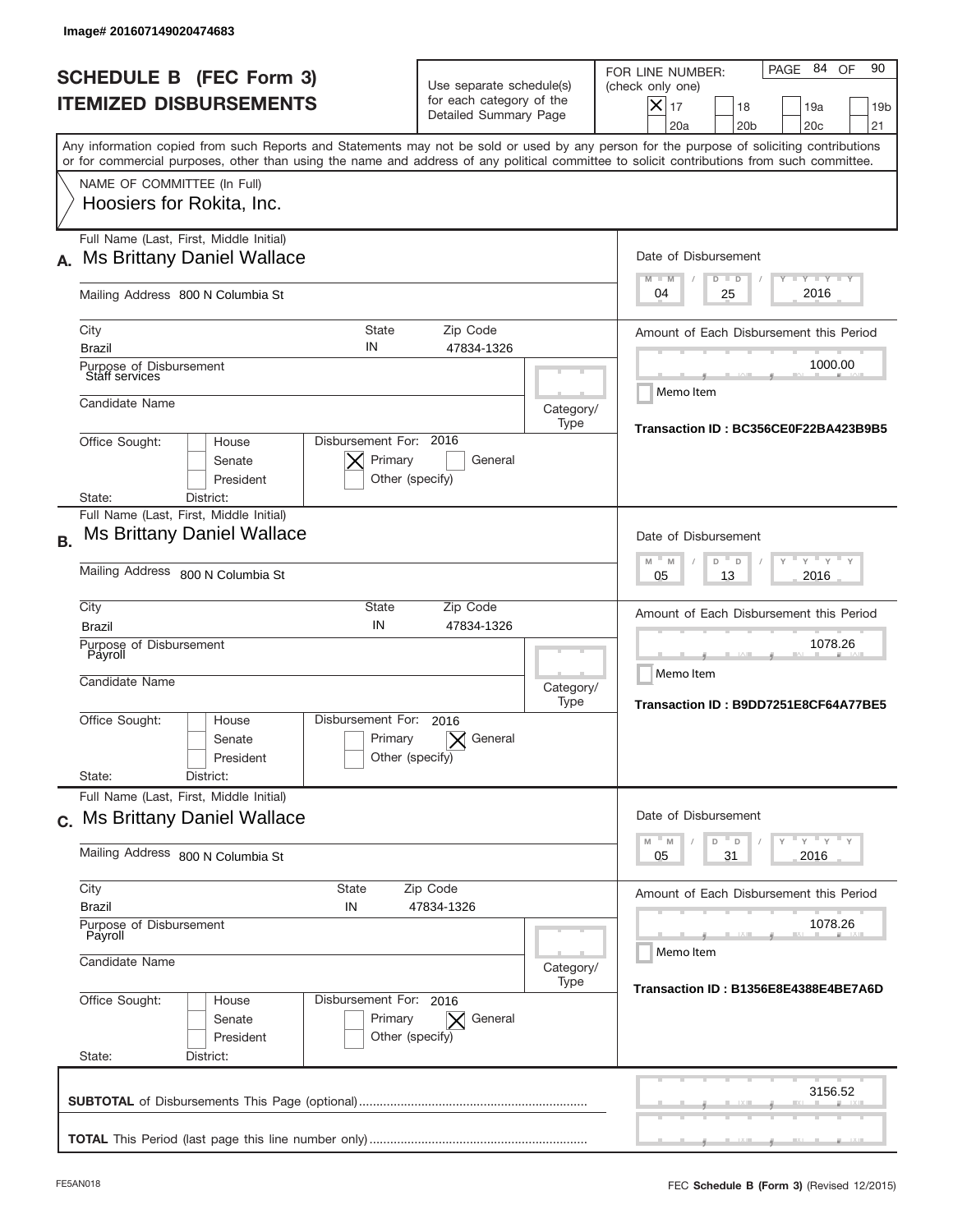| <b>SCHEDULE B (FEC Form 3)</b><br><b>ITEMIZED DISBURSEMENTS</b>                                                                                                                                                                                                                         | Use separate schedule(s)<br>for each category of the<br>Detailed Summary Page |                                      | PAGE 84 OF<br>90<br>FOR LINE NUMBER:<br>(check only one)<br>$X _{17}$<br>18<br>19a<br>19 <sub>b</sub><br>20a<br>20 <sub>b</sub><br>20 <sub>c</sub><br>21 |
|-----------------------------------------------------------------------------------------------------------------------------------------------------------------------------------------------------------------------------------------------------------------------------------------|-------------------------------------------------------------------------------|--------------------------------------|----------------------------------------------------------------------------------------------------------------------------------------------------------|
| Any information copied from such Reports and Statements may not be sold or used by any person for the purpose of soliciting contributions<br>or for commercial purposes, other than using the name and address of any political committee to solicit contributions from such committee. |                                                                               |                                      |                                                                                                                                                          |
| NAME OF COMMITTEE (In Full)<br>Hoosiers for Rokita, Inc.                                                                                                                                                                                                                                |                                                                               |                                      |                                                                                                                                                          |
| Full Name (Last, First, Middle Initial)<br><b>Ms Brittany Daniel Wallace</b><br>А.                                                                                                                                                                                                      |                                                                               |                                      | Date of Disbursement<br>$T - Y$ $T - Y$<br>$M - M$<br>$D$ $D$                                                                                            |
| Mailing Address 800 N Columbia St                                                                                                                                                                                                                                                       | 2016<br>04<br>25                                                              |                                      |                                                                                                                                                          |
| <b>State</b><br>City<br>IN<br><b>Brazil</b>                                                                                                                                                                                                                                             | Zip Code<br>47834-1326                                                        |                                      | Amount of Each Disbursement this Period                                                                                                                  |
| Purpose of Disbursement<br>Staff services                                                                                                                                                                                                                                               |                                                                               |                                      | 1000.00<br>Memo Item                                                                                                                                     |
| Candidate Name                                                                                                                                                                                                                                                                          |                                                                               | Category/<br>Type                    | Transaction ID: BC356CE0F22BA423B9B5                                                                                                                     |
| Disbursement For: 2016<br>Office Sought:<br>House<br>Senate<br>President<br>District:<br>State:                                                                                                                                                                                         | Primary<br>General<br>Other (specify)                                         |                                      |                                                                                                                                                          |
| Full Name (Last, First, Middle Initial)<br><b>Ms Brittany Daniel Wallace</b><br><b>B.</b>                                                                                                                                                                                               |                                                                               |                                      | Date of Disbursement                                                                                                                                     |
| Mailing Address 800 N Columbia St                                                                                                                                                                                                                                                       |                                                                               |                                      | $\cdots$ $\vdots$ $\vdots$ $\vdots$<br>M<br>M<br>D<br>D<br>2016<br>05<br>13                                                                              |
| City<br>State<br>IN<br><b>Brazil</b>                                                                                                                                                                                                                                                    | Zip Code<br>47834-1326                                                        |                                      | Amount of Each Disbursement this Period                                                                                                                  |
| Purpose of Disbursement<br>Payroll<br>Candidate Name                                                                                                                                                                                                                                    |                                                                               | Category/<br>Type                    | 1078.26<br>Memo Item<br>Transaction ID: B9DD7251E8CF64A77BE5                                                                                             |
| Disbursement For:<br>Office Sought:<br>House<br>Senate<br>President                                                                                                                                                                                                                     | 2016<br>General<br>Primary<br>Other (specify)                                 |                                      |                                                                                                                                                          |
| State:<br>District:<br>Full Name (Last, First, Middle Initial)                                                                                                                                                                                                                          |                                                                               |                                      |                                                                                                                                                          |
| c. Ms Brittany Daniel Wallace                                                                                                                                                                                                                                                           |                                                                               |                                      | Date of Disbursement<br>ү "ү "ү "ү<br>$-M$<br>$\overline{a}$<br>D<br>M                                                                                   |
| Mailing Address 800 N Columbia St                                                                                                                                                                                                                                                       |                                                                               |                                      | 2016<br>05<br>31                                                                                                                                         |
| City<br>State<br><b>Brazil</b><br>IN                                                                                                                                                                                                                                                    | Zip Code<br>47834-1326                                                        |                                      | Amount of Each Disbursement this Period                                                                                                                  |
| Purpose of Disbursement<br>Payroll<br>Candidate Name                                                                                                                                                                                                                                    |                                                                               |                                      | 1078.26<br>Memo Item                                                                                                                                     |
|                                                                                                                                                                                                                                                                                         | Category/<br>Type                                                             | Transaction ID: B1356E8E4388E4BE7A6D |                                                                                                                                                          |
| Office Sought:<br>Disbursement For: 2016<br>House<br>Senate<br>President<br>State:<br>District:                                                                                                                                                                                         | Primary<br>General<br>$\times$<br>Other (specify)                             |                                      |                                                                                                                                                          |
|                                                                                                                                                                                                                                                                                         |                                                                               |                                      |                                                                                                                                                          |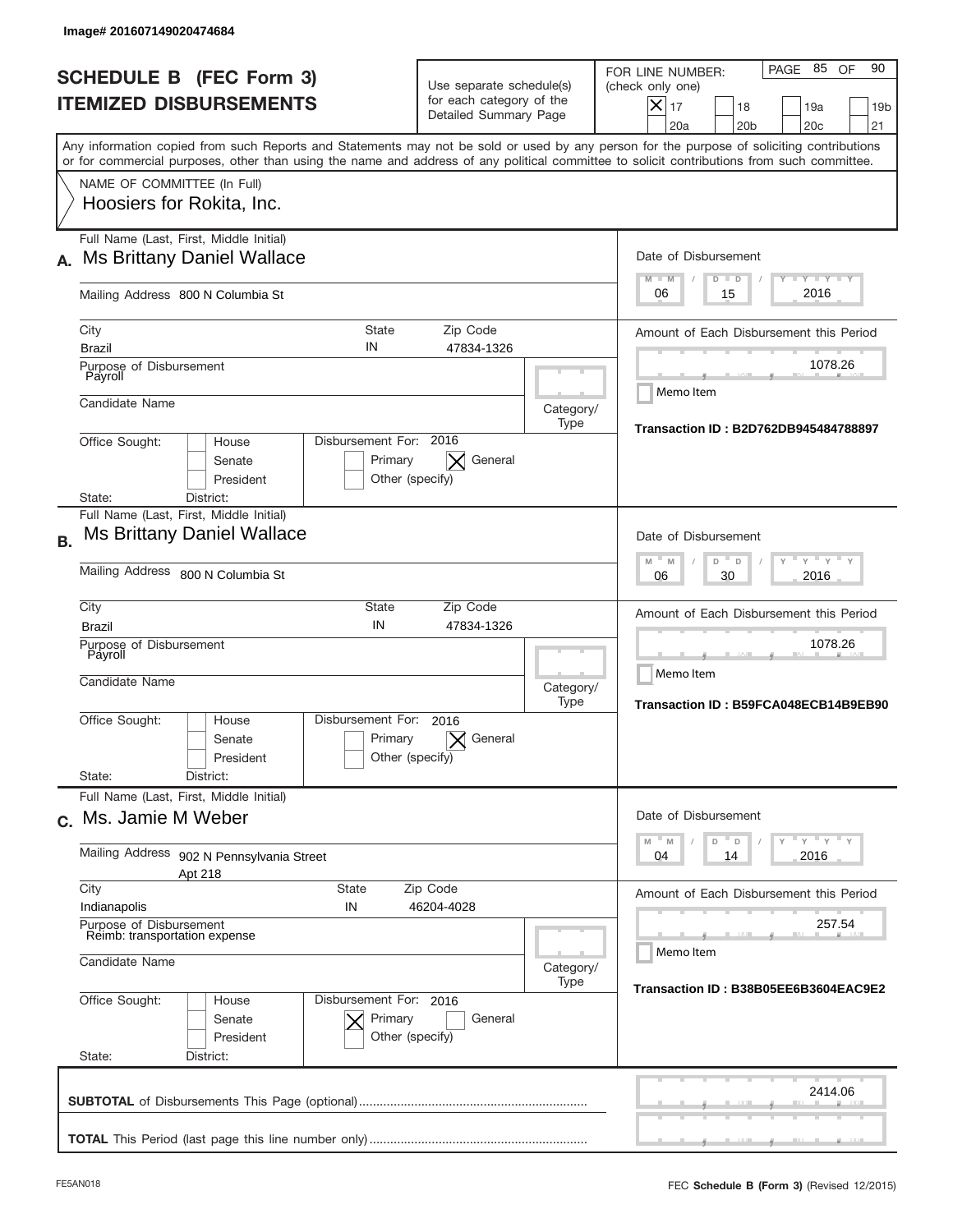| lmage#201607149020474684                                                                                                                                                                                                                                                                |                                                                               |                                                   |                                                                                                                                                                            |  |
|-----------------------------------------------------------------------------------------------------------------------------------------------------------------------------------------------------------------------------------------------------------------------------------------|-------------------------------------------------------------------------------|---------------------------------------------------|----------------------------------------------------------------------------------------------------------------------------------------------------------------------------|--|
| <b>SCHEDULE B (FEC Form 3)</b><br><b>ITEMIZED DISBURSEMENTS</b>                                                                                                                                                                                                                         | Use separate schedule(s)<br>for each category of the<br>Detailed Summary Page |                                                   | PAGE 85 OF<br>90<br>FOR LINE NUMBER:<br>(check only one)<br>$\boldsymbol{\times}$<br>17<br>18<br>19a<br>19 <sub>b</sub><br>20a<br>20 <sub>b</sub><br>20 <sub>c</sub><br>21 |  |
| Any information copied from such Reports and Statements may not be sold or used by any person for the purpose of soliciting contributions<br>or for commercial purposes, other than using the name and address of any political committee to solicit contributions from such committee. |                                                                               |                                                   |                                                                                                                                                                            |  |
| NAME OF COMMITTEE (In Full)<br>Hoosiers for Rokita, Inc.                                                                                                                                                                                                                                |                                                                               |                                                   |                                                                                                                                                                            |  |
| Full Name (Last, First, Middle Initial)<br><b>Ms Brittany Daniel Wallace</b><br>А.                                                                                                                                                                                                      |                                                                               |                                                   | Date of Disbursement<br>$T - Y$ $T - Y$<br>$M - M$<br>$D$ $D$                                                                                                              |  |
| Mailing Address 800 N Columbia St                                                                                                                                                                                                                                                       |                                                                               |                                                   |                                                                                                                                                                            |  |
| City<br>IN<br><b>Brazil</b>                                                                                                                                                                                                                                                             | <b>State</b><br>Zip Code<br>47834-1326                                        |                                                   | Amount of Each Disbursement this Period<br>1078.26                                                                                                                         |  |
| Payroll<br>Candidate Name                                                                                                                                                                                                                                                               | Purpose of Disbursement                                                       |                                                   |                                                                                                                                                                            |  |
| Office Sought:<br>House<br>Senate<br>President                                                                                                                                                                                                                                          | Disbursement For: 2016<br>General<br>Primary<br>Other (specify)               | Category/<br>Type                                 | Transaction ID: B2D762DB945484788897                                                                                                                                       |  |
| District:<br>State:<br>Full Name (Last, First, Middle Initial)<br><b>Ms Brittany Daniel Wallace</b>                                                                                                                                                                                     |                                                                               |                                                   | Date of Disbursement<br>$\cdots$ $\gamma$ $\cdots$ $\gamma$ $\cdots$ $\gamma$<br>$M - M$<br>D<br>$\Box$                                                                    |  |
| Mailing Address 800 N Columbia St                                                                                                                                                                                                                                                       | 2016<br>06<br>30                                                              |                                                   |                                                                                                                                                                            |  |
| City<br><b>Brazil</b><br>Purpose of Disbursement                                                                                                                                                                                                                                        | State<br>Zip Code<br>IN<br>47834-1326                                         |                                                   | Amount of Each Disbursement this Period<br>1078.26                                                                                                                         |  |
| Payroll<br>Candidate Name                                                                                                                                                                                                                                                               | Category/<br>Type                                                             | Memo Item<br>Transaction ID: B59FCA048ECB14B9EB90 |                                                                                                                                                                            |  |
| Disbursement For:<br>Office Sought:<br>House<br>Senate<br>President                                                                                                                                                                                                                     | 2016<br>Primary<br>General<br>Other (specify)                                 |                                                   |                                                                                                                                                                            |  |
| Full Name (Last, First, Middle Initial)                                                                                                                                                                                                                                                 | State:<br>District:                                                           |                                                   |                                                                                                                                                                            |  |
| c. Ms. Jamie M Weber<br>Mailing Address<br>902 N Pennsylvania Street                                                                                                                                                                                                                    |                                                                               |                                                   | Date of Disbursement<br>$Y$ $Y$ $Y$ $Y$ $Y$<br>M<br>M<br>D<br>D<br>2016<br>04<br>14                                                                                        |  |
| Apt 218<br>City<br><b>State</b>                                                                                                                                                                                                                                                         | Amount of Each Disbursement this Period                                       |                                                   |                                                                                                                                                                            |  |
| Indianapolis<br>IN<br>Purpose of Disbursement<br>Reimb: transportation expense                                                                                                                                                                                                          |                                                                               | 257.54<br>Memo Item                               |                                                                                                                                                                            |  |
| Candidate Name                                                                                                                                                                                                                                                                          |                                                                               |                                                   | Category/<br>Transaction ID: B38B05EE6B3604EAC9E2                                                                                                                          |  |
| Office Sought:<br>House<br>Senate<br>President<br>State:<br>District:                                                                                                                                                                                                                   | Disbursement For: 2016<br>Primary<br>General<br>Other (specify)               |                                                   |                                                                                                                                                                            |  |
|                                                                                                                                                                                                                                                                                         |                                                                               |                                                   | 2414.06                                                                                                                                                                    |  |
|                                                                                                                                                                                                                                                                                         |                                                                               |                                                   |                                                                                                                                                                            |  |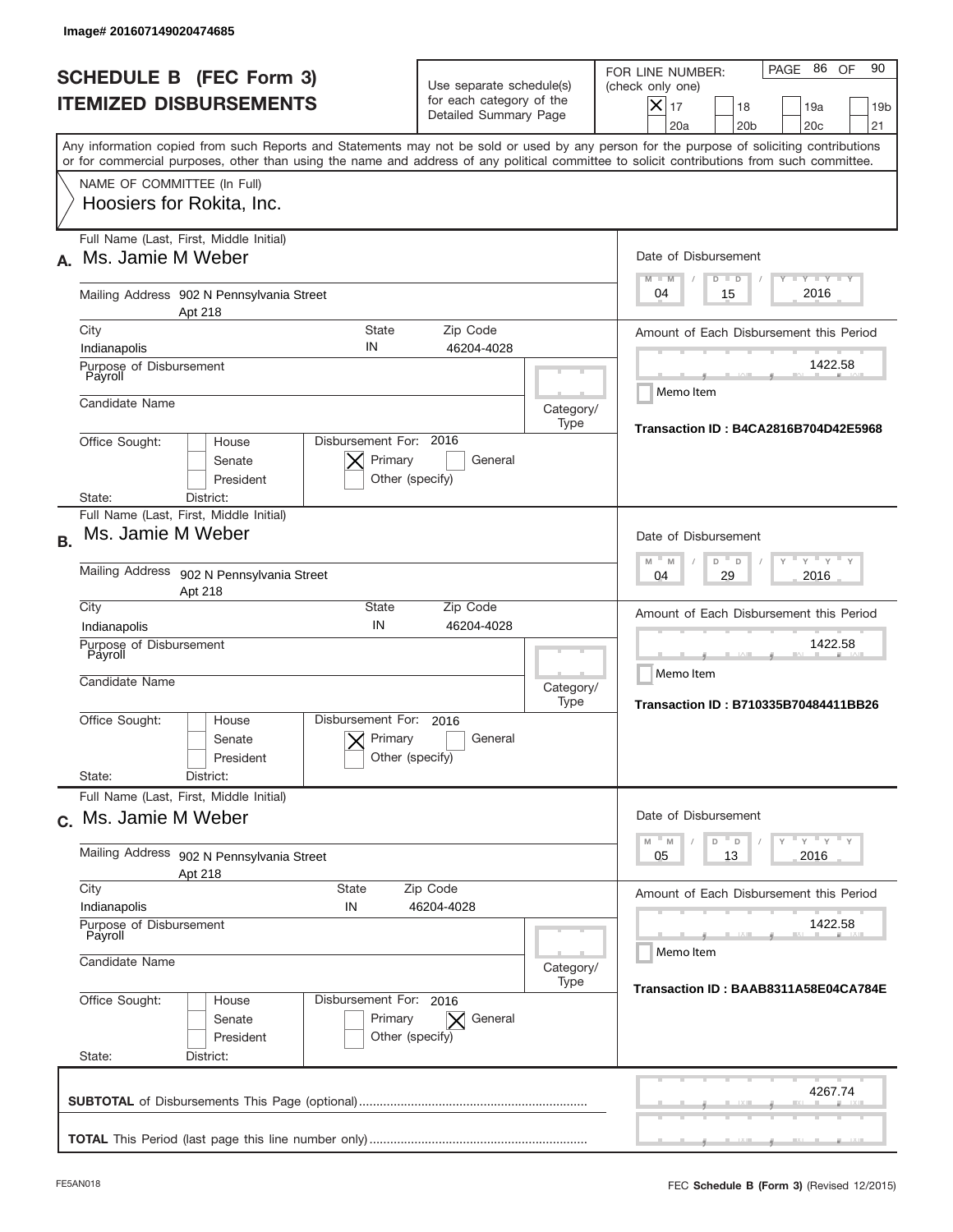|           | Image# 201607149020474685                                       |                                                      |                                                                  |                                                                               |                                                                                        |                                                                                                                                                                                                                                                                                         |
|-----------|-----------------------------------------------------------------|------------------------------------------------------|------------------------------------------------------------------|-------------------------------------------------------------------------------|----------------------------------------------------------------------------------------|-----------------------------------------------------------------------------------------------------------------------------------------------------------------------------------------------------------------------------------------------------------------------------------------|
|           | <b>SCHEDULE B (FEC Form 3)</b><br><b>ITEMIZED DISBURSEMENTS</b> |                                                      |                                                                  | Use separate schedule(s)<br>for each category of the<br>Detailed Summary Page |                                                                                        | 90<br>PAGE 86<br>OF<br>FOR LINE NUMBER:<br>(check only one)<br>$X _{17}$<br>18<br>19a<br>19 <sub>b</sub><br>20 <sub>c</sub><br>20a<br>20 <sub>b</sub><br>21                                                                                                                             |
|           |                                                                 |                                                      |                                                                  |                                                                               |                                                                                        | Any information copied from such Reports and Statements may not be sold or used by any person for the purpose of soliciting contributions<br>or for commercial purposes, other than using the name and address of any political committee to solicit contributions from such committee. |
|           | NAME OF COMMITTEE (In Full)<br>Hoosiers for Rokita, Inc.        |                                                      |                                                                  |                                                                               |                                                                                        |                                                                                                                                                                                                                                                                                         |
| А.        | Full Name (Last, First, Middle Initial)<br>Ms. Jamie M Weber    |                                                      |                                                                  |                                                                               | Date of Disbursement<br>$I - Y - I - Y - I - Y$<br>$M - M$<br>$D$ $D$                  |                                                                                                                                                                                                                                                                                         |
|           |                                                                 | Mailing Address 902 N Pennsylvania Street<br>Apt 218 |                                                                  |                                                                               |                                                                                        | 2016<br>04<br>15                                                                                                                                                                                                                                                                        |
|           | City<br>Indianapolis                                            | IN                                                   | <b>State</b>                                                     | Zip Code<br>46204-4028                                                        |                                                                                        | Amount of Each Disbursement this Period                                                                                                                                                                                                                                                 |
|           | Purpose of Disbursement<br>Payroll                              |                                                      |                                                                  |                                                                               |                                                                                        | 1422.58                                                                                                                                                                                                                                                                                 |
|           | Candidate Name                                                  |                                                      |                                                                  |                                                                               | Category/<br>Type                                                                      | Memo Item<br>Transaction ID: B4CA2816B704D42E5968                                                                                                                                                                                                                                       |
|           | Office Sought:<br>State:                                        | House<br>Senate<br>President<br>District:            | Disbursement For: 2016<br>Primary<br>Other (specify)             | General                                                                       |                                                                                        |                                                                                                                                                                                                                                                                                         |
| <b>B.</b> | Full Name (Last, First, Middle Initial)<br>Ms. Jamie M Weber    |                                                      |                                                                  |                                                                               | Date of Disbursement                                                                   |                                                                                                                                                                                                                                                                                         |
|           | Mailing Address 902 N Pennsylvania Street<br>Apt 218            |                                                      |                                                                  |                                                                               | $-M$<br>$Y = Y$<br>M<br>D<br>D<br>2016<br>04<br>29                                     |                                                                                                                                                                                                                                                                                         |
|           | City<br>Indianapolis                                            | IN                                                   | <b>State</b>                                                     | Zip Code<br>46204-4028                                                        |                                                                                        | Amount of Each Disbursement this Period                                                                                                                                                                                                                                                 |
|           | Purpose of Disbursement<br>Payroll<br>Candidate Name            |                                                      |                                                                  | Category/<br>Type                                                             | 1422.58<br>Memo Item<br>Transaction ID: B710335B70484411BB26                           |                                                                                                                                                                                                                                                                                         |
|           | Office Sought:                                                  | Disbursement For:<br>House<br>Senate<br>President    | 2016<br>Primary<br>Other (specify)                               | General                                                                       |                                                                                        |                                                                                                                                                                                                                                                                                         |
|           | State:<br>Full Name (Last, First, Middle Initial)               | District:                                            |                                                                  |                                                                               |                                                                                        |                                                                                                                                                                                                                                                                                         |
|           | c. Ms. Jamie M Weber                                            |                                                      |                                                                  |                                                                               | Date of Disbursement<br>$-\gamma$ $-\gamma$ $-\gamma$<br>$-M$<br>$\mathbb M$<br>D<br>D |                                                                                                                                                                                                                                                                                         |
|           | <b>Mailing Address</b><br>902 N Pennsylvania Street<br>Apt 218  |                                                      |                                                                  |                                                                               |                                                                                        | 13<br>2016<br>05                                                                                                                                                                                                                                                                        |
|           | City<br>State<br>Zip Code<br>Indianapolis<br>IN<br>46204-4028   |                                                      |                                                                  |                                                                               | Amount of Each Disbursement this Period                                                |                                                                                                                                                                                                                                                                                         |
|           | Purpose of Disbursement<br>Payroll<br>Candidate Name            |                                                      |                                                                  |                                                                               | 1422.58<br>Memo Item                                                                   |                                                                                                                                                                                                                                                                                         |
|           | Category/<br>Type                                               |                                                      |                                                                  | Transaction ID: BAAB8311A58E04CA784E                                          |                                                                                        |                                                                                                                                                                                                                                                                                         |
|           | Office Sought:<br>State:                                        | House<br>Senate<br>President<br>District:            | Disbursement For: 2016<br>Primary<br>$\times$<br>Other (specify) | General                                                                       |                                                                                        |                                                                                                                                                                                                                                                                                         |
|           |                                                                 |                                                      |                                                                  |                                                                               |                                                                                        | 4267.74                                                                                                                                                                                                                                                                                 |
|           |                                                                 |                                                      |                                                                  |                                                                               |                                                                                        |                                                                                                                                                                                                                                                                                         |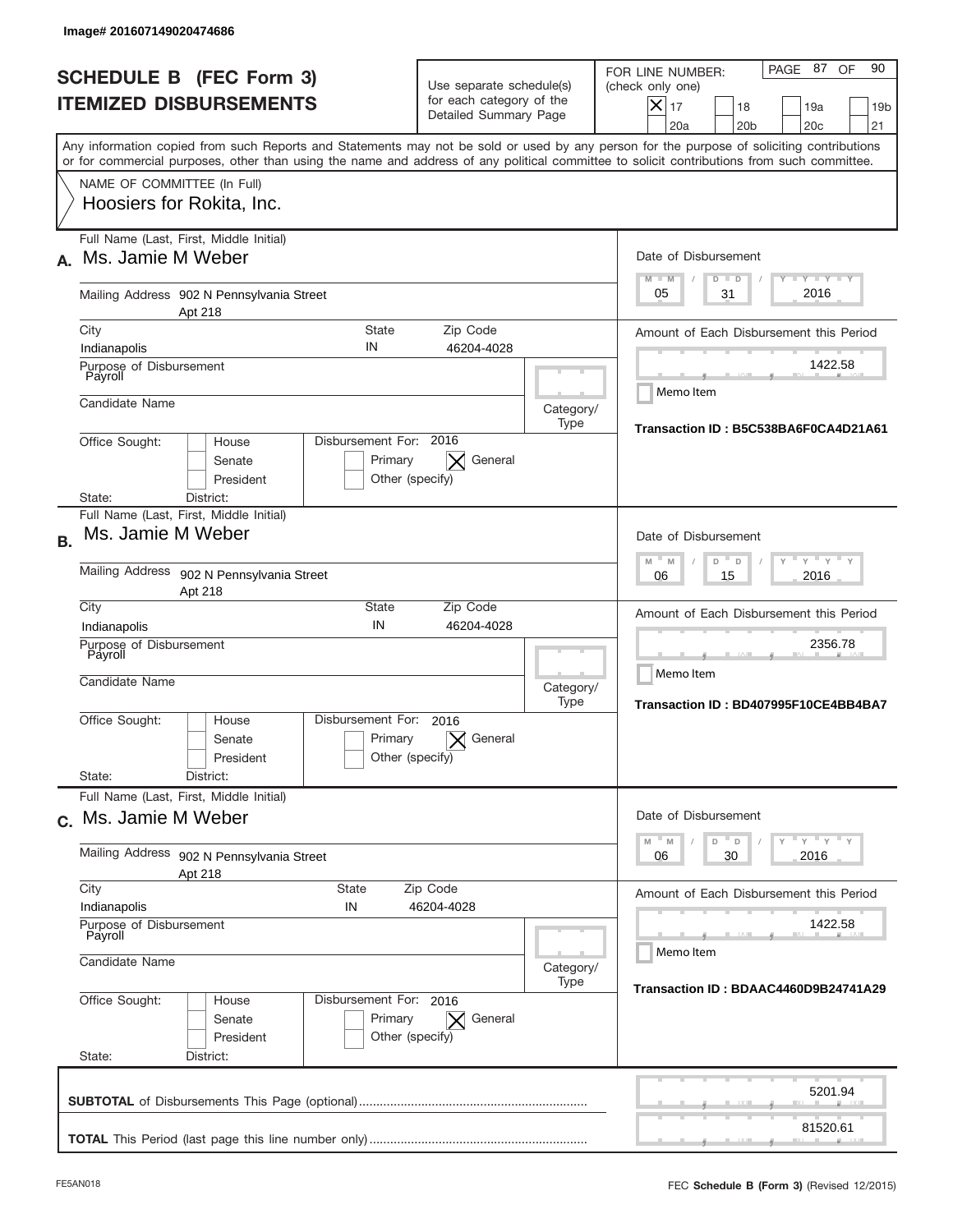| lmage#201607149020474686                                                                                                                                                                                                                                                                                               |                                                                                                         |                   |                                                                                                                                                          |  |  |
|------------------------------------------------------------------------------------------------------------------------------------------------------------------------------------------------------------------------------------------------------------------------------------------------------------------------|---------------------------------------------------------------------------------------------------------|-------------------|----------------------------------------------------------------------------------------------------------------------------------------------------------|--|--|
| <b>SCHEDULE B (FEC Form 3)</b><br><b>ITEMIZED DISBURSEMENTS</b>                                                                                                                                                                                                                                                        | Use separate schedule(s)<br>for each category of the<br>Detailed Summary Page                           |                   | PAGE 87 OF<br>90<br>FOR LINE NUMBER:<br>(check only one)<br>$X _{17}$<br>18<br>19a<br>19 <sub>b</sub><br>20a<br>20 <sub>b</sub><br>20 <sub>c</sub><br>21 |  |  |
| Any information copied from such Reports and Statements may not be sold or used by any person for the purpose of soliciting contributions<br>or for commercial purposes, other than using the name and address of any political committee to solicit contributions from such committee.<br>NAME OF COMMITTEE (In Full) |                                                                                                         |                   |                                                                                                                                                          |  |  |
| Hoosiers for Rokita, Inc.                                                                                                                                                                                                                                                                                              |                                                                                                         |                   |                                                                                                                                                          |  |  |
| Full Name (Last, First, Middle Initial)<br>Ms. Jamie M Weber<br>А.                                                                                                                                                                                                                                                     |                                                                                                         |                   | Date of Disbursement<br>$T - Y$ $T - Y$<br>$M - M$<br>$D$ $D$                                                                                            |  |  |
| Mailing Address 902 N Pennsylvania Street<br>Apt 218                                                                                                                                                                                                                                                                   |                                                                                                         |                   |                                                                                                                                                          |  |  |
| City<br>Indianapolis                                                                                                                                                                                                                                                                                                   | <b>State</b><br>Zip Code<br>IN<br>46204-4028                                                            |                   | Amount of Each Disbursement this Period                                                                                                                  |  |  |
| Purpose of Disbursement<br>Payroll                                                                                                                                                                                                                                                                                     |                                                                                                         |                   | 1422.58<br>Memo Item                                                                                                                                     |  |  |
| Candidate Name                                                                                                                                                                                                                                                                                                         |                                                                                                         | Category/<br>Type | Transaction ID: B5C538BA6F0CA4D21A61                                                                                                                     |  |  |
| Office Sought:<br>House<br>Senate<br>President<br>District:<br>State:                                                                                                                                                                                                                                                  | Disbursement For: 2016<br>General<br>Primary<br>Other (specify)                                         |                   |                                                                                                                                                          |  |  |
| Full Name (Last, First, Middle Initial)<br>Ms. Jamie M Weber<br><b>B.</b>                                                                                                                                                                                                                                              | Date of Disbursement                                                                                    |                   |                                                                                                                                                          |  |  |
| Mailing Address 902 N Pennsylvania Street<br>Apt 218                                                                                                                                                                                                                                                                   | $\cdots$ $\vdots$ $\vdots$ $\vdots$<br>$M$ <sup><math>-</math></sup><br>M<br>D<br>D<br>2016<br>06<br>15 |                   |                                                                                                                                                          |  |  |
| City<br>Indianapolis                                                                                                                                                                                                                                                                                                   | State<br>Zip Code<br>IN<br>46204-4028                                                                   |                   | Amount of Each Disbursement this Period                                                                                                                  |  |  |
| Purpose of Disbursement<br>Payroll<br>Candidate Name                                                                                                                                                                                                                                                                   |                                                                                                         | Category/<br>Type | 2356.78<br>Memo Item<br>Transaction ID: BD407995F10CE4BB4BA7                                                                                             |  |  |
| Office Sought:<br>House<br>Senate<br>President                                                                                                                                                                                                                                                                         | Disbursement For:<br>2016<br>Primary<br>General<br>Other (specify)                                      |                   |                                                                                                                                                          |  |  |
| State:<br>District:<br>Full Name (Last, First, Middle Initial)                                                                                                                                                                                                                                                         |                                                                                                         |                   |                                                                                                                                                          |  |  |
| c. Ms. Jamie M Weber                                                                                                                                                                                                                                                                                                   | Date of Disbursement<br>ү" ү" ү" ү<br>D<br>M<br>$\mathbb M$<br>D                                        |                   |                                                                                                                                                          |  |  |
| Mailing Address 902 N Pennsylvania Street<br>Apt 218<br>City                                                                                                                                                                                                                                                           | 2016<br>06<br>30                                                                                        |                   |                                                                                                                                                          |  |  |
| Indianapolis<br>IN                                                                                                                                                                                                                                                                                                     | State<br>Zip Code<br>46204-4028                                                                         |                   |                                                                                                                                                          |  |  |
| Purpose of Disbursement<br>Payroll<br>Candidate Name                                                                                                                                                                                                                                                                   | 1422.58<br>Memo Item                                                                                    |                   |                                                                                                                                                          |  |  |
| Category/<br>Type                                                                                                                                                                                                                                                                                                      |                                                                                                         |                   | Transaction ID: BDAAC4460D9B24741A29                                                                                                                     |  |  |
| Office Sought:<br>House<br>Senate<br>President<br>State:<br>District:                                                                                                                                                                                                                                                  | Disbursement For: 2016<br>Primary<br>General<br>Other (specify)                                         |                   |                                                                                                                                                          |  |  |
|                                                                                                                                                                                                                                                                                                                        |                                                                                                         |                   | 5201.94                                                                                                                                                  |  |  |
|                                                                                                                                                                                                                                                                                                                        |                                                                                                         |                   | 81520.61                                                                                                                                                 |  |  |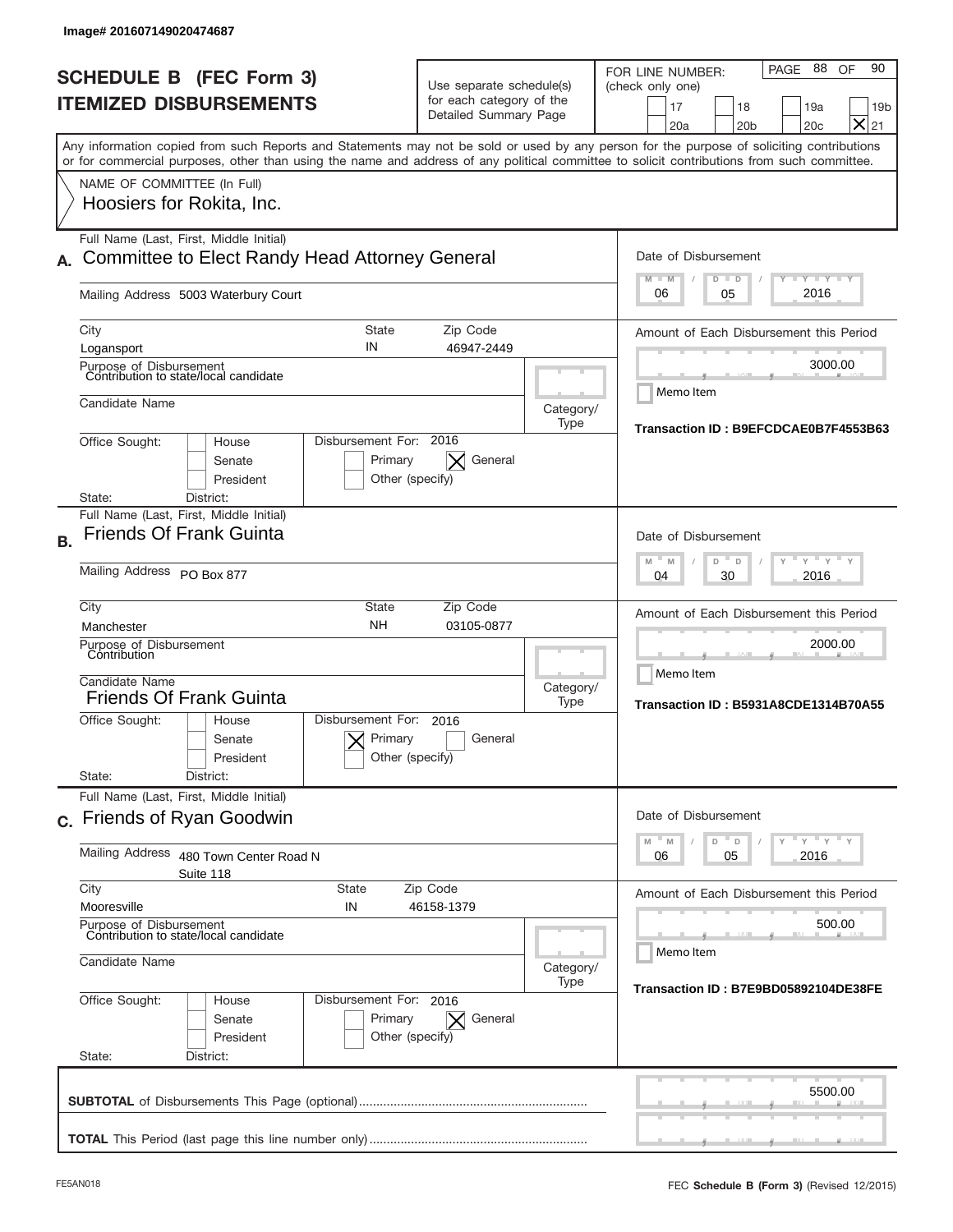| <b>SCHEDULE B (FEC Form 3)</b><br><b>ITEMIZED DISBURSEMENTS</b>                                                                                                                                                                                                                         | Use separate schedule(s)<br>for each category of the<br>Detailed Summary Page |                      | 88<br>90<br><b>PAGE</b><br>OF<br>FOR LINE NUMBER:<br>(check only one)<br>17<br>18<br>19a<br>19 <sub>b</sub><br>$\times$<br>21<br>20 <sub>b</sub><br>20c<br>20a |  |
|-----------------------------------------------------------------------------------------------------------------------------------------------------------------------------------------------------------------------------------------------------------------------------------------|-------------------------------------------------------------------------------|----------------------|----------------------------------------------------------------------------------------------------------------------------------------------------------------|--|
| Any information copied from such Reports and Statements may not be sold or used by any person for the purpose of soliciting contributions<br>or for commercial purposes, other than using the name and address of any political committee to solicit contributions from such committee. |                                                                               |                      |                                                                                                                                                                |  |
| NAME OF COMMITTEE (In Full)<br>Hoosiers for Rokita, Inc.                                                                                                                                                                                                                                |                                                                               |                      |                                                                                                                                                                |  |
| Full Name (Last, First, Middle Initial)<br>Committee to Elect Randy Head Attorney General                                                                                                                                                                                               |                                                                               |                      | Date of Disbursement                                                                                                                                           |  |
| Mailing Address 5003 Waterbury Court                                                                                                                                                                                                                                                    | $T - Y$ $T - Y$<br>$M - M$<br>$D$ $D$<br>2016<br>06<br>05                     |                      |                                                                                                                                                                |  |
| City<br>Logansport                                                                                                                                                                                                                                                                      | <b>State</b><br>Zip Code<br>IN<br>46947-2449                                  |                      | Amount of Each Disbursement this Period                                                                                                                        |  |
| Purpose of Disbursement<br>Contribution to state/local candidate                                                                                                                                                                                                                        |                                                                               |                      | 3000.00<br>Memo Item                                                                                                                                           |  |
| Candidate Name                                                                                                                                                                                                                                                                          | Category/<br>Type                                                             |                      |                                                                                                                                                                |  |
| Office Sought:<br>House<br>Senate<br>President<br>District:<br>State:                                                                                                                                                                                                                   | Disbursement For: 2016<br>Primary<br>General<br>Other (specify)               |                      | Transaction ID: B9EFCDCAE0B7F4553B63                                                                                                                           |  |
| Full Name (Last, First, Middle Initial)<br><b>Friends Of Frank Guinta</b><br><b>B.</b>                                                                                                                                                                                                  | Date of Disbursement<br>" γ " γ "                                             |                      |                                                                                                                                                                |  |
| Mailing Address PO Box 877                                                                                                                                                                                                                                                              |                                                                               |                      |                                                                                                                                                                |  |
| City<br>Manchester                                                                                                                                                                                                                                                                      | <b>State</b><br>Zip Code<br><b>NH</b><br>03105-0877                           |                      | Amount of Each Disbursement this Period                                                                                                                        |  |
| Purpose of Disbursement<br>Contribution<br>Candidate Name                                                                                                                                                                                                                               | Category/                                                                     | 2000.00<br>Memo Item |                                                                                                                                                                |  |
| <b>Friends Of Frank Guinta</b>                                                                                                                                                                                                                                                          | Disbursement For:                                                             |                      |                                                                                                                                                                |  |
| Office Sought:<br>House<br>Senate<br>President<br>State:<br>District:                                                                                                                                                                                                                   | 2016<br>Primary<br>General<br>Other (specify)                                 |                      |                                                                                                                                                                |  |
| Full Name (Last, First, Middle Initial)                                                                                                                                                                                                                                                 |                                                                               |                      | Date of Disbursement                                                                                                                                           |  |
| c. Friends of Ryan Goodwin<br><b>Mailing Address</b>                                                                                                                                                                                                                                    |                                                                               |                      | $-\gamma + \gamma - \gamma$<br>$- M$<br>$\overline{a}$<br>D<br>M<br>2016<br>06<br>05                                                                           |  |
| 480 Town Center Road N<br>Suite 118<br>City                                                                                                                                                                                                                                             | <b>State</b><br>Zip Code                                                      |                      |                                                                                                                                                                |  |
| Mooresville<br>Purpose of Disbursement                                                                                                                                                                                                                                                  | IN<br>46158-1379                                                              |                      |                                                                                                                                                                |  |
| Contribution to state/local candidate<br>Candidate Name                                                                                                                                                                                                                                 | 500.00<br>Memo Item<br>Category/                                              |                      |                                                                                                                                                                |  |
| Office Sought:<br>House<br>Senate<br>President<br>State:<br>District:                                                                                                                                                                                                                   | Disbursement For: 2016<br>Primary<br>General<br>$\times$<br>Other (specify)   | Type                 | Transaction ID: B7E9BD05892104DE38FE                                                                                                                           |  |
|                                                                                                                                                                                                                                                                                         |                                                                               |                      |                                                                                                                                                                |  |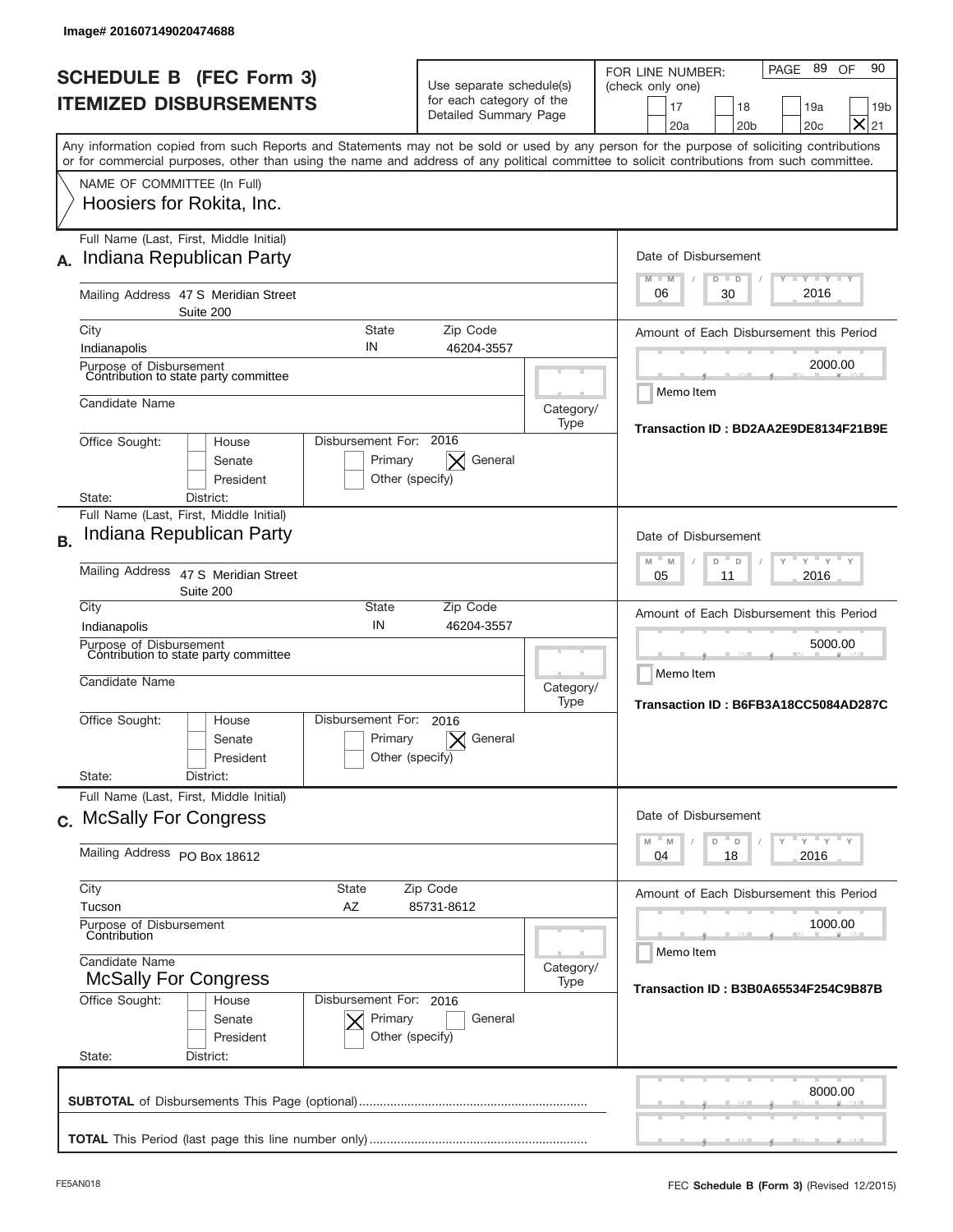|           | Image# 201607149020474688                                                                                                                             |                                                              |                                                                               |                   |                                                                                                                                                                                                                                                                                         |  |
|-----------|-------------------------------------------------------------------------------------------------------------------------------------------------------|--------------------------------------------------------------|-------------------------------------------------------------------------------|-------------------|-----------------------------------------------------------------------------------------------------------------------------------------------------------------------------------------------------------------------------------------------------------------------------------------|--|
|           | <b>SCHEDULE B (FEC Form 3)</b><br><b>ITEMIZED DISBURSEMENTS</b>                                                                                       |                                                              | Use separate schedule(s)<br>for each category of the<br>Detailed Summary Page |                   | PAGE 89<br>90<br>OF<br>FOR LINE NUMBER:<br>(check only one)<br>17<br>18<br>19a<br>19 <sub>b</sub><br>$\times$<br>20a<br>20 <sub>b</sub><br>20c<br>21                                                                                                                                    |  |
|           |                                                                                                                                                       |                                                              |                                                                               |                   | Any information copied from such Reports and Statements may not be sold or used by any person for the purpose of soliciting contributions<br>or for commercial purposes, other than using the name and address of any political committee to solicit contributions from such committee. |  |
|           | NAME OF COMMITTEE (In Full)<br>Hoosiers for Rokita, Inc.                                                                                              |                                                              |                                                                               |                   |                                                                                                                                                                                                                                                                                         |  |
| А.        | Full Name (Last, First, Middle Initial)<br>Indiana Republican Party                                                                                   |                                                              |                                                                               |                   | Date of Disbursement<br><b>LYLYLY</b><br>$M - M$<br>$D$ $D$                                                                                                                                                                                                                             |  |
|           | Mailing Address 47 S Meridian Street<br>Suite 200                                                                                                     |                                                              |                                                                               |                   | 2016<br>06<br>30                                                                                                                                                                                                                                                                        |  |
|           | City<br>Indianapolis                                                                                                                                  | State<br>IN                                                  | Zip Code<br>46204-3557                                                        |                   | Amount of Each Disbursement this Period                                                                                                                                                                                                                                                 |  |
|           | Purpose of Disbursement<br>Contribution to state party committee                                                                                      |                                                              | 2000.00                                                                       |                   |                                                                                                                                                                                                                                                                                         |  |
|           | Candidate Name                                                                                                                                        |                                                              |                                                                               |                   | Memo Item<br>Category/<br>Transaction ID: BD2AA2E9DE8134F21B9E                                                                                                                                                                                                                          |  |
|           | Type<br>Disbursement For: 2016<br>Office Sought:<br>House<br>Senate<br>Primary<br>General<br>X<br>President<br>Other (specify)<br>District:<br>State: |                                                              |                                                                               |                   |                                                                                                                                                                                                                                                                                         |  |
| <b>B.</b> | Full Name (Last, First, Middle Initial)<br>Indiana Republican Party                                                                                   |                                                              |                                                                               |                   | Date of Disbursement                                                                                                                                                                                                                                                                    |  |
|           | <b>Mailing Address</b>                                                                                                                                | 47 S Meridian Street<br>Suite 200                            | $-M$<br>$Y = Y$<br>M<br>D<br>D<br>2016<br>05<br>11                            |                   |                                                                                                                                                                                                                                                                                         |  |
|           | City<br>Indianapolis                                                                                                                                  | <b>State</b><br>IN                                           | Zip Code<br>46204-3557                                                        |                   | Amount of Each Disbursement this Period                                                                                                                                                                                                                                                 |  |
|           | Purpose of Disbursement<br>Contribution to state party committee<br>Candidate Name                                                                    |                                                              |                                                                               |                   | 5000.00<br>Memo Item<br>Category/<br>Transaction ID: B6FB3A18CC5084AD287C                                                                                                                                                                                                               |  |
|           | Office Sought:                                                                                                                                        | Disbursement For:<br>House<br>Primary<br>Senate<br>President | 2016<br>General<br>Other (specify)                                            | Type              |                                                                                                                                                                                                                                                                                         |  |
|           | State:<br>Full Name (Last, First, Middle Initial)                                                                                                     | District:                                                    |                                                                               |                   |                                                                                                                                                                                                                                                                                         |  |
|           | c. McSally For Congress                                                                                                                               |                                                              |                                                                               |                   | Date of Disbursement<br>$-\gamma$ $-\gamma$ $-\gamma$                                                                                                                                                                                                                                   |  |
|           | Mailing Address PO Box 18612                                                                                                                          |                                                              |                                                                               |                   | $-M$<br>M<br>D<br>D<br>Y.<br>18<br>2016<br>04                                                                                                                                                                                                                                           |  |
|           | City<br><b>State</b><br>Zip Code<br>Tucson<br>AZ<br>85731-8612                                                                                        |                                                              |                                                                               |                   | Amount of Each Disbursement this Period                                                                                                                                                                                                                                                 |  |
|           | Purpose of Disbursement<br>Contribution                                                                                                               |                                                              |                                                                               |                   | 1000.00<br>Memo Item                                                                                                                                                                                                                                                                    |  |
|           | Candidate Name<br><b>McSally For Congress</b><br>Disbursement For: 2016                                                                               |                                                              |                                                                               | Category/<br>Type | Transaction ID: B3B0A65534F254C9B87B                                                                                                                                                                                                                                                    |  |
|           | Office Sought:<br>State:                                                                                                                              | House<br>Senate<br>Primary<br>President<br>District:         | General<br>Other (specify)                                                    |                   |                                                                                                                                                                                                                                                                                         |  |
|           |                                                                                                                                                       |                                                              |                                                                               |                   | 8000.00                                                                                                                                                                                                                                                                                 |  |
|           |                                                                                                                                                       |                                                              |                                                                               |                   |                                                                                                                                                                                                                                                                                         |  |